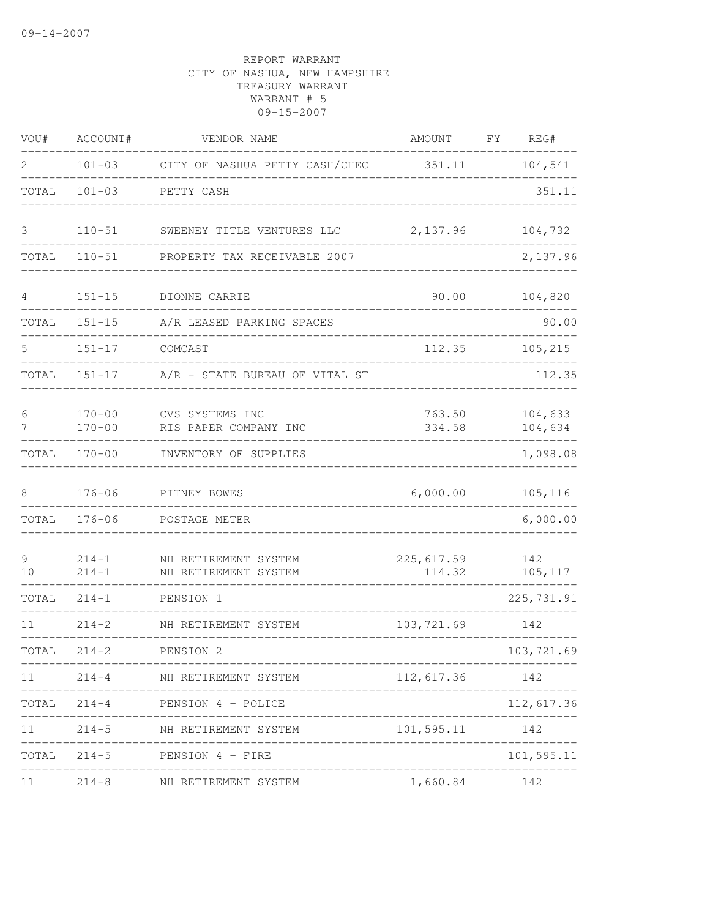| WOU#           | ACCOUNT#                 | VENDOR NAME                                          | AMOUNT FY REG#       |                    |
|----------------|--------------------------|------------------------------------------------------|----------------------|--------------------|
| $\overline{2}$ |                          | 101-03 CITY OF NASHUA PETTY CASH/CHEC 351.11 104,541 |                      |                    |
| TOTAL          |                          | 101-03 PETTY CASH                                    |                      | 351.11             |
| 3              | $110 - 51$               | SWEENEY TITLE VENTURES LLC 2,137.96                  |                      | 104,732            |
| TOTAL          | $110 - 51$               | PROPERTY TAX RECEIVABLE 2007                         |                      | 2,137.96           |
| $4 -$          | $151 - 15$               | DIONNE CARRIE                                        | 90.00                | 104,820            |
| TOTAL          | $151 - 15$               | A/R LEASED PARKING SPACES                            |                      | 90.00              |
| 5.             | $151 - 17$               | COMCAST                                              | 112.35               | 105,215            |
| TOTAL          | $151 - 17$               | A/R - STATE BUREAU OF VITAL ST                       |                      | 112.35             |
| 6<br>7         | $170 - 00$<br>$170 - 00$ | CVS SYSTEMS INC<br>RIS PAPER COMPANY INC             | 763.50<br>334.58     | 104,633<br>104,634 |
| TOTAL          | $170 - 00$               | INVENTORY OF SUPPLIES                                |                      | 1,098.08           |
| 8              | $176 - 06$               | PITNEY BOWES                                         | 6,000.00             | 105, 116           |
|                | TOTAL 176-06             | POSTAGE METER                                        |                      | 6,000.00           |
| 9<br>10        | $214 - 1$<br>$214 - 1$   | NH RETIREMENT SYSTEM<br>NH RETIREMENT SYSTEM         | 225,617.59<br>114.32 | 142<br>105,117     |
| TOTAL          | $214 - 1$                | PENSION 1<br>______________________                  |                      | 225, 731.91        |
| 11             | $214 - 2$                | NH RETIREMENT SYSTEM                                 | 103,721.69           | 142                |
| TOTAL          | $214 - 2$                | PENSION 2<br>_____________________                   |                      | 103,721.69         |
| 11             |                          | 214-4 NH RETIREMENT SYSTEM                           | 112,617.36           | 142                |
|                |                          | TOTAL 214-4 PENSION 4 - POLICE                       |                      | 112,617.36         |
| 11             |                          | 214-5 NH RETIREMENT SYSTEM                           | 101,595.11           | 142                |
| TOTAL          |                          | 214-5 PENSION 4 - FIRE                               |                      | 101,595.11         |
| 11             | $214 - 8$                | NH RETIREMENT SYSTEM                                 | 1,660.84             | 142                |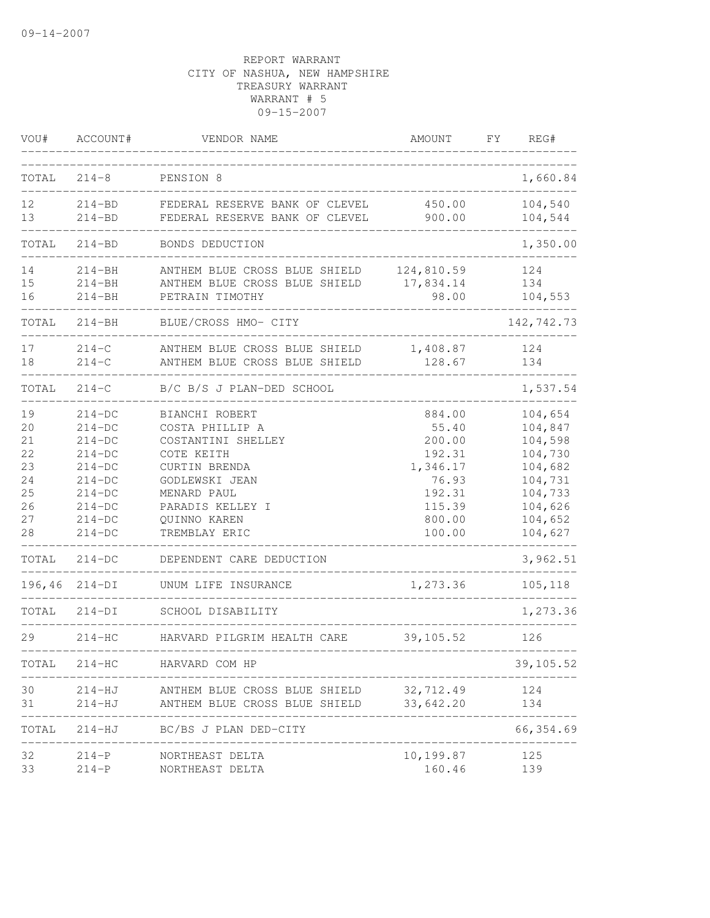| VOU#                                                              | ACCOUNT#                                                                                                                         | VENDOR NAME                                                                                                                                                                                              | AMOUNT                                                                                           | FY. | REG#                                                                                                                   |
|-------------------------------------------------------------------|----------------------------------------------------------------------------------------------------------------------------------|----------------------------------------------------------------------------------------------------------------------------------------------------------------------------------------------------------|--------------------------------------------------------------------------------------------------|-----|------------------------------------------------------------------------------------------------------------------------|
| TOTAL                                                             | $214 - 8$                                                                                                                        | PENSION 8                                                                                                                                                                                                |                                                                                                  |     | 1,660.84                                                                                                               |
| 12<br>13                                                          | $214 - BD$<br>$214 - BD$                                                                                                         | FEDERAL RESERVE BANK OF CLEVEL<br>FEDERAL RESERVE BANK OF CLEVEL                                                                                                                                         | 450.00<br>900.00                                                                                 |     | 104,540<br>104,544                                                                                                     |
| TOTAL                                                             | $214 - BD$                                                                                                                       | BONDS DEDUCTION                                                                                                                                                                                          |                                                                                                  |     | 1,350.00                                                                                                               |
| 14<br>15<br>16                                                    | $214 - BH$<br>$214 - BH$<br>$214 - BH$                                                                                           | ANTHEM BLUE CROSS BLUE SHIELD<br>ANTHEM BLUE CROSS BLUE SHIELD 17,834.14<br>PETRAIN TIMOTHY                                                                                                              | 124,810.59<br>98.00                                                                              |     | 124<br>134<br>104,553                                                                                                  |
| TOTAL                                                             | $214 - BH$                                                                                                                       | BLUE/CROSS HMO- CITY                                                                                                                                                                                     |                                                                                                  |     | 142,742.73                                                                                                             |
| 17<br>18                                                          | $214 - C$<br>$214 - C$                                                                                                           | ANTHEM BLUE CROSS BLUE SHIELD<br>ANTHEM BLUE CROSS BLUE SHIELD                                                                                                                                           | 1,408.87<br>128.67                                                                               |     | 124<br>134                                                                                                             |
| TOTAL                                                             | $214 - C$                                                                                                                        | B/C B/S J PLAN-DED SCHOOL                                                                                                                                                                                |                                                                                                  |     | 1,537.54                                                                                                               |
| 19<br>20<br>21<br>22<br>23<br>24<br>25<br>26<br>27<br>28<br>TOTAL | $214-DC$<br>$214-DC$<br>$214-DC$<br>$214-DC$<br>$214-DC$<br>$214-DC$<br>$214-DC$<br>$214-DC$<br>$214-DC$<br>$214-DC$<br>$214-DC$ | BIANCHI ROBERT<br>COSTA PHILLIP A<br>COSTANTINI SHELLEY<br>COTE KEITH<br>CURTIN BRENDA<br>GODLEWSKI JEAN<br>MENARD PAUL<br>PARADIS KELLEY I<br>QUINNO KAREN<br>TREMBLAY ERIC<br>DEPENDENT CARE DEDUCTION | 884.00<br>55.40<br>200.00<br>192.31<br>1,346.17<br>76.93<br>192.31<br>115.39<br>800.00<br>100.00 |     | 104,654<br>104,847<br>104,598<br>104,730<br>104,682<br>104,731<br>104,733<br>104,626<br>104,652<br>104,627<br>3,962.51 |
| 196,46                                                            | $214-DI$                                                                                                                         | UNUM LIFE INSURANCE                                                                                                                                                                                      | 1,273.36                                                                                         |     | 105,118                                                                                                                |
| TOTAL                                                             | $214-DI$                                                                                                                         | SCHOOL DISABILITY                                                                                                                                                                                        |                                                                                                  |     | 1,273.36                                                                                                               |
| 29                                                                | $214-HC$                                                                                                                         | HARVARD PILGRIM HEALTH CARE                                                                                                                                                                              | 39, 105.52                                                                                       |     | 126                                                                                                                    |
| TOTAL                                                             | $214-HC$                                                                                                                         | HARVARD COM HP                                                                                                                                                                                           |                                                                                                  |     | 39,105.52                                                                                                              |
| 30<br>31                                                          | 214-HJ<br>214-HJ                                                                                                                 | ANTHEM BLUE CROSS BLUE SHIELD<br>ANTHEM BLUE CROSS BLUE SHIELD 33,642.20                                                                                                                                 | 32,712.49                                                                                        |     | 124<br>134                                                                                                             |
| TOTAL                                                             |                                                                                                                                  | 214-HJ BC/BS J PLAN DED-CITY                                                                                                                                                                             |                                                                                                  |     | 66, 354.69                                                                                                             |
| 32<br>33                                                          | $214-P$                                                                                                                          | NORTHEAST DELTA<br>214-P NORTHEAST DELTA                                                                                                                                                                 | 10,199.87<br>160.46                                                                              |     | 125<br>139                                                                                                             |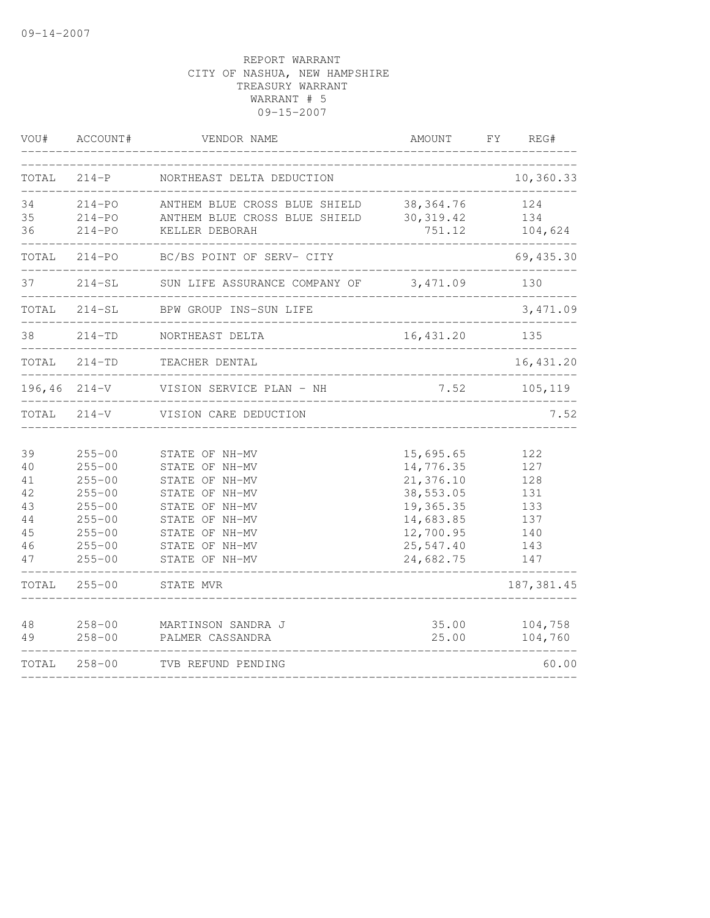| VOU#                                               | ACCOUNT#                                                                                                                   | VENDOR NAME                                                                                                                                                    | AMOUNT                                                                                                            | FY | REG#                                                        |
|----------------------------------------------------|----------------------------------------------------------------------------------------------------------------------------|----------------------------------------------------------------------------------------------------------------------------------------------------------------|-------------------------------------------------------------------------------------------------------------------|----|-------------------------------------------------------------|
| TOTAL                                              | $214-P$                                                                                                                    | NORTHEAST DELTA DEDUCTION                                                                                                                                      |                                                                                                                   |    | 10,360.33                                                   |
| 34<br>35<br>36                                     | $214 - PQ$<br>$214 - PQ$<br>$214 - PQ$                                                                                     | ANTHEM BLUE CROSS BLUE SHIELD<br>ANTHEM BLUE CROSS BLUE SHIELD<br>KELLER DEBORAH                                                                               | 38, 364.76<br>30, 319.42<br>751.12                                                                                |    | 124<br>134<br>104,624                                       |
| TOTAL                                              | 214-PO                                                                                                                     | BC/BS POINT OF SERV- CITY                                                                                                                                      |                                                                                                                   |    | 69, 435.30                                                  |
| 37                                                 | $214 - SL$                                                                                                                 | SUN LIFE ASSURANCE COMPANY OF                                                                                                                                  | 3,471.09                                                                                                          |    | 130                                                         |
| TOTAL                                              | $214-SL$                                                                                                                   | BPW GROUP INS-SUN LIFE                                                                                                                                         |                                                                                                                   |    | 3,471.09                                                    |
| 38                                                 | $214 - TD$                                                                                                                 | NORTHEAST DELTA                                                                                                                                                | 16,431.20<br>___________________                                                                                  |    | 135                                                         |
| TOTAL                                              | $214 - TD$                                                                                                                 | TEACHER DENTAL                                                                                                                                                 |                                                                                                                   |    | 16, 431.20                                                  |
|                                                    | $196, 46$ $214-V$                                                                                                          | VISION SERVICE PLAN - NH                                                                                                                                       | 7.52                                                                                                              |    | 105,119                                                     |
| TOTAL                                              | $214 - V$                                                                                                                  | VISION CARE DEDUCTION                                                                                                                                          |                                                                                                                   |    | 7.52                                                        |
| 39<br>40<br>41<br>42<br>43<br>44<br>45<br>46<br>47 | $255 - 00$<br>$255 - 00$<br>$255 - 00$<br>$255 - 00$<br>$255 - 00$<br>$255 - 00$<br>$255 - 00$<br>$255 - 00$<br>$255 - 00$ | STATE OF NH-MV<br>STATE OF NH-MV<br>STATE OF NH-MV<br>STATE OF NH-MV<br>STATE OF NH-MV<br>STATE OF NH-MV<br>STATE OF NH-MV<br>STATE OF NH-MV<br>STATE OF NH-MV | 15,695.65<br>14,776.35<br>21,376.10<br>38,553.05<br>19,365.35<br>14,683.85<br>12,700.95<br>25,547.40<br>24,682.75 |    | 122<br>127<br>128<br>131<br>133<br>137<br>140<br>143<br>147 |
| TOTAL                                              | $255 - 00$                                                                                                                 | STATE MVR                                                                                                                                                      |                                                                                                                   |    | 187, 381.45                                                 |
| 48<br>49                                           | $258 - 00$<br>$258 - 00$                                                                                                   | MARTINSON SANDRA J<br>PALMER CASSANDRA                                                                                                                         | 35.00<br>25.00                                                                                                    |    | 104,758<br>104,760                                          |
| TOTAL                                              | $258 - 00$                                                                                                                 | TVB REFUND PENDING                                                                                                                                             |                                                                                                                   |    | 60.00                                                       |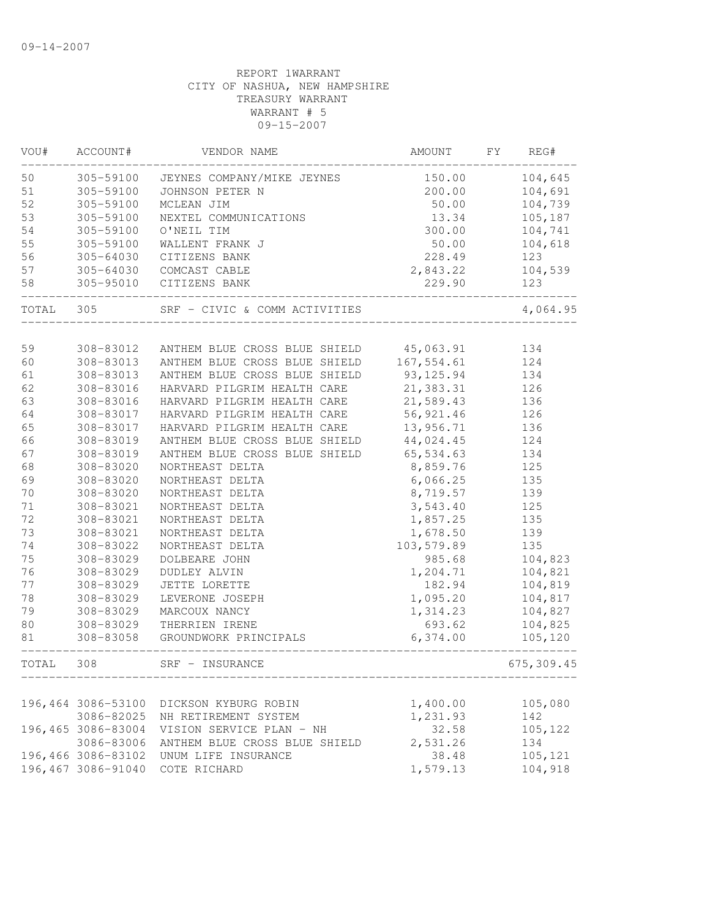| 305-59100 JEYNES COMPANY/MIKE JEYNES<br>150.00<br>104,645<br>50<br>51<br>200.00<br>104,691<br>305-59100<br>JOHNSON PETER N<br>52<br>305-59100<br>50.00<br>104,739<br>MCLEAN JIM<br>53<br>305-59100<br>NEXTEL COMMUNICATIONS<br>13.34<br>105,187<br>305-59100<br>300.00<br>54<br>O'NEIL TIM<br>104,741<br>55<br>305-59100<br>50.00<br>WALLENT FRANK J<br>104,618<br>56<br>228.49<br>305-64030<br>CITIZENS BANK<br>123<br>57<br>104,539<br>305-64030<br>COMCAST CABLE<br>2,843.22<br>58<br>229.90<br>305-95010<br>CITIZENS BANK<br>123<br>305<br>SRF - CIVIC & COMM ACTIVITIES<br>4,064.95<br>TOTAL<br>45,063.91<br>59<br>308-83012<br>ANTHEM BLUE CROSS BLUE SHIELD<br>134<br>167,554.61<br>60<br>308-83013<br>ANTHEM BLUE CROSS BLUE SHIELD<br>124<br>ANTHEM BLUE CROSS BLUE SHIELD<br>93,125.94<br>61<br>308-83013<br>134<br>21,383.31<br>62<br>308-83016<br>HARVARD PILGRIM HEALTH CARE<br>126<br>21,589.43<br>63<br>308-83016<br>HARVARD PILGRIM HEALTH CARE<br>136<br>56,921.46<br>64<br>HARVARD PILGRIM HEALTH CARE<br>126<br>308-83017<br>65<br>13,956.71<br>308-83017<br>HARVARD PILGRIM HEALTH CARE<br>136<br>66<br>ANTHEM BLUE CROSS BLUE SHIELD<br>44,024.45<br>124<br>308-83019<br>67<br>ANTHEM BLUE CROSS BLUE SHIELD<br>65,534.63<br>308-83019<br>134<br>68<br>308-83020<br>NORTHEAST DELTA<br>8,859.76<br>125<br>69<br>6,066.25<br>135<br>308-83020<br>NORTHEAST DELTA<br>70<br>139<br>308-83020<br>NORTHEAST DELTA<br>8,719.57<br>71<br>3,543.40<br>125<br>308-83021<br>NORTHEAST DELTA<br>72<br>1,857.25<br>135<br>308-83021<br>NORTHEAST DELTA<br>73<br>308-83021<br>1,678.50<br>139<br>NORTHEAST DELTA<br>74<br>308-83022<br>103,579.89<br>135<br>NORTHEAST DELTA<br>75<br>308-83029<br>985.68<br>DOLBEARE JOHN<br>104,823<br>76<br>308-83029<br>DUDLEY ALVIN<br>1,204.71<br>104,821<br>77<br>182.94<br>308-83029<br>JETTE LORETTE<br>104,819<br>78<br>308-83029<br>1,095.20<br>104,817<br>LEVERONE JOSEPH<br>79<br>1,314.23<br>104,827<br>308-83029<br>MARCOUX NANCY<br>693.62<br>80<br>104,825<br>308-83029<br>THERRIEN IRENE<br>81<br>308-83058<br>GROUNDWORK PRINCIPALS<br>6,374.00<br>105,120<br>308<br>SRF - INSURANCE<br>675, 309.45<br>TOTAL<br>196,464 3086-53100<br>1,400.00<br>105,080<br>DICKSON KYBURG ROBIN<br>1,231.93<br>142<br>3086-82025<br>NH RETIREMENT SYSTEM<br>32.58<br>196,465 3086-83004<br>105,122<br>VISION SERVICE PLAN - NH<br>2,531.26<br>3086-83006<br>ANTHEM BLUE CROSS BLUE SHIELD<br>134<br>196,466 3086-83102<br>105,121<br>UNUM LIFE INSURANCE<br>38.48<br>1,579.13<br>104,918<br>196,467 3086-91040<br>COTE RICHARD | VOU# | ACCOUNT# | VENDOR NAME | AMOUNT | FY | REG# |
|----------------------------------------------------------------------------------------------------------------------------------------------------------------------------------------------------------------------------------------------------------------------------------------------------------------------------------------------------------------------------------------------------------------------------------------------------------------------------------------------------------------------------------------------------------------------------------------------------------------------------------------------------------------------------------------------------------------------------------------------------------------------------------------------------------------------------------------------------------------------------------------------------------------------------------------------------------------------------------------------------------------------------------------------------------------------------------------------------------------------------------------------------------------------------------------------------------------------------------------------------------------------------------------------------------------------------------------------------------------------------------------------------------------------------------------------------------------------------------------------------------------------------------------------------------------------------------------------------------------------------------------------------------------------------------------------------------------------------------------------------------------------------------------------------------------------------------------------------------------------------------------------------------------------------------------------------------------------------------------------------------------------------------------------------------------------------------------------------------------------------------------------------------------------------------------------------------------------------------------------------------------------------------------------------------------------------------------------------------------------------------------------------------------------------------------------------------------------------------------------------------------------------------------------------------------------------|------|----------|-------------|--------|----|------|
|                                                                                                                                                                                                                                                                                                                                                                                                                                                                                                                                                                                                                                                                                                                                                                                                                                                                                                                                                                                                                                                                                                                                                                                                                                                                                                                                                                                                                                                                                                                                                                                                                                                                                                                                                                                                                                                                                                                                                                                                                                                                                                                                                                                                                                                                                                                                                                                                                                                                                                                                                                            |      |          |             |        |    |      |
|                                                                                                                                                                                                                                                                                                                                                                                                                                                                                                                                                                                                                                                                                                                                                                                                                                                                                                                                                                                                                                                                                                                                                                                                                                                                                                                                                                                                                                                                                                                                                                                                                                                                                                                                                                                                                                                                                                                                                                                                                                                                                                                                                                                                                                                                                                                                                                                                                                                                                                                                                                            |      |          |             |        |    |      |
|                                                                                                                                                                                                                                                                                                                                                                                                                                                                                                                                                                                                                                                                                                                                                                                                                                                                                                                                                                                                                                                                                                                                                                                                                                                                                                                                                                                                                                                                                                                                                                                                                                                                                                                                                                                                                                                                                                                                                                                                                                                                                                                                                                                                                                                                                                                                                                                                                                                                                                                                                                            |      |          |             |        |    |      |
|                                                                                                                                                                                                                                                                                                                                                                                                                                                                                                                                                                                                                                                                                                                                                                                                                                                                                                                                                                                                                                                                                                                                                                                                                                                                                                                                                                                                                                                                                                                                                                                                                                                                                                                                                                                                                                                                                                                                                                                                                                                                                                                                                                                                                                                                                                                                                                                                                                                                                                                                                                            |      |          |             |        |    |      |
|                                                                                                                                                                                                                                                                                                                                                                                                                                                                                                                                                                                                                                                                                                                                                                                                                                                                                                                                                                                                                                                                                                                                                                                                                                                                                                                                                                                                                                                                                                                                                                                                                                                                                                                                                                                                                                                                                                                                                                                                                                                                                                                                                                                                                                                                                                                                                                                                                                                                                                                                                                            |      |          |             |        |    |      |
|                                                                                                                                                                                                                                                                                                                                                                                                                                                                                                                                                                                                                                                                                                                                                                                                                                                                                                                                                                                                                                                                                                                                                                                                                                                                                                                                                                                                                                                                                                                                                                                                                                                                                                                                                                                                                                                                                                                                                                                                                                                                                                                                                                                                                                                                                                                                                                                                                                                                                                                                                                            |      |          |             |        |    |      |
|                                                                                                                                                                                                                                                                                                                                                                                                                                                                                                                                                                                                                                                                                                                                                                                                                                                                                                                                                                                                                                                                                                                                                                                                                                                                                                                                                                                                                                                                                                                                                                                                                                                                                                                                                                                                                                                                                                                                                                                                                                                                                                                                                                                                                                                                                                                                                                                                                                                                                                                                                                            |      |          |             |        |    |      |
|                                                                                                                                                                                                                                                                                                                                                                                                                                                                                                                                                                                                                                                                                                                                                                                                                                                                                                                                                                                                                                                                                                                                                                                                                                                                                                                                                                                                                                                                                                                                                                                                                                                                                                                                                                                                                                                                                                                                                                                                                                                                                                                                                                                                                                                                                                                                                                                                                                                                                                                                                                            |      |          |             |        |    |      |
|                                                                                                                                                                                                                                                                                                                                                                                                                                                                                                                                                                                                                                                                                                                                                                                                                                                                                                                                                                                                                                                                                                                                                                                                                                                                                                                                                                                                                                                                                                                                                                                                                                                                                                                                                                                                                                                                                                                                                                                                                                                                                                                                                                                                                                                                                                                                                                                                                                                                                                                                                                            |      |          |             |        |    |      |
|                                                                                                                                                                                                                                                                                                                                                                                                                                                                                                                                                                                                                                                                                                                                                                                                                                                                                                                                                                                                                                                                                                                                                                                                                                                                                                                                                                                                                                                                                                                                                                                                                                                                                                                                                                                                                                                                                                                                                                                                                                                                                                                                                                                                                                                                                                                                                                                                                                                                                                                                                                            |      |          |             |        |    |      |
|                                                                                                                                                                                                                                                                                                                                                                                                                                                                                                                                                                                                                                                                                                                                                                                                                                                                                                                                                                                                                                                                                                                                                                                                                                                                                                                                                                                                                                                                                                                                                                                                                                                                                                                                                                                                                                                                                                                                                                                                                                                                                                                                                                                                                                                                                                                                                                                                                                                                                                                                                                            |      |          |             |        |    |      |
|                                                                                                                                                                                                                                                                                                                                                                                                                                                                                                                                                                                                                                                                                                                                                                                                                                                                                                                                                                                                                                                                                                                                                                                                                                                                                                                                                                                                                                                                                                                                                                                                                                                                                                                                                                                                                                                                                                                                                                                                                                                                                                                                                                                                                                                                                                                                                                                                                                                                                                                                                                            |      |          |             |        |    |      |
|                                                                                                                                                                                                                                                                                                                                                                                                                                                                                                                                                                                                                                                                                                                                                                                                                                                                                                                                                                                                                                                                                                                                                                                                                                                                                                                                                                                                                                                                                                                                                                                                                                                                                                                                                                                                                                                                                                                                                                                                                                                                                                                                                                                                                                                                                                                                                                                                                                                                                                                                                                            |      |          |             |        |    |      |
|                                                                                                                                                                                                                                                                                                                                                                                                                                                                                                                                                                                                                                                                                                                                                                                                                                                                                                                                                                                                                                                                                                                                                                                                                                                                                                                                                                                                                                                                                                                                                                                                                                                                                                                                                                                                                                                                                                                                                                                                                                                                                                                                                                                                                                                                                                                                                                                                                                                                                                                                                                            |      |          |             |        |    |      |
|                                                                                                                                                                                                                                                                                                                                                                                                                                                                                                                                                                                                                                                                                                                                                                                                                                                                                                                                                                                                                                                                                                                                                                                                                                                                                                                                                                                                                                                                                                                                                                                                                                                                                                                                                                                                                                                                                                                                                                                                                                                                                                                                                                                                                                                                                                                                                                                                                                                                                                                                                                            |      |          |             |        |    |      |
|                                                                                                                                                                                                                                                                                                                                                                                                                                                                                                                                                                                                                                                                                                                                                                                                                                                                                                                                                                                                                                                                                                                                                                                                                                                                                                                                                                                                                                                                                                                                                                                                                                                                                                                                                                                                                                                                                                                                                                                                                                                                                                                                                                                                                                                                                                                                                                                                                                                                                                                                                                            |      |          |             |        |    |      |
|                                                                                                                                                                                                                                                                                                                                                                                                                                                                                                                                                                                                                                                                                                                                                                                                                                                                                                                                                                                                                                                                                                                                                                                                                                                                                                                                                                                                                                                                                                                                                                                                                                                                                                                                                                                                                                                                                                                                                                                                                                                                                                                                                                                                                                                                                                                                                                                                                                                                                                                                                                            |      |          |             |        |    |      |
|                                                                                                                                                                                                                                                                                                                                                                                                                                                                                                                                                                                                                                                                                                                                                                                                                                                                                                                                                                                                                                                                                                                                                                                                                                                                                                                                                                                                                                                                                                                                                                                                                                                                                                                                                                                                                                                                                                                                                                                                                                                                                                                                                                                                                                                                                                                                                                                                                                                                                                                                                                            |      |          |             |        |    |      |
|                                                                                                                                                                                                                                                                                                                                                                                                                                                                                                                                                                                                                                                                                                                                                                                                                                                                                                                                                                                                                                                                                                                                                                                                                                                                                                                                                                                                                                                                                                                                                                                                                                                                                                                                                                                                                                                                                                                                                                                                                                                                                                                                                                                                                                                                                                                                                                                                                                                                                                                                                                            |      |          |             |        |    |      |
|                                                                                                                                                                                                                                                                                                                                                                                                                                                                                                                                                                                                                                                                                                                                                                                                                                                                                                                                                                                                                                                                                                                                                                                                                                                                                                                                                                                                                                                                                                                                                                                                                                                                                                                                                                                                                                                                                                                                                                                                                                                                                                                                                                                                                                                                                                                                                                                                                                                                                                                                                                            |      |          |             |        |    |      |
|                                                                                                                                                                                                                                                                                                                                                                                                                                                                                                                                                                                                                                                                                                                                                                                                                                                                                                                                                                                                                                                                                                                                                                                                                                                                                                                                                                                                                                                                                                                                                                                                                                                                                                                                                                                                                                                                                                                                                                                                                                                                                                                                                                                                                                                                                                                                                                                                                                                                                                                                                                            |      |          |             |        |    |      |
|                                                                                                                                                                                                                                                                                                                                                                                                                                                                                                                                                                                                                                                                                                                                                                                                                                                                                                                                                                                                                                                                                                                                                                                                                                                                                                                                                                                                                                                                                                                                                                                                                                                                                                                                                                                                                                                                                                                                                                                                                                                                                                                                                                                                                                                                                                                                                                                                                                                                                                                                                                            |      |          |             |        |    |      |
|                                                                                                                                                                                                                                                                                                                                                                                                                                                                                                                                                                                                                                                                                                                                                                                                                                                                                                                                                                                                                                                                                                                                                                                                                                                                                                                                                                                                                                                                                                                                                                                                                                                                                                                                                                                                                                                                                                                                                                                                                                                                                                                                                                                                                                                                                                                                                                                                                                                                                                                                                                            |      |          |             |        |    |      |
|                                                                                                                                                                                                                                                                                                                                                                                                                                                                                                                                                                                                                                                                                                                                                                                                                                                                                                                                                                                                                                                                                                                                                                                                                                                                                                                                                                                                                                                                                                                                                                                                                                                                                                                                                                                                                                                                                                                                                                                                                                                                                                                                                                                                                                                                                                                                                                                                                                                                                                                                                                            |      |          |             |        |    |      |
|                                                                                                                                                                                                                                                                                                                                                                                                                                                                                                                                                                                                                                                                                                                                                                                                                                                                                                                                                                                                                                                                                                                                                                                                                                                                                                                                                                                                                                                                                                                                                                                                                                                                                                                                                                                                                                                                                                                                                                                                                                                                                                                                                                                                                                                                                                                                                                                                                                                                                                                                                                            |      |          |             |        |    |      |
|                                                                                                                                                                                                                                                                                                                                                                                                                                                                                                                                                                                                                                                                                                                                                                                                                                                                                                                                                                                                                                                                                                                                                                                                                                                                                                                                                                                                                                                                                                                                                                                                                                                                                                                                                                                                                                                                                                                                                                                                                                                                                                                                                                                                                                                                                                                                                                                                                                                                                                                                                                            |      |          |             |        |    |      |
|                                                                                                                                                                                                                                                                                                                                                                                                                                                                                                                                                                                                                                                                                                                                                                                                                                                                                                                                                                                                                                                                                                                                                                                                                                                                                                                                                                                                                                                                                                                                                                                                                                                                                                                                                                                                                                                                                                                                                                                                                                                                                                                                                                                                                                                                                                                                                                                                                                                                                                                                                                            |      |          |             |        |    |      |
|                                                                                                                                                                                                                                                                                                                                                                                                                                                                                                                                                                                                                                                                                                                                                                                                                                                                                                                                                                                                                                                                                                                                                                                                                                                                                                                                                                                                                                                                                                                                                                                                                                                                                                                                                                                                                                                                                                                                                                                                                                                                                                                                                                                                                                                                                                                                                                                                                                                                                                                                                                            |      |          |             |        |    |      |
|                                                                                                                                                                                                                                                                                                                                                                                                                                                                                                                                                                                                                                                                                                                                                                                                                                                                                                                                                                                                                                                                                                                                                                                                                                                                                                                                                                                                                                                                                                                                                                                                                                                                                                                                                                                                                                                                                                                                                                                                                                                                                                                                                                                                                                                                                                                                                                                                                                                                                                                                                                            |      |          |             |        |    |      |
|                                                                                                                                                                                                                                                                                                                                                                                                                                                                                                                                                                                                                                                                                                                                                                                                                                                                                                                                                                                                                                                                                                                                                                                                                                                                                                                                                                                                                                                                                                                                                                                                                                                                                                                                                                                                                                                                                                                                                                                                                                                                                                                                                                                                                                                                                                                                                                                                                                                                                                                                                                            |      |          |             |        |    |      |
|                                                                                                                                                                                                                                                                                                                                                                                                                                                                                                                                                                                                                                                                                                                                                                                                                                                                                                                                                                                                                                                                                                                                                                                                                                                                                                                                                                                                                                                                                                                                                                                                                                                                                                                                                                                                                                                                                                                                                                                                                                                                                                                                                                                                                                                                                                                                                                                                                                                                                                                                                                            |      |          |             |        |    |      |
|                                                                                                                                                                                                                                                                                                                                                                                                                                                                                                                                                                                                                                                                                                                                                                                                                                                                                                                                                                                                                                                                                                                                                                                                                                                                                                                                                                                                                                                                                                                                                                                                                                                                                                                                                                                                                                                                                                                                                                                                                                                                                                                                                                                                                                                                                                                                                                                                                                                                                                                                                                            |      |          |             |        |    |      |
|                                                                                                                                                                                                                                                                                                                                                                                                                                                                                                                                                                                                                                                                                                                                                                                                                                                                                                                                                                                                                                                                                                                                                                                                                                                                                                                                                                                                                                                                                                                                                                                                                                                                                                                                                                                                                                                                                                                                                                                                                                                                                                                                                                                                                                                                                                                                                                                                                                                                                                                                                                            |      |          |             |        |    |      |
|                                                                                                                                                                                                                                                                                                                                                                                                                                                                                                                                                                                                                                                                                                                                                                                                                                                                                                                                                                                                                                                                                                                                                                                                                                                                                                                                                                                                                                                                                                                                                                                                                                                                                                                                                                                                                                                                                                                                                                                                                                                                                                                                                                                                                                                                                                                                                                                                                                                                                                                                                                            |      |          |             |        |    |      |
|                                                                                                                                                                                                                                                                                                                                                                                                                                                                                                                                                                                                                                                                                                                                                                                                                                                                                                                                                                                                                                                                                                                                                                                                                                                                                                                                                                                                                                                                                                                                                                                                                                                                                                                                                                                                                                                                                                                                                                                                                                                                                                                                                                                                                                                                                                                                                                                                                                                                                                                                                                            |      |          |             |        |    |      |
|                                                                                                                                                                                                                                                                                                                                                                                                                                                                                                                                                                                                                                                                                                                                                                                                                                                                                                                                                                                                                                                                                                                                                                                                                                                                                                                                                                                                                                                                                                                                                                                                                                                                                                                                                                                                                                                                                                                                                                                                                                                                                                                                                                                                                                                                                                                                                                                                                                                                                                                                                                            |      |          |             |        |    |      |
|                                                                                                                                                                                                                                                                                                                                                                                                                                                                                                                                                                                                                                                                                                                                                                                                                                                                                                                                                                                                                                                                                                                                                                                                                                                                                                                                                                                                                                                                                                                                                                                                                                                                                                                                                                                                                                                                                                                                                                                                                                                                                                                                                                                                                                                                                                                                                                                                                                                                                                                                                                            |      |          |             |        |    |      |
|                                                                                                                                                                                                                                                                                                                                                                                                                                                                                                                                                                                                                                                                                                                                                                                                                                                                                                                                                                                                                                                                                                                                                                                                                                                                                                                                                                                                                                                                                                                                                                                                                                                                                                                                                                                                                                                                                                                                                                                                                                                                                                                                                                                                                                                                                                                                                                                                                                                                                                                                                                            |      |          |             |        |    |      |
|                                                                                                                                                                                                                                                                                                                                                                                                                                                                                                                                                                                                                                                                                                                                                                                                                                                                                                                                                                                                                                                                                                                                                                                                                                                                                                                                                                                                                                                                                                                                                                                                                                                                                                                                                                                                                                                                                                                                                                                                                                                                                                                                                                                                                                                                                                                                                                                                                                                                                                                                                                            |      |          |             |        |    |      |
|                                                                                                                                                                                                                                                                                                                                                                                                                                                                                                                                                                                                                                                                                                                                                                                                                                                                                                                                                                                                                                                                                                                                                                                                                                                                                                                                                                                                                                                                                                                                                                                                                                                                                                                                                                                                                                                                                                                                                                                                                                                                                                                                                                                                                                                                                                                                                                                                                                                                                                                                                                            |      |          |             |        |    |      |
|                                                                                                                                                                                                                                                                                                                                                                                                                                                                                                                                                                                                                                                                                                                                                                                                                                                                                                                                                                                                                                                                                                                                                                                                                                                                                                                                                                                                                                                                                                                                                                                                                                                                                                                                                                                                                                                                                                                                                                                                                                                                                                                                                                                                                                                                                                                                                                                                                                                                                                                                                                            |      |          |             |        |    |      |
|                                                                                                                                                                                                                                                                                                                                                                                                                                                                                                                                                                                                                                                                                                                                                                                                                                                                                                                                                                                                                                                                                                                                                                                                                                                                                                                                                                                                                                                                                                                                                                                                                                                                                                                                                                                                                                                                                                                                                                                                                                                                                                                                                                                                                                                                                                                                                                                                                                                                                                                                                                            |      |          |             |        |    |      |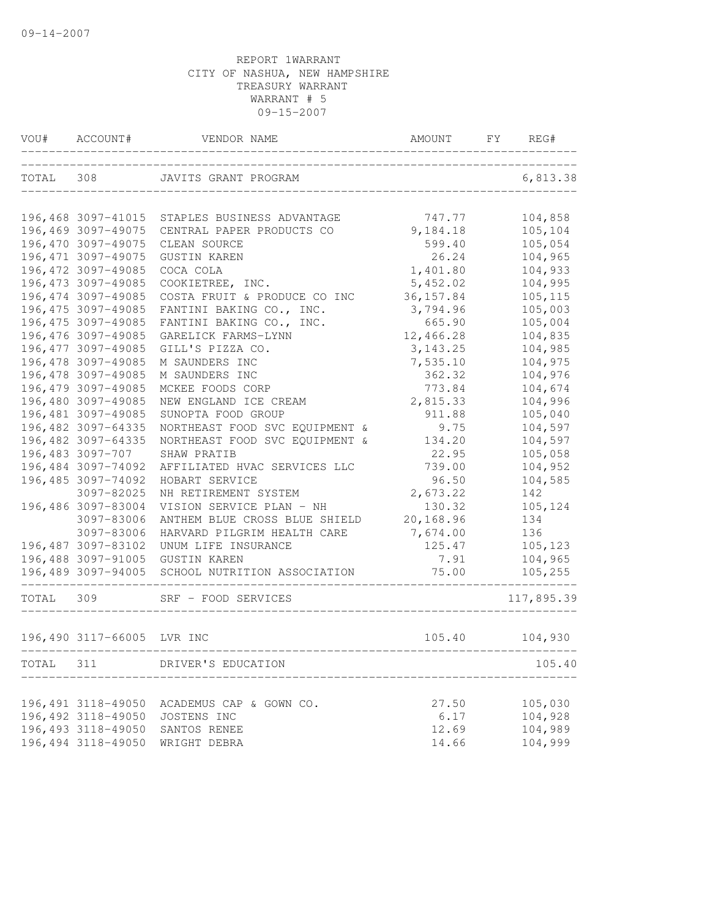| TOTAL 308<br>JAVITS GRANT PROGRAM<br>196,468 3097-41015<br>196,469 3097-49075<br>196,470 3097-49075<br>CLEAN SOURCE<br>196, 471 3097-49075<br><b>GUSTIN KAREN</b><br>196, 472 3097-49085<br>COCA COLA<br>196, 473 3097-49085<br>COOKIETREE, INC.<br>196,474 3097-49085<br>COSTA FRUIT & PRODUCE CO INC<br>196,475 3097-49085 | STAPLES BUSINESS ADVANTAGE<br>CENTRAL PAPER PRODUCTS CO                                                                                                                                                                                                                                                                                                                                                       | 747.77<br>9,184.18<br>599.40<br>26.24<br>1,401.80<br>5,452.02                                                                                                                                                                                                                                                                                                                                                                                                                  |                                                                                                                                                                   | 6,813.38<br>104,858<br>105,104<br>105,054<br>104,965 |
|------------------------------------------------------------------------------------------------------------------------------------------------------------------------------------------------------------------------------------------------------------------------------------------------------------------------------|---------------------------------------------------------------------------------------------------------------------------------------------------------------------------------------------------------------------------------------------------------------------------------------------------------------------------------------------------------------------------------------------------------------|--------------------------------------------------------------------------------------------------------------------------------------------------------------------------------------------------------------------------------------------------------------------------------------------------------------------------------------------------------------------------------------------------------------------------------------------------------------------------------|-------------------------------------------------------------------------------------------------------------------------------------------------------------------|------------------------------------------------------|
|                                                                                                                                                                                                                                                                                                                              |                                                                                                                                                                                                                                                                                                                                                                                                               |                                                                                                                                                                                                                                                                                                                                                                                                                                                                                |                                                                                                                                                                   |                                                      |
|                                                                                                                                                                                                                                                                                                                              |                                                                                                                                                                                                                                                                                                                                                                                                               |                                                                                                                                                                                                                                                                                                                                                                                                                                                                                |                                                                                                                                                                   |                                                      |
|                                                                                                                                                                                                                                                                                                                              |                                                                                                                                                                                                                                                                                                                                                                                                               |                                                                                                                                                                                                                                                                                                                                                                                                                                                                                |                                                                                                                                                                   |                                                      |
|                                                                                                                                                                                                                                                                                                                              |                                                                                                                                                                                                                                                                                                                                                                                                               |                                                                                                                                                                                                                                                                                                                                                                                                                                                                                |                                                                                                                                                                   |                                                      |
|                                                                                                                                                                                                                                                                                                                              |                                                                                                                                                                                                                                                                                                                                                                                                               |                                                                                                                                                                                                                                                                                                                                                                                                                                                                                |                                                                                                                                                                   |                                                      |
|                                                                                                                                                                                                                                                                                                                              |                                                                                                                                                                                                                                                                                                                                                                                                               |                                                                                                                                                                                                                                                                                                                                                                                                                                                                                |                                                                                                                                                                   | 104,933                                              |
|                                                                                                                                                                                                                                                                                                                              |                                                                                                                                                                                                                                                                                                                                                                                                               |                                                                                                                                                                                                                                                                                                                                                                                                                                                                                |                                                                                                                                                                   | 104,995                                              |
|                                                                                                                                                                                                                                                                                                                              |                                                                                                                                                                                                                                                                                                                                                                                                               | 36, 157.84                                                                                                                                                                                                                                                                                                                                                                                                                                                                     |                                                                                                                                                                   | 105,115                                              |
|                                                                                                                                                                                                                                                                                                                              | FANTINI BAKING CO., INC.                                                                                                                                                                                                                                                                                                                                                                                      | 3,794.96                                                                                                                                                                                                                                                                                                                                                                                                                                                                       |                                                                                                                                                                   | 105,003                                              |
| 196,475 3097-49085                                                                                                                                                                                                                                                                                                           | FANTINI BAKING CO., INC.                                                                                                                                                                                                                                                                                                                                                                                      | 665.90                                                                                                                                                                                                                                                                                                                                                                                                                                                                         |                                                                                                                                                                   | 105,004                                              |
| 196,476 3097-49085<br>GARELICK FARMS-LYNN                                                                                                                                                                                                                                                                                    |                                                                                                                                                                                                                                                                                                                                                                                                               | 12,466.28                                                                                                                                                                                                                                                                                                                                                                                                                                                                      |                                                                                                                                                                   | 104,835                                              |
|                                                                                                                                                                                                                                                                                                                              |                                                                                                                                                                                                                                                                                                                                                                                                               | 3, 143. 25                                                                                                                                                                                                                                                                                                                                                                                                                                                                     |                                                                                                                                                                   | 104,985                                              |
|                                                                                                                                                                                                                                                                                                                              |                                                                                                                                                                                                                                                                                                                                                                                                               |                                                                                                                                                                                                                                                                                                                                                                                                                                                                                |                                                                                                                                                                   | 104,975                                              |
|                                                                                                                                                                                                                                                                                                                              |                                                                                                                                                                                                                                                                                                                                                                                                               |                                                                                                                                                                                                                                                                                                                                                                                                                                                                                |                                                                                                                                                                   | 104,976                                              |
|                                                                                                                                                                                                                                                                                                                              |                                                                                                                                                                                                                                                                                                                                                                                                               |                                                                                                                                                                                                                                                                                                                                                                                                                                                                                |                                                                                                                                                                   | 104,674                                              |
|                                                                                                                                                                                                                                                                                                                              |                                                                                                                                                                                                                                                                                                                                                                                                               |                                                                                                                                                                                                                                                                                                                                                                                                                                                                                |                                                                                                                                                                   | 104,996                                              |
|                                                                                                                                                                                                                                                                                                                              |                                                                                                                                                                                                                                                                                                                                                                                                               |                                                                                                                                                                                                                                                                                                                                                                                                                                                                                |                                                                                                                                                                   | 105,040                                              |
|                                                                                                                                                                                                                                                                                                                              |                                                                                                                                                                                                                                                                                                                                                                                                               |                                                                                                                                                                                                                                                                                                                                                                                                                                                                                |                                                                                                                                                                   | 104,597                                              |
|                                                                                                                                                                                                                                                                                                                              |                                                                                                                                                                                                                                                                                                                                                                                                               |                                                                                                                                                                                                                                                                                                                                                                                                                                                                                |                                                                                                                                                                   | 104,597                                              |
|                                                                                                                                                                                                                                                                                                                              |                                                                                                                                                                                                                                                                                                                                                                                                               |                                                                                                                                                                                                                                                                                                                                                                                                                                                                                |                                                                                                                                                                   | 105,058                                              |
|                                                                                                                                                                                                                                                                                                                              |                                                                                                                                                                                                                                                                                                                                                                                                               |                                                                                                                                                                                                                                                                                                                                                                                                                                                                                |                                                                                                                                                                   | 104,952                                              |
|                                                                                                                                                                                                                                                                                                                              |                                                                                                                                                                                                                                                                                                                                                                                                               |                                                                                                                                                                                                                                                                                                                                                                                                                                                                                |                                                                                                                                                                   | 104,585                                              |
|                                                                                                                                                                                                                                                                                                                              |                                                                                                                                                                                                                                                                                                                                                                                                               |                                                                                                                                                                                                                                                                                                                                                                                                                                                                                |                                                                                                                                                                   | 142                                                  |
|                                                                                                                                                                                                                                                                                                                              |                                                                                                                                                                                                                                                                                                                                                                                                               |                                                                                                                                                                                                                                                                                                                                                                                                                                                                                |                                                                                                                                                                   | 105,124                                              |
|                                                                                                                                                                                                                                                                                                                              |                                                                                                                                                                                                                                                                                                                                                                                                               |                                                                                                                                                                                                                                                                                                                                                                                                                                                                                |                                                                                                                                                                   | 134                                                  |
|                                                                                                                                                                                                                                                                                                                              |                                                                                                                                                                                                                                                                                                                                                                                                               |                                                                                                                                                                                                                                                                                                                                                                                                                                                                                |                                                                                                                                                                   | 136                                                  |
|                                                                                                                                                                                                                                                                                                                              |                                                                                                                                                                                                                                                                                                                                                                                                               |                                                                                                                                                                                                                                                                                                                                                                                                                                                                                |                                                                                                                                                                   | 105,123                                              |
|                                                                                                                                                                                                                                                                                                                              |                                                                                                                                                                                                                                                                                                                                                                                                               |                                                                                                                                                                                                                                                                                                                                                                                                                                                                                |                                                                                                                                                                   | 104,965                                              |
|                                                                                                                                                                                                                                                                                                                              |                                                                                                                                                                                                                                                                                                                                                                                                               |                                                                                                                                                                                                                                                                                                                                                                                                                                                                                |                                                                                                                                                                   | 105,255                                              |
|                                                                                                                                                                                                                                                                                                                              |                                                                                                                                                                                                                                                                                                                                                                                                               |                                                                                                                                                                                                                                                                                                                                                                                                                                                                                |                                                                                                                                                                   | 117,895.39                                           |
|                                                                                                                                                                                                                                                                                                                              |                                                                                                                                                                                                                                                                                                                                                                                                               |                                                                                                                                                                                                                                                                                                                                                                                                                                                                                |                                                                                                                                                                   | 104,930                                              |
| DRIVER'S EDUCATION                                                                                                                                                                                                                                                                                                           |                                                                                                                                                                                                                                                                                                                                                                                                               |                                                                                                                                                                                                                                                                                                                                                                                                                                                                                |                                                                                                                                                                   | 105.40                                               |
|                                                                                                                                                                                                                                                                                                                              | 196, 477 3097-49085<br>196,478 3097-49085<br>196,478 3097-49085<br>196,479 3097-49085<br>196,480 3097-49085<br>196,481 3097-49085<br>196,482 3097-64335<br>196,482 3097-64335<br>196,483 3097-707<br>196,484 3097-74092<br>196,485 3097-74092<br>3097-82025<br>196,486 3097-83004<br>3097-83006<br>3097-83006<br>196,487 3097-83102<br>196,488 3097-91005<br>196,489 3097-94005<br>196,490 3117-66005 LVR INC | GILL'S PIZZA CO.<br>M SAUNDERS INC<br>M SAUNDERS INC<br>MCKEE FOODS CORP<br>NEW ENGLAND ICE CREAM<br>SUNOPTA FOOD GROUP<br>NORTHEAST FOOD SVC EQUIPMENT &<br>NORTHEAST FOOD SVC EQUIPMENT &<br>SHAW PRATIB<br>AFFILIATED HVAC SERVICES LLC<br>HOBART SERVICE<br>NH RETIREMENT SYSTEM<br>VISION SERVICE PLAN - NH<br>ANTHEM BLUE CROSS BLUE SHIELD<br>HARVARD PILGRIM HEALTH CARE<br>UNUM LIFE INSURANCE<br>GUSTIN KAREN<br>SCHOOL NUTRITION ASSOCIATION<br>SRF - FOOD SERVICES | 7,535.10<br>362.32<br>773.84<br>2,815.33<br>911.88<br>9.75<br>134.20<br>22.95<br>739.00<br>96.50<br>2,673.22<br>130.32<br>20,168.96<br>7,674.00<br>125.47<br>7.91 | 75.00<br>105.40                                      |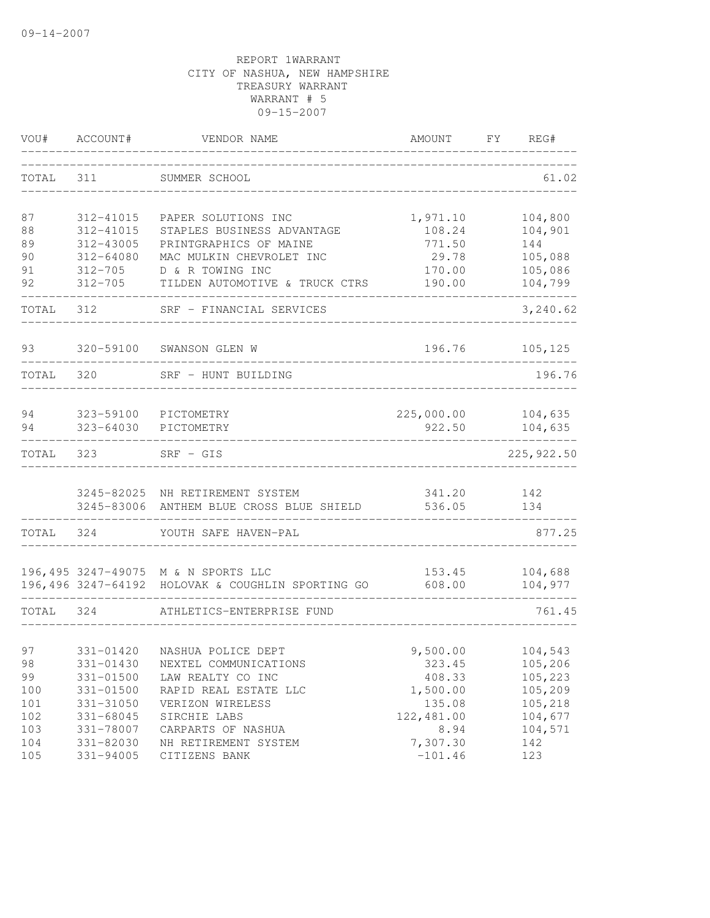| VOU#  | ACCOUNT#      | VENDOR NAME                                                                              | AMOUNT           | FY<br>REG#         |
|-------|---------------|------------------------------------------------------------------------------------------|------------------|--------------------|
| TOTAL | 311           | SUMMER SCHOOL                                                                            |                  | 61.02              |
| 87    | 312-41015     | PAPER SOLUTIONS INC                                                                      | 1,971.10         | 104,800            |
| 88    | 312-41015     | STAPLES BUSINESS ADVANTAGE                                                               | 108.24           | 104,901            |
| 89    | 312-43005     | PRINTGRAPHICS OF MAINE                                                                   | 771.50           | 144                |
| 90    | 312-64080     | MAC MULKIN CHEVROLET INC                                                                 | 29.78            | 105,088            |
| 91    | $312 - 705$   | D & R TOWING INC                                                                         | 170.00           | 105,086            |
| 92    | $312 - 705$   | TILDEN AUTOMOTIVE & TRUCK CTRS                                                           | 190.00           | 104,799            |
| TOTAL | 312           | SRF - FINANCIAL SERVICES                                                                 |                  | 3,240.62           |
| 93    | 320-59100     | SWANSON GLEN W                                                                           | 196.76           | 105, 125           |
| TOTAL | 320           | SRF - HUNT BUILDING                                                                      |                  | 196.76             |
|       |               |                                                                                          |                  |                    |
| 94    | 323-59100     | PICTOMETRY                                                                               | 225,000.00       | 104,635            |
| 94    | 323-64030     | PICTOMETRY                                                                               | 922.50           | 104,635            |
| TOTAL | 323           | $SRF - GIS$                                                                              |                  | 225, 922.50        |
|       |               |                                                                                          |                  |                    |
|       |               | 3245-82025 NH RETIREMENT SYSTEM                                                          | 341.20           | 142                |
|       |               | 3245-83006 ANTHEM BLUE CROSS BLUE SHIELD                                                 | 536.05           | 134                |
| TOTAL | 324           | YOUTH SAFE HAVEN-PAL                                                                     |                  | 877.25             |
|       |               |                                                                                          |                  |                    |
|       |               | 196,495 3247-49075 M & N SPORTS LLC<br>196,496 3247-64192 HOLOVAK & COUGHLIN SPORTING GO | 153.45<br>608.00 | 104,688<br>104,977 |
|       |               |                                                                                          |                  |                    |
| TOTAL | 324           | ATHLETICS-ENTERPRISE FUND                                                                |                  | 761.45             |
| 97    |               | 331-01420 NASHUA POLICE DEPT                                                             | 9,500.00         | 104,543            |
| 98    | 331-01430     | NEXTEL COMMUNICATIONS                                                                    | 323.45           | 105,206            |
| 99    | $331 - 01500$ | LAW REALTY CO INC                                                                        | 408.33           | 105,223            |
| 100   | 331-01500     | RAPID REAL ESTATE LLC                                                                    | 1,500.00         | 105,209            |
| 101   | 331-31050     | VERIZON WIRELESS                                                                         | 135.08           | 105,218            |
| 102   | 331-68045     | SIRCHIE LABS                                                                             | 122,481.00       | 104,677            |
| 103   | 331-78007     | CARPARTS OF NASHUA                                                                       | 8.94             | 104,571            |
| 104   | 331-82030     | NH RETIREMENT SYSTEM                                                                     | 7,307.30         | 142                |
| 105   | 331-94005     | CITIZENS BANK                                                                            | $-101.46$        | 123                |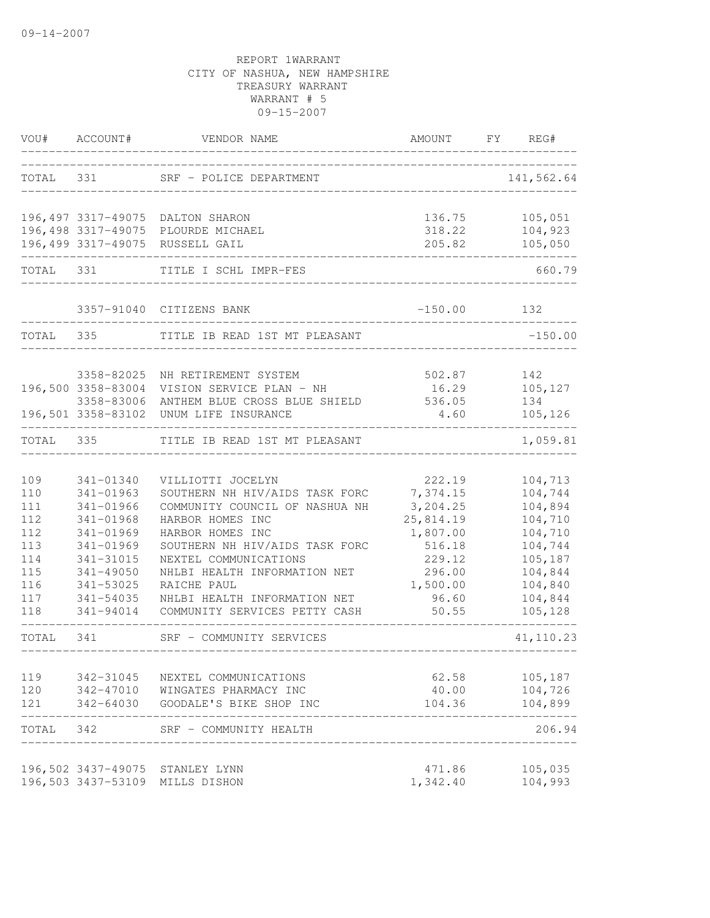| VOU#      | ACCOUNT#           | VENDOR NAME                        | AMOUNT    | FY | REG#       |
|-----------|--------------------|------------------------------------|-----------|----|------------|
| TOTAL     | 331                | SRF - POLICE DEPARTMENT            |           |    | 141,562.64 |
|           |                    | 196,497 3317-49075 DALTON SHARON   | 136.75    |    | 105,051    |
|           |                    | 196,498 3317-49075 PLOURDE MICHAEL | 318.22    |    | 104,923    |
|           |                    | 196,499 3317-49075 RUSSELL GAIL    | 205.82    |    | 105,050    |
| TOTAL 331 |                    | TITLE I SCHL IMPR-FES              |           |    | 660.79     |
|           |                    | 3357-91040 CITIZENS BANK           | $-150.00$ |    | 132        |
| TOTAL     | 335                | TITLE IB READ 1ST MT PLEASANT      |           |    | $-150.00$  |
|           | 3358-82025         | NH RETIREMENT SYSTEM               | 502.87    |    | 142        |
|           | 196,500 3358-83004 | VISION SERVICE PLAN - NH           | 16.29     |    | 105,127    |
|           | 3358-83006         | ANTHEM BLUE CROSS BLUE SHIELD      | 536.05    |    | 134        |
|           | 196,501 3358-83102 | UNUM LIFE INSURANCE                | 4.60      |    | 105,126    |
| TOTAL     | 335                | TITLE IB READ 1ST MT PLEASANT      |           |    | 1,059.81   |
| 109       | 341-01340          | VILLIOTTI JOCELYN                  | 222.19    |    | 104,713    |
| 110       | 341-01963          | SOUTHERN NH HIV/AIDS TASK FORC     | 7,374.15  |    | 104,744    |
| 111       | 341-01966          | COMMUNITY COUNCIL OF NASHUA NH     | 3,204.25  |    | 104,894    |
| 112       | 341-01968          | HARBOR HOMES INC                   | 25,814.19 |    | 104,710    |
| 112       | 341-01969          | HARBOR HOMES INC                   | 1,807.00  |    | 104,710    |
| 113       | 341-01969          | SOUTHERN NH HIV/AIDS TASK FORC     | 516.18    |    | 104,744    |
| 114       | 341-31015          | NEXTEL COMMUNICATIONS              | 229.12    |    | 105,187    |
| 115       | $341 - 49050$      | NHLBI HEALTH INFORMATION NET       | 296.00    |    | 104,844    |
| 116       | 341-53025          | RAICHE PAUL                        | 1,500.00  |    | 104,840    |
| 117       | 341-54035          | NHLBI HEALTH INFORMATION NET       | 96.60     |    | 104,844    |
| 118       | 341-94014          | COMMUNITY SERVICES PETTY CASH      | 50.55     |    | 105,128    |
| TOTAL     | 341                | SRF - COMMUNITY SERVICES           |           |    | 41, 110.23 |
| 119       | 342-31045          | NEXTEL COMMUNICATIONS              | 62.58     |    | 105,187    |
| 120       |                    | 342-47010 WINGATES PHARMACY INC    | 40.00     |    | 104,726    |
| 121       |                    | 342-64030 GOODALE'S BIKE SHOP INC  | 104.36    |    | 104,899    |
| TOTAL 342 |                    | SRF - COMMUNITY HEALTH             |           |    | 206.94     |
|           |                    | 196,502 3437-49075 STANLEY LYNN    | 471.86    |    | 105,035    |
|           |                    | 196,503 3437-53109 MILLS DISHON    | 1,342.40  |    | 104,993    |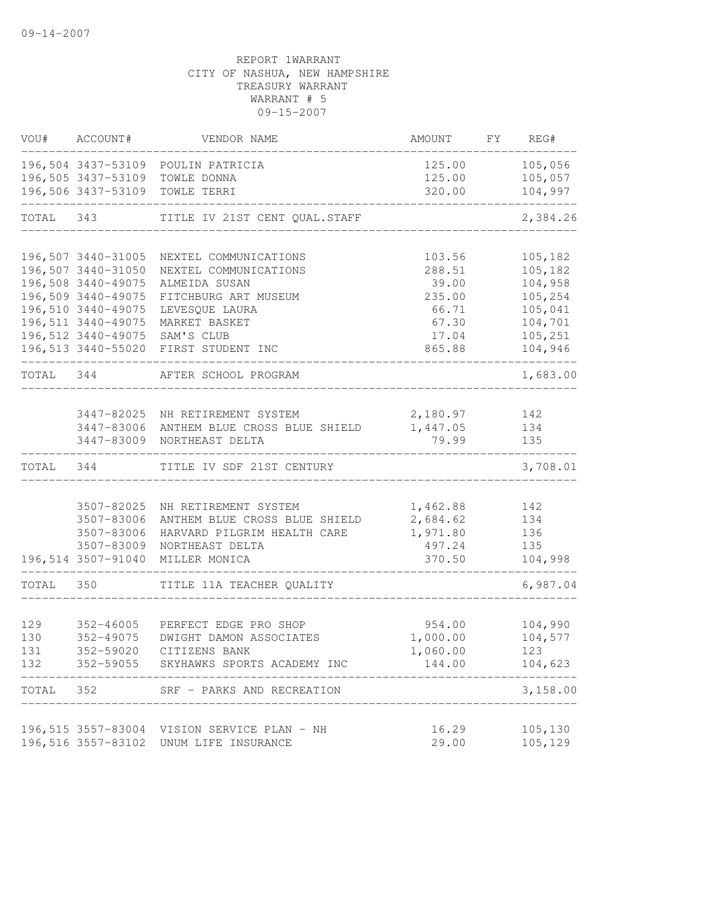| VOU#      | ACCOUNT#               | VENDOR NAME                                      | AMOUNT               | FY | REG#               |
|-----------|------------------------|--------------------------------------------------|----------------------|----|--------------------|
|           |                        | 196,504 3437-53109 POULIN PATRICIA               | 125.00               |    | 105,056            |
|           | 196,505 3437-53109     | TOWLE DONNA                                      | 125.00               |    | 105,057            |
|           | 196,506 3437-53109     | TOWLE TERRI                                      | 320.00               |    | 104,997            |
| TOTAL 343 |                        | TITLE IV 21ST CENT QUAL. STAFF                   |                      |    | 2,384.26           |
|           | 196,507 3440-31005     |                                                  | 103.56               |    | 105,182            |
|           | 196,507 3440-31050     | NEXTEL COMMUNICATIONS<br>NEXTEL COMMUNICATIONS   | 288.51               |    | 105,182            |
|           | 196,508 3440-49075     | ALMEIDA SUSAN                                    | 39.00                |    | 104,958            |
|           | 196,509 3440-49075     | FITCHBURG ART MUSEUM                             | 235.00               |    | 105,254            |
|           | 196,510 3440-49075     | LEVESQUE LAURA                                   | 66.71                |    | 105,041            |
|           | 196, 511 3440-49075    | MARKET BASKET                                    | 67.30                |    | 104,701            |
|           |                        | 196,512 3440-49075 SAM'S CLUB                    | 17.04                |    | 105,251            |
|           |                        | 196,513 3440-55020 FIRST STUDENT INC             | 865.88               |    | 104,946            |
| TOTAL 344 |                        | AFTER SCHOOL PROGRAM                             |                      |    | 1,683.00           |
|           |                        |                                                  |                      |    |                    |
|           | 3447-83006             | 3447-82025 NH RETIREMENT SYSTEM                  | 2,180.97<br>1,447.05 |    | 142                |
|           | 3447-83009             | ANTHEM BLUE CROSS BLUE SHIELD<br>NORTHEAST DELTA | 79.99                |    | 134<br>135         |
| TOTAL 344 |                        | TITLE IV SDF 21ST CENTURY                        |                      |    | 3,708.01           |
|           |                        |                                                  |                      |    |                    |
|           | 3507-82025             | NH RETIREMENT SYSTEM                             | 1,462.88             |    | 142                |
|           | 3507-83006             | ANTHEM BLUE CROSS BLUE SHIELD                    | 2,684.62             |    | 134                |
|           | 3507-83006             | HARVARD PILGRIM HEALTH CARE                      | 1,971.80             |    | 136                |
|           | 3507-83009             | NORTHEAST DELTA                                  | 497.24               |    | 135                |
|           | 196,514 3507-91040     | MILLER MONICA                                    | 370.50               |    | 104,998            |
| TOTAL 350 |                        | TITLE 11A TEACHER QUALITY                        |                      |    | 6,987.04           |
| 129       |                        | PERFECT EDGE PRO SHOP                            |                      |    |                    |
| 130       | 352-46005<br>352-49075 | DWIGHT DAMON ASSOCIATES                          | 954.00<br>1,000.00   |    | 104,990<br>104,577 |
| 131       | 352-59020              | CITIZENS BANK                                    | 1,060.00             |    | 123                |
| 132       |                        | 352-59055 SKYHAWKS SPORTS ACADEMY INC            | 144.00               |    | 104,623            |
| TOTAL     | 352                    | SRF - PARKS AND RECREATION                       |                      |    | 3,158.00           |
|           |                        |                                                  |                      |    |                    |
|           |                        | 196,515 3557-83004 VISION SERVICE PLAN - NH      | 16.29                |    | 105,130            |
|           | 196,516 3557-83102     | UNUM LIFE INSURANCE                              | 29.00                |    | 105,129            |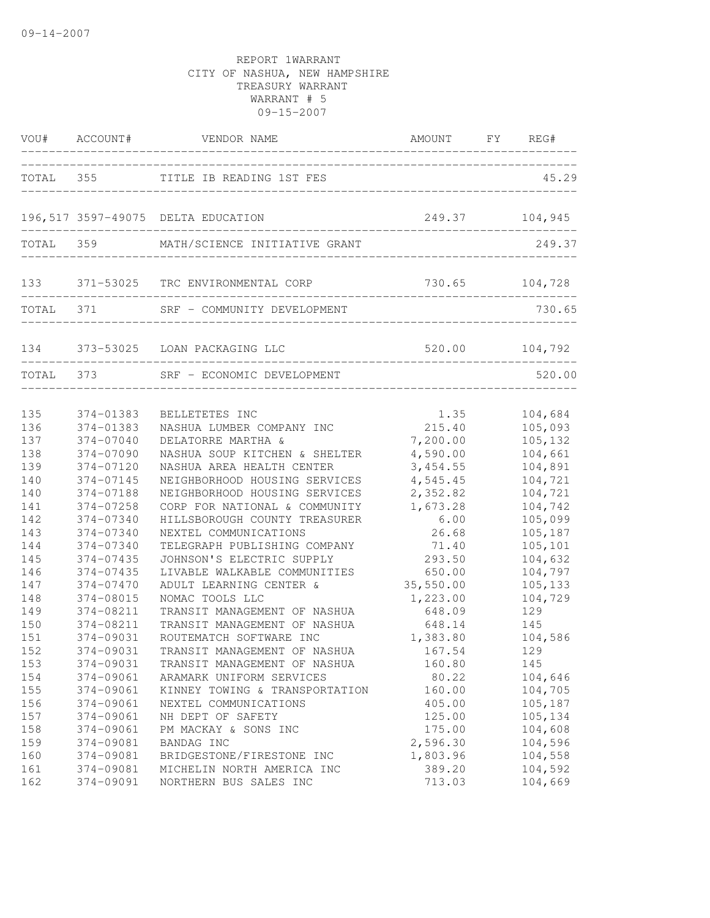|           |           | VOU# ACCOUNT# VENDOR NAME               | AMOUNT FY REG#       |                |
|-----------|-----------|-----------------------------------------|----------------------|----------------|
|           |           | TOTAL 355 TITLE IB READING 1ST FES      | ____________________ | 45.29          |
|           |           | 196,517 3597-49075 DELTA EDUCATION      |                      | 249.37 104,945 |
|           |           | TOTAL 359 MATH/SCIENCE INITIATIVE GRANT |                      | 249.37         |
|           |           | 133 371-53025 TRC ENVIRONMENTAL CORP    | ---------------      | 730.65 104,728 |
|           |           | TOTAL 371 SRF - COMMUNITY DEVELOPMENT   |                      | 730.65         |
|           |           | 134 373-53025 LOAN PACKAGING LLC        |                      | 520.00 104,792 |
| TOTAL 373 |           | SRF - ECONOMIC DEVELOPMENT              |                      | 520.00         |
|           |           |                                         |                      |                |
| 135       | 374-01383 | BELLETETES INC                          | 1.35                 | 104,684        |
| 136       | 374-01383 | NASHUA LUMBER COMPANY INC               | 215.40               | 105,093        |
| 137       | 374-07040 | DELATORRE MARTHA &                      | 7,200.00             | 105,132        |
| 138       | 374-07090 | NASHUA SOUP KITCHEN & SHELTER           | 4,590.00             | 104,661        |
| 139       | 374-07120 | NASHUA AREA HEALTH CENTER               | 3,454.55             | 104,891        |
| 140       | 374-07145 | NEIGHBORHOOD HOUSING SERVICES           | 4,545.45             | 104,721        |
| 140       | 374-07188 | NEIGHBORHOOD HOUSING SERVICES           | 2,352.82             | 104,721        |
| 141       | 374-07258 | CORP FOR NATIONAL & COMMUNITY           | 1,673.28             | 104,742        |
| 142       | 374-07340 | HILLSBOROUGH COUNTY TREASURER           | 6.00                 | 105,099        |
| 143       | 374-07340 | NEXTEL COMMUNICATIONS                   | 26.68                | 105,187        |
| 144       | 374-07340 | TELEGRAPH PUBLISHING COMPANY            | 71.40                | 105,101        |
| 145       | 374-07435 | JOHNSON'S ELECTRIC SUPPLY               | 293.50               | 104,632        |
| 146       | 374-07435 | LIVABLE WALKABLE COMMUNITIES            | 650.00               | 104,797        |
| 147       | 374-07470 | ADULT LEARNING CENTER &                 | 35,550.00            | 105,133        |
| 148       | 374-08015 | NOMAC TOOLS LLC                         | 1,223.00             | 104,729        |
| 149       | 374-08211 | TRANSIT MANAGEMENT OF NASHUA            | 648.09               | 129            |
| 150       | 374-08211 | TRANSIT MANAGEMENT OF NASHUA            | 648.14               | 145            |
| 151       | 374-09031 | ROUTEMATCH SOFTWARE INC                 | 1,383.80             | 104,586        |
| 152       | 374-09031 | TRANSIT MANAGEMENT OF NASHUA            | 167.54               | 129            |
| 153       | 374-09031 | TRANSIT MANAGEMENT OF NASHUA            | 160.80               | 145            |
| 154       | 374-09061 | ARAMARK UNIFORM SERVICES                | 80.22                | 104,646        |
| 155       | 374-09061 | KINNEY TOWING & TRANSPORTATION          | 160.00               | 104,705        |
| 156       | 374-09061 | NEXTEL COMMUNICATIONS                   | 405.00               | 105,187        |
| 157       | 374-09061 | NH DEPT OF SAFETY                       | 125.00               | 105,134        |
| 158       | 374-09061 | PM MACKAY & SONS INC                    | 175.00               | 104,608        |
| 159       | 374-09081 | BANDAG INC                              | 2,596.30             | 104,596        |
| 160       | 374-09081 | BRIDGESTONE/FIRESTONE INC               | 1,803.96             | 104,558        |
| 161       | 374-09081 | MICHELIN NORTH AMERICA INC              | 389.20               | 104,592        |
| 162       | 374-09091 | NORTHERN BUS SALES INC                  | 713.03               | 104,669        |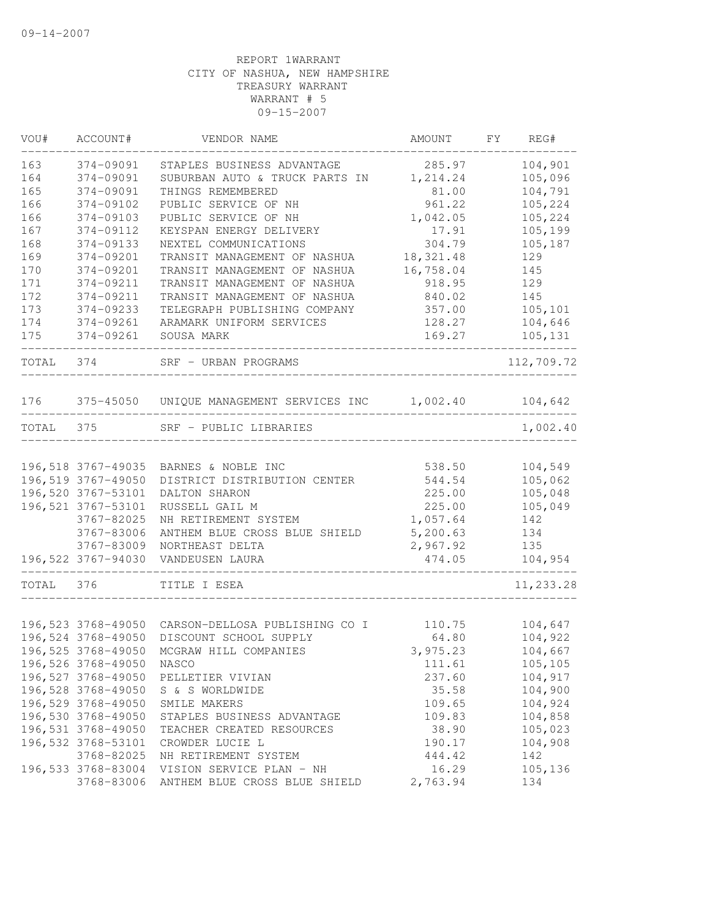| VOU#  | ACCOUNT#                                 | VENDOR NAME                                             | AMOUNT           | FY | REG#               |
|-------|------------------------------------------|---------------------------------------------------------|------------------|----|--------------------|
| 163   | 374-09091                                | STAPLES BUSINESS ADVANTAGE                              | 285.97           |    | 104,901            |
| 164   | 374-09091                                | SUBURBAN AUTO & TRUCK PARTS IN                          | 1,214.24         |    | 105,096            |
| 165   | 374-09091                                | THINGS REMEMBERED                                       | 81.00            |    | 104,791            |
| 166   | 374-09102                                | PUBLIC SERVICE OF NH                                    | 961.22           |    | 105,224            |
| 166   | 374-09103                                | PUBLIC SERVICE OF NH                                    | 1,042.05         |    | 105,224            |
| 167   | 374-09112                                | KEYSPAN ENERGY DELIVERY                                 | 17.91            |    | 105,199            |
| 168   | 374-09133                                | NEXTEL COMMUNICATIONS                                   | 304.79           |    | 105,187            |
| 169   | 374-09201                                | TRANSIT MANAGEMENT OF NASHUA                            | 18, 321.48       |    | 129                |
| 170   | 374-09201                                | TRANSIT MANAGEMENT OF NASHUA                            | 16,758.04        |    | 145                |
| 171   | 374-09211                                | TRANSIT MANAGEMENT OF NASHUA                            | 918.95           |    | 129                |
| 172   | 374-09211                                | TRANSIT MANAGEMENT OF NASHUA                            | 840.02           |    | 145                |
| 173   | 374-09233                                | TELEGRAPH PUBLISHING COMPANY                            | 357.00           |    | 105,101            |
| 174   | 374-09261                                | ARAMARK UNIFORM SERVICES                                | 128.27           |    | 104,646            |
| 175   | 374-09261                                | SOUSA MARK                                              | 169.27           |    | 105,131            |
| TOTAL | 374                                      | SRF - URBAN PROGRAMS                                    |                  |    | 112,709.72         |
| 176   |                                          | 375-45050 UNIQUE MANAGEMENT SERVICES INC 1,002.40       |                  |    | 104,642            |
| TOTAL | 375                                      | SRF - PUBLIC LIBRARIES                                  |                  |    | 1,002.40           |
|       |                                          |                                                         |                  |    |                    |
|       | 196,518 3767-49035                       | BARNES & NOBLE INC                                      | 538.50           |    | 104,549            |
|       | 196,519 3767-49050                       | DISTRICT DISTRIBUTION CENTER                            | 544.54           |    | 105,062            |
|       | 196,520 3767-53101                       | DALTON SHARON                                           | 225.00           |    | 105,048            |
|       | 196, 521 3767-53101                      | RUSSELL GAIL M                                          | 225.00           |    | 105,049            |
|       | 3767-82025                               | NH RETIREMENT SYSTEM                                    | 1,057.64         |    | 142                |
|       | 3767-83006                               | ANTHEM BLUE CROSS BLUE SHIELD                           | 5, 200.63        |    | 134                |
|       | 3767-83009                               | NORTHEAST DELTA                                         | 2,967.92         |    | 135                |
|       | 196,522 3767-94030                       | VANDEUSEN LAURA                                         | 474.05           |    | 104,954            |
| TOTAL | 376                                      | TITLE I ESEA                                            |                  |    | 11,233.28          |
|       |                                          |                                                         |                  |    |                    |
|       | 196,523 3768-49050                       | CARSON-DELLOSA PUBLISHING CO I                          | 110.75           |    | 104,647            |
|       | 196,524 3768-49050                       | DISCOUNT SCHOOL SUPPLY                                  | 64.80            |    | 104,922            |
|       | 196,525 3768-49050                       | MCGRAW HILL COMPANIES                                   | 3,975.23         |    | 104,667            |
|       | 196,526 3768-49050 NASCO                 |                                                         | 111.61           |    | 105,105            |
|       | 196,527 3768-49050                       | PELLETIER VIVIAN                                        | 237.60           |    | 104,917            |
|       | 196,528 3768-49050                       | S & S WORLDWIDE                                         | 35.58            |    | 104,900            |
|       | 196,529 3768-49050<br>196,530 3768-49050 | SMILE MAKERS                                            | 109.65           |    | 104,924<br>104,858 |
|       | 196,531 3768-49050                       | STAPLES BUSINESS ADVANTAGE<br>TEACHER CREATED RESOURCES | 109.83           |    |                    |
|       | 196,532 3768-53101                       | CROWDER LUCIE L                                         | 38.90            |    | 105,023<br>104,908 |
|       | 3768-82025                               | NH RETIREMENT SYSTEM                                    | 190.17<br>444.42 |    | 142                |
|       | 196,533 3768-83004                       | VISION SERVICE PLAN - NH                                | 16.29            |    | 105,136            |
|       | 3768-83006                               | ANTHEM BLUE CROSS BLUE SHIELD                           | 2,763.94         |    | 134                |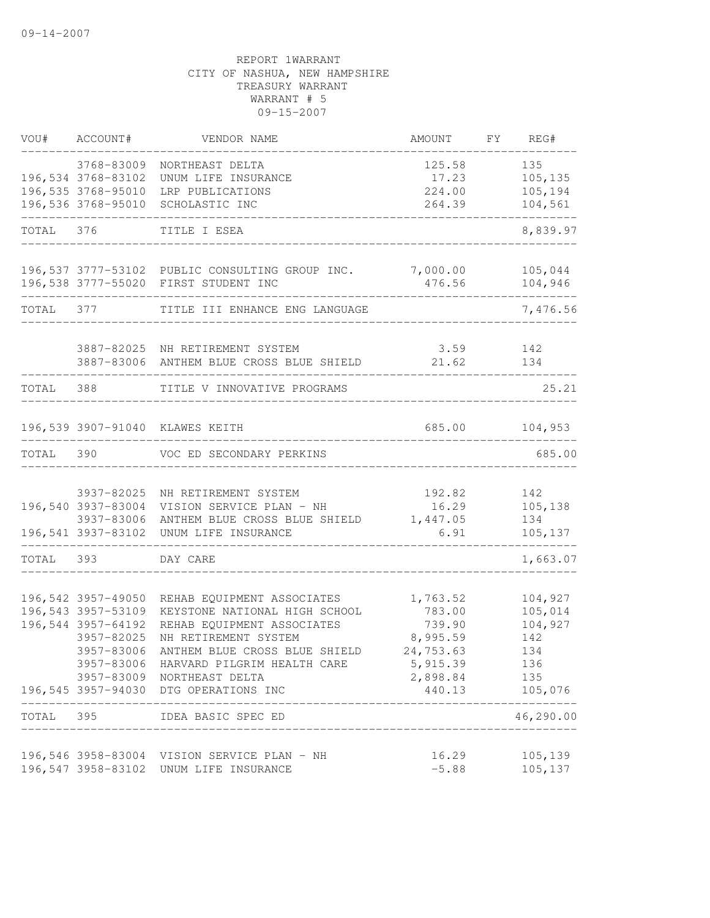| VOU#      | ACCOUNT#                                                                                   | VENDOR NAME                                                                                                                                                                                                                                                         | AMOUNT                                                                                          | FY | REG#                                                      |
|-----------|--------------------------------------------------------------------------------------------|---------------------------------------------------------------------------------------------------------------------------------------------------------------------------------------------------------------------------------------------------------------------|-------------------------------------------------------------------------------------------------|----|-----------------------------------------------------------|
|           | 3768-83009<br>196,534 3768-83102<br>196,535 3768-95010                                     | NORTHEAST DELTA<br>UNUM LIFE INSURANCE                                                                                                                                                                                                                              | 125.58<br>17.23<br>224.00                                                                       |    | 135<br>105,135<br>105,194                                 |
|           | 196,536 3768-95010                                                                         | LRP PUBLICATIONS<br>SCHOLASTIC INC                                                                                                                                                                                                                                  | 264.39                                                                                          |    | 104,561                                                   |
| TOTAL 376 |                                                                                            | TITLE I ESEA                                                                                                                                                                                                                                                        |                                                                                                 |    | 8,839.97                                                  |
|           |                                                                                            | 196,537 3777-53102 PUBLIC CONSULTING GROUP INC. 7,000.00<br>196,538 3777-55020 FIRST STUDENT INC                                                                                                                                                                    | 476.56                                                                                          |    | 105,044<br>104,946                                        |
| TOTAL 377 |                                                                                            | TITLE III ENHANCE ENG LANGUAGE                                                                                                                                                                                                                                      |                                                                                                 |    | 7,476.56                                                  |
|           |                                                                                            | 3887-82025 NH RETIREMENT SYSTEM<br>3887-83006 ANTHEM BLUE CROSS BLUE SHIELD                                                                                                                                                                                         | 3.59<br>21.62                                                                                   |    | 142<br>134                                                |
| TOTAL     | 388                                                                                        | TITLE V INNOVATIVE PROGRAMS                                                                                                                                                                                                                                         |                                                                                                 |    | 25.21                                                     |
|           |                                                                                            | 196,539 3907-91040 KLAWES KEITH                                                                                                                                                                                                                                     | 685.00                                                                                          |    | 104,953                                                   |
| TOTAL 390 |                                                                                            | VOC ED SECONDARY PERKINS                                                                                                                                                                                                                                            |                                                                                                 |    | 685.00                                                    |
|           | 3937-82025<br>196,540 3937-83004<br>3937-83006<br>196,541 3937-83102                       | NH RETIREMENT SYSTEM<br>VISION SERVICE PLAN - NH<br>ANTHEM BLUE CROSS BLUE SHIELD<br>UNUM LIFE INSURANCE                                                                                                                                                            | 192.82<br>16.29<br>1,447.05<br>6.91                                                             |    | 142<br>105, 138<br>134<br>105, 137                        |
| TOTAL 393 |                                                                                            | DAY CARE                                                                                                                                                                                                                                                            |                                                                                                 |    | 1,663.07                                                  |
|           | 196,542 3957-49050<br>196,543 3957-53109<br>196,544 3957-64192<br>3957-82025<br>3957-83006 | REHAB EQUIPMENT ASSOCIATES<br>KEYSTONE NATIONAL HIGH SCHOOL<br>REHAB EQUIPMENT ASSOCIATES<br>NH RETIREMENT SYSTEM<br>ANTHEM BLUE CROSS BLUE SHIELD<br>3957-83006 HARVARD PILGRIM HEALTH CARE<br>3957-83009 NORTHEAST DELTA<br>196,545 3957-94030 DTG OPERATIONS INC | 1,763.52<br>783.00<br>739.90<br>8,995.59<br>24,753.63<br>5,915.39<br>2,898.84<br>440.13 105,076 |    | 104,927<br>105,014<br>104,927<br>142<br>134<br>136<br>135 |
| TOTAL 395 |                                                                                            | __________________<br>IDEA BASIC SPEC ED                                                                                                                                                                                                                            |                                                                                                 |    | .<br>46,290.00                                            |
|           |                                                                                            | 196,546 3958-83004 VISION SERVICE PLAN - NH<br>196,547 3958-83102 UNUM LIFE INSURANCE                                                                                                                                                                               | 16.29<br>$-5.88$                                                                                |    | 105,139<br>105,137                                        |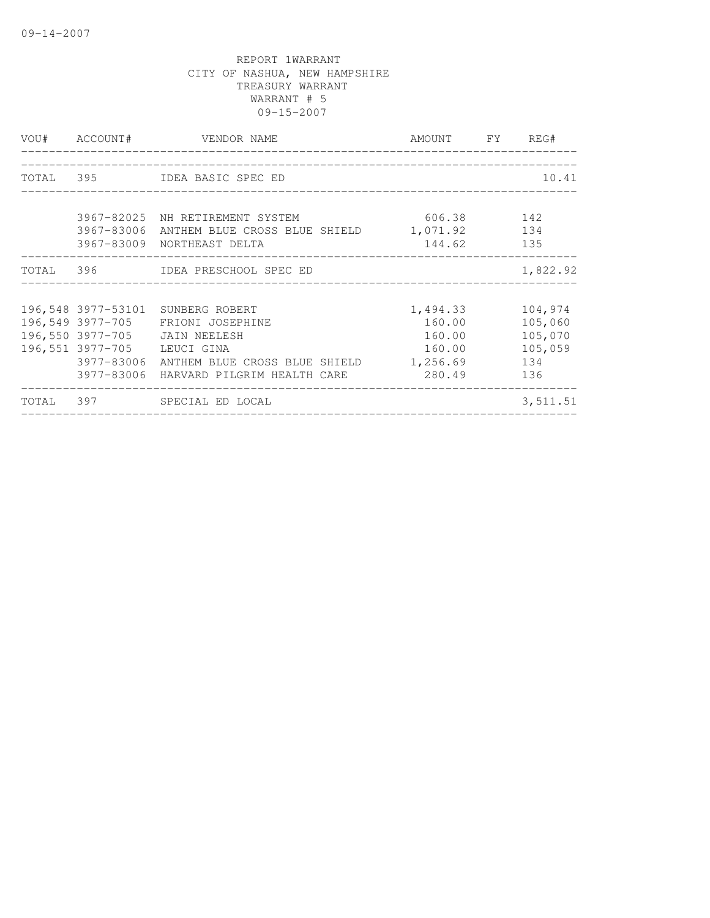|                             | VOU# ACCOUNT# VENDOR NAME                                                                                                                                                                              | AMOUNT FY                                        | REG#                                                   |
|-----------------------------|--------------------------------------------------------------------------------------------------------------------------------------------------------------------------------------------------------|--------------------------------------------------|--------------------------------------------------------|
|                             | TOTAL 395 IDEA BASIC SPEC ED                                                                                                                                                                           |                                                  | 10.41                                                  |
|                             | 3967-82025 NH RETIREMENT SYSTEM<br>3967-83006 ANTHEM BLUE CROSS BLUE SHIELD 1,071.92 134<br>3967-83009 NORTHEAST DELTA                                                                                 | 606.38 142<br>144.62 135                         |                                                        |
|                             | TOTAL 396 IDEA PRESCHOOL SPEC ED                                                                                                                                                                       |                                                  | 1,822.92                                               |
| 196,551 3977-705 LEUCI GINA | 196,548 3977-53101 SUNBERG ROBERT<br>196,549 3977-705 FRIONI JOSEPHINE<br>196,550 3977-705 JAIN NEELESH<br>3977-83006 ANTHEM BLUE CROSS BLUE SHIELD 1,256.69<br>3977-83006 HARVARD PILGRIM HEALTH CARE | 1,494.33<br>160.00<br>160.00<br>160.00<br>280.49 | 104,974<br>105,060<br>105,070<br>105,059<br>134<br>136 |
|                             | TOTAL 397 SPECIAL ED LOCAL                                                                                                                                                                             |                                                  | 3,511.51                                               |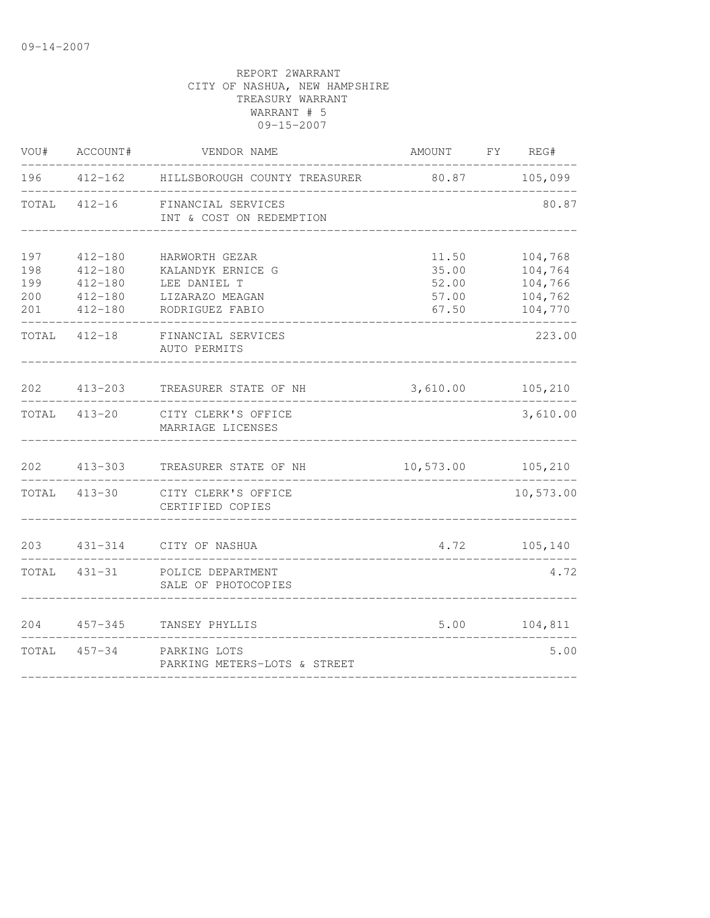| VOU#                            | ACCOUNT#                                                                | VENDOR NAME                                                                               | AMOUNT FY REG#                            |                                                     |
|---------------------------------|-------------------------------------------------------------------------|-------------------------------------------------------------------------------------------|-------------------------------------------|-----------------------------------------------------|
| 196                             |                                                                         | 412-162 HILLSBOROUGH COUNTY TREASURER                                                     | 80.87 105,099                             |                                                     |
| TOTAL                           |                                                                         | 412-16 FINANCIAL SERVICES<br>INT & COST ON REDEMPTION                                     |                                           | 80.87                                               |
| 197<br>198<br>199<br>200<br>201 | $412 - 180$<br>$412 - 180$<br>$412 - 180$<br>$412 - 180$<br>$412 - 180$ | HARWORTH GEZAR<br>KALANDYK ERNICE G<br>LEE DANIEL T<br>LIZARAZO MEAGAN<br>RODRIGUEZ FABIO | 11.50<br>35.00<br>52.00<br>57.00<br>67.50 | 104,768<br>104,764<br>104,766<br>104,762<br>104,770 |
|                                 | TOTAL 412-18                                                            | FINANCIAL SERVICES<br>AUTO PERMITS                                                        |                                           | 223.00                                              |
| 202                             | 413-203                                                                 | TREASURER STATE OF NH                                                                     | 3,610.00 105,210                          |                                                     |
|                                 | TOTAL 413-20                                                            | CITY CLERK'S OFFICE<br>MARRIAGE LICENSES                                                  |                                           | 3,610.00                                            |
| 202                             | $413 - 303$                                                             | TREASURER STATE OF NH                                                                     | 10,573.00 105,210                         |                                                     |
|                                 |                                                                         | TOTAL 413-30 CITY CLERK'S OFFICE<br>CERTIFIED COPIES                                      |                                           | 10,573.00                                           |
| 203                             |                                                                         | 431-314 CITY OF NASHUA                                                                    |                                           | 4.72 105,140                                        |
|                                 | TOTAL 431-31                                                            | POLICE DEPARTMENT<br>SALE OF PHOTOCOPIES                                                  |                                           | 4.72                                                |
| 204                             |                                                                         | 457-345 TANSEY PHYLLIS                                                                    | 5.00                                      | 104,811                                             |
| TOTAL                           |                                                                         | 457-34 PARKING LOTS<br>PARKING METERS-LOTS & STREET                                       |                                           | 5.00                                                |
|                                 |                                                                         |                                                                                           |                                           |                                                     |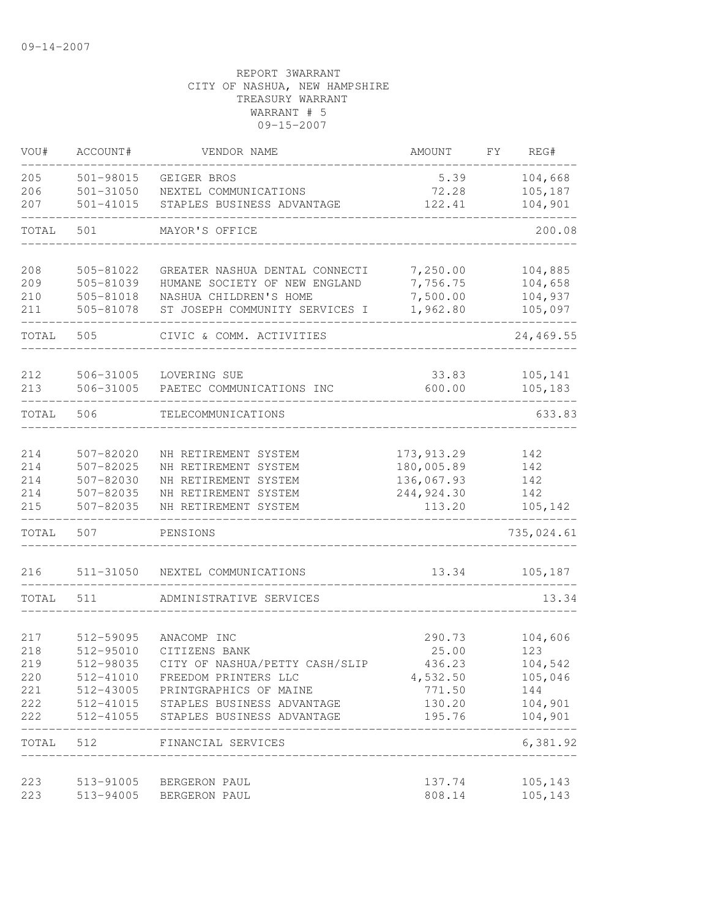| VOU#       | ACCOUNT#               | VENDOR NAME                                  | AMOUNT               | FY | REG#           |
|------------|------------------------|----------------------------------------------|----------------------|----|----------------|
| 205        | $501 - 98015$          | GEIGER BROS                                  | 5.39                 |    | 104,668        |
| 206        | $501 - 31050$          | NEXTEL COMMUNICATIONS                        | 72.28                |    | 105,187        |
| 207        | $501 - 41015$          | STAPLES BUSINESS ADVANTAGE                   | 122.41               |    | 104,901        |
| TOTAL      | 501                    | MAYOR'S OFFICE                               |                      |    | 200.08         |
| 208        | 505-81022              | GREATER NASHUA DENTAL CONNECTI               | 7,250.00             |    | 104,885        |
| 209        | 505-81039              | HUMANE SOCIETY OF NEW ENGLAND                | 7,756.75             |    | 104,658        |
| 210        | 505-81018              | NASHUA CHILDREN'S HOME                       | 7,500.00             |    | 104,937        |
| 211        | 505-81078              | ST JOSEPH COMMUNITY SERVICES I               | 1,962.80             |    | 105,097        |
| TOTAL      | 505                    | CIVIC & COMM. ACTIVITIES                     |                      |    | 24,469.55      |
| 212        | 506-31005              | LOVERING SUE                                 | 33.83                |    | 105,141        |
| 213        | 506-31005              | PAETEC COMMUNICATIONS INC                    | 600.00               |    | 105,183        |
| TOTAL      | 506                    | TELECOMMUNICATIONS                           |                      |    | 633.83         |
|            |                        |                                              |                      |    |                |
| 214        | 507-82020              | NH RETIREMENT SYSTEM                         | 173, 913.29          |    | 142            |
| 214        | 507-82025              | NH RETIREMENT SYSTEM                         | 180,005.89           |    | 142            |
| 214        | 507-82030              | NH RETIREMENT SYSTEM                         | 136,067.93           |    | 142            |
| 214<br>215 | 507-82035<br>507-82035 | NH RETIREMENT SYSTEM<br>NH RETIREMENT SYSTEM | 244,924.30<br>113.20 |    | 142<br>105,142 |
| TOTAL      | 507                    | PENSIONS                                     |                      |    | 735,024.61     |
| 216        | 511-31050              | NEXTEL COMMUNICATIONS                        | 13.34                |    | 105, 187       |
| TOTAL      | 511                    | ADMINISTRATIVE SERVICES                      |                      |    | 13.34          |
|            |                        |                                              |                      |    |                |
| 217        | 512-59095              | ANACOMP INC                                  | 290.73               |    | 104,606        |
| 218        | 512-95010              | CITIZENS BANK                                | 25.00                |    | 123            |
| 219        | 512-98035              | CITY OF NASHUA/PETTY CASH/SLIP               | 436.23               |    | 104,542        |
| 220        |                        | 512-41010 FREEDOM PRINTERS LLC               | 4,532.50             |    | 105,046        |
| 221        |                        | 512-43005 PRINTGRAPHICS OF MAINE             | 771.50               |    | 144            |
| 222        |                        | 512-41015 STAPLES BUSINESS ADVANTAGE         | 130.20               |    | 104,901        |
| 222        |                        | 512-41055 STAPLES BUSINESS ADVANTAGE         | 195.76               |    | 104,901        |
| TOTAL      | 512                    | FINANCIAL SERVICES                           |                      |    | 6,381.92       |
|            |                        |                                              |                      |    | 105,143        |
| 223<br>223 | 513-94005              | 513-91005 BERGERON PAUL<br>BERGERON PAUL     | 137.74<br>808.14     |    | 105,143        |
|            |                        |                                              |                      |    |                |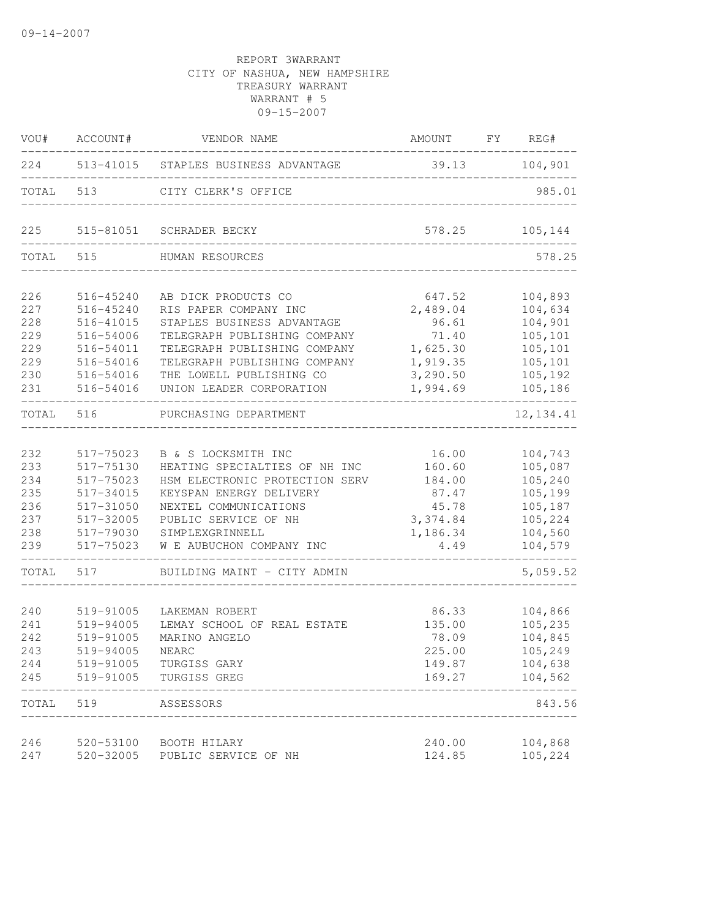| VOU#              | ACCOUNT#                            | VENDOR NAME                                                                              | AMOUNT FY REG#                   |                               |
|-------------------|-------------------------------------|------------------------------------------------------------------------------------------|----------------------------------|-------------------------------|
|                   |                                     | 224 513-41015 STAPLES BUSINESS ADVANTAGE                                                 | 39.13 104,901                    |                               |
| TOTAL 513         |                                     | CITY CLERK'S OFFICE                                                                      |                                  | 985.01                        |
| 225               |                                     | 515-81051 SCHRADER BECKY                                                                 | 578.25                           | 105,144                       |
| TOTAL 515         |                                     | HUMAN RESOURCES                                                                          |                                  | 578.25                        |
| 226<br>227        | 516-45240<br>516-45240              | AB DICK PRODUCTS CO<br>RIS PAPER COMPANY INC                                             | 647.52<br>2,489.04               | 104,893<br>104,634            |
| 228<br>229        | 516-41015<br>516-54006              | STAPLES BUSINESS ADVANTAGE<br>TELEGRAPH PUBLISHING COMPANY                               | 96.61<br>71.40                   | 104,901<br>105,101            |
| 229<br>229<br>230 | 516-54011<br>516-54016<br>516-54016 | TELEGRAPH PUBLISHING COMPANY<br>TELEGRAPH PUBLISHING COMPANY<br>THE LOWELL PUBLISHING CO | 1,625.30<br>1,919.35<br>3,290.50 | 105,101<br>105,101<br>105,192 |
| 231               | 516-54016                           | UNION LEADER CORPORATION                                                                 | 1,994.69                         | 105,186                       |
| TOTAL             | 516                                 | PURCHASING DEPARTMENT                                                                    |                                  | 12, 134.41                    |
| 232<br>233        | 517-75023<br>517-75130              | B & S LOCKSMITH INC<br>HEATING SPECIALTIES OF NH INC                                     | 16.00<br>160.60                  | 104,743<br>105,087            |
| 234<br>235        | 517-75023<br>517-34015              | HSM ELECTRONIC PROTECTION SERV<br>KEYSPAN ENERGY DELIVERY                                | 184.00<br>87.47                  | 105,240<br>105,199            |
| 236<br>237<br>238 | 517-31050<br>517-32005<br>517-79030 | NEXTEL COMMUNICATIONS<br>PUBLIC SERVICE OF NH<br>SIMPLEXGRINNELL                         | 45.78<br>3,374.84<br>1,186.34    | 105,187<br>105,224<br>104,560 |
| 239               | 517-75023                           | W E AUBUCHON COMPANY INC                                                                 | 4.49                             | 104,579                       |
| TOTAL             | 517                                 | BUILDING MAINT - CITY ADMIN                                                              |                                  | 5,059.52                      |
| 240<br>241        | 519-91005<br>519-94005              | LAKEMAN ROBERT<br>LEMAY SCHOOL OF REAL ESTATE                                            | 86.33<br>135.00                  | 104,866<br>105,235            |
| 242<br>243<br>244 | 519-91005<br>519-94005<br>519-91005 | MARINO ANGELO<br>NEARC<br>TURGISS GARY                                                   | 78.09<br>225.00<br>149.87        | 104,845<br>105,249<br>104,638 |
| 245               | 519-91005                           | TURGISS GREG                                                                             | 169.27                           | 104,562                       |
| TOTAL             | 519                                 | ASSESSORS                                                                                |                                  | 843.56                        |
| 246<br>247        | 520-53100<br>520-32005              | BOOTH HILARY<br>PUBLIC SERVICE OF NH                                                     | 240.00<br>124.85                 | 104,868<br>105,224            |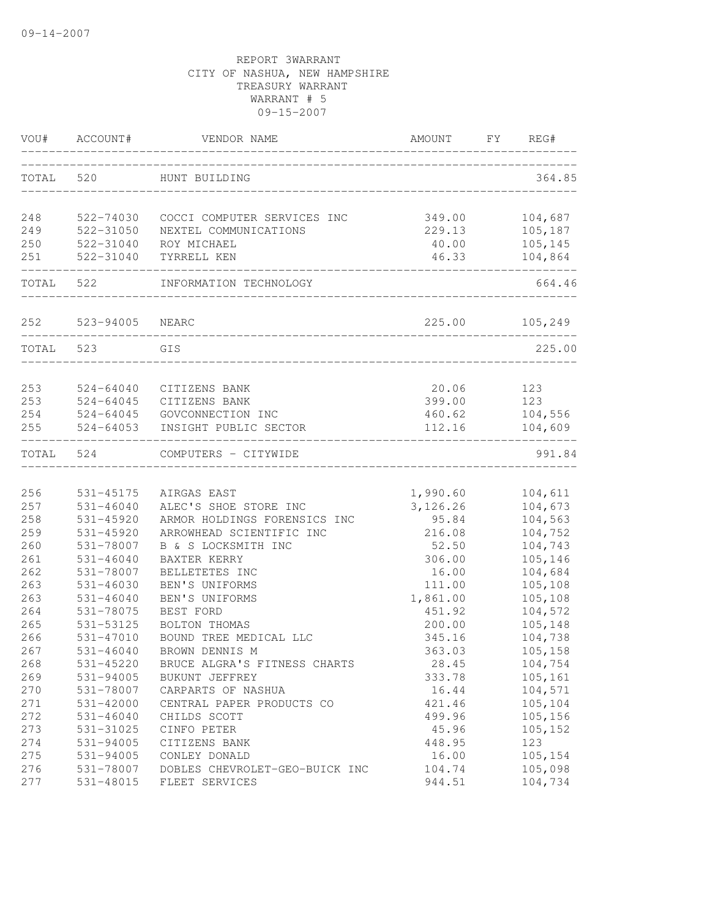| VOU#       | ACCOUNT#                          | VENDOR NAME                                | AMOUNT                   | FY | REG#               |
|------------|-----------------------------------|--------------------------------------------|--------------------------|----|--------------------|
| TOTAL      | 520                               | HUNT BUILDING                              |                          |    | 364.85             |
| 248        | 522-74030                         | COCCI COMPUTER SERVICES INC                | 349.00                   |    | 104,687            |
| 249        | 522-31050                         | NEXTEL COMMUNICATIONS                      | 229.13                   |    | 105,187            |
| 250        | 522-31040                         | ROY MICHAEL                                | 40.00                    |    | 105,145            |
| 251        | 522-31040<br>-------------------- | TYRRELL KEN                                | 46.33<br>_______________ |    | 104,864            |
| TOTAL      | 522                               | INFORMATION TECHNOLOGY                     |                          |    | 664.46             |
|            | 252 523-94005                     | NEARC                                      | 225.00                   |    | 105,249            |
| TOTAL 523  |                                   | GIS                                        |                          |    | 225.00             |
|            |                                   |                                            |                          |    |                    |
| 253        | 524-64040                         | CITIZENS BANK                              | 20.06                    |    | 123                |
| 253        | 524-64045                         | CITIZENS BANK                              | 399.00                   |    | 123                |
| 254<br>255 | 524-64045<br>524-64053            | GOVCONNECTION INC<br>INSIGHT PUBLIC SECTOR | 460.62<br>112.16         |    | 104,556<br>104,609 |
| TOTAL 524  |                                   | COMPUTERS - CITYWIDE                       |                          |    | 991.84             |
|            |                                   |                                            |                          |    |                    |
| 256        | 531-45175                         | AIRGAS EAST                                | 1,990.60                 |    | 104,611            |
| 257        | 531-46040                         | ALEC'S SHOE STORE INC                      | 3, 126.26                |    | 104,673            |
| 258        | 531-45920                         | ARMOR HOLDINGS FORENSICS INC               | 95.84                    |    | 104,563            |
| 259        | $531 - 45920$                     | ARROWHEAD SCIENTIFIC INC                   | 216.08                   |    | 104,752            |
| 260        | 531-78007                         | B & S LOCKSMITH INC                        | 52.50                    |    | 104,743            |
| 261        | $531 - 46040$                     | BAXTER KERRY                               | 306.00                   |    | 105,146            |
| 262        | 531-78007                         | BELLETETES INC                             | 16.00                    |    | 104,684            |
| 263        | $531 - 46030$                     | BEN'S UNIFORMS                             | 111.00                   |    | 105,108            |
| 263        | $531 - 46040$                     | BEN'S UNIFORMS                             | 1,861.00                 |    | 105,108            |
| 264        | 531-78075                         | BEST FORD                                  | 451.92                   |    | 104,572            |
| 265        | 531-53125                         | BOLTON THOMAS                              | 200.00                   |    | 105,148            |
| 266        | 531-47010                         | BOUND TREE MEDICAL LLC                     | 345.16                   |    | 104,738            |
| 267        | $531 - 46040$                     | BROWN DENNIS M                             | 363.03                   |    | 105,158            |
| 268        | 531-45220                         | BRUCE ALGRA'S FITNESS CHARTS               | 28.45                    |    | 104,754            |
| 269        | 531-94005                         | BUKUNT JEFFREY                             | 333.78                   |    | 105,161            |
| 270        | 531-78007                         | CARPARTS OF NASHUA                         | 16.44                    |    | 104,571            |
| 271        | 531-42000                         | CENTRAL PAPER PRODUCTS CO                  | 421.46                   |    | 105,104            |
| 272        | 531-46040                         | CHILDS SCOTT                               | 499.96                   |    | 105,156            |
| 273        | 531-31025                         | CINFO PETER                                | 45.96                    |    | 105,152            |
| 274        | 531-94005                         | CITIZENS BANK                              | 448.95                   |    | 123                |
| 275        | 531-94005                         | CONLEY DONALD                              | 16.00                    |    | 105,154            |
| 276        | 531-78007                         | DOBLES CHEVROLET-GEO-BUICK INC             | 104.74                   |    | 105,098            |
| 277        | 531-48015                         | FLEET SERVICES                             | 944.51                   |    | 104,734            |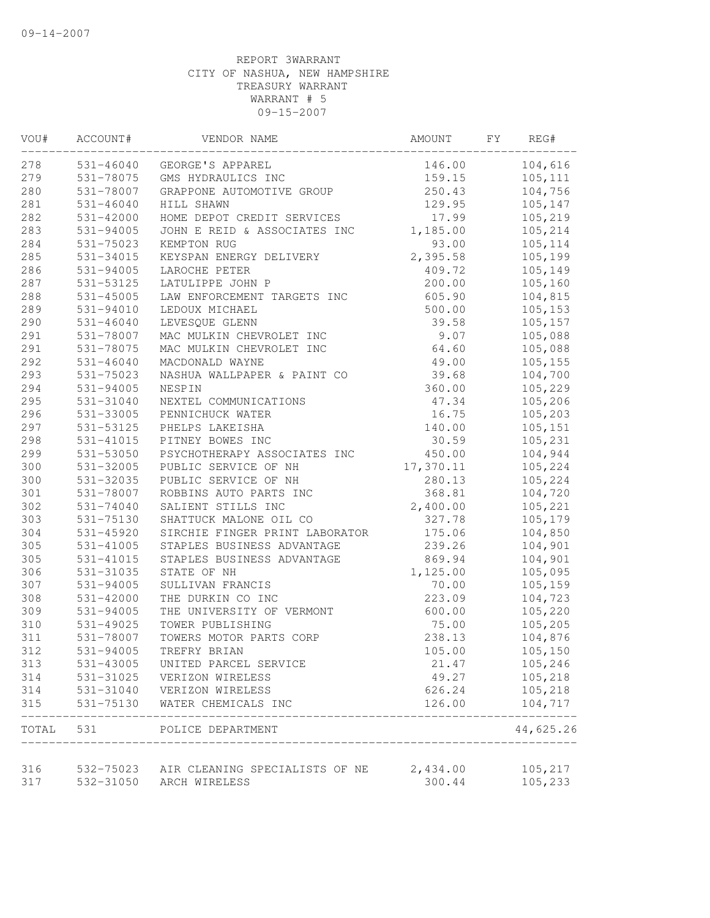| VOU#  | ACCOUNT#      | VENDOR NAME                              | AMOUNT    | FΥ | REG#      |
|-------|---------------|------------------------------------------|-----------|----|-----------|
| 278   | 531-46040     | GEORGE'S APPAREL                         | 146.00    |    | 104,616   |
| 279   | 531-78075     | GMS HYDRAULICS INC                       | 159.15    |    | 105,111   |
| 280   | 531-78007     | GRAPPONE AUTOMOTIVE GROUP                | 250.43    |    | 104,756   |
| 281   | $531 - 46040$ | HILL SHAWN                               | 129.95    |    | 105,147   |
| 282   | 531-42000     | HOME DEPOT CREDIT SERVICES               | 17.99     |    | 105,219   |
| 283   | 531-94005     | JOHN E REID & ASSOCIATES INC             | 1,185.00  |    | 105,214   |
| 284   | 531-75023     | KEMPTON RUG                              | 93.00     |    | 105, 114  |
| 285   | 531-34015     | KEYSPAN ENERGY DELIVERY                  | 2,395.58  |    | 105,199   |
| 286   | 531-94005     | LAROCHE PETER                            | 409.72    |    | 105,149   |
| 287   | 531-53125     | LATULIPPE JOHN P                         | 200.00    |    | 105,160   |
| 288   | $531 - 45005$ | LAW ENFORCEMENT TARGETS INC              | 605.90    |    | 104,815   |
| 289   | 531-94010     | LEDOUX MICHAEL                           | 500.00    |    | 105,153   |
| 290   | $531 - 46040$ | LEVESQUE GLENN                           | 39.58     |    | 105,157   |
| 291   | 531-78007     | MAC MULKIN CHEVROLET INC                 | 9.07      |    | 105,088   |
| 291   | 531-78075     | MAC MULKIN CHEVROLET INC                 | 64.60     |    | 105,088   |
| 292   | $531 - 46040$ | MACDONALD WAYNE                          | 49.00     |    | 105,155   |
| 293   | 531-75023     | NASHUA WALLPAPER & PAINT CO              | 39.68     |    | 104,700   |
| 294   | 531-94005     | NESPIN                                   | 360.00    |    | 105,229   |
| 295   | 531-31040     | NEXTEL COMMUNICATIONS                    | 47.34     |    | 105,206   |
| 296   | 531-33005     | PENNICHUCK WATER                         | 16.75     |    | 105,203   |
| 297   | 531-53125     | PHELPS LAKEISHA                          | 140.00    |    | 105,151   |
| 298   | 531-41015     | PITNEY BOWES INC                         | 30.59     |    | 105,231   |
| 299   | 531-53050     | PSYCHOTHERAPY ASSOCIATES INC             | 450.00    |    | 104,944   |
| 300   | 531-32005     | PUBLIC SERVICE OF NH                     | 17,370.11 |    | 105,224   |
| 300   | 531-32035     | PUBLIC SERVICE OF NH                     | 280.13    |    | 105,224   |
| 301   | 531-78007     | ROBBINS AUTO PARTS INC                   | 368.81    |    | 104,720   |
| 302   | 531-74040     | SALIENT STILLS INC                       | 2,400.00  |    | 105,221   |
| 303   | 531-75130     | SHATTUCK MALONE OIL CO                   | 327.78    |    | 105,179   |
| 304   | 531-45920     | SIRCHIE FINGER PRINT LABORATOR           | 175.06    |    | 104,850   |
| 305   | 531-41005     | STAPLES BUSINESS ADVANTAGE               | 239.26    |    | 104,901   |
| 305   | 531-41015     | STAPLES BUSINESS ADVANTAGE               | 869.94    |    | 104,901   |
| 306   | 531-31035     | STATE OF NH                              | 1,125.00  |    | 105,095   |
| 307   | 531-94005     | SULLIVAN FRANCIS                         | 70.00     |    | 105,159   |
| 308   | 531-42000     | THE DURKIN CO INC                        | 223.09    |    | 104,723   |
| 309   | 531-94005     | THE UNIVERSITY OF VERMONT                | 600.00    |    | 105,220   |
| 310   | 531-49025     | TOWER PUBLISHING                         | 75.00     |    | 105,205   |
| 311   | 531-78007     | TOWERS MOTOR PARTS CORP                  | 238.13    |    | 104,876   |
| 312   | 531-94005     | TREFRY BRIAN                             | 105.00    |    | 105,150   |
| 313   | 531-43005     | UNITED PARCEL SERVICE                    | 21.47     |    | 105,246   |
| 314   | 531-31025     | VERIZON WIRELESS                         | 49.27     |    | 105,218   |
| 314   | 531-31040     | VERIZON WIRELESS                         | 626.24    |    | 105,218   |
| 315   | 531-75130     | WATER CHEMICALS INC                      | 126.00    |    | 104,717   |
| TOTAL | 531           | POLICE DEPARTMENT                        |           |    | 44,625.26 |
| 316   |               | 532-75023 AIR CLEANING SPECIALISTS OF NE | 2,434.00  |    | 105,217   |
| 317   | 532-31050     | ARCH WIRELESS                            | 300.44    |    | 105,233   |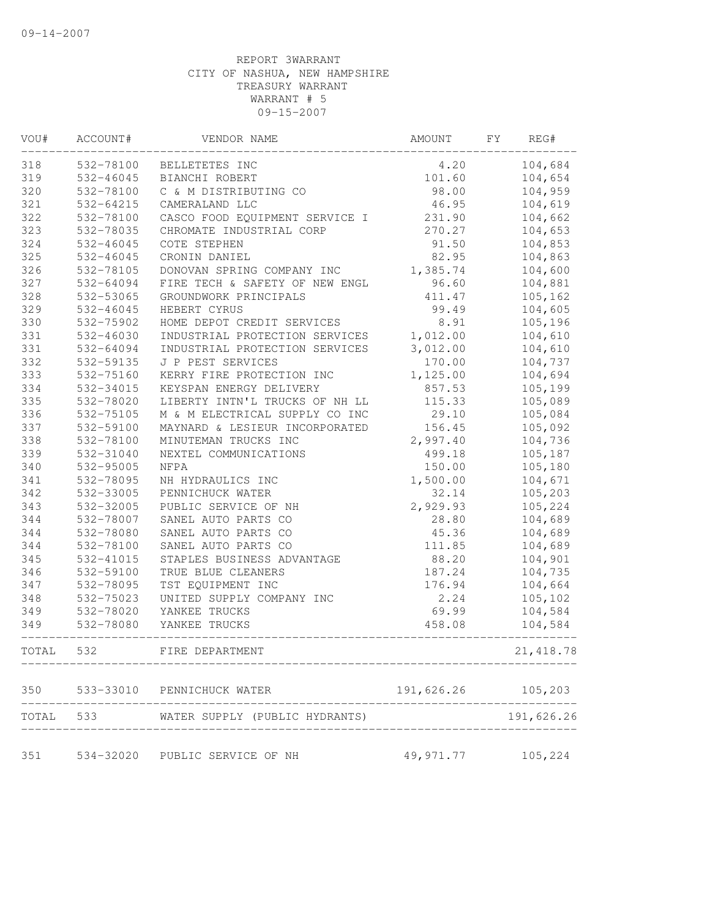| VOU#  | ACCOUNT#  | VENDOR NAME                              | AMOUNT              | FΥ | REG#       |
|-------|-----------|------------------------------------------|---------------------|----|------------|
| 318   | 532-78100 | BELLETETES INC                           | 4.20                |    | 104,684    |
| 319   | 532-46045 | BIANCHI ROBERT                           | 101.60              |    | 104,654    |
| 320   | 532-78100 | C & M DISTRIBUTING CO                    | 98.00               |    | 104,959    |
| 321   | 532-64215 | CAMERALAND LLC                           | 46.95               |    | 104,619    |
| 322   | 532-78100 | CASCO FOOD EQUIPMENT SERVICE I           | 231.90              |    | 104,662    |
| 323   | 532-78035 | CHROMATE INDUSTRIAL CORP                 | 270.27              |    | 104,653    |
| 324   | 532-46045 | COTE STEPHEN                             | 91.50               |    | 104,853    |
| 325   | 532-46045 | CRONIN DANIEL                            | 82.95               |    | 104,863    |
| 326   | 532-78105 | DONOVAN SPRING COMPANY INC               | 1,385.74            |    | 104,600    |
| 327   | 532-64094 | FIRE TECH & SAFETY OF NEW ENGL           | 96.60               |    | 104,881    |
| 328   | 532-53065 | GROUNDWORK PRINCIPALS                    | 411.47              |    | 105,162    |
| 329   | 532-46045 | HEBERT CYRUS                             | 99.49               |    | 104,605    |
| 330   | 532-75902 | HOME DEPOT CREDIT SERVICES               | 8.91                |    | 105,196    |
| 331   | 532-46030 | INDUSTRIAL PROTECTION SERVICES           | 1,012.00            |    | 104,610    |
| 331   | 532-64094 | INDUSTRIAL PROTECTION SERVICES           | 3,012.00            |    | 104,610    |
| 332   | 532-59135 | J P PEST SERVICES                        | 170.00              |    | 104,737    |
| 333   | 532-75160 | KERRY FIRE PROTECTION INC                | 1,125.00            |    | 104,694    |
| 334   | 532-34015 | KEYSPAN ENERGY DELIVERY                  | 857.53              |    | 105,199    |
| 335   | 532-78020 | LIBERTY INTN'L TRUCKS OF NH LL           | 115.33              |    | 105,089    |
| 336   | 532-75105 | M & M ELECTRICAL SUPPLY CO INC           | 29.10               |    | 105,084    |
| 337   | 532-59100 | MAYNARD & LESIEUR INCORPORATED           | 156.45              |    | 105,092    |
| 338   | 532-78100 | MINUTEMAN TRUCKS INC                     | 2,997.40            |    | 104,736    |
| 339   | 532-31040 | NEXTEL COMMUNICATIONS                    | 499.18              |    | 105,187    |
| 340   | 532-95005 | <b>NFPA</b>                              | 150.00              |    | 105,180    |
| 341   | 532-78095 | NH HYDRAULICS INC                        | 1,500.00            |    | 104,671    |
| 342   | 532-33005 | PENNICHUCK WATER                         | 32.14               |    | 105,203    |
| 343   | 532-32005 | PUBLIC SERVICE OF NH                     | 2,929.93            |    | 105,224    |
| 344   | 532-78007 | SANEL AUTO PARTS CO                      | 28.80               |    | 104,689    |
| 344   | 532-78080 | SANEL AUTO PARTS CO                      | 45.36               |    | 104,689    |
| 344   | 532-78100 | SANEL AUTO PARTS CO                      | 111.85              |    | 104,689    |
| 345   | 532-41015 | STAPLES BUSINESS ADVANTAGE               | 88.20               |    | 104,901    |
| 346   | 532-59100 | TRUE BLUE CLEANERS                       | 187.24              |    | 104,735    |
| 347   | 532-78095 | TST EQUIPMENT INC                        | 176.94              |    | 104,664    |
| 348   | 532-75023 | UNITED SUPPLY COMPANY INC                | 2.24                |    | 105,102    |
| 349   | 532-78020 | YANKEE TRUCKS                            | 69.99               |    | 104,584    |
| 349   | 532-78080 | YANKEE TRUCKS                            | 458.08              |    | 104,584    |
| TOTAL | 532       | FIRE DEPARTMENT                          |                     |    | 21, 418.78 |
| 350   | 533-33010 | PENNICHUCK WATER                         | 191,626.26 105,203  |    |            |
|       |           | TOTAL 533 WATER SUPPLY (PUBLIC HYDRANTS) |                     |    | 191,626.26 |
| 351   |           | 534-32020 PUBLIC SERVICE OF NH           | 49, 971.77 105, 224 |    |            |
|       |           |                                          |                     |    |            |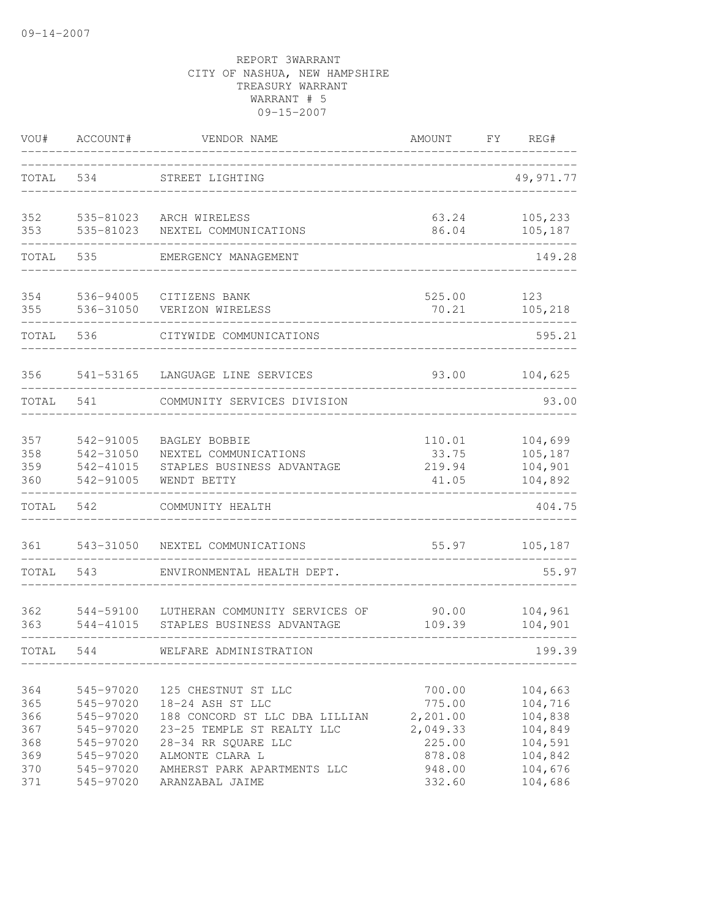| VOU#                                   | ACCOUNT#                                                                   | VENDOR NAME                                                                                                                                       | AMOUNT                                                       | FY<br>REG#                                                     |
|----------------------------------------|----------------------------------------------------------------------------|---------------------------------------------------------------------------------------------------------------------------------------------------|--------------------------------------------------------------|----------------------------------------------------------------|
| TOTAL                                  | 534                                                                        | STREET LIGHTING                                                                                                                                   |                                                              | 49,971.77                                                      |
| 352<br>353                             | 535-81023<br>535-81023                                                     | ARCH WIRELESS<br>NEXTEL COMMUNICATIONS                                                                                                            | 63.24<br>86.04                                               | 105,233<br>105,187                                             |
| TOTAL                                  | 535                                                                        | EMERGENCY MANAGEMENT                                                                                                                              |                                                              | 149.28                                                         |
| 354<br>355                             | 536-94005<br>536-31050                                                     | CITIZENS BANK<br>VERIZON WIRELESS                                                                                                                 | 525.00<br>70.21                                              | 123<br>105,218                                                 |
| TOTAL                                  | 536                                                                        | CITYWIDE COMMUNICATIONS                                                                                                                           |                                                              | 595.21                                                         |
| 356                                    | 541-53165                                                                  | LANGUAGE LINE SERVICES                                                                                                                            | 93.00                                                        | 104,625                                                        |
| TOTAL                                  | 541                                                                        | COMMUNITY SERVICES DIVISION                                                                                                                       |                                                              | 93.00                                                          |
| 357<br>358<br>359<br>360               | 542-91005<br>542-31050<br>542-41015<br>542-91005                           | <b>BAGLEY BOBBIE</b><br>NEXTEL COMMUNICATIONS<br>STAPLES BUSINESS ADVANTAGE<br>WENDT BETTY                                                        | 110.01<br>33.75<br>219.94<br>41.05                           | 104,699<br>105,187<br>104,901<br>104,892                       |
| TOTAL                                  | 542                                                                        | COMMUNITY HEALTH                                                                                                                                  |                                                              | 404.75                                                         |
| 361                                    | 543-31050                                                                  | NEXTEL COMMUNICATIONS                                                                                                                             | 55.97                                                        | 105,187                                                        |
| TOTAL                                  | 543                                                                        | ENVIRONMENTAL HEALTH DEPT.                                                                                                                        |                                                              | 55.97                                                          |
| 362<br>363                             | 544-59100<br>544-41015                                                     | LUTHERAN COMMUNITY SERVICES OF<br>STAPLES BUSINESS ADVANTAGE                                                                                      | 90.00<br>109.39                                              | 104,961<br>104,901                                             |
| TOTAL.                                 | 544                                                                        | WELFARE ADMINISTRATION                                                                                                                            |                                                              | 199.39                                                         |
| 364<br>365<br>366<br>367<br>368<br>369 | 545-97020<br>545-97020<br>545-97020<br>545-97020<br>545-97020<br>545-97020 | 125 CHESTNUT ST LLC<br>18-24 ASH ST LLC<br>188 CONCORD ST LLC DBA LILLIAN<br>23-25 TEMPLE ST REALTY LLC<br>28-34 RR SQUARE LLC<br>ALMONTE CLARA L | 700.00<br>775.00<br>2,201.00<br>2,049.33<br>225.00<br>878.08 | 104,663<br>104,716<br>104,838<br>104,849<br>104,591<br>104,842 |
| 370<br>371                             | 545-97020<br>545-97020                                                     | AMHERST PARK APARTMENTS LLC<br>ARANZABAL JAIME                                                                                                    | 948.00<br>332.60                                             | 104,676<br>104,686                                             |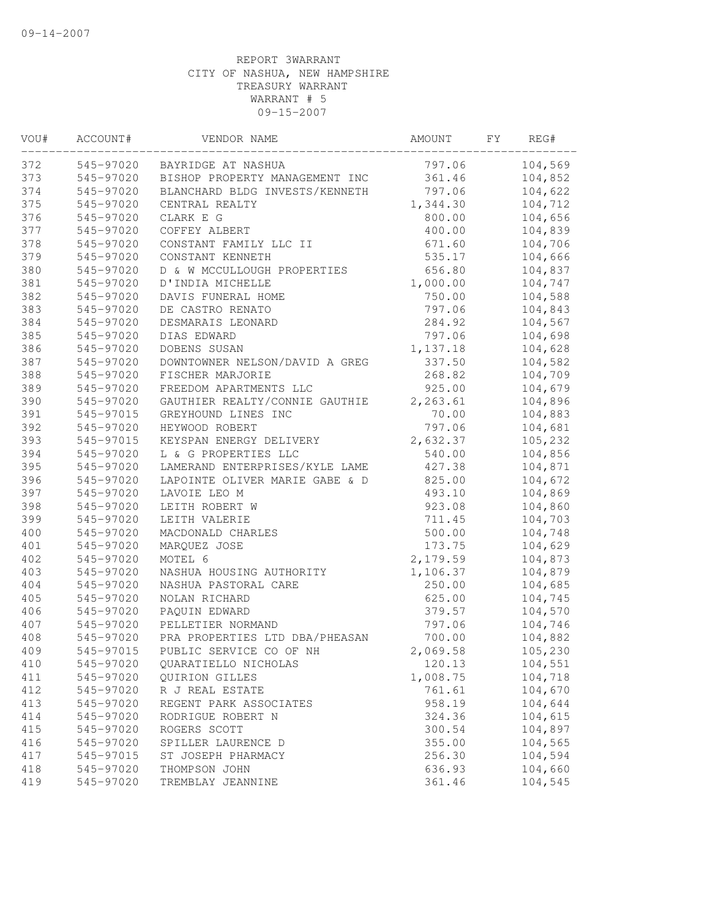| VOU# | ACCOUNT#  | VENDOR NAME                    | AMOUNT   | FY. | REG#    |
|------|-----------|--------------------------------|----------|-----|---------|
| 372  | 545-97020 | BAYRIDGE AT NASHUA             | 797.06   |     | 104,569 |
| 373  | 545-97020 | BISHOP PROPERTY MANAGEMENT INC | 361.46   |     | 104,852 |
| 374  | 545-97020 | BLANCHARD BLDG INVESTS/KENNETH | 797.06   |     | 104,622 |
| 375  | 545-97020 | CENTRAL REALTY                 | 1,344.30 |     | 104,712 |
| 376  | 545-97020 | CLARK E G                      | 800.00   |     | 104,656 |
| 377  | 545-97020 | COFFEY ALBERT                  | 400.00   |     | 104,839 |
| 378  | 545-97020 | CONSTANT FAMILY LLC II         | 671.60   |     | 104,706 |
| 379  | 545-97020 | CONSTANT KENNETH               | 535.17   |     | 104,666 |
| 380  | 545-97020 | D & W MCCULLOUGH PROPERTIES    | 656.80   |     | 104,837 |
| 381  | 545-97020 | D'INDIA MICHELLE               | 1,000.00 |     | 104,747 |
| 382  | 545-97020 | DAVIS FUNERAL HOME             | 750.00   |     | 104,588 |
| 383  | 545-97020 | DE CASTRO RENATO               | 797.06   |     | 104,843 |
| 384  | 545-97020 | DESMARAIS LEONARD              | 284.92   |     | 104,567 |
| 385  | 545-97020 | DIAS EDWARD                    | 797.06   |     | 104,698 |
| 386  | 545-97020 | DOBENS SUSAN                   | 1,137.18 |     | 104,628 |
| 387  | 545-97020 | DOWNTOWNER NELSON/DAVID A GREG | 337.50   |     | 104,582 |
| 388  | 545-97020 | FISCHER MARJORIE               | 268.82   |     | 104,709 |
| 389  | 545-97020 | FREEDOM APARTMENTS LLC         | 925.00   |     | 104,679 |
| 390  | 545-97020 | GAUTHIER REALTY/CONNIE GAUTHIE | 2,263.61 |     | 104,896 |
| 391  | 545-97015 | GREYHOUND LINES INC            | 70.00    |     | 104,883 |
| 392  | 545-97020 | HEYWOOD ROBERT                 | 797.06   |     | 104,681 |
| 393  | 545-97015 | KEYSPAN ENERGY DELIVERY        | 2,632.37 |     | 105,232 |
| 394  | 545-97020 | L & G PROPERTIES LLC           | 540.00   |     | 104,856 |
| 395  | 545-97020 | LAMERAND ENTERPRISES/KYLE LAME | 427.38   |     | 104,871 |
| 396  | 545-97020 | LAPOINTE OLIVER MARIE GABE & D | 825.00   |     | 104,672 |
| 397  | 545-97020 | LAVOIE LEO M                   | 493.10   |     | 104,869 |
| 398  | 545-97020 | LEITH ROBERT W                 | 923.08   |     | 104,860 |
| 399  | 545-97020 | LEITH VALERIE                  | 711.45   |     | 104,703 |
| 400  | 545-97020 | MACDONALD CHARLES              | 500.00   |     | 104,748 |
| 401  | 545-97020 | MARQUEZ JOSE                   | 173.75   |     | 104,629 |
| 402  | 545-97020 | MOTEL 6                        | 2,179.59 |     | 104,873 |
| 403  | 545-97020 | NASHUA HOUSING AUTHORITY       | 1,106.37 |     | 104,879 |
| 404  | 545-97020 | NASHUA PASTORAL CARE           | 250.00   |     | 104,685 |
| 405  | 545-97020 | NOLAN RICHARD                  | 625.00   |     | 104,745 |
| 406  | 545-97020 | PAQUIN EDWARD                  | 379.57   |     | 104,570 |
| 407  | 545-97020 | PELLETIER NORMAND              | 797.06   |     | 104,746 |
| 408  | 545-97020 | PRA PROPERTIES LTD DBA/PHEASAN | 700.00   |     | 104,882 |
| 409  | 545-97015 | PUBLIC SERVICE CO OF NH        | 2,069.58 |     | 105,230 |
| 410  | 545-97020 | QUARATIELLO NICHOLAS           | 120.13   |     | 104,551 |
| 411  | 545-97020 | QUIRION GILLES                 | 1,008.75 |     | 104,718 |
| 412  | 545-97020 | R J REAL ESTATE                | 761.61   |     | 104,670 |
| 413  | 545-97020 | REGENT PARK ASSOCIATES         | 958.19   |     | 104,644 |
| 414  | 545-97020 | RODRIGUE ROBERT N              | 324.36   |     | 104,615 |
| 415  | 545-97020 | ROGERS SCOTT                   | 300.54   |     | 104,897 |
| 416  | 545-97020 | SPILLER LAURENCE D             | 355.00   |     | 104,565 |
| 417  | 545-97015 | ST JOSEPH PHARMACY             | 256.30   |     | 104,594 |
| 418  | 545-97020 | THOMPSON JOHN                  | 636.93   |     | 104,660 |
| 419  | 545-97020 | TREMBLAY JEANNINE              | 361.46   |     | 104,545 |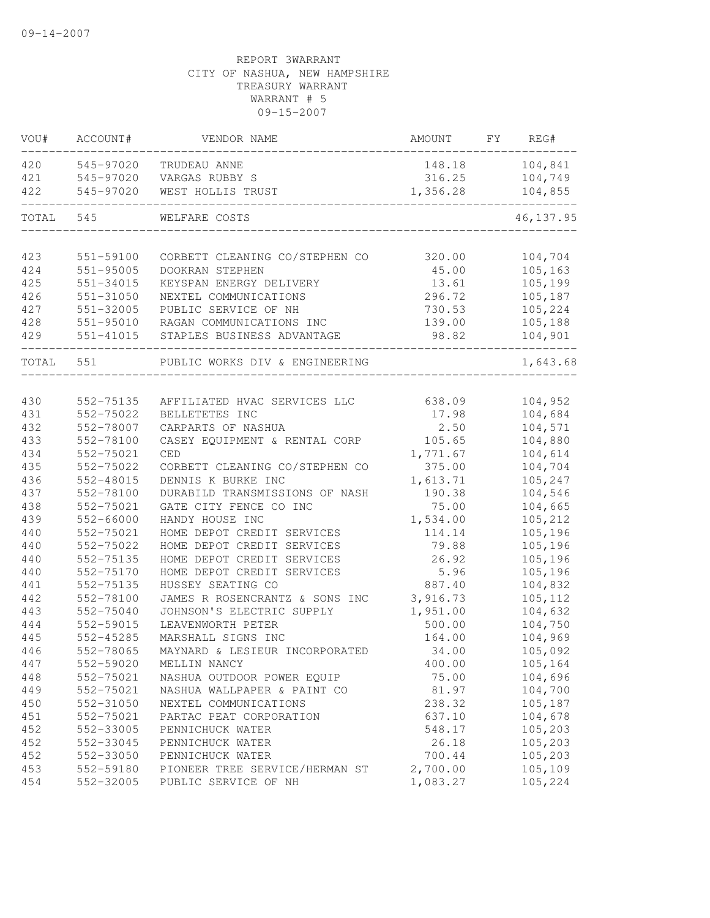| VOU#      | ACCOUNT#      | VENDOR NAME                    | AMOUNT   | FY | REG#       |
|-----------|---------------|--------------------------------|----------|----|------------|
| 420       | 545-97020     | TRUDEAU ANNE                   | 148.18   |    | 104,841    |
| 421       | 545-97020     | VARGAS RUBBY S                 | 316.25   |    | 104,749    |
| 422       | 545-97020     | WEST HOLLIS TRUST              | 1,356.28 |    | 104,855    |
| TOTAL     | 545           | WELFARE COSTS                  |          |    | 46, 137.95 |
|           |               |                                |          |    |            |
| 423       | 551-59100     | CORBETT CLEANING CO/STEPHEN CO | 320.00   |    | 104,704    |
| 424       | $551 - 95005$ | DOOKRAN STEPHEN                | 45.00    |    | 105,163    |
| 425       | 551-34015     | KEYSPAN ENERGY DELIVERY        | 13.61    |    | 105,199    |
| 426       | 551-31050     | NEXTEL COMMUNICATIONS          | 296.72   |    | 105,187    |
| 427       | 551-32005     | PUBLIC SERVICE OF NH           | 730.53   |    | 105,224    |
| 428       | 551-95010     | RAGAN COMMUNICATIONS INC       | 139.00   |    | 105,188    |
| 429       | 551-41015     | STAPLES BUSINESS ADVANTAGE     | 98.82    |    | 104,901    |
| TOTAL 551 |               | PUBLIC WORKS DIV & ENGINEERING |          |    | 1,643.68   |
|           |               |                                |          |    |            |
| 430       | 552-75135     | AFFILIATED HVAC SERVICES LLC   | 638.09   |    | 104,952    |
| 431       | 552-75022     | BELLETETES INC                 | 17.98    |    | 104,684    |
| 432       | 552-78007     | CARPARTS OF NASHUA             | 2.50     |    | 104,571    |
| 433       | 552-78100     | CASEY EQUIPMENT & RENTAL CORP  | 105.65   |    | 104,880    |
| 434       | 552-75021     | CED                            | 1,771.67 |    | 104,614    |
| 435       | 552-75022     | CORBETT CLEANING CO/STEPHEN CO | 375.00   |    | 104,704    |
| 436       | 552-48015     | DENNIS K BURKE INC             | 1,613.71 |    | 105,247    |
| 437       | 552-78100     | DURABILD TRANSMISSIONS OF NASH | 190.38   |    | 104,546    |
| 438       | 552-75021     | GATE CITY FENCE CO INC         | 75.00    |    | 104,665    |
| 439       | 552-66000     | HANDY HOUSE INC                | 1,534.00 |    | 105,212    |
| 440       | 552-75021     | HOME DEPOT CREDIT SERVICES     | 114.14   |    | 105,196    |
| 440       | 552-75022     | HOME DEPOT CREDIT SERVICES     | 79.88    |    | 105,196    |
| 440       | 552-75135     | HOME DEPOT CREDIT SERVICES     | 26.92    |    | 105,196    |
| 440       | 552-75170     | HOME DEPOT CREDIT SERVICES     | 5.96     |    | 105,196    |
| 441       | 552-75135     | HUSSEY SEATING CO              | 887.40   |    | 104,832    |
| 442       | 552-78100     | JAMES R ROSENCRANTZ & SONS INC | 3,916.73 |    | 105,112    |
| 443       | 552-75040     | JOHNSON'S ELECTRIC SUPPLY      | 1,951.00 |    | 104,632    |
| 444       | 552-59015     | LEAVENWORTH PETER              | 500.00   |    | 104,750    |
| 445       | 552-45285     | MARSHALL SIGNS INC             | 164.00   |    | 104,969    |
| 446       | 552-78065     | MAYNARD & LESIEUR INCORPORATED | 34.00    |    | 105,092    |
| 447       | 552-59020     | MELLIN NANCY                   | 400.00   |    | 105,164    |
| 448       | 552-75021     | NASHUA OUTDOOR POWER EQUIP     | 75.00    |    | 104,696    |
| 449       | 552-75021     | NASHUA WALLPAPER & PAINT CO    | 81.97    |    | 104,700    |
| 450       | 552-31050     | NEXTEL COMMUNICATIONS          | 238.32   |    | 105,187    |
| 451       | 552-75021     | PARTAC PEAT CORPORATION        | 637.10   |    | 104,678    |
| 452       | 552-33005     | PENNICHUCK WATER               | 548.17   |    | 105,203    |
| 452       | 552-33045     | PENNICHUCK WATER               | 26.18    |    | 105,203    |
| 452       | 552-33050     | PENNICHUCK WATER               | 700.44   |    | 105,203    |
| 453       | 552-59180     | PIONEER TREE SERVICE/HERMAN ST | 2,700.00 |    | 105,109    |
| 454       | 552-32005     | PUBLIC SERVICE OF NH           | 1,083.27 |    | 105,224    |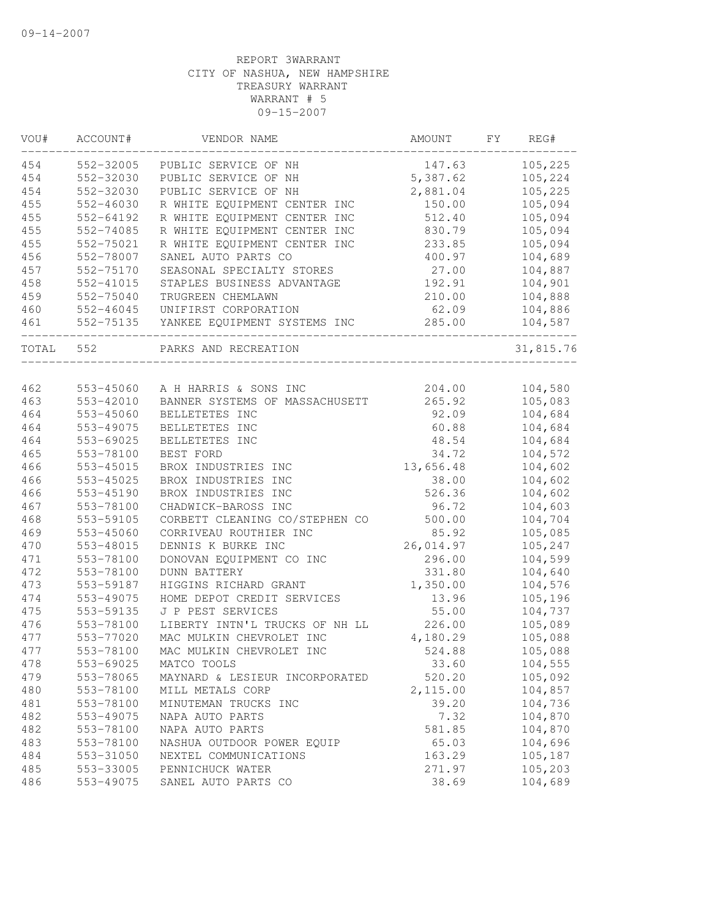| 552-32005<br>454<br>PUBLIC SERVICE OF NH<br>147.63<br>5,387.62<br>454<br>552-32030<br>PUBLIC SERVICE OF NH<br>105,224<br>454<br>552-32030<br>105,225<br>PUBLIC SERVICE OF NH<br>2,881.04<br>455<br>150.00<br>105,094<br>552-46030<br>R WHITE EQUIPMENT CENTER INC<br>455<br>512.40<br>105,094<br>552-64192<br>R WHITE EQUIPMENT CENTER INC<br>455<br>552-74085<br>R WHITE EQUIPMENT CENTER INC<br>830.79<br>105,094<br>455<br>105,094<br>552-75021<br>233.85<br>R WHITE EQUIPMENT CENTER INC<br>456<br>552-78007<br>400.97<br>104,689<br>SANEL AUTO PARTS CO<br>457<br>104,887<br>552-75170<br>SEASONAL SPECIALTY STORES<br>27.00<br>458<br>552-41015<br>STAPLES BUSINESS ADVANTAGE<br>192.91<br>104,901<br>459<br>552-75040<br>210.00<br>104,888<br>TRUGREEN CHEMLAWN<br>460<br>62.09<br>552-46045<br>UNIFIRST CORPORATION<br>285.00<br>461<br>552-75135 YANKEE EQUIPMENT SYSTEMS INC<br>TOTAL 552<br>PARKS AND RECREATION<br>462<br>553-45060<br>A H HARRIS & SONS INC<br>204.00<br>104,580<br>463<br>105,083<br>553-42010<br>BANNER SYSTEMS OF MASSACHUSETT<br>265.92<br>464<br>553-45060<br>BELLETETES INC<br>92.09<br>104,684<br>464<br>553-49075<br>104,684<br>BELLETETES INC<br>60.88<br>464<br>104,684<br>553-69025<br>BELLETETES INC<br>48.54<br>465<br>104,572<br>553-78100<br>BEST FORD<br>34.72<br>104,602<br>466<br>13,656.48<br>553-45015<br>BROX INDUSTRIES INC<br>466<br>104,602<br>553-45025<br>BROX INDUSTRIES INC<br>38.00<br>466<br>526.36<br>104,602<br>553-45190<br>BROX INDUSTRIES INC<br>467<br>104,603<br>553-78100<br>CHADWICK-BAROSS INC<br>96.72<br>468<br>553-59105<br>CORBETT CLEANING CO/STEPHEN CO<br>500.00<br>104,704<br>469<br>553-45060<br>CORRIVEAU ROUTHIER INC<br>85.92<br>105,085<br>470<br>553-48015<br>26,014.97<br>DENNIS K BURKE INC<br>105,247<br>471<br>296.00<br>104,599<br>553-78100<br>DONOVAN EQUIPMENT CO INC<br>472<br>331.80<br>104,640<br>553-78100<br><b>DUNN BATTERY</b><br>473<br>1,350.00<br>104,576<br>553-59187<br>HIGGINS RICHARD GRANT<br>474<br>HOME DEPOT CREDIT SERVICES<br>13.96<br>105,196<br>553-49075<br>475<br>J P PEST SERVICES<br>104,737<br>553-59135<br>55.00<br>476<br>LIBERTY INTN'L TRUCKS OF NH LL<br>226.00<br>105,089<br>553-78100<br>477<br>MAC MULKIN CHEVROLET INC<br>553-77020<br>4,180.29<br>105,088<br>477<br>553-78100<br>MAC MULKIN CHEVROLET INC<br>524.88<br>105,088<br>33.60<br>478<br>553-69025<br>104,555<br>MATCO TOOLS<br>479<br>520.20<br>553-78065<br>105,092<br>MAYNARD & LESIEUR INCORPORATED<br>480<br>104,857<br>553-78100<br>MILL METALS CORP<br>2,115.00<br>481<br>553-78100<br>MINUTEMAN TRUCKS INC<br>39.20<br>104,736<br>482<br>7.32<br>104,870<br>553-49075<br>NAPA AUTO PARTS<br>482<br>553-78100<br>NAPA AUTO PARTS<br>581.85<br>104,870<br>483<br>553-78100<br>65.03<br>104,696<br>NASHUA OUTDOOR POWER EQUIP<br>484<br>553-31050<br>NEXTEL COMMUNICATIONS<br>163.29<br>105,187<br>485<br>553-33005<br>PENNICHUCK WATER<br>271.97<br>105,203<br>486<br>553-49075<br>38.69<br>104,689<br>SANEL AUTO PARTS CO | VOU# | ACCOUNT# | VENDOR NAME | AMOUNT | FΥ | REG#      |
|---------------------------------------------------------------------------------------------------------------------------------------------------------------------------------------------------------------------------------------------------------------------------------------------------------------------------------------------------------------------------------------------------------------------------------------------------------------------------------------------------------------------------------------------------------------------------------------------------------------------------------------------------------------------------------------------------------------------------------------------------------------------------------------------------------------------------------------------------------------------------------------------------------------------------------------------------------------------------------------------------------------------------------------------------------------------------------------------------------------------------------------------------------------------------------------------------------------------------------------------------------------------------------------------------------------------------------------------------------------------------------------------------------------------------------------------------------------------------------------------------------------------------------------------------------------------------------------------------------------------------------------------------------------------------------------------------------------------------------------------------------------------------------------------------------------------------------------------------------------------------------------------------------------------------------------------------------------------------------------------------------------------------------------------------------------------------------------------------------------------------------------------------------------------------------------------------------------------------------------------------------------------------------------------------------------------------------------------------------------------------------------------------------------------------------------------------------------------------------------------------------------------------------------------------------------------------------------------------------------------------------------------------------------------------------------------------------------------------------------------------------------------------------------------------------------------------------------------------------------------------------------------------------------------------------------------------------------------------------------------------------------------------|------|----------|-------------|--------|----|-----------|
|                                                                                                                                                                                                                                                                                                                                                                                                                                                                                                                                                                                                                                                                                                                                                                                                                                                                                                                                                                                                                                                                                                                                                                                                                                                                                                                                                                                                                                                                                                                                                                                                                                                                                                                                                                                                                                                                                                                                                                                                                                                                                                                                                                                                                                                                                                                                                                                                                                                                                                                                                                                                                                                                                                                                                                                                                                                                                                                                                                                                                           |      |          |             |        |    | 105,225   |
|                                                                                                                                                                                                                                                                                                                                                                                                                                                                                                                                                                                                                                                                                                                                                                                                                                                                                                                                                                                                                                                                                                                                                                                                                                                                                                                                                                                                                                                                                                                                                                                                                                                                                                                                                                                                                                                                                                                                                                                                                                                                                                                                                                                                                                                                                                                                                                                                                                                                                                                                                                                                                                                                                                                                                                                                                                                                                                                                                                                                                           |      |          |             |        |    |           |
|                                                                                                                                                                                                                                                                                                                                                                                                                                                                                                                                                                                                                                                                                                                                                                                                                                                                                                                                                                                                                                                                                                                                                                                                                                                                                                                                                                                                                                                                                                                                                                                                                                                                                                                                                                                                                                                                                                                                                                                                                                                                                                                                                                                                                                                                                                                                                                                                                                                                                                                                                                                                                                                                                                                                                                                                                                                                                                                                                                                                                           |      |          |             |        |    |           |
|                                                                                                                                                                                                                                                                                                                                                                                                                                                                                                                                                                                                                                                                                                                                                                                                                                                                                                                                                                                                                                                                                                                                                                                                                                                                                                                                                                                                                                                                                                                                                                                                                                                                                                                                                                                                                                                                                                                                                                                                                                                                                                                                                                                                                                                                                                                                                                                                                                                                                                                                                                                                                                                                                                                                                                                                                                                                                                                                                                                                                           |      |          |             |        |    |           |
|                                                                                                                                                                                                                                                                                                                                                                                                                                                                                                                                                                                                                                                                                                                                                                                                                                                                                                                                                                                                                                                                                                                                                                                                                                                                                                                                                                                                                                                                                                                                                                                                                                                                                                                                                                                                                                                                                                                                                                                                                                                                                                                                                                                                                                                                                                                                                                                                                                                                                                                                                                                                                                                                                                                                                                                                                                                                                                                                                                                                                           |      |          |             |        |    |           |
|                                                                                                                                                                                                                                                                                                                                                                                                                                                                                                                                                                                                                                                                                                                                                                                                                                                                                                                                                                                                                                                                                                                                                                                                                                                                                                                                                                                                                                                                                                                                                                                                                                                                                                                                                                                                                                                                                                                                                                                                                                                                                                                                                                                                                                                                                                                                                                                                                                                                                                                                                                                                                                                                                                                                                                                                                                                                                                                                                                                                                           |      |          |             |        |    |           |
|                                                                                                                                                                                                                                                                                                                                                                                                                                                                                                                                                                                                                                                                                                                                                                                                                                                                                                                                                                                                                                                                                                                                                                                                                                                                                                                                                                                                                                                                                                                                                                                                                                                                                                                                                                                                                                                                                                                                                                                                                                                                                                                                                                                                                                                                                                                                                                                                                                                                                                                                                                                                                                                                                                                                                                                                                                                                                                                                                                                                                           |      |          |             |        |    |           |
|                                                                                                                                                                                                                                                                                                                                                                                                                                                                                                                                                                                                                                                                                                                                                                                                                                                                                                                                                                                                                                                                                                                                                                                                                                                                                                                                                                                                                                                                                                                                                                                                                                                                                                                                                                                                                                                                                                                                                                                                                                                                                                                                                                                                                                                                                                                                                                                                                                                                                                                                                                                                                                                                                                                                                                                                                                                                                                                                                                                                                           |      |          |             |        |    |           |
|                                                                                                                                                                                                                                                                                                                                                                                                                                                                                                                                                                                                                                                                                                                                                                                                                                                                                                                                                                                                                                                                                                                                                                                                                                                                                                                                                                                                                                                                                                                                                                                                                                                                                                                                                                                                                                                                                                                                                                                                                                                                                                                                                                                                                                                                                                                                                                                                                                                                                                                                                                                                                                                                                                                                                                                                                                                                                                                                                                                                                           |      |          |             |        |    |           |
|                                                                                                                                                                                                                                                                                                                                                                                                                                                                                                                                                                                                                                                                                                                                                                                                                                                                                                                                                                                                                                                                                                                                                                                                                                                                                                                                                                                                                                                                                                                                                                                                                                                                                                                                                                                                                                                                                                                                                                                                                                                                                                                                                                                                                                                                                                                                                                                                                                                                                                                                                                                                                                                                                                                                                                                                                                                                                                                                                                                                                           |      |          |             |        |    |           |
|                                                                                                                                                                                                                                                                                                                                                                                                                                                                                                                                                                                                                                                                                                                                                                                                                                                                                                                                                                                                                                                                                                                                                                                                                                                                                                                                                                                                                                                                                                                                                                                                                                                                                                                                                                                                                                                                                                                                                                                                                                                                                                                                                                                                                                                                                                                                                                                                                                                                                                                                                                                                                                                                                                                                                                                                                                                                                                                                                                                                                           |      |          |             |        |    |           |
|                                                                                                                                                                                                                                                                                                                                                                                                                                                                                                                                                                                                                                                                                                                                                                                                                                                                                                                                                                                                                                                                                                                                                                                                                                                                                                                                                                                                                                                                                                                                                                                                                                                                                                                                                                                                                                                                                                                                                                                                                                                                                                                                                                                                                                                                                                                                                                                                                                                                                                                                                                                                                                                                                                                                                                                                                                                                                                                                                                                                                           |      |          |             |        |    | 104,886   |
|                                                                                                                                                                                                                                                                                                                                                                                                                                                                                                                                                                                                                                                                                                                                                                                                                                                                                                                                                                                                                                                                                                                                                                                                                                                                                                                                                                                                                                                                                                                                                                                                                                                                                                                                                                                                                                                                                                                                                                                                                                                                                                                                                                                                                                                                                                                                                                                                                                                                                                                                                                                                                                                                                                                                                                                                                                                                                                                                                                                                                           |      |          |             |        |    | 104,587   |
|                                                                                                                                                                                                                                                                                                                                                                                                                                                                                                                                                                                                                                                                                                                                                                                                                                                                                                                                                                                                                                                                                                                                                                                                                                                                                                                                                                                                                                                                                                                                                                                                                                                                                                                                                                                                                                                                                                                                                                                                                                                                                                                                                                                                                                                                                                                                                                                                                                                                                                                                                                                                                                                                                                                                                                                                                                                                                                                                                                                                                           |      |          |             |        |    | 31,815.76 |
|                                                                                                                                                                                                                                                                                                                                                                                                                                                                                                                                                                                                                                                                                                                                                                                                                                                                                                                                                                                                                                                                                                                                                                                                                                                                                                                                                                                                                                                                                                                                                                                                                                                                                                                                                                                                                                                                                                                                                                                                                                                                                                                                                                                                                                                                                                                                                                                                                                                                                                                                                                                                                                                                                                                                                                                                                                                                                                                                                                                                                           |      |          |             |        |    |           |
|                                                                                                                                                                                                                                                                                                                                                                                                                                                                                                                                                                                                                                                                                                                                                                                                                                                                                                                                                                                                                                                                                                                                                                                                                                                                                                                                                                                                                                                                                                                                                                                                                                                                                                                                                                                                                                                                                                                                                                                                                                                                                                                                                                                                                                                                                                                                                                                                                                                                                                                                                                                                                                                                                                                                                                                                                                                                                                                                                                                                                           |      |          |             |        |    |           |
|                                                                                                                                                                                                                                                                                                                                                                                                                                                                                                                                                                                                                                                                                                                                                                                                                                                                                                                                                                                                                                                                                                                                                                                                                                                                                                                                                                                                                                                                                                                                                                                                                                                                                                                                                                                                                                                                                                                                                                                                                                                                                                                                                                                                                                                                                                                                                                                                                                                                                                                                                                                                                                                                                                                                                                                                                                                                                                                                                                                                                           |      |          |             |        |    |           |
|                                                                                                                                                                                                                                                                                                                                                                                                                                                                                                                                                                                                                                                                                                                                                                                                                                                                                                                                                                                                                                                                                                                                                                                                                                                                                                                                                                                                                                                                                                                                                                                                                                                                                                                                                                                                                                                                                                                                                                                                                                                                                                                                                                                                                                                                                                                                                                                                                                                                                                                                                                                                                                                                                                                                                                                                                                                                                                                                                                                                                           |      |          |             |        |    |           |
|                                                                                                                                                                                                                                                                                                                                                                                                                                                                                                                                                                                                                                                                                                                                                                                                                                                                                                                                                                                                                                                                                                                                                                                                                                                                                                                                                                                                                                                                                                                                                                                                                                                                                                                                                                                                                                                                                                                                                                                                                                                                                                                                                                                                                                                                                                                                                                                                                                                                                                                                                                                                                                                                                                                                                                                                                                                                                                                                                                                                                           |      |          |             |        |    |           |
|                                                                                                                                                                                                                                                                                                                                                                                                                                                                                                                                                                                                                                                                                                                                                                                                                                                                                                                                                                                                                                                                                                                                                                                                                                                                                                                                                                                                                                                                                                                                                                                                                                                                                                                                                                                                                                                                                                                                                                                                                                                                                                                                                                                                                                                                                                                                                                                                                                                                                                                                                                                                                                                                                                                                                                                                                                                                                                                                                                                                                           |      |          |             |        |    |           |
|                                                                                                                                                                                                                                                                                                                                                                                                                                                                                                                                                                                                                                                                                                                                                                                                                                                                                                                                                                                                                                                                                                                                                                                                                                                                                                                                                                                                                                                                                                                                                                                                                                                                                                                                                                                                                                                                                                                                                                                                                                                                                                                                                                                                                                                                                                                                                                                                                                                                                                                                                                                                                                                                                                                                                                                                                                                                                                                                                                                                                           |      |          |             |        |    |           |
|                                                                                                                                                                                                                                                                                                                                                                                                                                                                                                                                                                                                                                                                                                                                                                                                                                                                                                                                                                                                                                                                                                                                                                                                                                                                                                                                                                                                                                                                                                                                                                                                                                                                                                                                                                                                                                                                                                                                                                                                                                                                                                                                                                                                                                                                                                                                                                                                                                                                                                                                                                                                                                                                                                                                                                                                                                                                                                                                                                                                                           |      |          |             |        |    |           |
|                                                                                                                                                                                                                                                                                                                                                                                                                                                                                                                                                                                                                                                                                                                                                                                                                                                                                                                                                                                                                                                                                                                                                                                                                                                                                                                                                                                                                                                                                                                                                                                                                                                                                                                                                                                                                                                                                                                                                                                                                                                                                                                                                                                                                                                                                                                                                                                                                                                                                                                                                                                                                                                                                                                                                                                                                                                                                                                                                                                                                           |      |          |             |        |    |           |
|                                                                                                                                                                                                                                                                                                                                                                                                                                                                                                                                                                                                                                                                                                                                                                                                                                                                                                                                                                                                                                                                                                                                                                                                                                                                                                                                                                                                                                                                                                                                                                                                                                                                                                                                                                                                                                                                                                                                                                                                                                                                                                                                                                                                                                                                                                                                                                                                                                                                                                                                                                                                                                                                                                                                                                                                                                                                                                                                                                                                                           |      |          |             |        |    |           |
|                                                                                                                                                                                                                                                                                                                                                                                                                                                                                                                                                                                                                                                                                                                                                                                                                                                                                                                                                                                                                                                                                                                                                                                                                                                                                                                                                                                                                                                                                                                                                                                                                                                                                                                                                                                                                                                                                                                                                                                                                                                                                                                                                                                                                                                                                                                                                                                                                                                                                                                                                                                                                                                                                                                                                                                                                                                                                                                                                                                                                           |      |          |             |        |    |           |
|                                                                                                                                                                                                                                                                                                                                                                                                                                                                                                                                                                                                                                                                                                                                                                                                                                                                                                                                                                                                                                                                                                                                                                                                                                                                                                                                                                                                                                                                                                                                                                                                                                                                                                                                                                                                                                                                                                                                                                                                                                                                                                                                                                                                                                                                                                                                                                                                                                                                                                                                                                                                                                                                                                                                                                                                                                                                                                                                                                                                                           |      |          |             |        |    |           |
|                                                                                                                                                                                                                                                                                                                                                                                                                                                                                                                                                                                                                                                                                                                                                                                                                                                                                                                                                                                                                                                                                                                                                                                                                                                                                                                                                                                                                                                                                                                                                                                                                                                                                                                                                                                                                                                                                                                                                                                                                                                                                                                                                                                                                                                                                                                                                                                                                                                                                                                                                                                                                                                                                                                                                                                                                                                                                                                                                                                                                           |      |          |             |        |    |           |
|                                                                                                                                                                                                                                                                                                                                                                                                                                                                                                                                                                                                                                                                                                                                                                                                                                                                                                                                                                                                                                                                                                                                                                                                                                                                                                                                                                                                                                                                                                                                                                                                                                                                                                                                                                                                                                                                                                                                                                                                                                                                                                                                                                                                                                                                                                                                                                                                                                                                                                                                                                                                                                                                                                                                                                                                                                                                                                                                                                                                                           |      |          |             |        |    |           |
|                                                                                                                                                                                                                                                                                                                                                                                                                                                                                                                                                                                                                                                                                                                                                                                                                                                                                                                                                                                                                                                                                                                                                                                                                                                                                                                                                                                                                                                                                                                                                                                                                                                                                                                                                                                                                                                                                                                                                                                                                                                                                                                                                                                                                                                                                                                                                                                                                                                                                                                                                                                                                                                                                                                                                                                                                                                                                                                                                                                                                           |      |          |             |        |    |           |
|                                                                                                                                                                                                                                                                                                                                                                                                                                                                                                                                                                                                                                                                                                                                                                                                                                                                                                                                                                                                                                                                                                                                                                                                                                                                                                                                                                                                                                                                                                                                                                                                                                                                                                                                                                                                                                                                                                                                                                                                                                                                                                                                                                                                                                                                                                                                                                                                                                                                                                                                                                                                                                                                                                                                                                                                                                                                                                                                                                                                                           |      |          |             |        |    |           |
|                                                                                                                                                                                                                                                                                                                                                                                                                                                                                                                                                                                                                                                                                                                                                                                                                                                                                                                                                                                                                                                                                                                                                                                                                                                                                                                                                                                                                                                                                                                                                                                                                                                                                                                                                                                                                                                                                                                                                                                                                                                                                                                                                                                                                                                                                                                                                                                                                                                                                                                                                                                                                                                                                                                                                                                                                                                                                                                                                                                                                           |      |          |             |        |    |           |
|                                                                                                                                                                                                                                                                                                                                                                                                                                                                                                                                                                                                                                                                                                                                                                                                                                                                                                                                                                                                                                                                                                                                                                                                                                                                                                                                                                                                                                                                                                                                                                                                                                                                                                                                                                                                                                                                                                                                                                                                                                                                                                                                                                                                                                                                                                                                                                                                                                                                                                                                                                                                                                                                                                                                                                                                                                                                                                                                                                                                                           |      |          |             |        |    |           |
|                                                                                                                                                                                                                                                                                                                                                                                                                                                                                                                                                                                                                                                                                                                                                                                                                                                                                                                                                                                                                                                                                                                                                                                                                                                                                                                                                                                                                                                                                                                                                                                                                                                                                                                                                                                                                                                                                                                                                                                                                                                                                                                                                                                                                                                                                                                                                                                                                                                                                                                                                                                                                                                                                                                                                                                                                                                                                                                                                                                                                           |      |          |             |        |    |           |
|                                                                                                                                                                                                                                                                                                                                                                                                                                                                                                                                                                                                                                                                                                                                                                                                                                                                                                                                                                                                                                                                                                                                                                                                                                                                                                                                                                                                                                                                                                                                                                                                                                                                                                                                                                                                                                                                                                                                                                                                                                                                                                                                                                                                                                                                                                                                                                                                                                                                                                                                                                                                                                                                                                                                                                                                                                                                                                                                                                                                                           |      |          |             |        |    |           |
|                                                                                                                                                                                                                                                                                                                                                                                                                                                                                                                                                                                                                                                                                                                                                                                                                                                                                                                                                                                                                                                                                                                                                                                                                                                                                                                                                                                                                                                                                                                                                                                                                                                                                                                                                                                                                                                                                                                                                                                                                                                                                                                                                                                                                                                                                                                                                                                                                                                                                                                                                                                                                                                                                                                                                                                                                                                                                                                                                                                                                           |      |          |             |        |    |           |
|                                                                                                                                                                                                                                                                                                                                                                                                                                                                                                                                                                                                                                                                                                                                                                                                                                                                                                                                                                                                                                                                                                                                                                                                                                                                                                                                                                                                                                                                                                                                                                                                                                                                                                                                                                                                                                                                                                                                                                                                                                                                                                                                                                                                                                                                                                                                                                                                                                                                                                                                                                                                                                                                                                                                                                                                                                                                                                                                                                                                                           |      |          |             |        |    |           |
|                                                                                                                                                                                                                                                                                                                                                                                                                                                                                                                                                                                                                                                                                                                                                                                                                                                                                                                                                                                                                                                                                                                                                                                                                                                                                                                                                                                                                                                                                                                                                                                                                                                                                                                                                                                                                                                                                                                                                                                                                                                                                                                                                                                                                                                                                                                                                                                                                                                                                                                                                                                                                                                                                                                                                                                                                                                                                                                                                                                                                           |      |          |             |        |    |           |
|                                                                                                                                                                                                                                                                                                                                                                                                                                                                                                                                                                                                                                                                                                                                                                                                                                                                                                                                                                                                                                                                                                                                                                                                                                                                                                                                                                                                                                                                                                                                                                                                                                                                                                                                                                                                                                                                                                                                                                                                                                                                                                                                                                                                                                                                                                                                                                                                                                                                                                                                                                                                                                                                                                                                                                                                                                                                                                                                                                                                                           |      |          |             |        |    |           |
|                                                                                                                                                                                                                                                                                                                                                                                                                                                                                                                                                                                                                                                                                                                                                                                                                                                                                                                                                                                                                                                                                                                                                                                                                                                                                                                                                                                                                                                                                                                                                                                                                                                                                                                                                                                                                                                                                                                                                                                                                                                                                                                                                                                                                                                                                                                                                                                                                                                                                                                                                                                                                                                                                                                                                                                                                                                                                                                                                                                                                           |      |          |             |        |    |           |
|                                                                                                                                                                                                                                                                                                                                                                                                                                                                                                                                                                                                                                                                                                                                                                                                                                                                                                                                                                                                                                                                                                                                                                                                                                                                                                                                                                                                                                                                                                                                                                                                                                                                                                                                                                                                                                                                                                                                                                                                                                                                                                                                                                                                                                                                                                                                                                                                                                                                                                                                                                                                                                                                                                                                                                                                                                                                                                                                                                                                                           |      |          |             |        |    |           |
|                                                                                                                                                                                                                                                                                                                                                                                                                                                                                                                                                                                                                                                                                                                                                                                                                                                                                                                                                                                                                                                                                                                                                                                                                                                                                                                                                                                                                                                                                                                                                                                                                                                                                                                                                                                                                                                                                                                                                                                                                                                                                                                                                                                                                                                                                                                                                                                                                                                                                                                                                                                                                                                                                                                                                                                                                                                                                                                                                                                                                           |      |          |             |        |    |           |
|                                                                                                                                                                                                                                                                                                                                                                                                                                                                                                                                                                                                                                                                                                                                                                                                                                                                                                                                                                                                                                                                                                                                                                                                                                                                                                                                                                                                                                                                                                                                                                                                                                                                                                                                                                                                                                                                                                                                                                                                                                                                                                                                                                                                                                                                                                                                                                                                                                                                                                                                                                                                                                                                                                                                                                                                                                                                                                                                                                                                                           |      |          |             |        |    |           |
|                                                                                                                                                                                                                                                                                                                                                                                                                                                                                                                                                                                                                                                                                                                                                                                                                                                                                                                                                                                                                                                                                                                                                                                                                                                                                                                                                                                                                                                                                                                                                                                                                                                                                                                                                                                                                                                                                                                                                                                                                                                                                                                                                                                                                                                                                                                                                                                                                                                                                                                                                                                                                                                                                                                                                                                                                                                                                                                                                                                                                           |      |          |             |        |    |           |
|                                                                                                                                                                                                                                                                                                                                                                                                                                                                                                                                                                                                                                                                                                                                                                                                                                                                                                                                                                                                                                                                                                                                                                                                                                                                                                                                                                                                                                                                                                                                                                                                                                                                                                                                                                                                                                                                                                                                                                                                                                                                                                                                                                                                                                                                                                                                                                                                                                                                                                                                                                                                                                                                                                                                                                                                                                                                                                                                                                                                                           |      |          |             |        |    |           |
|                                                                                                                                                                                                                                                                                                                                                                                                                                                                                                                                                                                                                                                                                                                                                                                                                                                                                                                                                                                                                                                                                                                                                                                                                                                                                                                                                                                                                                                                                                                                                                                                                                                                                                                                                                                                                                                                                                                                                                                                                                                                                                                                                                                                                                                                                                                                                                                                                                                                                                                                                                                                                                                                                                                                                                                                                                                                                                                                                                                                                           |      |          |             |        |    |           |
|                                                                                                                                                                                                                                                                                                                                                                                                                                                                                                                                                                                                                                                                                                                                                                                                                                                                                                                                                                                                                                                                                                                                                                                                                                                                                                                                                                                                                                                                                                                                                                                                                                                                                                                                                                                                                                                                                                                                                                                                                                                                                                                                                                                                                                                                                                                                                                                                                                                                                                                                                                                                                                                                                                                                                                                                                                                                                                                                                                                                                           |      |          |             |        |    |           |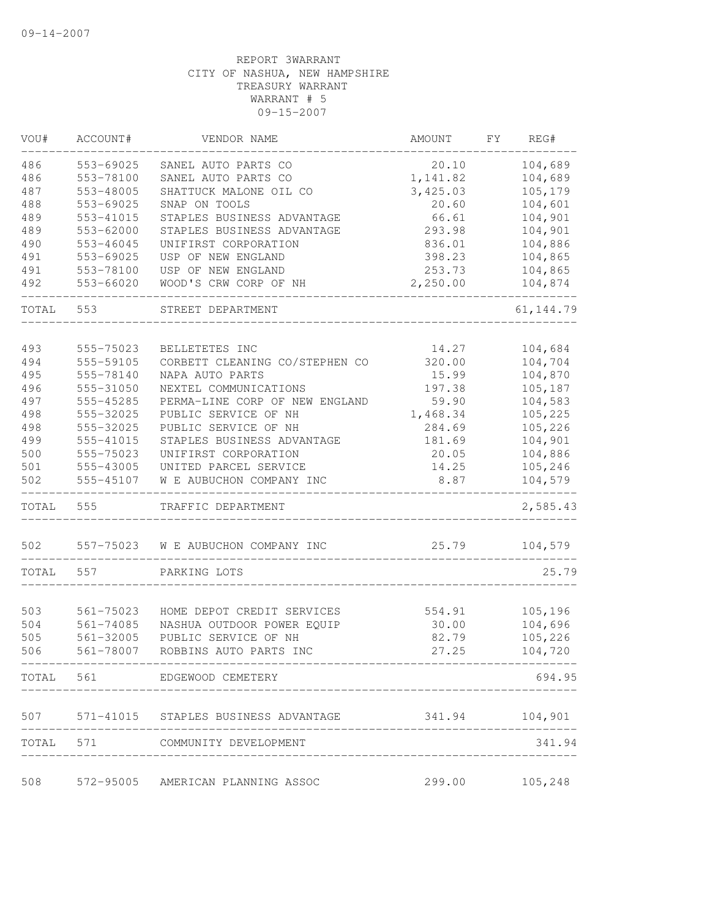| VOU#       | ACCOUNT#               | VENDOR NAME                                                     | AMOUNT                               | FY | REG#               |
|------------|------------------------|-----------------------------------------------------------------|--------------------------------------|----|--------------------|
| 486        | 553-69025              | SANEL AUTO PARTS CO                                             | 20.10                                |    | 104,689            |
| 486        | 553-78100              | SANEL AUTO PARTS CO                                             | 1,141.82                             |    | 104,689            |
| 487        | 553-48005              | SHATTUCK MALONE OIL CO                                          | 3,425.03                             |    | 105,179            |
| 488        | 553-69025              | SNAP ON TOOLS                                                   | 20.60                                |    | 104,601            |
| 489        | 553-41015              | STAPLES BUSINESS ADVANTAGE                                      | 66.61                                |    | 104,901            |
| 489        | 553-62000              | STAPLES BUSINESS ADVANTAGE                                      | 293.98                               |    | 104,901            |
| 490        | 553-46045              | UNIFIRST CORPORATION                                            | 836.01                               |    | 104,886            |
| 491        | 553-69025              | USP OF NEW ENGLAND                                              | 398.23                               |    | 104,865            |
| 491        | 553-78100              | USP OF NEW ENGLAND                                              | 253.73                               |    | 104,865            |
| 492        | 553-66020              | WOOD'S CRW CORP OF NH                                           | 2,250.00                             |    | 104,874            |
| TOTAL      | 553                    | STREET DEPARTMENT                                               |                                      |    | 61, 144.79         |
|            |                        |                                                                 |                                      |    |                    |
| 493        | 555-75023              | BELLETETES INC                                                  | 14.27                                |    | 104,684            |
| 494        | 555-59105              | CORBETT CLEANING CO/STEPHEN CO                                  | 320.00                               |    | 104,704            |
| 495        | 555-78140              | NAPA AUTO PARTS                                                 | 15.99                                |    | 104,870            |
| 496        | 555-31050              | NEXTEL COMMUNICATIONS                                           | 197.38                               |    | 105,187            |
| 497        | 555-45285              | PERMA-LINE CORP OF NEW ENGLAND                                  | 59.90                                |    | 104,583            |
| 498        | 555-32025              | PUBLIC SERVICE OF NH                                            | 1,468.34                             |    | 105,225            |
| 498        | 555-32025              | PUBLIC SERVICE OF NH                                            | 284.69                               |    | 105,226            |
| 499        | 555-41015              | STAPLES BUSINESS ADVANTAGE                                      | 181.69                               |    | 104,901            |
| 500        | 555-75023              | UNIFIRST CORPORATION                                            | 20.05                                |    | 104,886            |
| 501<br>502 | 555-43005<br>555-45107 | UNITED PARCEL SERVICE<br>W E AUBUCHON COMPANY INC               | 14.25<br>8.87                        |    | 105,246<br>104,579 |
| TOTAL      | 555                    | TRAFFIC DEPARTMENT                                              |                                      |    | 2,585.43           |
| 502        | 557-75023              | W E AUBUCHON COMPANY INC                                        | 25.79                                |    | 104,579            |
| TOTAL      | 557                    | PARKING LOTS                                                    |                                      |    | 25.79              |
|            |                        |                                                                 |                                      |    |                    |
| 503        | 561-75023              | HOME DEPOT CREDIT SERVICES                                      | 554.91                               |    | 105,196            |
| 504        | 561-74085              | NASHUA OUTDOOR POWER EQUIP                                      | 30.00                                |    | 104,696            |
| 505        | 561-32005              | PUBLIC SERVICE OF NH                                            | 82.79                                |    | 105,226            |
| 506        | 561-78007              | ROBBINS AUTO PARTS INC                                          | 27.25                                |    | 104,720            |
|            |                        | TOTAL 561 EDGEWOOD CEMETERY<br>-------------------------------- |                                      |    | 694.95             |
|            |                        | 507 571-41015 STAPLES BUSINESS ADVANTAGE 341.94 104,901         |                                      |    |                    |
|            |                        | TOTAL 571 COMMUNITY DEVELOPMENT                                 | ------------------------------------ |    | 341.94             |
| 508        |                        | 572-95005 AMERICAN PLANNING ASSOC                               |                                      |    | 299.00 105,248     |
|            |                        |                                                                 |                                      |    |                    |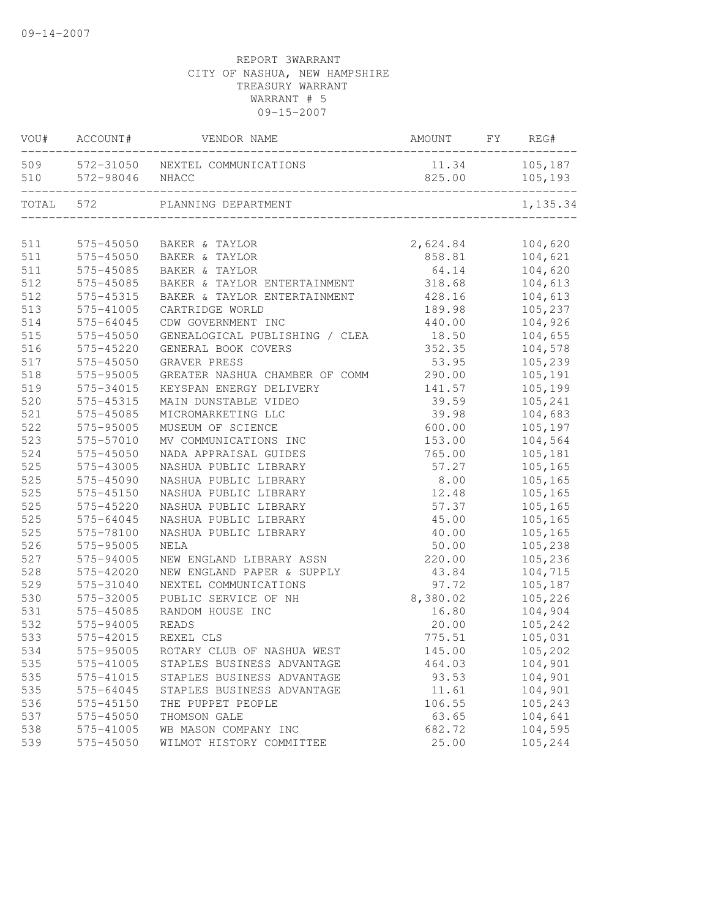| VOU#  | ACCOUNT#  | VENDOR NAME                     | AMOUNT   | FY | REG#     |
|-------|-----------|---------------------------------|----------|----|----------|
| 509   |           | 572-31050 NEXTEL COMMUNICATIONS | 11.34    |    | 105,187  |
| 510   | 572-98046 | NHACC                           | 825.00   |    | 105,193  |
| TOTAL | 572       | PLANNING DEPARTMENT             |          |    | 1,135.34 |
|       |           |                                 |          |    |          |
| 511   | 575-45050 | BAKER & TAYLOR                  | 2,624.84 |    | 104,620  |
| 511   | 575-45050 | BAKER & TAYLOR                  | 858.81   |    | 104,621  |
| 511   | 575-45085 | BAKER & TAYLOR                  | 64.14    |    | 104,620  |
| 512   | 575-45085 | BAKER & TAYLOR ENTERTAINMENT    | 318.68   |    | 104,613  |
| 512   | 575-45315 | BAKER & TAYLOR ENTERTAINMENT    | 428.16   |    | 104,613  |
| 513   | 575-41005 | CARTRIDGE WORLD                 | 189.98   |    | 105,237  |
| 514   | 575-64045 | CDW GOVERNMENT INC              | 440.00   |    | 104,926  |
| 515   | 575-45050 | GENEALOGICAL PUBLISHING / CLEA  | 18.50    |    | 104,655  |
| 516   | 575-45220 | GENERAL BOOK COVERS             | 352.35   |    | 104,578  |
| 517   | 575-45050 | GRAVER PRESS                    | 53.95    |    | 105,239  |
| 518   | 575-95005 | GREATER NASHUA CHAMBER OF COMM  | 290.00   |    | 105,191  |
| 519   | 575-34015 | KEYSPAN ENERGY DELIVERY         | 141.57   |    | 105,199  |
| 520   | 575-45315 | MAIN DUNSTABLE VIDEO            | 39.59    |    | 105,241  |
| 521   | 575-45085 | MICROMARKETING LLC              | 39.98    |    | 104,683  |
| 522   | 575-95005 | MUSEUM OF SCIENCE               | 600.00   |    | 105,197  |
| 523   | 575-57010 | MV COMMUNICATIONS INC           | 153.00   |    | 104,564  |
| 524   | 575-45050 | NADA APPRAISAL GUIDES           | 765.00   |    | 105,181  |
| 525   | 575-43005 | NASHUA PUBLIC LIBRARY           | 57.27    |    | 105,165  |
| 525   | 575-45090 | NASHUA PUBLIC LIBRARY           | 8.00     |    | 105,165  |
| 525   | 575-45150 | NASHUA PUBLIC LIBRARY           | 12.48    |    | 105,165  |
| 525   | 575-45220 | NASHUA PUBLIC LIBRARY           | 57.37    |    | 105,165  |
| 525   | 575-64045 | NASHUA PUBLIC LIBRARY           | 45.00    |    | 105,165  |
| 525   | 575-78100 | NASHUA PUBLIC LIBRARY           | 40.00    |    | 105,165  |
| 526   | 575-95005 | NELA                            | 50.00    |    | 105,238  |
| 527   | 575-94005 | NEW ENGLAND LIBRARY ASSN        | 220.00   |    | 105,236  |
| 528   | 575-42020 | NEW ENGLAND PAPER & SUPPLY      | 43.84    |    | 104,715  |
| 529   | 575-31040 | NEXTEL COMMUNICATIONS           | 97.72    |    | 105,187  |
| 530   | 575-32005 | PUBLIC SERVICE OF NH            | 8,380.02 |    | 105,226  |
| 531   | 575-45085 | RANDOM HOUSE INC                | 16.80    |    | 104,904  |
| 532   | 575-94005 | <b>READS</b>                    | 20.00    |    | 105,242  |
| 533   | 575-42015 | REXEL CLS                       | 775.51   |    | 105,031  |
| 534   | 575-95005 | ROTARY CLUB OF NASHUA WEST      | 145.00   |    | 105,202  |
| 535   | 575-41005 | STAPLES BUSINESS ADVANTAGE      | 464.03   |    | 104,901  |
| 535   | 575-41015 | STAPLES BUSINESS ADVANTAGE      | 93.53    |    | 104,901  |
| 535   | 575-64045 | STAPLES BUSINESS ADVANTAGE      | 11.61    |    | 104,901  |
| 536   | 575-45150 | THE PUPPET PEOPLE               | 106.55   |    | 105,243  |
| 537   | 575-45050 | THOMSON GALE                    | 63.65    |    | 104,641  |
| 538   | 575-41005 | WB MASON COMPANY INC            | 682.72   |    | 104,595  |
| 539   | 575-45050 | WILMOT HISTORY COMMITTEE        | 25.00    |    | 105,244  |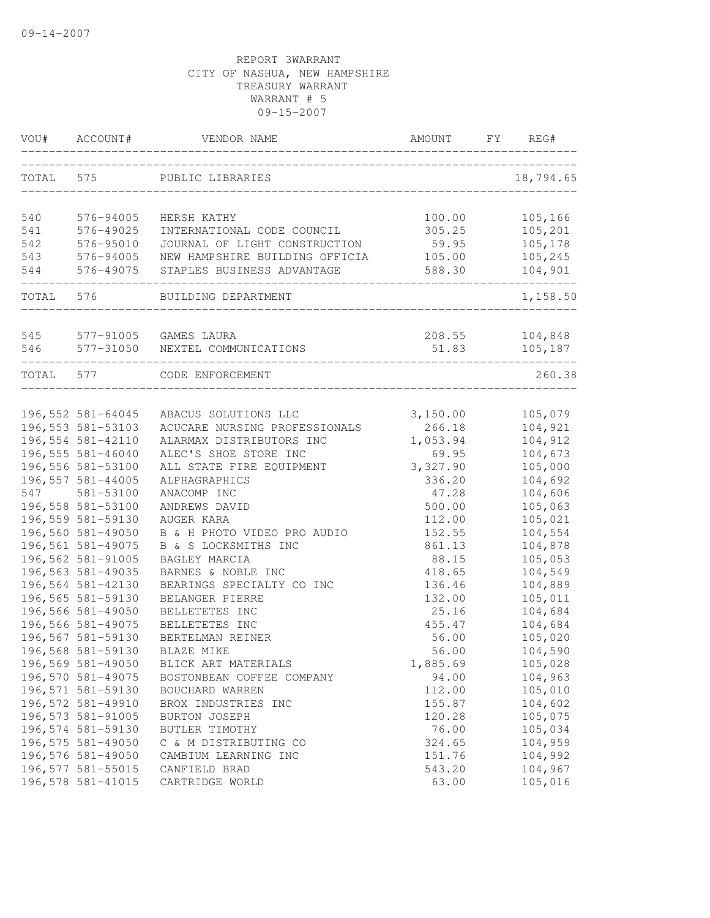| TOTAL<br>575<br>18,794.65<br>PUBLIC LIBRARIES<br>105,166<br>540<br>576-94005<br>100.00<br>HERSH KATHY<br>305.25<br>105,201<br>541<br>576-49025<br>INTERNATIONAL CODE COUNCIL<br>105,178<br>542<br>576-95010<br>JOURNAL OF LIGHT CONSTRUCTION<br>59.95<br>543<br>576-94005<br>NEW HAMPSHIRE BUILDING OFFICIA<br>105,245<br>105.00<br>576-49075<br>544<br>104,901<br>STAPLES BUSINESS ADVANTAGE<br>588.30<br>TOTAL 576<br>1,158.50<br>BUILDING DEPARTMENT<br>545 577-91005 GAMES LAURA<br>208.55<br>104,848<br>577-31050 NEXTEL COMMUNICATIONS<br>51.83<br>105,187<br>546<br>260.38<br>TOTAL 577<br>CODE ENFORCEMENT<br>196,552 581-64045<br>3,150.00<br>ABACUS SOLUTIONS LLC<br>105,079<br>196, 553 581-53103<br>266.18<br>104,921<br>ACUCARE NURSING PROFESSIONALS<br>196,554 581-42110<br>1,053.94<br>104,912<br>ALARMAX DISTRIBUTORS INC<br>196,555 581-46040<br>104,673<br>ALEC'S SHOE STORE INC<br>69.95<br>196,556 581-53100<br>ALL STATE FIRE EQUIPMENT<br>3,327.90<br>105,000<br>196,557 581-44005<br>336.20<br>104,692<br>ALPHAGRAPHICS<br>581-53100<br>547<br>104,606<br>ANACOMP INC<br>47.28<br>196,558 581-53100<br>500.00<br>105,063<br>ANDREWS DAVID<br>196,559 581-59130<br>105,021<br>AUGER KARA<br>112.00<br>196,560 581-49050<br>B & H PHOTO VIDEO PRO AUDIO<br>152.55<br>104,554<br>196,561 581-49075<br>861.13<br>104,878<br>B & S LOCKSMITHS INC<br>196,562 581-91005<br>88.15<br>105,053<br>BAGLEY MARCIA<br>196,563 581-49035<br>418.65<br>104,549<br>BARNES & NOBLE INC<br>196,564 581-42130<br>BEARINGS SPECIALTY CO INC<br>136.46<br>104,889<br>196,565 581-59130<br>132.00<br>105,011<br>BELANGER PIERRE<br>196,566 581-49050<br>25.16<br>104,684<br>BELLETETES INC<br>196,566 581-49075<br>455.47<br>104,684<br>BELLETETES INC<br>196,567 581-59130<br>56.00<br>105,020<br>BERTELMAN REINER<br>196,568 581-59130<br>56.00<br>104,590<br>BLAZE MIKE<br>196,569 581-49050<br>1,885.69<br>105,028<br>BLICK ART MATERIALS<br>196,570 581-49075<br>104,963<br>94.00<br>BOSTONBEAN COFFEE COMPANY<br>196,571 581-59130<br>105,010<br>112.00<br>BOUCHARD WARREN<br>196,572 581-49910<br>104,602<br>155.87<br>BROX INDUSTRIES INC<br>196,573 581-91005<br>105,075<br>BURTON JOSEPH<br>120.28<br>196,574 581-59130<br>105,034<br>76.00<br>BUTLER TIMOTHY<br>196,575 581-49050<br>104,959<br>324.65<br>C & M DISTRIBUTING CO<br>196,576 581-49050<br>151.76<br>104,992<br>CAMBIUM LEARNING INC<br>196,577 581-55015<br>543.20<br>104,967<br>CANFIELD BRAD<br>196,578 581-41015<br>63.00 | VOU# | ACCOUNT# | VENDOR NAME     | AMOUNT | FY | REG#    |
|----------------------------------------------------------------------------------------------------------------------------------------------------------------------------------------------------------------------------------------------------------------------------------------------------------------------------------------------------------------------------------------------------------------------------------------------------------------------------------------------------------------------------------------------------------------------------------------------------------------------------------------------------------------------------------------------------------------------------------------------------------------------------------------------------------------------------------------------------------------------------------------------------------------------------------------------------------------------------------------------------------------------------------------------------------------------------------------------------------------------------------------------------------------------------------------------------------------------------------------------------------------------------------------------------------------------------------------------------------------------------------------------------------------------------------------------------------------------------------------------------------------------------------------------------------------------------------------------------------------------------------------------------------------------------------------------------------------------------------------------------------------------------------------------------------------------------------------------------------------------------------------------------------------------------------------------------------------------------------------------------------------------------------------------------------------------------------------------------------------------------------------------------------------------------------------------------------------------------------------------------------------------------------------------------------------------------------------------------------------------------------------------------------------------------------------------------------------------------------------------------------|------|----------|-----------------|--------|----|---------|
|                                                                                                                                                                                                                                                                                                                                                                                                                                                                                                                                                                                                                                                                                                                                                                                                                                                                                                                                                                                                                                                                                                                                                                                                                                                                                                                                                                                                                                                                                                                                                                                                                                                                                                                                                                                                                                                                                                                                                                                                                                                                                                                                                                                                                                                                                                                                                                                                                                                                                                          |      |          |                 |        |    |         |
|                                                                                                                                                                                                                                                                                                                                                                                                                                                                                                                                                                                                                                                                                                                                                                                                                                                                                                                                                                                                                                                                                                                                                                                                                                                                                                                                                                                                                                                                                                                                                                                                                                                                                                                                                                                                                                                                                                                                                                                                                                                                                                                                                                                                                                                                                                                                                                                                                                                                                                          |      |          |                 |        |    |         |
|                                                                                                                                                                                                                                                                                                                                                                                                                                                                                                                                                                                                                                                                                                                                                                                                                                                                                                                                                                                                                                                                                                                                                                                                                                                                                                                                                                                                                                                                                                                                                                                                                                                                                                                                                                                                                                                                                                                                                                                                                                                                                                                                                                                                                                                                                                                                                                                                                                                                                                          |      |          |                 |        |    |         |
|                                                                                                                                                                                                                                                                                                                                                                                                                                                                                                                                                                                                                                                                                                                                                                                                                                                                                                                                                                                                                                                                                                                                                                                                                                                                                                                                                                                                                                                                                                                                                                                                                                                                                                                                                                                                                                                                                                                                                                                                                                                                                                                                                                                                                                                                                                                                                                                                                                                                                                          |      |          |                 |        |    |         |
|                                                                                                                                                                                                                                                                                                                                                                                                                                                                                                                                                                                                                                                                                                                                                                                                                                                                                                                                                                                                                                                                                                                                                                                                                                                                                                                                                                                                                                                                                                                                                                                                                                                                                                                                                                                                                                                                                                                                                                                                                                                                                                                                                                                                                                                                                                                                                                                                                                                                                                          |      |          |                 |        |    |         |
|                                                                                                                                                                                                                                                                                                                                                                                                                                                                                                                                                                                                                                                                                                                                                                                                                                                                                                                                                                                                                                                                                                                                                                                                                                                                                                                                                                                                                                                                                                                                                                                                                                                                                                                                                                                                                                                                                                                                                                                                                                                                                                                                                                                                                                                                                                                                                                                                                                                                                                          |      |          |                 |        |    |         |
|                                                                                                                                                                                                                                                                                                                                                                                                                                                                                                                                                                                                                                                                                                                                                                                                                                                                                                                                                                                                                                                                                                                                                                                                                                                                                                                                                                                                                                                                                                                                                                                                                                                                                                                                                                                                                                                                                                                                                                                                                                                                                                                                                                                                                                                                                                                                                                                                                                                                                                          |      |          |                 |        |    |         |
|                                                                                                                                                                                                                                                                                                                                                                                                                                                                                                                                                                                                                                                                                                                                                                                                                                                                                                                                                                                                                                                                                                                                                                                                                                                                                                                                                                                                                                                                                                                                                                                                                                                                                                                                                                                                                                                                                                                                                                                                                                                                                                                                                                                                                                                                                                                                                                                                                                                                                                          |      |          |                 |        |    |         |
|                                                                                                                                                                                                                                                                                                                                                                                                                                                                                                                                                                                                                                                                                                                                                                                                                                                                                                                                                                                                                                                                                                                                                                                                                                                                                                                                                                                                                                                                                                                                                                                                                                                                                                                                                                                                                                                                                                                                                                                                                                                                                                                                                                                                                                                                                                                                                                                                                                                                                                          |      |          |                 |        |    |         |
|                                                                                                                                                                                                                                                                                                                                                                                                                                                                                                                                                                                                                                                                                                                                                                                                                                                                                                                                                                                                                                                                                                                                                                                                                                                                                                                                                                                                                                                                                                                                                                                                                                                                                                                                                                                                                                                                                                                                                                                                                                                                                                                                                                                                                                                                                                                                                                                                                                                                                                          |      |          |                 |        |    |         |
|                                                                                                                                                                                                                                                                                                                                                                                                                                                                                                                                                                                                                                                                                                                                                                                                                                                                                                                                                                                                                                                                                                                                                                                                                                                                                                                                                                                                                                                                                                                                                                                                                                                                                                                                                                                                                                                                                                                                                                                                                                                                                                                                                                                                                                                                                                                                                                                                                                                                                                          |      |          |                 |        |    |         |
|                                                                                                                                                                                                                                                                                                                                                                                                                                                                                                                                                                                                                                                                                                                                                                                                                                                                                                                                                                                                                                                                                                                                                                                                                                                                                                                                                                                                                                                                                                                                                                                                                                                                                                                                                                                                                                                                                                                                                                                                                                                                                                                                                                                                                                                                                                                                                                                                                                                                                                          |      |          |                 |        |    |         |
|                                                                                                                                                                                                                                                                                                                                                                                                                                                                                                                                                                                                                                                                                                                                                                                                                                                                                                                                                                                                                                                                                                                                                                                                                                                                                                                                                                                                                                                                                                                                                                                                                                                                                                                                                                                                                                                                                                                                                                                                                                                                                                                                                                                                                                                                                                                                                                                                                                                                                                          |      |          |                 |        |    |         |
|                                                                                                                                                                                                                                                                                                                                                                                                                                                                                                                                                                                                                                                                                                                                                                                                                                                                                                                                                                                                                                                                                                                                                                                                                                                                                                                                                                                                                                                                                                                                                                                                                                                                                                                                                                                                                                                                                                                                                                                                                                                                                                                                                                                                                                                                                                                                                                                                                                                                                                          |      |          |                 |        |    |         |
|                                                                                                                                                                                                                                                                                                                                                                                                                                                                                                                                                                                                                                                                                                                                                                                                                                                                                                                                                                                                                                                                                                                                                                                                                                                                                                                                                                                                                                                                                                                                                                                                                                                                                                                                                                                                                                                                                                                                                                                                                                                                                                                                                                                                                                                                                                                                                                                                                                                                                                          |      |          |                 |        |    |         |
|                                                                                                                                                                                                                                                                                                                                                                                                                                                                                                                                                                                                                                                                                                                                                                                                                                                                                                                                                                                                                                                                                                                                                                                                                                                                                                                                                                                                                                                                                                                                                                                                                                                                                                                                                                                                                                                                                                                                                                                                                                                                                                                                                                                                                                                                                                                                                                                                                                                                                                          |      |          |                 |        |    |         |
|                                                                                                                                                                                                                                                                                                                                                                                                                                                                                                                                                                                                                                                                                                                                                                                                                                                                                                                                                                                                                                                                                                                                                                                                                                                                                                                                                                                                                                                                                                                                                                                                                                                                                                                                                                                                                                                                                                                                                                                                                                                                                                                                                                                                                                                                                                                                                                                                                                                                                                          |      |          |                 |        |    |         |
|                                                                                                                                                                                                                                                                                                                                                                                                                                                                                                                                                                                                                                                                                                                                                                                                                                                                                                                                                                                                                                                                                                                                                                                                                                                                                                                                                                                                                                                                                                                                                                                                                                                                                                                                                                                                                                                                                                                                                                                                                                                                                                                                                                                                                                                                                                                                                                                                                                                                                                          |      |          |                 |        |    |         |
|                                                                                                                                                                                                                                                                                                                                                                                                                                                                                                                                                                                                                                                                                                                                                                                                                                                                                                                                                                                                                                                                                                                                                                                                                                                                                                                                                                                                                                                                                                                                                                                                                                                                                                                                                                                                                                                                                                                                                                                                                                                                                                                                                                                                                                                                                                                                                                                                                                                                                                          |      |          |                 |        |    |         |
|                                                                                                                                                                                                                                                                                                                                                                                                                                                                                                                                                                                                                                                                                                                                                                                                                                                                                                                                                                                                                                                                                                                                                                                                                                                                                                                                                                                                                                                                                                                                                                                                                                                                                                                                                                                                                                                                                                                                                                                                                                                                                                                                                                                                                                                                                                                                                                                                                                                                                                          |      |          |                 |        |    |         |
|                                                                                                                                                                                                                                                                                                                                                                                                                                                                                                                                                                                                                                                                                                                                                                                                                                                                                                                                                                                                                                                                                                                                                                                                                                                                                                                                                                                                                                                                                                                                                                                                                                                                                                                                                                                                                                                                                                                                                                                                                                                                                                                                                                                                                                                                                                                                                                                                                                                                                                          |      |          |                 |        |    |         |
|                                                                                                                                                                                                                                                                                                                                                                                                                                                                                                                                                                                                                                                                                                                                                                                                                                                                                                                                                                                                                                                                                                                                                                                                                                                                                                                                                                                                                                                                                                                                                                                                                                                                                                                                                                                                                                                                                                                                                                                                                                                                                                                                                                                                                                                                                                                                                                                                                                                                                                          |      |          |                 |        |    |         |
|                                                                                                                                                                                                                                                                                                                                                                                                                                                                                                                                                                                                                                                                                                                                                                                                                                                                                                                                                                                                                                                                                                                                                                                                                                                                                                                                                                                                                                                                                                                                                                                                                                                                                                                                                                                                                                                                                                                                                                                                                                                                                                                                                                                                                                                                                                                                                                                                                                                                                                          |      |          |                 |        |    |         |
|                                                                                                                                                                                                                                                                                                                                                                                                                                                                                                                                                                                                                                                                                                                                                                                                                                                                                                                                                                                                                                                                                                                                                                                                                                                                                                                                                                                                                                                                                                                                                                                                                                                                                                                                                                                                                                                                                                                                                                                                                                                                                                                                                                                                                                                                                                                                                                                                                                                                                                          |      |          |                 |        |    |         |
|                                                                                                                                                                                                                                                                                                                                                                                                                                                                                                                                                                                                                                                                                                                                                                                                                                                                                                                                                                                                                                                                                                                                                                                                                                                                                                                                                                                                                                                                                                                                                                                                                                                                                                                                                                                                                                                                                                                                                                                                                                                                                                                                                                                                                                                                                                                                                                                                                                                                                                          |      |          |                 |        |    |         |
|                                                                                                                                                                                                                                                                                                                                                                                                                                                                                                                                                                                                                                                                                                                                                                                                                                                                                                                                                                                                                                                                                                                                                                                                                                                                                                                                                                                                                                                                                                                                                                                                                                                                                                                                                                                                                                                                                                                                                                                                                                                                                                                                                                                                                                                                                                                                                                                                                                                                                                          |      |          |                 |        |    |         |
|                                                                                                                                                                                                                                                                                                                                                                                                                                                                                                                                                                                                                                                                                                                                                                                                                                                                                                                                                                                                                                                                                                                                                                                                                                                                                                                                                                                                                                                                                                                                                                                                                                                                                                                                                                                                                                                                                                                                                                                                                                                                                                                                                                                                                                                                                                                                                                                                                                                                                                          |      |          |                 |        |    |         |
|                                                                                                                                                                                                                                                                                                                                                                                                                                                                                                                                                                                                                                                                                                                                                                                                                                                                                                                                                                                                                                                                                                                                                                                                                                                                                                                                                                                                                                                                                                                                                                                                                                                                                                                                                                                                                                                                                                                                                                                                                                                                                                                                                                                                                                                                                                                                                                                                                                                                                                          |      |          |                 |        |    |         |
|                                                                                                                                                                                                                                                                                                                                                                                                                                                                                                                                                                                                                                                                                                                                                                                                                                                                                                                                                                                                                                                                                                                                                                                                                                                                                                                                                                                                                                                                                                                                                                                                                                                                                                                                                                                                                                                                                                                                                                                                                                                                                                                                                                                                                                                                                                                                                                                                                                                                                                          |      |          |                 |        |    |         |
|                                                                                                                                                                                                                                                                                                                                                                                                                                                                                                                                                                                                                                                                                                                                                                                                                                                                                                                                                                                                                                                                                                                                                                                                                                                                                                                                                                                                                                                                                                                                                                                                                                                                                                                                                                                                                                                                                                                                                                                                                                                                                                                                                                                                                                                                                                                                                                                                                                                                                                          |      |          |                 |        |    |         |
|                                                                                                                                                                                                                                                                                                                                                                                                                                                                                                                                                                                                                                                                                                                                                                                                                                                                                                                                                                                                                                                                                                                                                                                                                                                                                                                                                                                                                                                                                                                                                                                                                                                                                                                                                                                                                                                                                                                                                                                                                                                                                                                                                                                                                                                                                                                                                                                                                                                                                                          |      |          |                 |        |    |         |
|                                                                                                                                                                                                                                                                                                                                                                                                                                                                                                                                                                                                                                                                                                                                                                                                                                                                                                                                                                                                                                                                                                                                                                                                                                                                                                                                                                                                                                                                                                                                                                                                                                                                                                                                                                                                                                                                                                                                                                                                                                                                                                                                                                                                                                                                                                                                                                                                                                                                                                          |      |          |                 |        |    |         |
|                                                                                                                                                                                                                                                                                                                                                                                                                                                                                                                                                                                                                                                                                                                                                                                                                                                                                                                                                                                                                                                                                                                                                                                                                                                                                                                                                                                                                                                                                                                                                                                                                                                                                                                                                                                                                                                                                                                                                                                                                                                                                                                                                                                                                                                                                                                                                                                                                                                                                                          |      |          |                 |        |    |         |
|                                                                                                                                                                                                                                                                                                                                                                                                                                                                                                                                                                                                                                                                                                                                                                                                                                                                                                                                                                                                                                                                                                                                                                                                                                                                                                                                                                                                                                                                                                                                                                                                                                                                                                                                                                                                                                                                                                                                                                                                                                                                                                                                                                                                                                                                                                                                                                                                                                                                                                          |      |          |                 |        |    |         |
|                                                                                                                                                                                                                                                                                                                                                                                                                                                                                                                                                                                                                                                                                                                                                                                                                                                                                                                                                                                                                                                                                                                                                                                                                                                                                                                                                                                                                                                                                                                                                                                                                                                                                                                                                                                                                                                                                                                                                                                                                                                                                                                                                                                                                                                                                                                                                                                                                                                                                                          |      |          |                 |        |    |         |
|                                                                                                                                                                                                                                                                                                                                                                                                                                                                                                                                                                                                                                                                                                                                                                                                                                                                                                                                                                                                                                                                                                                                                                                                                                                                                                                                                                                                                                                                                                                                                                                                                                                                                                                                                                                                                                                                                                                                                                                                                                                                                                                                                                                                                                                                                                                                                                                                                                                                                                          |      |          |                 |        |    |         |
|                                                                                                                                                                                                                                                                                                                                                                                                                                                                                                                                                                                                                                                                                                                                                                                                                                                                                                                                                                                                                                                                                                                                                                                                                                                                                                                                                                                                                                                                                                                                                                                                                                                                                                                                                                                                                                                                                                                                                                                                                                                                                                                                                                                                                                                                                                                                                                                                                                                                                                          |      |          |                 |        |    |         |
|                                                                                                                                                                                                                                                                                                                                                                                                                                                                                                                                                                                                                                                                                                                                                                                                                                                                                                                                                                                                                                                                                                                                                                                                                                                                                                                                                                                                                                                                                                                                                                                                                                                                                                                                                                                                                                                                                                                                                                                                                                                                                                                                                                                                                                                                                                                                                                                                                                                                                                          |      |          |                 |        |    |         |
|                                                                                                                                                                                                                                                                                                                                                                                                                                                                                                                                                                                                                                                                                                                                                                                                                                                                                                                                                                                                                                                                                                                                                                                                                                                                                                                                                                                                                                                                                                                                                                                                                                                                                                                                                                                                                                                                                                                                                                                                                                                                                                                                                                                                                                                                                                                                                                                                                                                                                                          |      |          | CARTRIDGE WORLD |        |    | 105,016 |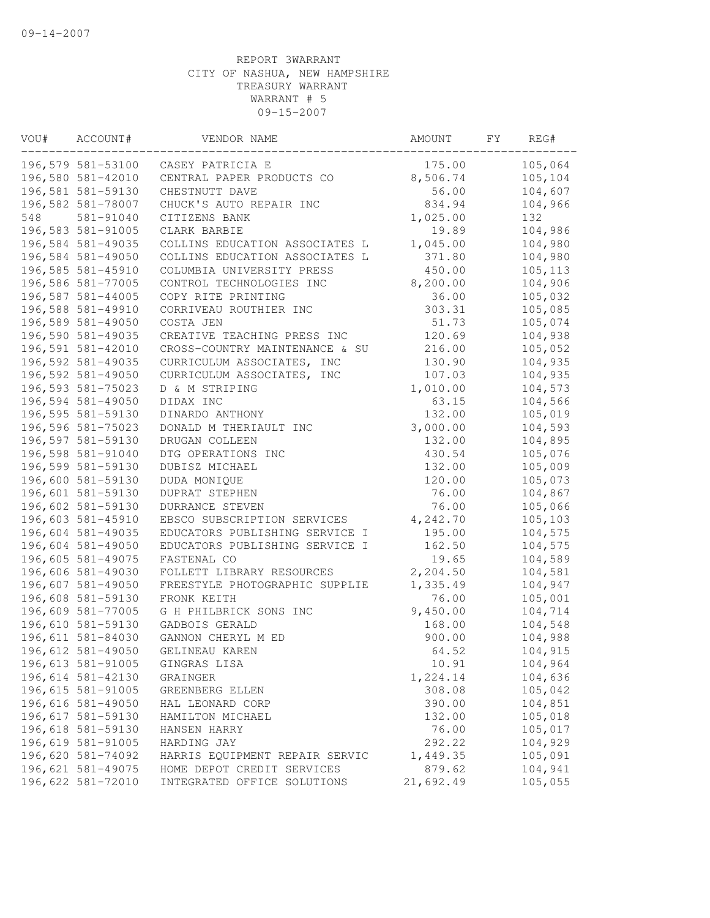| VOU# | ACCOUNT#                               | VENDOR NAME                    | AMOUNT            | FY | REG#               |
|------|----------------------------------------|--------------------------------|-------------------|----|--------------------|
|      | 196,579 581-53100                      | CASEY PATRICIA E               | 175.00            |    | 105,064            |
|      | 196,580 581-42010                      | CENTRAL PAPER PRODUCTS CO      | 8,506.74          |    | 105,104            |
|      | 196,581 581-59130                      | CHESTNUTT DAVE                 | 56.00             |    | 104,607            |
|      | 196,582 581-78007                      | CHUCK'S AUTO REPAIR INC        | 834.94            |    | 104,966            |
| 548  | 581-91040                              | CITIZENS BANK                  | 1,025.00          |    | 132                |
|      | 196,583 581-91005                      | CLARK BARBIE                   | 19.89             |    | 104,986            |
|      | 196,584 581-49035                      | COLLINS EDUCATION ASSOCIATES L | 1,045.00          |    | 104,980            |
|      | 196,584 581-49050                      | COLLINS EDUCATION ASSOCIATES L | 371.80            |    | 104,980            |
|      | 196,585 581-45910                      | COLUMBIA UNIVERSITY PRESS      | 450.00            |    | 105, 113           |
|      | 196,586 581-77005                      | CONTROL TECHNOLOGIES INC       | 8,200.00          |    | 104,906            |
|      | 196,587 581-44005                      | COPY RITE PRINTING             | 36.00             |    | 105,032            |
|      | 196,588 581-49910                      | CORRIVEAU ROUTHIER INC         | 303.31            |    | 105,085            |
|      | 196,589 581-49050                      | COSTA JEN                      | 51.73             |    | 105,074            |
|      | 196,590 581-49035                      | CREATIVE TEACHING PRESS INC    | 120.69            |    | 104,938            |
|      | 196,591 581-42010                      | CROSS-COUNTRY MAINTENANCE & SU | 216.00            |    | 105,052            |
|      | 196,592 581-49035                      | CURRICULUM ASSOCIATES, INC     | 130.90            |    | 104,935            |
|      | 196,592 581-49050                      | CURRICULUM ASSOCIATES, INC     | 107.03            |    | 104,935            |
|      | 196,593 581-75023                      | D & M STRIPING                 | 1,010.00          |    | 104,573            |
|      | 196,594 581-49050                      | DIDAX INC                      | 63.15             |    | 104,566            |
|      | 196,595 581-59130                      | DINARDO ANTHONY                | 132.00            |    | 105,019            |
|      | 196,596 581-75023                      | DONALD M THERIAULT INC         | 3,000.00          |    | 104,593            |
|      | 196,597 581-59130                      | DRUGAN COLLEEN                 | 132.00            |    | 104,895            |
|      | 196,598 581-91040                      | DTG OPERATIONS INC             | 430.54            |    | 105,076            |
|      | 196,599 581-59130                      | DUBISZ MICHAEL                 | 132.00            |    | 105,009            |
|      | 196,600 581-59130                      | DUDA MONIQUE                   | 120.00            |    | 105,073            |
|      | 196,601 581-59130                      | DUPRAT STEPHEN                 | 76.00             |    | 104,867            |
|      | 196,602 581-59130                      | DURRANCE STEVEN                | 76.00             |    | 105,066            |
|      | 196,603 581-45910                      | EBSCO SUBSCRIPTION SERVICES    | 4,242.70          |    | 105,103            |
|      | 196,604 581-49035                      | EDUCATORS PUBLISHING SERVICE I | 195.00            |    | 104,575            |
|      | 196,604 581-49050                      | EDUCATORS PUBLISHING SERVICE I | 162.50            |    | 104,575            |
|      | 196,605 581-49075                      | FASTENAL CO                    | 19.65             |    | 104,589            |
|      | 196,606 581-49030                      | FOLLETT LIBRARY RESOURCES      | 2,204.50          |    | 104,581            |
|      | 196,607 581-49050                      | FREESTYLE PHOTOGRAPHIC SUPPLIE | 1,335.49          |    | 104,947            |
|      | 196,608 581-59130                      | FRONK KEITH                    | 76.00             |    | 105,001            |
|      | 196,609 581-77005                      | G H PHILBRICK SONS INC         | 9,450.00          |    | 104,714            |
|      | 196,610 581-59130                      | GADBOIS GERALD                 | 168.00            |    | 104,548            |
|      | 196,611 581-84030<br>196,612 581-49050 | GANNON CHERYL M ED             | 900.00            |    | 104,988            |
|      |                                        | GELINEAU KAREN                 | 64.52             |    | 104,915            |
|      | 196,613 581-91005<br>196,614 581-42130 | GINGRAS LISA                   | 10.91<br>1,224.14 |    | 104,964<br>104,636 |
|      | 196,615 581-91005                      | GRAINGER<br>GREENBERG ELLEN    | 308.08            |    | 105,042            |
|      | 196,616 581-49050                      | HAL LEONARD CORP               | 390.00            |    | 104,851            |
|      | 196,617 581-59130                      | HAMILTON MICHAEL               | 132.00            |    | 105,018            |
|      | 196,618 581-59130                      | HANSEN HARRY                   | 76.00             |    | 105,017            |
|      | 196,619 581-91005                      | HARDING JAY                    | 292.22            |    | 104,929            |
|      | 196,620 581-74092                      | HARRIS EQUIPMENT REPAIR SERVIC | 1,449.35          |    | 105,091            |
|      | 196,621 581-49075                      | HOME DEPOT CREDIT SERVICES     | 879.62            |    | 104,941            |
|      | 196,622 581-72010                      | INTEGRATED OFFICE SOLUTIONS    | 21,692.49         |    | 105,055            |
|      |                                        |                                |                   |    |                    |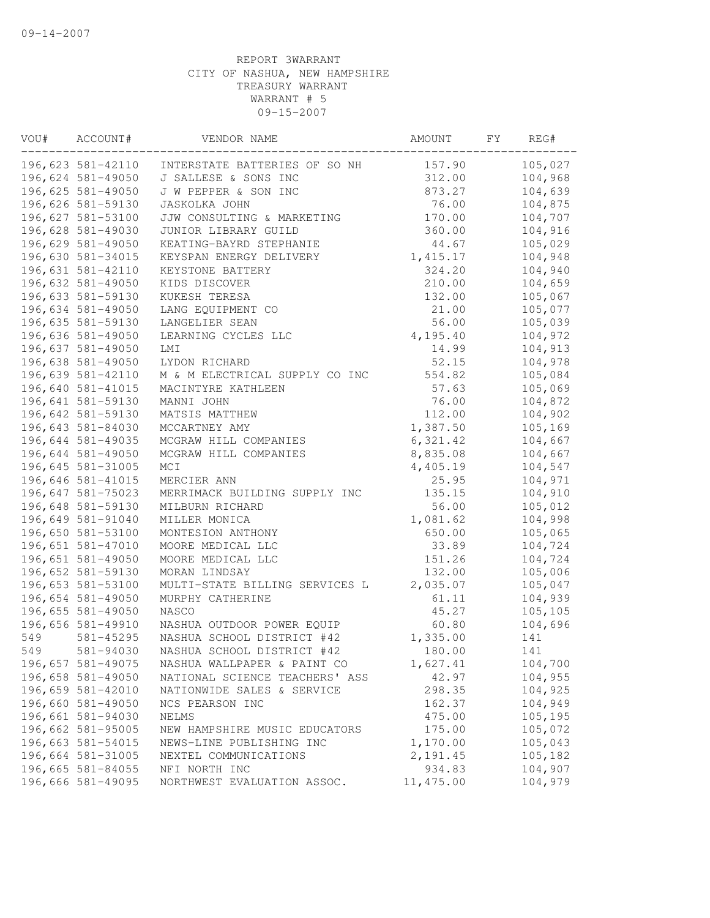| VOU# | ACCOUNT#          | VENDOR NAME                    | AMOUNT     | FY | REG#    |
|------|-------------------|--------------------------------|------------|----|---------|
|      | 196,623 581-42110 | INTERSTATE BATTERIES OF SO NH  | 157.90     |    | 105,027 |
|      | 196,624 581-49050 | J SALLESE & SONS INC           | 312.00     |    | 104,968 |
|      | 196,625 581-49050 | J W PEPPER & SON INC           | 873.27     |    | 104,639 |
|      | 196,626 581-59130 | <b>JASKOLKA JOHN</b>           | 76.00      |    | 104,875 |
|      | 196,627 581-53100 | JJW CONSULTING & MARKETING     | 170.00     |    | 104,707 |
|      | 196,628 581-49030 | JUNIOR LIBRARY GUILD           | 360.00     |    | 104,916 |
|      | 196,629 581-49050 | KEATING-BAYRD STEPHANIE        | 44.67      |    | 105,029 |
|      | 196,630 581-34015 | KEYSPAN ENERGY DELIVERY        | 1,415.17   |    | 104,948 |
|      | 196,631 581-42110 | KEYSTONE BATTERY               | 324.20     |    | 104,940 |
|      | 196,632 581-49050 | KIDS DISCOVER                  | 210.00     |    | 104,659 |
|      | 196,633 581-59130 | KUKESH TERESA                  | 132.00     |    | 105,067 |
|      | 196,634 581-49050 | LANG EQUIPMENT CO              | 21.00      |    | 105,077 |
|      | 196,635 581-59130 | LANGELIER SEAN                 | 56.00      |    | 105,039 |
|      | 196,636 581-49050 | LEARNING CYCLES LLC            | 4,195.40   |    | 104,972 |
|      | 196,637 581-49050 | LMI                            | 14.99      |    | 104,913 |
|      | 196,638 581-49050 | LYDON RICHARD                  | 52.15      |    | 104,978 |
|      | 196,639 581-42110 | M & M ELECTRICAL SUPPLY CO INC | 554.82     |    | 105,084 |
|      | 196,640 581-41015 | MACINTYRE KATHLEEN             | 57.63      |    | 105,069 |
|      | 196,641 581-59130 | MANNI JOHN                     | 76.00      |    | 104,872 |
|      | 196,642 581-59130 | MATSIS MATTHEW                 | 112.00     |    | 104,902 |
|      | 196,643 581-84030 | MCCARTNEY AMY                  | 1,387.50   |    | 105,169 |
|      | 196,644 581-49035 | MCGRAW HILL COMPANIES          | 6,321.42   |    | 104,667 |
|      | 196,644 581-49050 | MCGRAW HILL COMPANIES          | 8,835.08   |    | 104,667 |
|      | 196,645 581-31005 | MCI                            | 4,405.19   |    | 104,547 |
|      | 196,646 581-41015 | MERCIER ANN                    | 25.95      |    | 104,971 |
|      | 196,647 581-75023 | MERRIMACK BUILDING SUPPLY INC  | 135.15     |    | 104,910 |
|      | 196,648 581-59130 | MILBURN RICHARD                | 56.00      |    | 105,012 |
|      | 196,649 581-91040 | MILLER MONICA                  | 1,081.62   |    | 104,998 |
|      | 196,650 581-53100 | MONTESION ANTHONY              | 650.00     |    | 105,065 |
|      | 196,651 581-47010 | MOORE MEDICAL LLC              | 33.89      |    | 104,724 |
|      | 196,651 581-49050 | MOORE MEDICAL LLC              | 151.26     |    | 104,724 |
|      | 196,652 581-59130 | MORAN LINDSAY                  | 132.00     |    | 105,006 |
|      | 196,653 581-53100 | MULTI-STATE BILLING SERVICES L | 2,035.07   |    | 105,047 |
|      | 196,654 581-49050 | MURPHY CATHERINE               | 61.11      |    | 104,939 |
|      | 196,655 581-49050 | NASCO                          | 45.27      |    | 105,105 |
|      | 196,656 581-49910 | NASHUA OUTDOOR POWER EQUIP     | 60.80      |    | 104,696 |
| 549  | 581-45295         | NASHUA SCHOOL DISTRICT #42     | 1,335.00   |    | 141     |
| 549  | 581-94030         | NASHUA SCHOOL DISTRICT #42     | 180.00     |    | 141     |
|      | 196,657 581-49075 | NASHUA WALLPAPER & PAINT CO    | 1,627.41   |    | 104,700 |
|      | 196,658 581-49050 | NATIONAL SCIENCE TEACHERS' ASS | 42.97      |    | 104,955 |
|      | 196,659 581-42010 | NATIONWIDE SALES & SERVICE     | 298.35     |    | 104,925 |
|      | 196,660 581-49050 | NCS PEARSON INC                | 162.37     |    | 104,949 |
|      | 196,661 581-94030 | NELMS                          | 475.00     |    | 105,195 |
|      | 196,662 581-95005 | NEW HAMPSHIRE MUSIC EDUCATORS  | 175.00     |    | 105,072 |
|      | 196,663 581-54015 | NEWS-LINE PUBLISHING INC       | 1,170.00   |    | 105,043 |
|      | 196,664 581-31005 | NEXTEL COMMUNICATIONS          | 2,191.45   |    | 105,182 |
|      | 196,665 581-84055 | NFI NORTH INC                  | 934.83     |    | 104,907 |
|      | 196,666 581-49095 | NORTHWEST EVALUATION ASSOC.    | 11, 475.00 |    | 104,979 |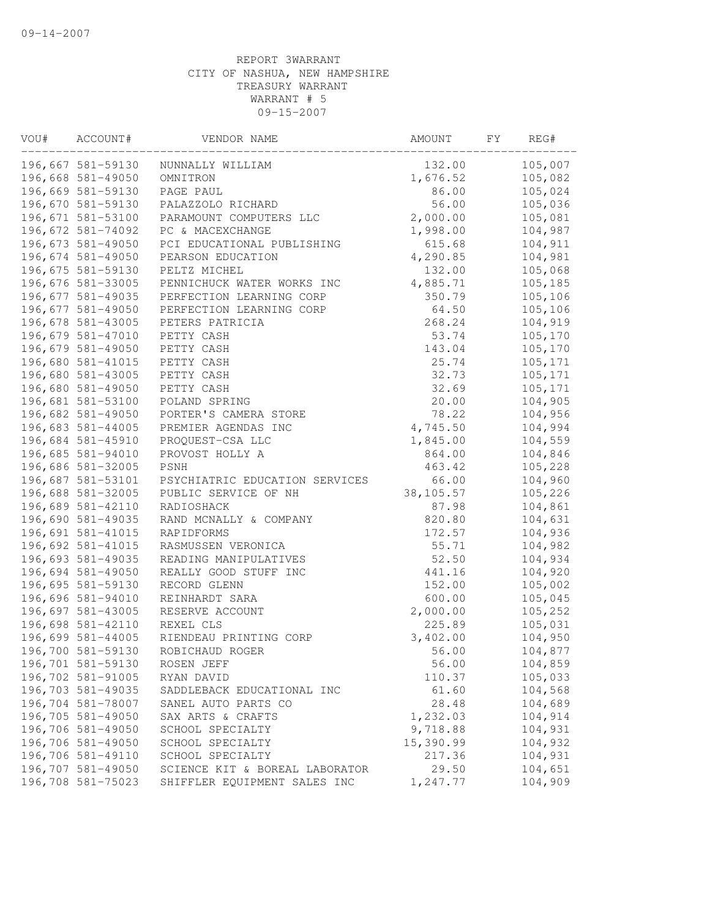| VOU# | ACCOUNT#                               | VENDOR NAME                          | AMOUNT                | FY. | REG#               |
|------|----------------------------------------|--------------------------------------|-----------------------|-----|--------------------|
|      | 196,667 581-59130                      | NUNNALLY WILLIAM                     | 132.00                |     | 105,007            |
|      | 196,668 581-49050                      | OMNITRON                             | 1,676.52              |     | 105,082            |
|      | 196,669 581-59130                      | PAGE PAUL                            | 86.00                 |     | 105,024            |
|      | 196,670 581-59130                      | PALAZZOLO RICHARD                    | 56.00                 |     | 105,036            |
|      | 196,671 581-53100                      | PARAMOUNT COMPUTERS LLC              | 2,000.00              |     | 105,081            |
|      | 196,672 581-74092                      | PC & MACEXCHANGE                     | 1,998.00              |     | 104,987            |
|      | 196,673 581-49050                      | PCI EDUCATIONAL PUBLISHING           | 615.68                |     | 104,911            |
|      | 196,674 581-49050                      | PEARSON EDUCATION                    | 4,290.85              |     | 104,981            |
|      | 196,675 581-59130                      | PELTZ MICHEL                         | 132.00                |     | 105,068            |
|      | 196,676 581-33005                      | PENNICHUCK WATER WORKS INC           | 4,885.71              |     | 105,185            |
|      | 196,677 581-49035                      | PERFECTION LEARNING CORP             | 350.79                |     | 105,106            |
|      | 196,677 581-49050                      | PERFECTION LEARNING CORP             | 64.50                 |     | 105,106            |
|      | 196,678 581-43005                      | PETERS PATRICIA                      | 268.24                |     | 104,919            |
|      | 196,679 581-47010                      | PETTY CASH                           | 53.74                 |     | 105,170            |
|      | 196,679 581-49050                      | PETTY CASH                           | 143.04                |     | 105,170            |
|      | 196,680 581-41015                      | PETTY CASH                           | 25.74                 |     | 105,171            |
|      | 196,680 581-43005                      | PETTY CASH                           | 32.73                 |     | 105,171            |
|      | 196,680 581-49050                      | PETTY CASH                           | 32.69                 |     | 105,171            |
|      | 196,681 581-53100                      | POLAND SPRING                        | 20.00                 |     | 104,905            |
|      | 196,682 581-49050                      | PORTER'S CAMERA STORE                | 78.22                 |     | 104,956            |
|      | 196,683 581-44005                      | PREMIER AGENDAS INC                  | 4,745.50              |     | 104,994            |
|      | 196,684 581-45910                      | PROQUEST-CSA LLC                     | 1,845.00              |     | 104,559            |
|      | 196,685 581-94010                      | PROVOST HOLLY A                      | 864.00                |     | 104,846            |
|      | 196,686 581-32005                      | PSNH                                 | 463.42                |     | 105,228            |
|      | 196,687 581-53101                      | PSYCHIATRIC EDUCATION SERVICES       | 66.00                 |     | 104,960            |
|      | 196,688 581-32005                      | PUBLIC SERVICE OF NH                 | 38, 105.57            |     | 105,226            |
|      | 196,689 581-42110                      | RADIOSHACK                           | 87.98                 |     | 104,861            |
|      | 196,690 581-49035                      | RAND MCNALLY & COMPANY               | 820.80                |     | 104,631            |
|      | 196,691 581-41015                      | RAPIDFORMS                           | 172.57                |     | 104,936            |
|      | 196,692 581-41015                      | RASMUSSEN VERONICA                   | 55.71                 |     | 104,982            |
|      | 196,693 581-49035                      | READING MANIPULATIVES                | 52.50                 |     | 104,934            |
|      | 196,694 581-49050                      | REALLY GOOD STUFF INC                | 441.16                |     | 104,920            |
|      | 196,695 581-59130                      | RECORD GLENN                         | 152.00                |     | 105,002            |
|      | 196,696 581-94010                      | REINHARDT SARA                       | 600.00                |     | 105,045            |
|      | 196,697 581-43005                      | RESERVE ACCOUNT                      | 2,000.00              |     | 105,252            |
|      | 196,698 581-42110                      | REXEL CLS                            | 225.89                |     | 105,031            |
|      | 196,699 581-44005                      | RIENDEAU PRINTING CORP               | 3,402.00              |     | 104,950            |
|      | 196,700 581-59130                      | ROBICHAUD ROGER                      | 56.00                 |     | 104,877            |
|      | 196,701 581-59130                      | ROSEN JEFF                           | 56.00                 |     | 104,859            |
|      | 196,702 581-91005                      | RYAN DAVID                           | 110.37                |     | 105,033            |
|      | 196,703 581-49035                      | SADDLEBACK EDUCATIONAL INC           | 61.60                 |     | 104,568            |
|      | 196,704 581-78007<br>196,705 581-49050 | SANEL AUTO PARTS CO                  | 28.48                 |     | 104,689            |
|      | 196,706 581-49050                      | SAX ARTS & CRAFTS                    | 1,232.03              |     | 104,914            |
|      | 196,706 581-49050                      | SCHOOL SPECIALTY<br>SCHOOL SPECIALTY | 9,718.88<br>15,390.99 |     | 104,931<br>104,932 |
|      | 196,706 581-49110                      | SCHOOL SPECIALTY                     | 217.36                |     | 104,931            |
|      | 196,707 581-49050                      | SCIENCE KIT & BOREAL LABORATOR       | 29.50                 |     | 104,651            |
|      | 196,708 581-75023                      | SHIFFLER EQUIPMENT SALES INC         | 1,247.77              |     | 104,909            |
|      |                                        |                                      |                       |     |                    |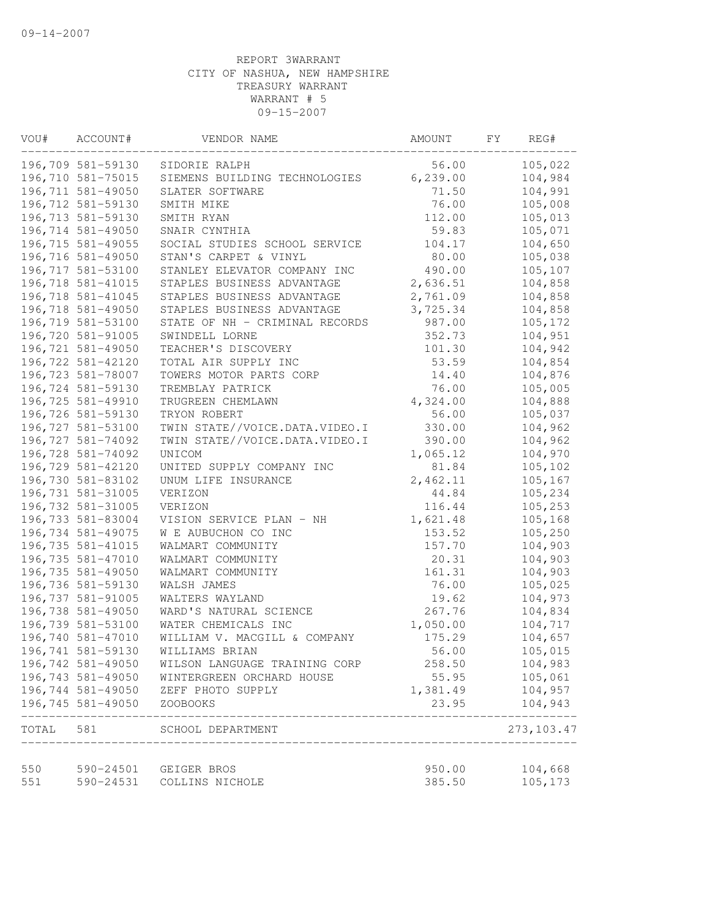| VOU#      | ACCOUNT#          | VENDOR NAME                    | AMOUNT    | FΥ | REG#         |
|-----------|-------------------|--------------------------------|-----------|----|--------------|
|           | 196,709 581-59130 | SIDORIE RALPH                  | 56.00     |    | 105,022      |
|           | 196,710 581-75015 | SIEMENS BUILDING TECHNOLOGIES  | 6, 239.00 |    | 104,984      |
|           | 196,711 581-49050 | SLATER SOFTWARE                | 71.50     |    | 104,991      |
|           | 196,712 581-59130 | SMITH MIKE                     | 76.00     |    | 105,008      |
|           | 196,713 581-59130 | SMITH RYAN                     | 112.00    |    | 105,013      |
|           | 196,714 581-49050 | SNAIR CYNTHIA                  | 59.83     |    | 105,071      |
|           | 196,715 581-49055 | SOCIAL STUDIES SCHOOL SERVICE  | 104.17    |    | 104,650      |
|           | 196,716 581-49050 | STAN'S CARPET & VINYL          | 80.00     |    | 105,038      |
|           | 196,717 581-53100 | STANLEY ELEVATOR COMPANY INC   | 490.00    |    | 105,107      |
|           | 196,718 581-41015 | STAPLES BUSINESS ADVANTAGE     | 2,636.51  |    | 104,858      |
|           | 196,718 581-41045 | STAPLES BUSINESS ADVANTAGE     | 2,761.09  |    | 104,858      |
|           | 196,718 581-49050 | STAPLES BUSINESS ADVANTAGE     | 3,725.34  |    | 104,858      |
|           | 196,719 581-53100 | STATE OF NH - CRIMINAL RECORDS | 987.00    |    | 105,172      |
|           | 196,720 581-91005 | SWINDELL LORNE                 | 352.73    |    | 104,951      |
|           | 196,721 581-49050 | TEACHER'S DISCOVERY            | 101.30    |    | 104,942      |
|           | 196,722 581-42120 | TOTAL AIR SUPPLY INC           | 53.59     |    | 104,854      |
|           | 196,723 581-78007 | TOWERS MOTOR PARTS CORP        | 14.40     |    | 104,876      |
|           | 196,724 581-59130 | TREMBLAY PATRICK               | 76.00     |    | 105,005      |
|           | 196,725 581-49910 | TRUGREEN CHEMLAWN              | 4,324.00  |    | 104,888      |
|           | 196,726 581-59130 | TRYON ROBERT                   | 56.00     |    | 105,037      |
|           | 196,727 581-53100 | TWIN STATE//VOICE.DATA.VIDEO.I | 330.00    |    | 104,962      |
|           | 196,727 581-74092 | TWIN STATE//VOICE.DATA.VIDEO.I | 390.00    |    | 104,962      |
|           | 196,728 581-74092 | UNICOM                         | 1,065.12  |    | 104,970      |
|           | 196,729 581-42120 | UNITED SUPPLY COMPANY INC      | 81.84     |    | 105,102      |
|           | 196,730 581-83102 | UNUM LIFE INSURANCE            | 2,462.11  |    | 105,167      |
|           | 196,731 581-31005 | VERIZON                        | 44.84     |    | 105,234      |
|           | 196,732 581-31005 | VERIZON                        | 116.44    |    | 105,253      |
|           | 196,733 581-83004 | VISION SERVICE PLAN - NH       | 1,621.48  |    | 105,168      |
|           | 196,734 581-49075 | W E AUBUCHON CO INC            | 153.52    |    | 105,250      |
|           | 196,735 581-41015 | WALMART COMMUNITY              | 157.70    |    | 104,903      |
|           | 196,735 581-47010 | WALMART COMMUNITY              | 20.31     |    | 104,903      |
|           | 196,735 581-49050 | WALMART COMMUNITY              | 161.31    |    | 104,903      |
|           | 196,736 581-59130 | WALSH JAMES                    | 76.00     |    | 105,025      |
|           | 196,737 581-91005 | WALTERS WAYLAND                | 19.62     |    | 104,973      |
|           | 196,738 581-49050 | WARD'S NATURAL SCIENCE         | 267.76    |    | 104,834      |
|           | 196,739 581-53100 | WATER CHEMICALS INC            | 1,050.00  |    | 104,717      |
|           | 196,740 581-47010 | WILLIAM V. MACGILL & COMPANY   | 175.29    |    | 104,657      |
|           | 196,741 581-59130 | WILLIAMS BRIAN                 | 56.00     |    | 105,015      |
|           | 196,742 581-49050 | WILSON LANGUAGE TRAINING CORP  | 258.50    |    | 104,983      |
|           | 196,743 581-49050 | WINTERGREEN ORCHARD HOUSE      | 55.95     |    | 105,061      |
|           | 196,744 581-49050 | ZEFF PHOTO SUPPLY              | 1,381.49  |    | 104,957      |
|           | 196,745 581-49050 | ZOOBOOKS                       | 23.95     |    | 104,943<br>. |
| TOTAL 581 |                   | SCHOOL DEPARTMENT              |           |    | 273, 103.47  |
| 550       | 590-24501         | GEIGER BROS                    | 950.00    |    | 104,668      |
| 551       | 590-24531         | COLLINS NICHOLE                | 385.50    |    | 105,173      |
|           |                   |                                |           |    |              |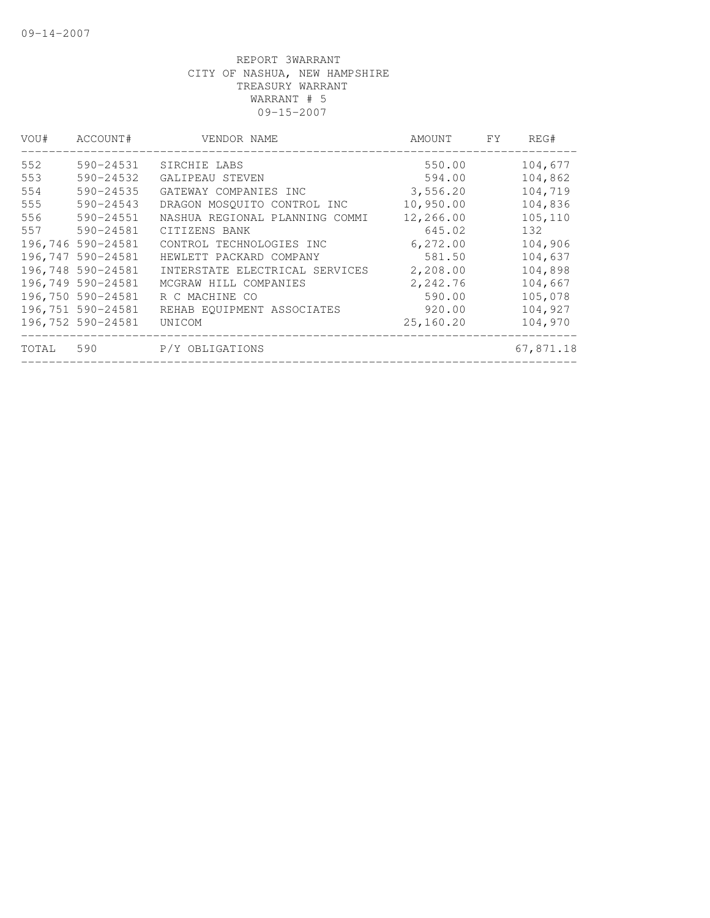| VOU#  | ACCOUNT#          | VENDOR NAME                    | AMOUNT    | <b>FY</b> | REG#      |
|-------|-------------------|--------------------------------|-----------|-----------|-----------|
| 552   | 590-24531         | SIRCHIE LABS                   | 550.00    |           | 104,677   |
| 553   | 590-24532         | GALIPEAU STEVEN                | 594.00    |           | 104,862   |
| 554   | 590-24535         | GATEWAY COMPANIES INC          | 3,556.20  |           | 104,719   |
| 555   | $590 - 24543$     | DRAGON MOSQUITO CONTROL INC    | 10,950.00 |           | 104,836   |
| 556   | 590-24551         | NASHUA REGIONAL PLANNING COMMI | 12,266.00 |           | 105,110   |
| 557   | 590-24581         | CITIZENS BANK                  | 645.02    |           | 132       |
|       | 196,746 590-24581 | CONTROL TECHNOLOGIES INC       | 6,272.00  |           | 104,906   |
|       | 196,747 590-24581 | HEWLETT PACKARD COMPANY        | 581.50    |           | 104,637   |
|       | 196,748 590-24581 | INTERSTATE ELECTRICAL SERVICES | 2,208.00  |           | 104,898   |
|       | 196,749 590-24581 | MCGRAW HILL COMPANIES          | 2,242.76  |           | 104,667   |
|       | 196,750 590-24581 | R C MACHINE CO                 | 590.00    |           | 105,078   |
|       | 196,751 590-24581 | REHAB EQUIPMENT ASSOCIATES     | 920.00    |           | 104,927   |
|       | 196,752 590-24581 | UNICOM                         | 25,160.20 |           | 104,970   |
| TOTAL | 590               | P/Y OBLIGATIONS                |           |           | 67,871.18 |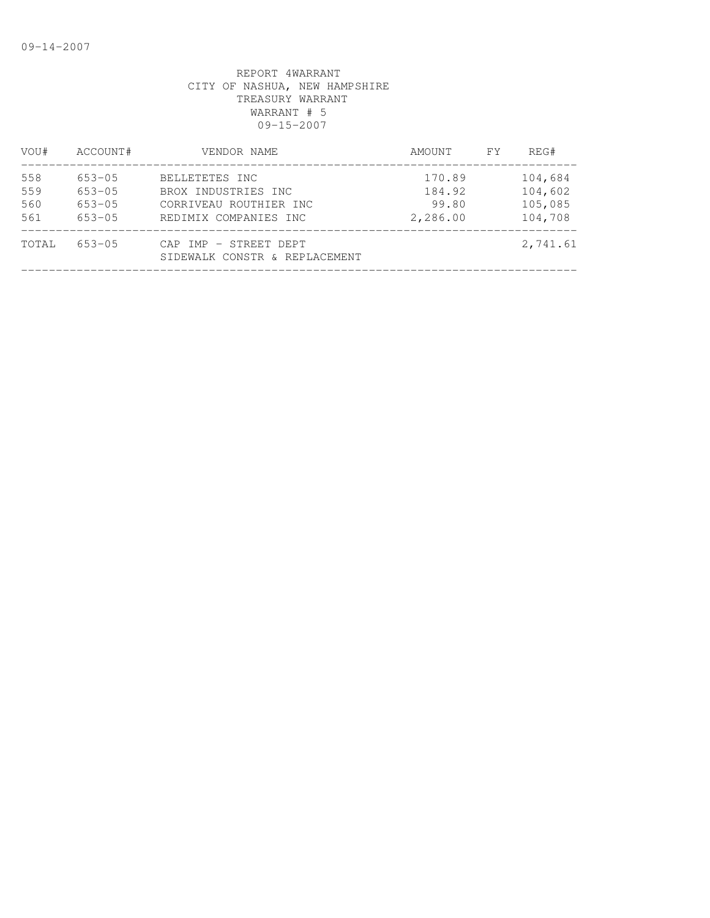| VOU#                     | ACCOUNT#                                             | VENDOR NAME                                                                              | AMOUNT                                | FY | REG#                                     |
|--------------------------|------------------------------------------------------|------------------------------------------------------------------------------------------|---------------------------------------|----|------------------------------------------|
| 558<br>559<br>560<br>561 | $653 - 05$<br>$653 - 05$<br>$653 - 05$<br>$653 - 05$ | BELLETETES INC<br>BROX INDUSTRIES INC<br>CORRIVEAU ROUTHIER INC<br>REDIMIX COMPANIES INC | 170.89<br>184.92<br>99.80<br>2,286.00 |    | 104,684<br>104,602<br>105,085<br>104,708 |
| TOTAL                    | $653 - 05$                                           | CAP IMP - STREET DEPT<br>SIDEWALK CONSTR & REPLACEMENT                                   |                                       |    | 2,741.61                                 |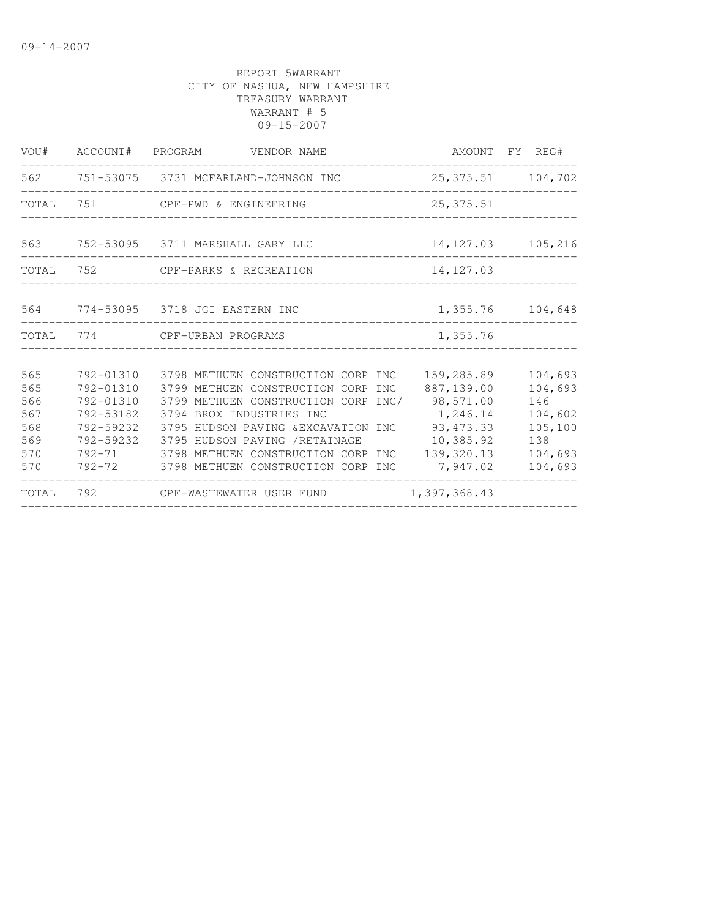| VOU#                                                 |                                                               | ACCOUNT# PROGRAM VENDOR NAME                                                                                                                                                                                                                                                                                        | AMOUNT FY REG#                                                                                                       |                                                                              |
|------------------------------------------------------|---------------------------------------------------------------|---------------------------------------------------------------------------------------------------------------------------------------------------------------------------------------------------------------------------------------------------------------------------------------------------------------------|----------------------------------------------------------------------------------------------------------------------|------------------------------------------------------------------------------|
| 562                                                  |                                                               | 751-53075 3731 MCFARLAND-JOHNSON INC                                                                                                                                                                                                                                                                                | 25, 375.51 104, 702                                                                                                  |                                                                              |
| TOTAL                                                | 751                                                           | CPF-PWD & ENGINEERING                                                                                                                                                                                                                                                                                               | 25, 375.51                                                                                                           |                                                                              |
| 563                                                  |                                                               | 752-53095   3711 MARSHALL GARY LLC                                                                                                                                                                                                                                                                                  | 14, 127.03 105, 216                                                                                                  |                                                                              |
|                                                      |                                                               | TOTAL 752 CPF-PARKS & RECREATION                                                                                                                                                                                                                                                                                    | 14, 127.03                                                                                                           |                                                                              |
|                                                      |                                                               | 564 774-53095 3718 JGI EASTERN INC                                                                                                                                                                                                                                                                                  | 1,355.76 104,648                                                                                                     |                                                                              |
|                                                      |                                                               | TOTAL 774 CPF-URBAN PROGRAMS                                                                                                                                                                                                                                                                                        | 1,355.76                                                                                                             |                                                                              |
| 565<br>565<br>566<br>567<br>568<br>569<br>570<br>570 | 792-01310<br>792-01310<br>792-01310<br>792-53182<br>792-59232 | 3798 METHUEN CONSTRUCTION CORP INC<br>3799 METHUEN CONSTRUCTION CORP<br>3799 METHUEN CONSTRUCTION CORP INC/<br>3794 BROX INDUSTRIES INC<br>792-59232 3795 HUDSON PAVING & EXCAVATION INC<br>3795 HUDSON PAVING /RETAINAGE<br>792-71 3798 METHUEN CONSTRUCTION CORP INC<br>792-72 3798 METHUEN CONSTRUCTION CORP INC | 159,285.89<br>887,139.00<br><b>INC</b><br>98,571.00<br>1,246.14<br>93, 473.33<br>10,385.92<br>139,320.13<br>7,947.02 | 104,693<br>104,693<br>146<br>104,602<br>105,100<br>138<br>104,693<br>104,693 |
| TOTAL                                                |                                                               | 792 CPF-WASTEWATER USER FUND                                                                                                                                                                                                                                                                                        | 1,397,368.43                                                                                                         |                                                                              |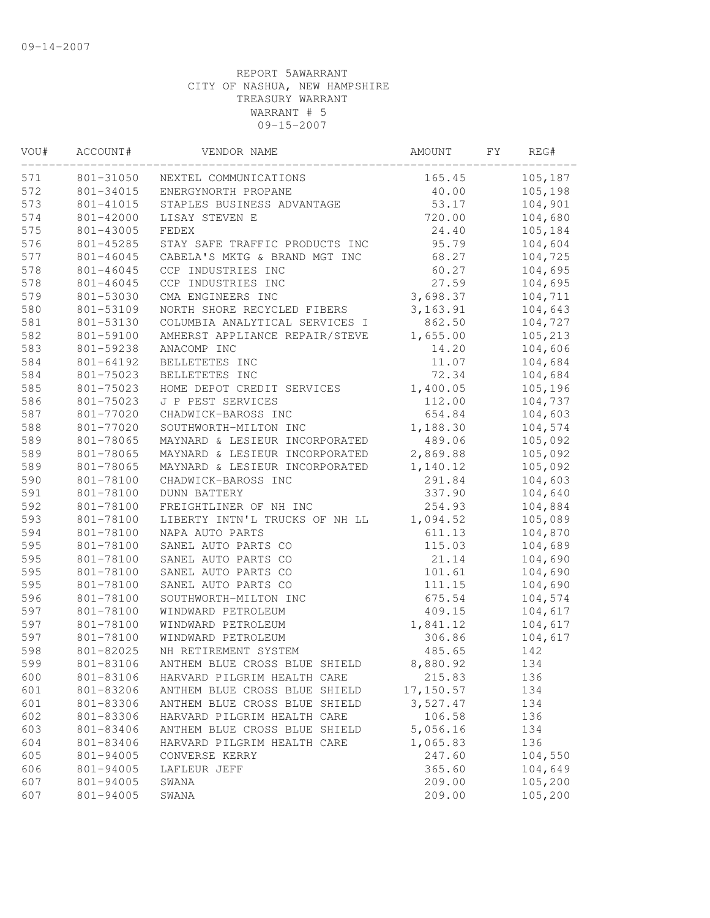| VOU# | ACCOUNT#  | VENDOR NAME                    | AMOUNT    | FY. | REG#    |
|------|-----------|--------------------------------|-----------|-----|---------|
| 571  | 801-31050 | NEXTEL COMMUNICATIONS          | 165.45    |     | 105,187 |
| 572  | 801-34015 | ENERGYNORTH PROPANE            | 40.00     |     | 105,198 |
| 573  | 801-41015 | STAPLES BUSINESS ADVANTAGE     | 53.17     |     | 104,901 |
| 574  | 801-42000 | LISAY STEVEN E                 | 720.00    |     | 104,680 |
| 575  | 801-43005 | FEDEX                          | 24.40     |     | 105,184 |
| 576  | 801-45285 | STAY SAFE TRAFFIC PRODUCTS INC | 95.79     |     | 104,604 |
| 577  | 801-46045 | CABELA'S MKTG & BRAND MGT INC  | 68.27     |     | 104,725 |
| 578  | 801-46045 | CCP INDUSTRIES INC             | 60.27     |     | 104,695 |
| 578  | 801-46045 | CCP INDUSTRIES INC             | 27.59     |     | 104,695 |
| 579  | 801-53030 | CMA ENGINEERS INC              | 3,698.37  |     | 104,711 |
| 580  | 801-53109 | NORTH SHORE RECYCLED FIBERS    | 3, 163.91 |     | 104,643 |
| 581  | 801-53130 | COLUMBIA ANALYTICAL SERVICES I | 862.50    |     | 104,727 |
| 582  | 801-59100 | AMHERST APPLIANCE REPAIR/STEVE | 1,655.00  |     | 105,213 |
| 583  | 801-59238 | ANACOMP INC                    | 14.20     |     | 104,606 |
| 584  | 801-64192 | BELLETETES INC                 | 11.07     |     | 104,684 |
| 584  | 801-75023 | BELLETETES INC                 | 72.34     |     | 104,684 |
| 585  | 801-75023 | HOME DEPOT CREDIT SERVICES     | 1,400.05  |     | 105,196 |
| 586  | 801-75023 | J P PEST SERVICES              | 112.00    |     | 104,737 |
| 587  | 801-77020 | CHADWICK-BAROSS INC            | 654.84    |     | 104,603 |
| 588  | 801-77020 | SOUTHWORTH-MILTON INC          | 1,188.30  |     | 104,574 |
| 589  | 801-78065 | MAYNARD & LESIEUR INCORPORATED | 489.06    |     | 105,092 |
| 589  | 801-78065 | MAYNARD & LESIEUR INCORPORATED | 2,869.88  |     | 105,092 |
| 589  | 801-78065 | MAYNARD & LESIEUR INCORPORATED | 1,140.12  |     | 105,092 |
| 590  | 801-78100 | CHADWICK-BAROSS INC            | 291.84    |     | 104,603 |
| 591  | 801-78100 | <b>DUNN BATTERY</b>            | 337.90    |     | 104,640 |
| 592  | 801-78100 | FREIGHTLINER OF NH INC         | 254.93    |     | 104,884 |
| 593  | 801-78100 | LIBERTY INTN'L TRUCKS OF NH LL | 1,094.52  |     | 105,089 |
| 594  | 801-78100 | NAPA AUTO PARTS                | 611.13    |     | 104,870 |
| 595  | 801-78100 | SANEL AUTO PARTS CO            | 115.03    |     | 104,689 |
| 595  | 801-78100 | SANEL AUTO PARTS CO            | 21.14     |     | 104,690 |
| 595  | 801-78100 | SANEL AUTO PARTS CO            | 101.61    |     | 104,690 |
| 595  | 801-78100 | SANEL AUTO PARTS CO            | 111.15    |     | 104,690 |
| 596  | 801-78100 | SOUTHWORTH-MILTON INC          | 675.54    |     | 104,574 |
| 597  | 801-78100 | WINDWARD PETROLEUM             | 409.15    |     | 104,617 |
| 597  | 801-78100 | WINDWARD PETROLEUM             | 1,841.12  |     | 104,617 |
| 597  | 801-78100 | WINDWARD PETROLEUM             | 306.86    |     | 104,617 |
| 598  | 801-82025 | NH RETIREMENT SYSTEM           | 485.65    |     | 142     |
| 599  | 801-83106 | ANTHEM BLUE CROSS BLUE SHIELD  | 8,880.92  |     | 134     |
| 600  | 801-83106 | HARVARD PILGRIM HEALTH CARE    | 215.83    |     | 136     |
| 601  | 801-83206 | ANTHEM BLUE CROSS BLUE SHIELD  | 17,150.57 |     | 134     |
| 601  | 801-83306 | ANTHEM BLUE CROSS BLUE SHIELD  | 3,527.47  |     | 134     |
| 602  | 801-83306 | HARVARD PILGRIM HEALTH CARE    | 106.58    |     | 136     |
| 603  | 801-83406 | ANTHEM BLUE CROSS BLUE SHIELD  | 5,056.16  |     | 134     |
| 604  | 801-83406 | HARVARD PILGRIM HEALTH CARE    | 1,065.83  |     | 136     |
| 605  | 801-94005 | CONVERSE KERRY                 | 247.60    |     | 104,550 |
| 606  | 801-94005 | LAFLEUR JEFF                   | 365.60    |     | 104,649 |
| 607  | 801-94005 | SWANA                          | 209.00    |     | 105,200 |
| 607  | 801-94005 | SWANA                          | 209.00    |     | 105,200 |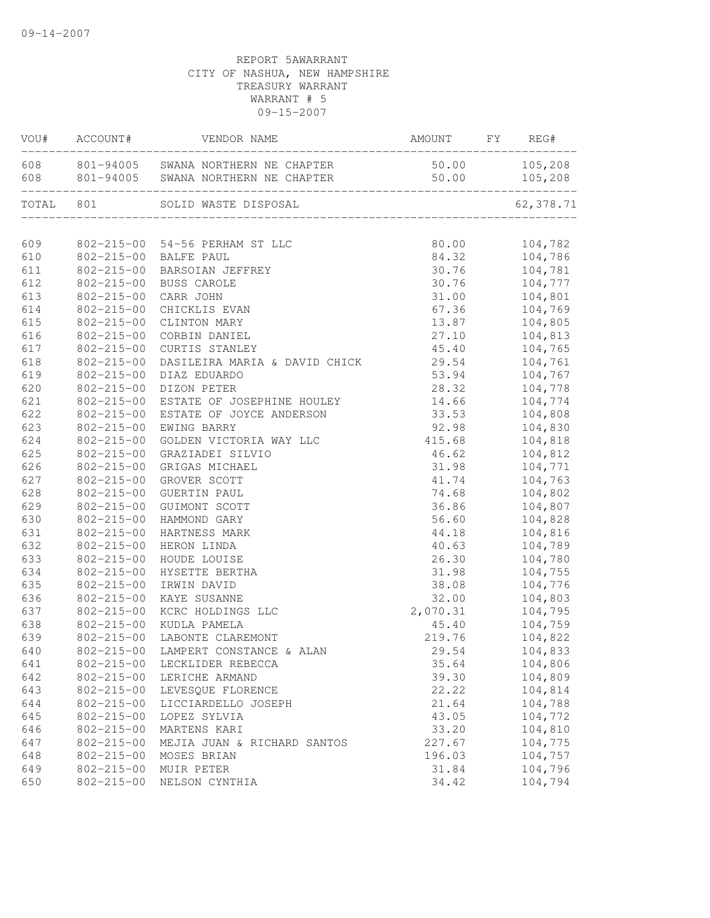|            | VOU# ACCOUNT#                        | VENDOR NAME                                                                                      | AMOUNT             | FY REG#            |
|------------|--------------------------------------|--------------------------------------------------------------------------------------------------|--------------------|--------------------|
|            |                                      | 608 801-94005 SWANA NORTHERN NE CHAPTER<br>608 801-94005 SWANA NORTHERN NE CHAPTER 50.00 105,208 | $50.00$ $105,208$  |                    |
| TOTAL 801  |                                      | SOLID WASTE DISPOSAL                                                                             |                    | 62,378.71          |
|            |                                      | 609 802-215-00 54-56 PERHAM ST LLC                                                               |                    | 80.00 104,782      |
| 610        | 802-215-00 BALFE PAUL                |                                                                                                  |                    | 84.32 104,786      |
| 611        |                                      | 802-215-00 BARSOIAN JEFFREY                                                                      |                    | 30.76 104,781      |
| 612        |                                      | 802-215-00 BUSS CAROLE                                                                           |                    | 30.76 104,777      |
| 613        | $802 - 215 - 00$                     | CARR JOHN                                                                                        |                    | 31.00    104,801   |
| 614        | 802-215-00                           | CHICKLIS EVAN                                                                                    | 67.36              | 104,769            |
| 615        | $802 - 215 - 00$                     | CLINTON MARY                                                                                     | 13.87              | 104,805            |
| 616        | $802 - 215 - 00$                     | CORBIN DANIEL                                                                                    |                    | 104,813            |
| 617        | $802 - 215 - 00$                     | CURTIS STANLEY                                                                                   | 27.10              | 104,765            |
| 618        | $802 - 215 - 00$                     | DASILEIRA MARIA & DAVID CHICK                                                                    | 45.40<br>29.54     | 104,761            |
| 619        | $802 - 215 - 00$                     | DIAZ EDUARDO                                                                                     | 53.94              | 104,767            |
| 620        | $802 - 215 - 00$                     | DIZON PETER                                                                                      | 28.32              | 104,778            |
| 621        | $802 - 215 - 00$                     | ESTATE OF JOSEPHINE HOULEY                                                                       | 14.66              | 104,774            |
| 622        | $802 - 215 - 00$                     | ESTATE OF JOYCE ANDERSON                                                                         | 33.53              | 104,808            |
| 623        | $802 - 215 - 00$                     | EWING BARRY                                                                                      | 92.98              | 104,830            |
| 624        | $802 - 215 - 00$                     | GOLDEN VICTORIA WAY LLC                                                                          | 415.68             | 104,818            |
| 625        | $802 - 215 - 00$                     | GRAZIADEI SILVIO                                                                                 |                    | 104,812            |
| 626        | $802 - 215 - 00$                     | GRIGAS MICHAEL                                                                                   | 46.62              | 104,771            |
| 627        | $802 - 215 - 00$                     | GROVER SCOTT                                                                                     | $31.98$<br>$41.74$ | 104,763            |
| 628        | $802 - 215 - 00$                     | <b>GUERTIN PAUL</b>                                                                              | 74.68              | 104,802            |
| 629        | $802 - 215 - 00$                     | GUIMONT SCOTT                                                                                    | 36.86              | 104,807            |
| 630        | $802 - 215 - 00$                     | HAMMOND GARY                                                                                     | 56.60              | 104,828            |
| 631        | $802 - 215 - 00$                     | HARTNESS MARK                                                                                    | 44.18              | 104,816            |
| 632        | $802 - 215 - 00$                     | HERON LINDA                                                                                      | 40.63              | 104,789            |
| 633        | $802 - 215 - 00$                     | HOUDE LOUISE                                                                                     |                    | 104,780            |
| 634        | $802 - 215 - 00$                     | HYSETTE BERTHA                                                                                   | 26.30              | 104,755            |
| 635        | $802 - 215 - 00$                     | IRWIN DAVID                                                                                      | 31.98<br>38.08     | 104,776            |
| 636        | $802 - 215 - 00$                     | KAYE SUSANNE                                                                                     | 32.00              | 104,803            |
| 637        | $802 - 215 - 00$                     | KCRC HOLDINGS LLC                                                                                | 2,070.31           | 104,795            |
| 638        | $802 - 215 - 00$                     | KUDLA PAMELA                                                                                     | 45.40              | 104,759            |
| 639        | $802 - 215 - 00$                     | LABONTE CLAREMONT                                                                                | 219.76             | 104,822            |
| 640        | $802 - 215 - 00$                     | LAMPERT CONSTANCE & ALAN                                                                         | 29.54              | 104,833            |
| 641        | $802 - 215 - 00$                     |                                                                                                  |                    | 104,806            |
| 642        | $802 - 215 - 00$                     | LECKLIDER REBECCA<br>LERICHE ARMAND                                                              | 35.64<br>39.30     | 104,809            |
| 643        | $802 - 215 - 00$                     | LEVESQUE FLORENCE                                                                                | 22.22              | 104,814            |
| 644        | $802 - 215 - 00$                     | LICCIARDELLO JOSEPH                                                                              | 21.64              | 104,788            |
| 645        | $802 - 215 - 00$                     | LOPEZ SYLVIA                                                                                     | 43.05              | 104,772            |
|            |                                      |                                                                                                  | 33.20              |                    |
| 646        | $802 - 215 - 00$                     | MARTENS KARI                                                                                     | 227.67             | 104,810            |
| 647        | $802 - 215 - 00$                     | MEJIA JUAN & RICHARD SANTOS                                                                      |                    | 104,775            |
| 648<br>649 | $802 - 215 - 00$<br>$802 - 215 - 00$ | MOSES BRIAN<br>MUIR PETER                                                                        | 196.03<br>31.84    | 104,757<br>104,796 |
| 650        | $802 - 215 - 00$                     |                                                                                                  | 34.42              | 104,794            |
|            |                                      | NELSON CYNTHIA                                                                                   |                    |                    |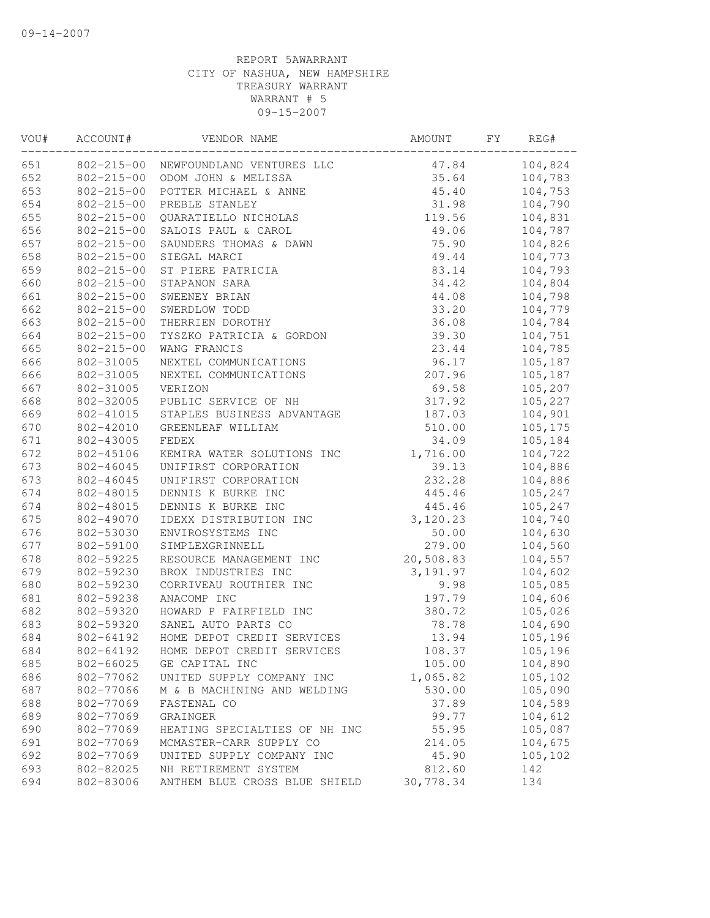| VOU# | ACCOUNT#         | VENDOR NAME                   | AMOUNT    | FY | REG#    |
|------|------------------|-------------------------------|-----------|----|---------|
| 651  | $802 - 215 - 00$ | NEWFOUNDLAND VENTURES LLC     | 47.84     |    | 104,824 |
| 652  | $802 - 215 - 00$ | ODOM JOHN & MELISSA           | 35.64     |    | 104,783 |
| 653  | $802 - 215 - 00$ | POTTER MICHAEL & ANNE         | 45.40     |    | 104,753 |
| 654  | $802 - 215 - 00$ | PREBLE STANLEY                | 31.98     |    | 104,790 |
| 655  | $802 - 215 - 00$ | QUARATIELLO NICHOLAS          | 119.56    |    | 104,831 |
| 656  | $802 - 215 - 00$ | SALOIS PAUL & CAROL           | 49.06     |    | 104,787 |
| 657  | $802 - 215 - 00$ | SAUNDERS THOMAS & DAWN        | 75.90     |    | 104,826 |
| 658  | $802 - 215 - 00$ | SIEGAL MARCI                  | 49.44     |    | 104,773 |
| 659  | $802 - 215 - 00$ | ST PIERE PATRICIA             | 83.14     |    | 104,793 |
| 660  | $802 - 215 - 00$ | STAPANON SARA                 | 34.42     |    | 104,804 |
| 661  | $802 - 215 - 00$ | SWEENEY BRIAN                 | 44.08     |    | 104,798 |
| 662  | $802 - 215 - 00$ | SWERDLOW TODD                 | 33.20     |    | 104,779 |
| 663  | $802 - 215 - 00$ | THERRIEN DOROTHY              | 36.08     |    | 104,784 |
| 664  | $802 - 215 - 00$ | TYSZKO PATRICIA & GORDON      | 39.30     |    | 104,751 |
| 665  | $802 - 215 - 00$ | WANG FRANCIS                  | 23.44     |    | 104,785 |
| 666  | 802-31005        | NEXTEL COMMUNICATIONS         | 96.17     |    | 105,187 |
| 666  | 802-31005        | NEXTEL COMMUNICATIONS         | 207.96    |    | 105,187 |
| 667  | 802-31005        | VERIZON                       | 69.58     |    | 105,207 |
| 668  | 802-32005        | PUBLIC SERVICE OF NH          | 317.92    |    | 105,227 |
| 669  | 802-41015        | STAPLES BUSINESS ADVANTAGE    | 187.03    |    | 104,901 |
| 670  | 802-42010        | GREENLEAF WILLIAM             | 510.00    |    | 105,175 |
| 671  | 802-43005        | FEDEX                         | 34.09     |    | 105,184 |
| 672  | 802-45106        | KEMIRA WATER SOLUTIONS INC    | 1,716.00  |    | 104,722 |
| 673  | 802-46045        | UNIFIRST CORPORATION          | 39.13     |    | 104,886 |
| 673  | 802-46045        | UNIFIRST CORPORATION          | 232.28    |    | 104,886 |
| 674  | 802-48015        | DENNIS K BURKE INC            | 445.46    |    | 105,247 |
| 674  | 802-48015        | DENNIS K BURKE INC            | 445.46    |    | 105,247 |
| 675  | 802-49070        | IDEXX DISTRIBUTION INC        | 3,120.23  |    | 104,740 |
| 676  | 802-53030        | ENVIROSYSTEMS INC             | 50.00     |    | 104,630 |
| 677  | 802-59100        | SIMPLEXGRINNELL               | 279.00    |    | 104,560 |
| 678  | 802-59225        | RESOURCE MANAGEMENT INC       | 20,508.83 |    | 104,557 |
| 679  | 802-59230        | BROX INDUSTRIES INC           | 3,191.97  |    | 104,602 |
| 680  | 802-59230        | CORRIVEAU ROUTHIER INC        | 9.98      |    | 105,085 |
| 681  | 802-59238        | ANACOMP INC                   | 197.79    |    | 104,606 |
| 682  | 802-59320        | HOWARD P FAIRFIELD INC        | 380.72    |    | 105,026 |
| 683  | 802-59320        | SANEL AUTO PARTS CO           | 78.78     |    | 104,690 |
| 684  | 802-64192        | HOME DEPOT CREDIT SERVICES    | 13.94     |    | 105,196 |
| 684  | 802-64192        | HOME DEPOT CREDIT SERVICES    | 108.37    |    | 105,196 |
| 685  | 802-66025        | GE CAPITAL INC                | 105.00    |    | 104,890 |
| 686  | 802-77062        | UNITED SUPPLY COMPANY INC     | 1,065.82  |    | 105,102 |
| 687  | 802-77066        | M & B MACHINING AND WELDING   | 530.00    |    | 105,090 |
| 688  | 802-77069        | FASTENAL CO                   | 37.89     |    | 104,589 |
| 689  | 802-77069        | GRAINGER                      | 99.77     |    | 104,612 |
| 690  | 802-77069        | HEATING SPECIALTIES OF NH INC | 55.95     |    | 105,087 |
| 691  | 802-77069        | MCMASTER-CARR SUPPLY CO       | 214.05    |    | 104,675 |
| 692  | 802-77069        | UNITED SUPPLY COMPANY INC     | 45.90     |    | 105,102 |
| 693  | 802-82025        | NH RETIREMENT SYSTEM          | 812.60    |    | 142     |
| 694  | 802-83006        | ANTHEM BLUE CROSS BLUE SHIELD | 30,778.34 |    | 134     |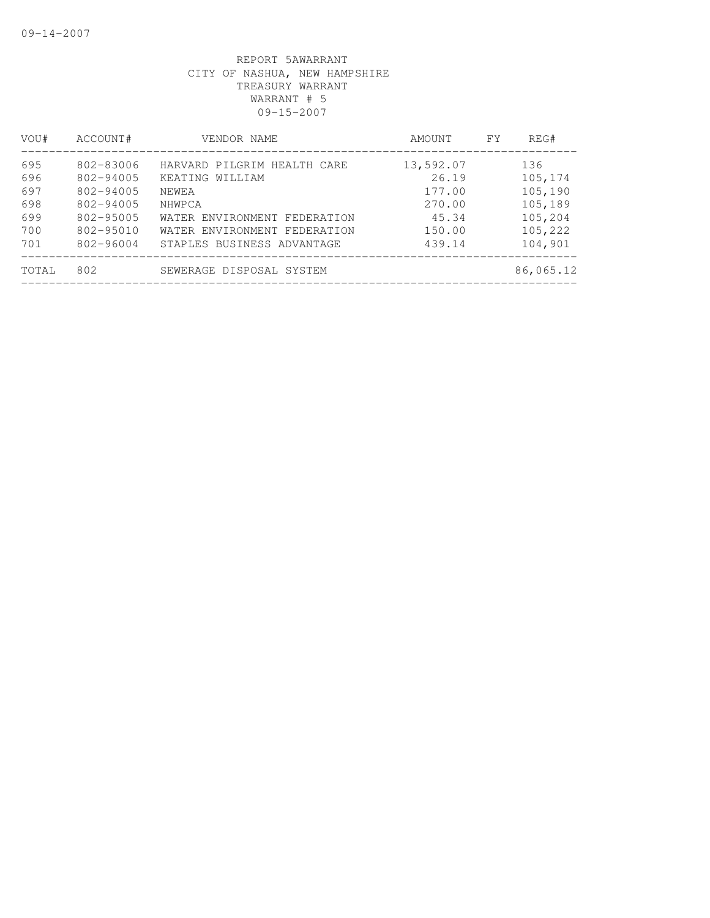| VOU#  | ACCOUNT#      | VENDOR NAME                  | AMOUNT    | FY. | REG#      |
|-------|---------------|------------------------------|-----------|-----|-----------|
| 695   | 802-83006     | HARVARD PILGRIM HEALTH CARE  | 13,592.07 |     | 136       |
| 696   | 802-94005     | KEATING WILLIAM              | 26.19     |     | 105,174   |
| 697   | 802-94005     | NEWEA                        | 177.00    |     | 105,190   |
| 698   | 802-94005     | NHWPCA                       | 270.00    |     | 105,189   |
| 699   | 802-95005     | WATER ENVIRONMENT FEDERATION | 45.34     |     | 105,204   |
| 700   | $802 - 95010$ | WATER ENVIRONMENT FEDERATION | 150.00    |     | 105,222   |
| 701   | 802-96004     | STAPLES BUSINESS ADVANTAGE   | 439.14    |     | 104,901   |
| TOTAL | 802           | SEWERAGE DISPOSAL SYSTEM     |           |     | 86,065.12 |
|       |               |                              |           |     |           |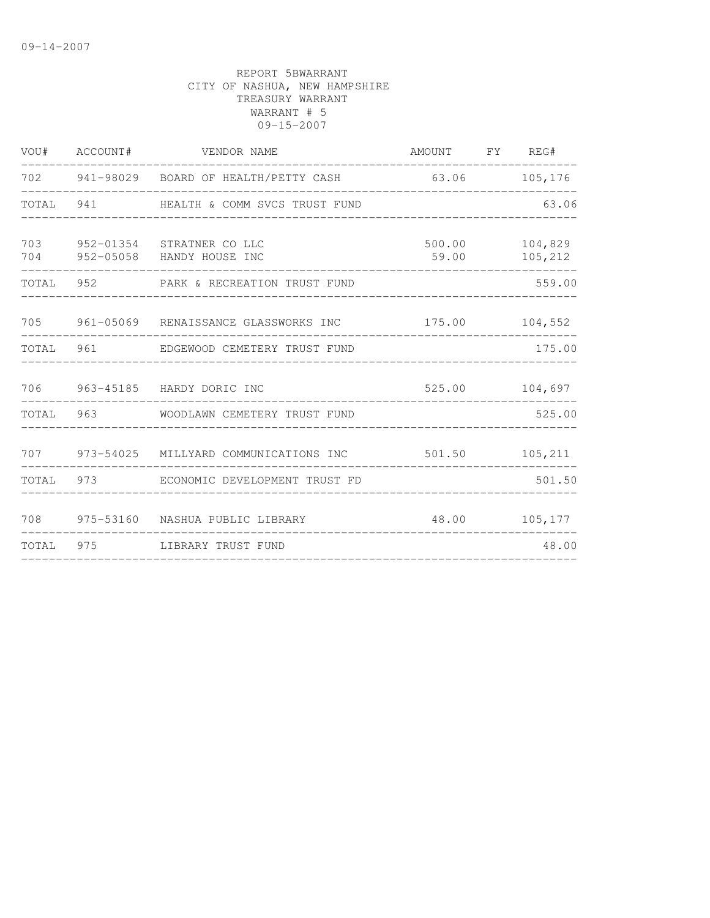|           | VOU# ACCOUNT# | VENDOR NAME                                                | AMOUNT FY REG#             |                    |
|-----------|---------------|------------------------------------------------------------|----------------------------|--------------------|
|           |               | 702 941-98029 BOARD OF HEALTH/PETTY CASH                   | 63.06<br>----------------- | 105,176            |
| TOTAL     |               |                                                            |                            | 63.06              |
| 703       |               | 952-01354 STRATNER CO LLC<br>704 952-05058 HANDY HOUSE INC | 500.00<br>59.00            | 104,829<br>105,212 |
|           |               | TOTAL 952 PARK & RECREATION TRUST FUND                     |                            | 559.00             |
|           |               | 705 961-05069 RENAISSANCE GLASSWORKS INC                   |                            | 175.00 104,552     |
| TOTAL     |               | 961 EDGEWOOD CEMETERY TRUST FUND                           |                            | 175.00             |
|           |               | 706 963-45185 HARDY DORIC INC                              |                            | 525.00 104,697     |
| TOTAL     |               | 963 WOODLAWN CEMETERY TRUST FUND                           |                            | 525.00             |
|           |               | 707 973-54025 MILLYARD COMMUNICATIONS INC                  |                            | 501.50 105,211     |
| TOTAL     |               | 973 ECONOMIC DEVELOPMENT TRUST FD                          |                            | 501.50             |
| 708       |               | 975-53160 NASHUA PUBLIC LIBRARY                            |                            | 48.00 105,177      |
| TOTAL 975 |               | LIBRARY TRUST FUND                                         |                            | 48.00              |
|           |               |                                                            |                            |                    |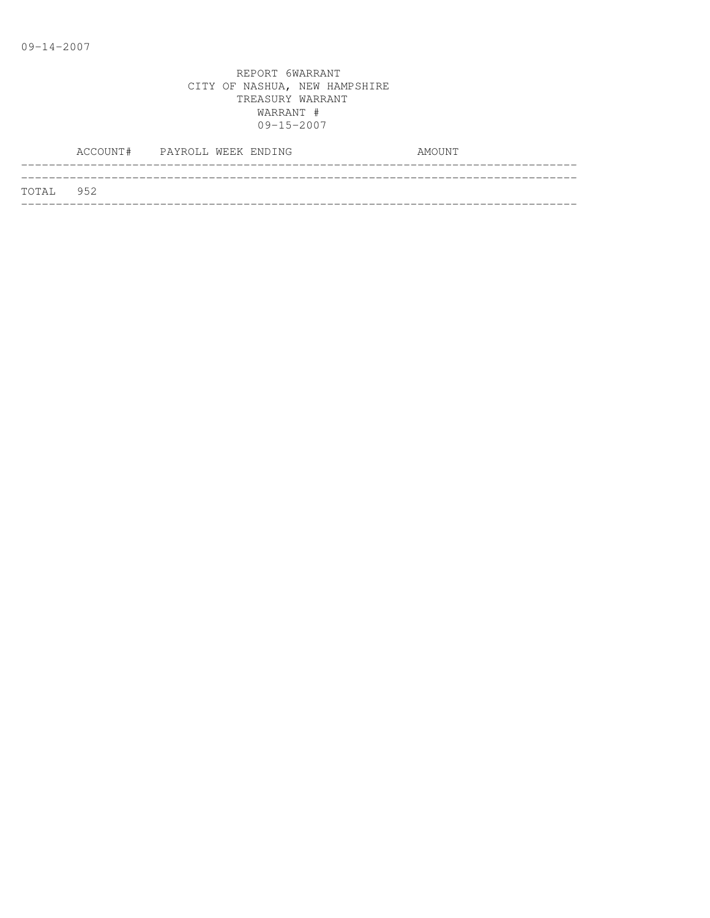|           | ACCOUNT# PAYROLL WEEK ENDING |  |  | AMOUNT |
|-----------|------------------------------|--|--|--------|
|           |                              |  |  |        |
| TOTAL 952 |                              |  |  |        |
|           |                              |  |  |        |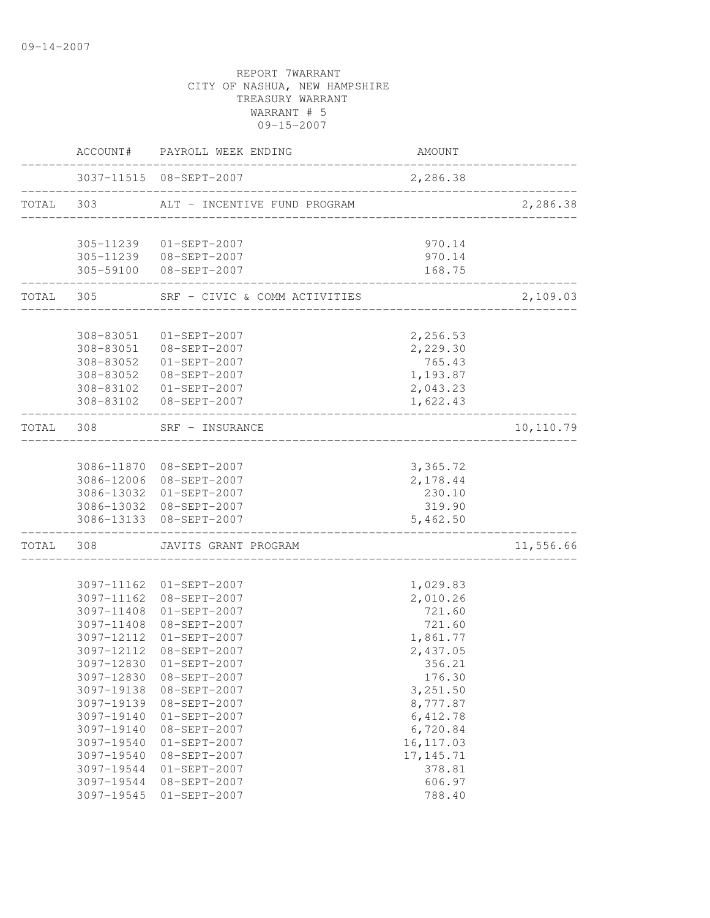|           |            | ACCOUNT# PAYROLL WEEK ENDING                       | AMOUNT               |           |
|-----------|------------|----------------------------------------------------|----------------------|-----------|
|           |            | 3037-11515 08-SEPT-2007                            | 2,286.38             |           |
| TOTAL 303 |            | ALT - INCENTIVE FUND PROGRAM                       |                      | 2,286.38  |
|           |            | 305-11239  01-SEPT-2007                            | 970.14               |           |
|           |            | 305-11239 08-SEPT-2007                             | 970.14               |           |
|           |            | 305-59100 08-SEPT-2007                             | 168.75               |           |
| TOTAL 305 |            | SRF - CIVIC & COMM ACTIVITIES                      |                      | 2,109.03  |
|           |            |                                                    |                      |           |
|           |            | 308-83051  01-SEPT-2007<br>308-83051  08-SEPT-2007 | 2,256.53<br>2,229.30 |           |
|           |            | 308-83052  01-SEPT-2007                            | 765.43               |           |
|           |            | 308-83052 08-SEPT-2007                             | 1,193.87             |           |
|           |            | 308-83102  01-SEPT-2007                            | 2,043.23             |           |
|           |            | 308-83102 08-SEPT-2007                             | 1,622.43             |           |
| TOTAL     | 308        | SRF - INSURANCE                                    |                      | 10,110.79 |
|           |            |                                                    |                      |           |
|           |            | 3086-11870 08-SEPT-2007                            | 3,365.72             |           |
|           |            | 3086-12006 08-SEPT-2007                            | 2,178.44             |           |
|           |            | 3086-13032 01-SEPT-2007                            | 230.10               |           |
|           |            | 3086-13032 08-SEPT-2007                            | 319.90               |           |
|           |            | 3086-13133 08-SEPT-2007                            | 5,462.50             |           |
| TOTAL     | 308        | JAVITS GRANT PROGRAM                               |                      | 11,556.66 |
|           |            |                                                    |                      |           |
|           |            | 3097-11162 01-SEPT-2007                            | 1,029.83             |           |
|           |            | 3097-11162 08-SEPT-2007                            | 2,010.26             |           |
|           | 3097-11408 | $01 - SEPT - 2007$<br>3097-11408 08-SEPT-2007      | 721.60<br>721.60     |           |
|           |            | 3097-12112 01-SEPT-2007                            | 1,861.77             |           |
|           |            | 3097-12112 08-SEPT-2007                            | 2,437.05             |           |
|           | 3097-12830 | $01-SEPT-2007$                                     | 356.21               |           |
|           | 3097-12830 | 08-SEPT-2007                                       | 176.30               |           |
|           | 3097-19138 | 08-SEPT-2007                                       | 3,251.50             |           |
|           | 3097-19139 | 08-SEPT-2007                                       | 8,777.87             |           |
|           | 3097-19140 | $01-SEPT-2007$                                     | 6, 412.78            |           |
|           | 3097-19140 | 08-SEPT-2007                                       | 6,720.84             |           |
|           | 3097-19540 | $01-SEPT-2007$                                     | 16, 117.03           |           |
|           | 3097-19540 | 08-SEPT-2007                                       | 17, 145.71           |           |
|           | 3097-19544 | $01-SEPT-2007$                                     | 378.81               |           |
|           | 3097-19544 | 08-SEPT-2007                                       | 606.97               |           |
|           | 3097-19545 | $01-SEPT-2007$                                     | 788.40               |           |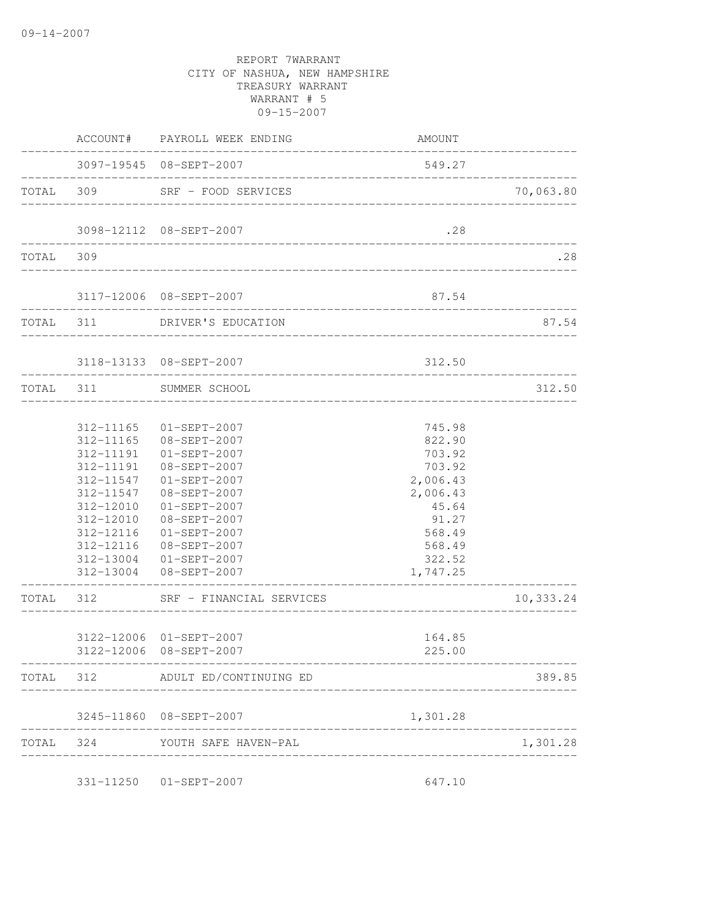|           |                                                                                                                                                     | ACCOUNT# PAYROLL WEEK ENDING                                                                                                                                                                                                           | AMOUNT                                                                                                                                                   |           |
|-----------|-----------------------------------------------------------------------------------------------------------------------------------------------------|----------------------------------------------------------------------------------------------------------------------------------------------------------------------------------------------------------------------------------------|----------------------------------------------------------------------------------------------------------------------------------------------------------|-----------|
|           |                                                                                                                                                     | 3097-19545 08-SEPT-2007<br>______________________________________                                                                                                                                                                      | 549.27                                                                                                                                                   |           |
|           |                                                                                                                                                     | TOTAL 309 SRF - FOOD SERVICES                                                                                                                                                                                                          | ___________________________                                                                                                                              | 70,063.80 |
|           |                                                                                                                                                     | 3098-12112 08-SEPT-2007                                                                                                                                                                                                                | .28                                                                                                                                                      |           |
| TOTAL 309 |                                                                                                                                                     |                                                                                                                                                                                                                                        |                                                                                                                                                          | .28       |
|           |                                                                                                                                                     | 3117-12006 08-SEPT-2007                                                                                                                                                                                                                | 87.54                                                                                                                                                    |           |
|           |                                                                                                                                                     | TOTAL 311 DRIVER'S EDUCATION                                                                                                                                                                                                           |                                                                                                                                                          | 87.54     |
|           |                                                                                                                                                     | 3118-13133 08-SEPT-2007                                                                                                                                                                                                                | 312.50                                                                                                                                                   |           |
|           |                                                                                                                                                     | TOTAL 311 SUMMER SCHOOL                                                                                                                                                                                                                |                                                                                                                                                          | 312.50    |
|           | 312-11165<br>312-11165<br>312-11191<br>312-11191<br>312-11547<br>312-11547<br>312-12010<br>312-12010<br>312-12116<br>312-12116<br>----------------- | $01 - SEPT - 2007$<br>08-SEPT-2007<br>$01 - SEPT - 2007$<br>08-SEPT-2007<br>$01 - SEPT - 2007$<br>08-SEPT-2007<br>$01-SEPT-2007$<br>08-SEPT-2007<br>$01-SEPT-2007$<br>08-SEPT-2007<br>312-13004 01-SEPT-2007<br>312-13004 08-SEPT-2007 | 745.98<br>822.90<br>703.92<br>703.92<br>2,006.43<br>2,006.43<br>45.64<br>91.27<br>568.49<br>568.49<br>322.52<br>1,747.25<br>---------------------------- |           |
| TOTAL 312 |                                                                                                                                                     | SRF - FINANCIAL SERVICES                                                                                                                                                                                                               |                                                                                                                                                          | 10,333.24 |
|           |                                                                                                                                                     | 3122-12006 01-SEPT-2007<br>3122-12006 08-SEPT-2007                                                                                                                                                                                     | 164.85<br>225.00                                                                                                                                         |           |
|           |                                                                                                                                                     | TOTAL 312 ADULT ED/CONTINUING ED                                                                                                                                                                                                       |                                                                                                                                                          | 389.85    |
|           |                                                                                                                                                     | 3245-11860 08-SEPT-2007                                                                                                                                                                                                                | 1,301.28                                                                                                                                                 |           |
| TOTAL     |                                                                                                                                                     | 324 YOUTH SAFE HAVEN-PAL                                                                                                                                                                                                               |                                                                                                                                                          | 1,301.28  |
|           |                                                                                                                                                     | 331-11250  01-SEPT-2007                                                                                                                                                                                                                | 647.10                                                                                                                                                   |           |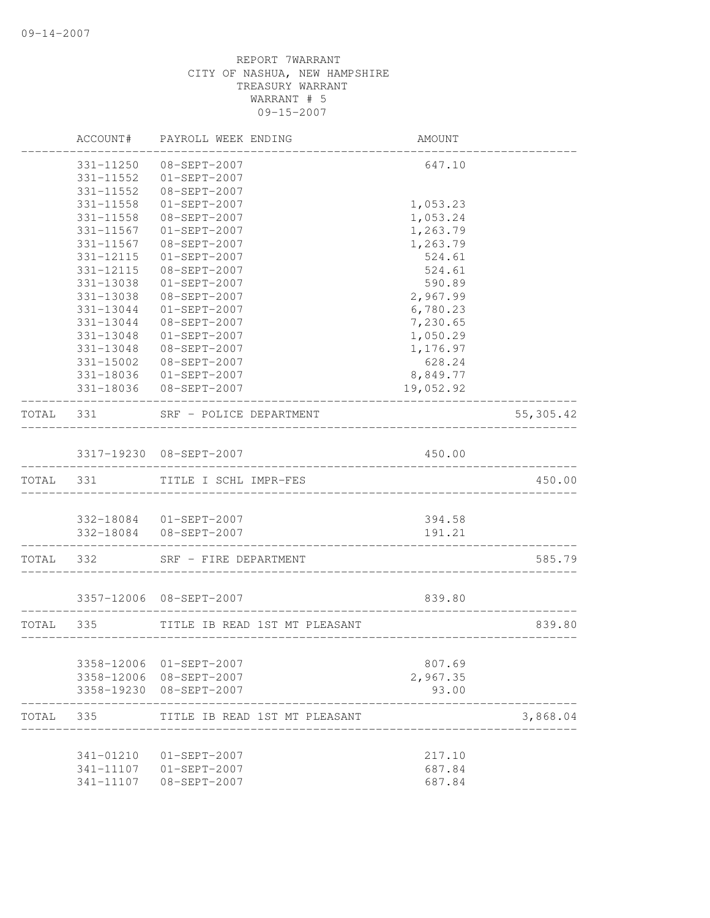|           | ACCOUNT#      | PAYROLL WEEK ENDING                              | <b>AMOUNT</b>            |            |
|-----------|---------------|--------------------------------------------------|--------------------------|------------|
|           | 331-11250     | 08-SEPT-2007                                     | 647.10                   |            |
|           | $331 - 11552$ | $01 - SEPT - 2007$                               |                          |            |
|           | 331-11552     | 08-SEPT-2007                                     |                          |            |
|           | 331-11558     | $01-SEPT-2007$                                   | 1,053.23                 |            |
|           | 331-11558     | 08-SEPT-2007                                     | 1,053.24                 |            |
|           | 331-11567     | $01-SEPT-2007$                                   | 1,263.79                 |            |
|           | 331-11567     | 08-SEPT-2007                                     | 1,263.79                 |            |
|           | 331-12115     | $01-SEPT-2007$                                   | 524.61                   |            |
|           | 331-12115     | 08-SEPT-2007                                     | 524.61                   |            |
|           | 331-13038     | $01-SEPT-2007$                                   | 590.89                   |            |
|           | 331-13038     | $08 - SEPT - 2007$                               | 2,967.99                 |            |
|           | 331-13044     | 01-SEPT-2007                                     | 6,780.23                 |            |
|           | 331-13044     | 08-SEPT-2007                                     | 7,230.65                 |            |
|           | 331-13048     | 01-SEPT-2007                                     | 1,050.29                 |            |
|           | 331-13048     | 08-SEPT-2007                                     | 1,176.97                 |            |
|           | 331-15002     | 08-SEPT-2007                                     | 628.24                   |            |
|           |               | 331-18036 01-SEPT-2007                           | 8,849.77                 |            |
|           |               | 331-18036 08-SEPT-2007                           | 19,052.92                |            |
| TOTAL     | 331           | SRF - POLICE DEPARTMENT                          |                          | 55, 305.42 |
|           |               | 3317-19230 08-SEPT-2007                          | 450.00                   |            |
|           |               | TOTAL 331 TITLE I SCHL IMPR-FES                  |                          | 450.00     |
|           |               |                                                  |                          |            |
|           |               | 332-18084 01-SEPT-2007                           | 394.58                   |            |
|           |               | 332-18084 08-SEPT-2007<br>---------------------- | 191.21                   |            |
| TOTAL 332 |               | SRF - FIRE DEPARTMENT                            |                          | 585.79     |
|           |               | 3357-12006 08-SEPT-2007                          | 839.80                   |            |
|           |               |                                                  |                          |            |
| TOTAL 335 |               | TITLE IB READ 1ST MT PLEASANT                    | ________________________ | 839.80     |
|           |               |                                                  |                          |            |
|           | 3358-12006    | 01-SEPT-2007                                     | 807.69                   |            |
|           |               | 3358-12006 08-SEPT-2007                          | 2,967.35                 |            |
|           |               | 3358-19230 08-SEPT-2007                          | 93.00                    |            |
| TOTAL     | 335           | TITLE IB READ 1ST MT PLEASANT                    |                          | 3,868.04   |
|           | 341-01210     |                                                  |                          |            |
|           |               | 01-SEPT-2007<br>341-11107  01-SEPT-2007          | 217.10<br>687.84         |            |
|           | 341-11107     | 08-SEPT-2007                                     | 687.84                   |            |
|           |               |                                                  |                          |            |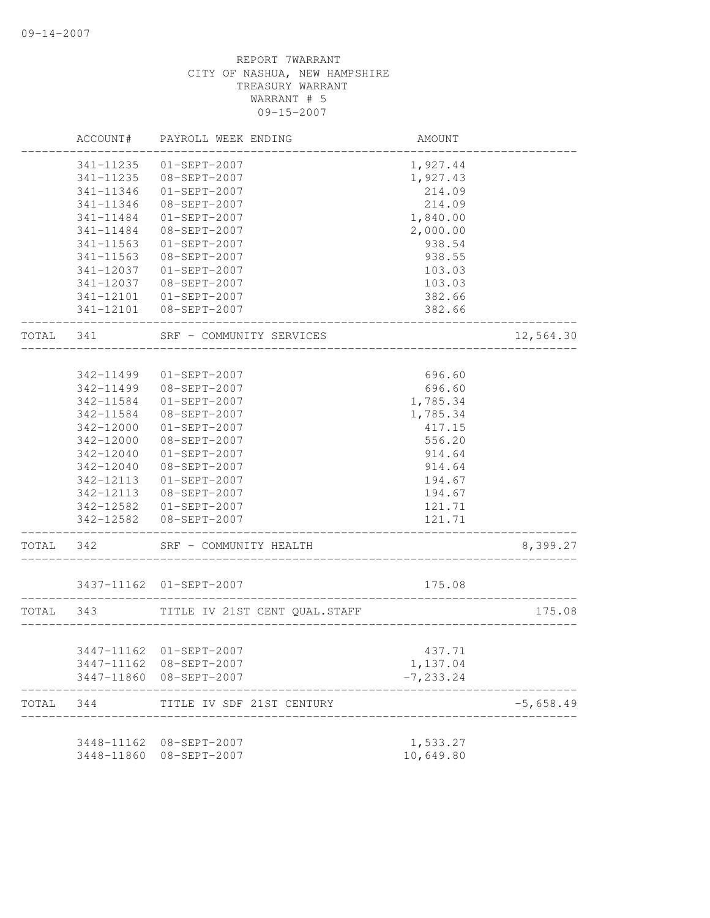|           | ACCOUNT#      | PAYROLL WEEK ENDING            | AMOUNT                     |             |
|-----------|---------------|--------------------------------|----------------------------|-------------|
|           | 341-11235     | $01-SEPT-2007$                 | 1,927.44                   |             |
|           | 341-11235     | 08-SEPT-2007                   | 1,927.43                   |             |
|           | 341-11346     | $01-SEPT-2007$                 | 214.09                     |             |
|           | 341-11346     | 08-SEPT-2007                   | 214.09                     |             |
|           | 341-11484     | $01-SEPT-2007$                 | 1,840.00                   |             |
|           | 341-11484     | 08-SEPT-2007                   | 2,000.00                   |             |
|           | 341-11563     | $01-SEPT-2007$                 | 938.54                     |             |
|           | 341-11563     | $08 - SEPT - 2007$             | 938.55                     |             |
|           | 341-12037     | $01-SEPT-2007$                 | 103.03                     |             |
|           | 341-12037     | 08-SEPT-2007                   | 103.03                     |             |
|           |               | 341-12101  01-SEPT-2007        | 382.66                     |             |
|           |               | 341-12101  08-SEPT-2007        | 382.66                     |             |
| TOTAL 341 |               | SRF - COMMUNITY SERVICES       |                            | 12,564.30   |
|           |               |                                |                            |             |
|           | 342-11499     | $01-SEPT-2007$                 | 696.60                     |             |
|           | 342-11499     | 08-SEPT-2007                   | 696.60                     |             |
|           | $342 - 11584$ | $01-SEPT-2007$                 | 1,785.34                   |             |
|           | 342-11584     | 08-SEPT-2007                   | 1,785.34                   |             |
|           | 342-12000     | $01-SEPT-2007$                 | 417.15                     |             |
|           | 342-12000     | 08-SEPT-2007                   | 556.20                     |             |
|           | 342-12040     | $01-SEPT-2007$                 | 914.64                     |             |
|           | 342-12040     | 08-SEPT-2007                   | 914.64                     |             |
|           | 342-12113     | $01-SEPT-2007$                 | 194.67                     |             |
|           | 342-12113     | 08-SEPT-2007                   | 194.67                     |             |
|           | 342-12582     | $01 - SEPT - 2007$             | 121.71                     |             |
|           |               | 342-12582 08-SEPT-2007         | 121.71                     |             |
| TOTAL     | 342           | SRF - COMMUNITY HEALTH         |                            | 8,399.27    |
|           |               | 3437-11162 01-SEPT-2007        | 175.08                     |             |
| TOTAL 343 |               | TITLE IV 21ST CENT QUAL. STAFF |                            | 175.08      |
|           |               |                                | __________________________ |             |
|           |               | 3447-11162 01-SEPT-2007        | 437.71                     |             |
|           | 3447-11162    | 08-SEPT-2007                   | 1,137.04                   |             |
|           | 3447-11860    | 08-SEPT-2007                   | $-7, 233.24$               |             |
| TOTAL     | 344           | TITLE IV SDF 21ST CENTURY      |                            | $-5,658.49$ |
|           | 3448-11162    | 08-SEPT-2007                   | 1,533.27                   |             |
|           | 3448-11860    | $08 - SEPT - 2007$             | 10,649.80                  |             |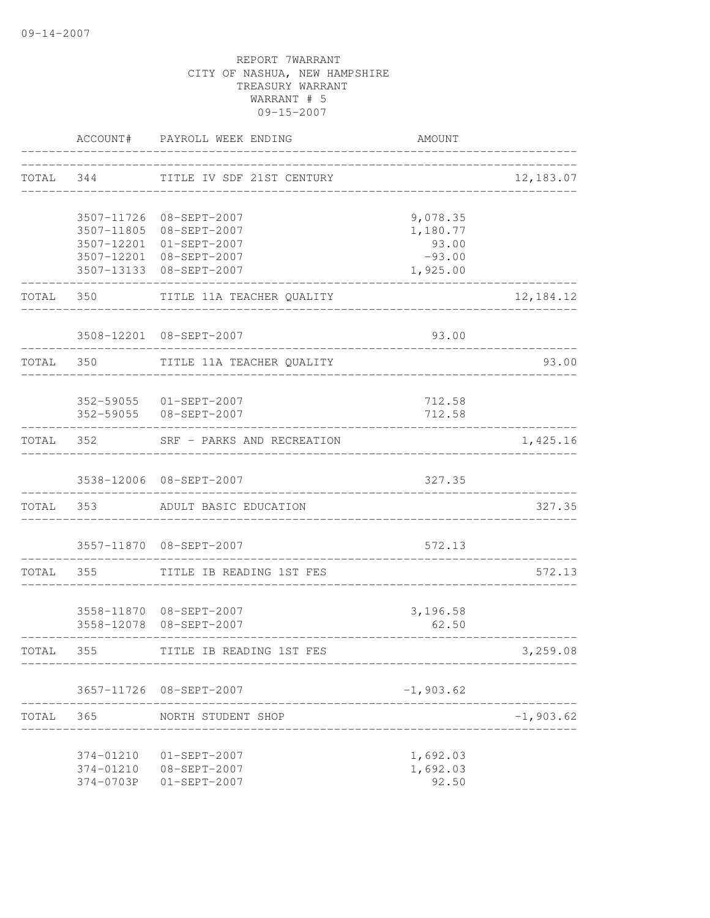|           |                        | ACCOUNT# PAYROLL WEEK ENDING                                                                                                        | AMOUNT                                                |             |
|-----------|------------------------|-------------------------------------------------------------------------------------------------------------------------------------|-------------------------------------------------------|-------------|
|           | TOTAL 344              | TITLE IV SDF 21ST CENTURY                                                                                                           | ___________________________________                   | 12,183.07   |
|           |                        | 3507-11726 08-SEPT-2007<br>3507-11805 08-SEPT-2007<br>3507-12201 01-SEPT-2007<br>3507-12201 08-SEPT-2007<br>3507-13133 08-SEPT-2007 | 9,078.35<br>1,180.77<br>93.00<br>$-93.00$<br>1,925.00 |             |
|           |                        | TOTAL 350 TITLE 11A TEACHER QUALITY                                                                                                 |                                                       | 12, 184. 12 |
|           |                        | 3508-12201 08-SEPT-2007                                                                                                             | 93.00                                                 |             |
|           |                        | TOTAL 350 TITLE 11A TEACHER QUALITY                                                                                                 |                                                       | 93.00       |
|           | ------------------     | 352-59055 01-SEPT-2007<br>352-59055 08-SEPT-2007                                                                                    | 712.58<br>712.58                                      |             |
|           |                        | TOTAL 352 SRF - PARKS AND RECREATION                                                                                                | __________________________________                    | 1,425.16    |
|           |                        | 3538-12006 08-SEPT-2007                                                                                                             | 327.35<br>__________________________                  |             |
|           |                        | TOTAL 353 ADULT BASIC EDUCATION                                                                                                     |                                                       | 327.35      |
|           |                        | 3557-11870 08-SEPT-2007                                                                                                             | 572.13<br>________________________________            |             |
| TOTAL 355 |                        | TITLE IB READING 1ST FES                                                                                                            |                                                       | 572.13      |
|           |                        | 3558-11870 08-SEPT-2007<br>3558-12078 08-SEPT-2007                                                                                  | 3,196.58<br>62.50                                     |             |
| TOTAL 355 |                        | TITLE IB READING 1ST FES                                                                                                            |                                                       | 3,259.08    |
|           |                        | 3657-11726 08-SEPT-2007                                                                                                             | $-1,903.62$                                           |             |
| TOTAL     | 365                    | NORTH STUDENT SHOP                                                                                                                  |                                                       | $-1,903.62$ |
|           | 374-01210<br>374-0703P | $01 - SEPT - 2007$<br>374-01210 08-SEPT-2007<br>$01-SEPT-2007$                                                                      | 1,692.03<br>1,692.03<br>92.50                         |             |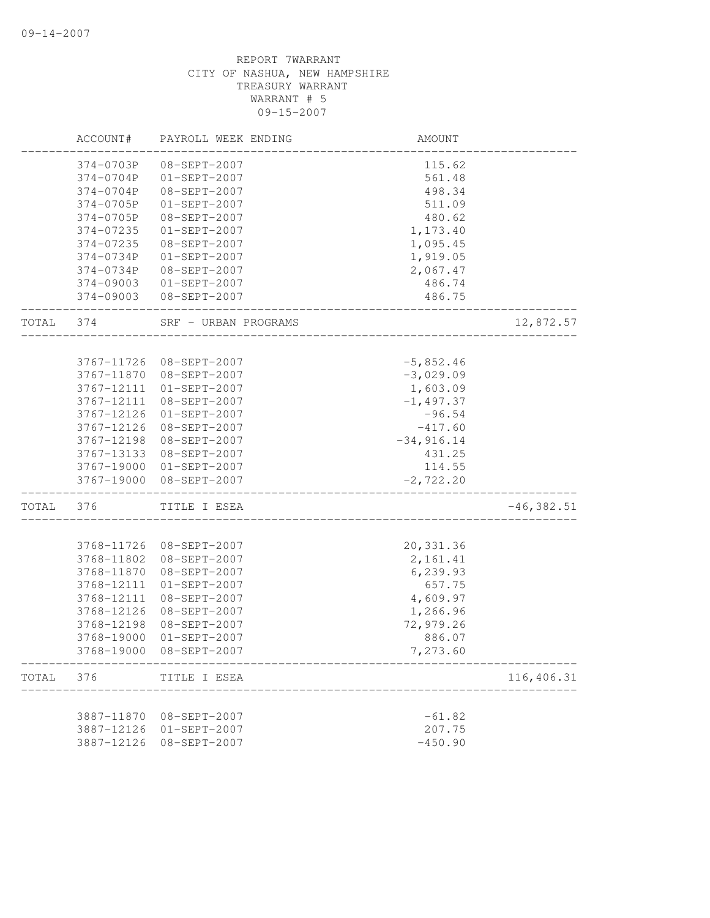|       | ACCOUNT#                 | PAYROLL WEEK ENDING            | AMOUNT               |               |
|-------|--------------------------|--------------------------------|----------------------|---------------|
|       | 374-0703P                | 08-SEPT-2007                   | 115.62               |               |
|       | 374-0704P                | $01-SEPT-2007$                 | 561.48               |               |
|       | 374-0704P                | 08-SEPT-2007                   | 498.34               |               |
|       | 374-0705P                | $01-SEPT-2007$                 | 511.09               |               |
|       | 374-0705P                | 08-SEPT-2007                   | 480.62               |               |
|       | 374-07235                | $01-SEPT-2007$                 | 1,173.40             |               |
|       | 374-07235                | 08-SEPT-2007                   | 1,095.45             |               |
|       | 374-0734P                | $01-SEPT-2007$                 | 1,919.05             |               |
|       | 374-0734P                | 08-SEPT-2007                   | 2,067.47             |               |
|       | 374-09003                | 01-SEPT-2007                   | 486.74               |               |
|       | 374-09003                | 08-SEPT-2007                   | 486.75               |               |
| TOTAL | 374                      | SRF - URBAN PROGRAMS           |                      | 12,872.57     |
|       | 3767-11726               | 08-SEPT-2007                   | $-5,852.46$          |               |
|       | 3767-11870               | 08-SEPT-2007                   | $-3,029.09$          |               |
|       | 3767-12111               | $01-SEPT-2007$                 | 1,603.09             |               |
|       | 3767-12111               | 08-SEPT-2007                   | $-1, 497.37$         |               |
|       | 3767-12126               | $01 - SEPT - 2007$             | $-96.54$             |               |
|       | 3767-12126               | 08-SEPT-2007                   | $-417.60$            |               |
|       | 3767-12198               | 08-SEPT-2007                   | $-34,916.14$         |               |
|       | 3767-13133               | 08-SEPT-2007                   | 431.25               |               |
|       | 3767-19000               | 01-SEPT-2007                   | 114.55               |               |
|       | 3767-19000               | 08-SEPT-2007                   | $-2, 722.20$         |               |
| TOTAL | 376                      | TITLE I ESEA                   |                      | $-46, 382.51$ |
|       |                          |                                |                      |               |
|       | 3768-11726               | 08-SEPT-2007                   | 20,331.36            |               |
|       | 3768-11802<br>3768-11870 | 08-SEPT-2007<br>08-SEPT-2007   | 2,161.41<br>6,239.93 |               |
|       |                          |                                | 657.75               |               |
|       | 3768-12111<br>3768-12111 | $01-SEPT-2007$<br>08-SEPT-2007 |                      |               |
|       | 3768-12126               | 08-SEPT-2007                   | 4,609.97<br>1,266.96 |               |
|       | 3768-12198               | 08-SEPT-2007                   | 72,979.26            |               |
|       | 3768-19000               | $01-SEPT-2007$                 | 886.07               |               |
|       | 3768-19000               | $08 - SEPT - 2007$             | 7,273.60             |               |
| TOTAL | 376                      | TITLE I ESEA                   |                      | 116,406.31    |
|       |                          |                                |                      |               |
|       | 3887-11870               | 08-SEPT-2007                   | $-61.82$             |               |
|       | 3887-12126               | $01-SEPT-2007$                 | 207.75               |               |
|       | 3887-12126               | 08-SEPT-2007                   | $-450.90$            |               |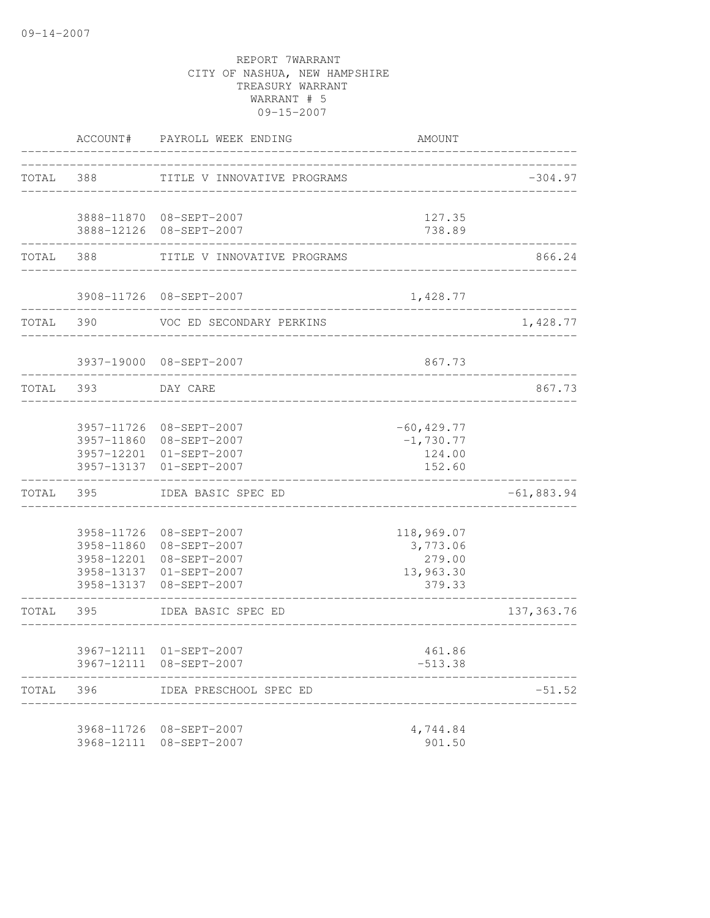|           | ACCOUNT#                 | PAYROLL WEEK ENDING                                                                                                      | AMOUNT                                                  |              |
|-----------|--------------------------|--------------------------------------------------------------------------------------------------------------------------|---------------------------------------------------------|--------------|
|           | TOTAL 388                | TITLE V INNOVATIVE PROGRAMS                                                                                              | _____________________________                           | $-304.97$    |
|           |                          | 3888-11870 08-SEPT-2007<br>3888-12126 08-SEPT-2007                                                                       | 127.35<br>738.89                                        |              |
| TOTAL     | 388                      | TITLE V INNOVATIVE PROGRAMS                                                                                              |                                                         | 866.24       |
|           |                          | 3908-11726 08-SEPT-2007                                                                                                  | 1,428.77                                                |              |
|           | TOTAL 390                | VOC ED SECONDARY PERKINS                                                                                                 |                                                         | 1,428.77     |
|           |                          | 3937-19000 08-SEPT-2007<br>---------------------------                                                                   | 867.73                                                  |              |
| TOTAL 393 |                          | DAY CARE                                                                                                                 |                                                         | 867.73       |
|           | 3957-11726<br>3957-13137 | 08-SEPT-2007<br>3957-11860 08-SEPT-2007<br>3957-12201 01-SEPT-2007<br>$01-SEPT-2007$                                     | $-60, 429.77$<br>$-1,730.77$<br>124.00<br>152.60        |              |
| TOTAL     | 395                      | IDEA BASIC SPEC ED                                                                                                       |                                                         | $-61,883.94$ |
|           | 3958-11860               | 3958-11726 08-SEPT-2007<br>08-SEPT-2007<br>3958-12201 08-SEPT-2007<br>3958-13137 01-SEPT-2007<br>3958-13137 08-SEPT-2007 | 118,969.07<br>3,773.06<br>279.00<br>13,963.30<br>379.33 |              |
| TOTAL     | 395                      | IDEA BASIC SPEC ED                                                                                                       |                                                         | 137, 363.76  |
|           |                          | 3967-12111 01-SEPT-2007<br>3967-12111 08-SEPT-2007                                                                       | 461.86<br>$-513.38$                                     |              |
| TOTAL     | 396                      | IDEA PRESCHOOL SPEC ED                                                                                                   |                                                         | $-51.52$     |
|           |                          | 3968-11726 08-SEPT-2007<br>3968-12111 08-SEPT-2007                                                                       | 4,744.84<br>901.50                                      |              |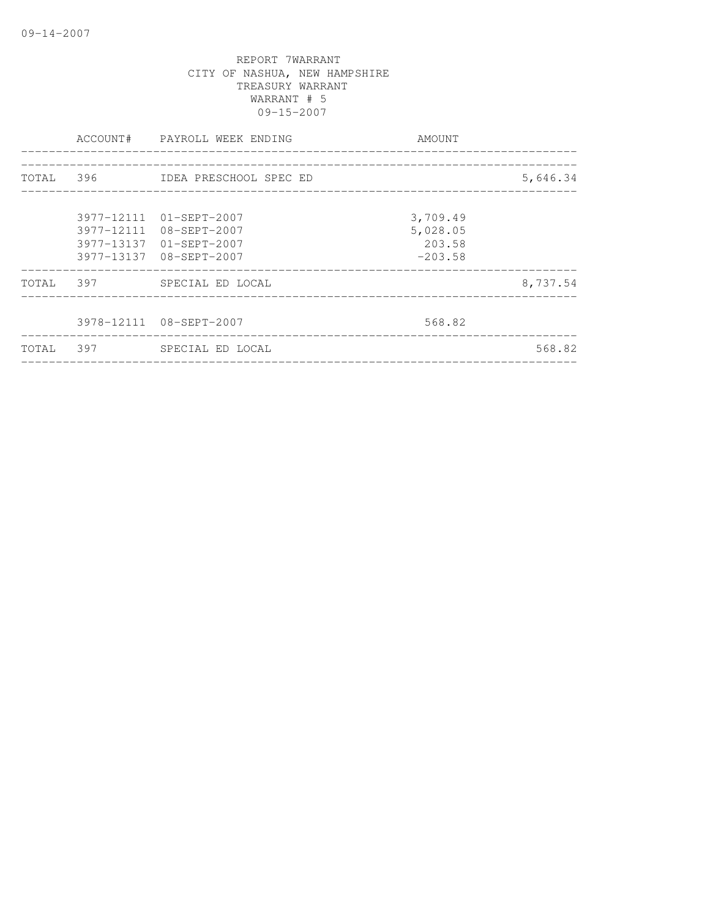|           | ACCOUNT# PAYROLL WEEK ENDING                                                                             | AMOUNT                                      |          |
|-----------|----------------------------------------------------------------------------------------------------------|---------------------------------------------|----------|
|           | TOTAL 396 IDEA PRESCHOOL SPEC ED                                                                         |                                             | 5,646.34 |
|           | 3977-12111 01-SEPT-2007<br>3977-12111 08-SEPT-2007<br>3977-13137 01-SEPT-2007<br>3977-13137 08-SEPT-2007 | 3,709.49<br>5,028.05<br>203.58<br>$-203.58$ |          |
| TOTAL 397 | SPECIAL ED LOCAL                                                                                         |                                             | 8,737.54 |
|           | 3978-12111 08-SEPT-2007                                                                                  | 568.82                                      |          |
|           | TOTAL 397 SPECIAL ED LOCAL                                                                               |                                             | 568.82   |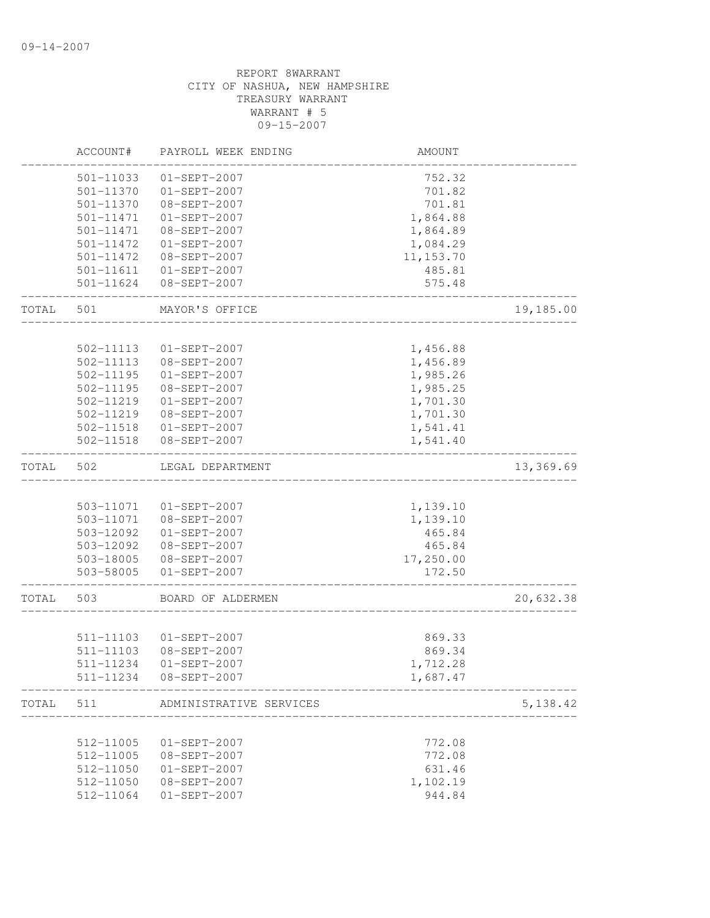|       | ACCOUNT#               | PAYROLL WEEK ENDING            | AMOUNT               |           |
|-------|------------------------|--------------------------------|----------------------|-----------|
|       | 501-11033              | $01-SEPT-2007$                 | 752.32               |           |
|       | 501-11370              | $01-SEPT-2007$                 | 701.82               |           |
|       | 501-11370              | 08-SEPT-2007                   | 701.81               |           |
|       | 501-11471              | 01-SEPT-2007                   | 1,864.88             |           |
|       | 501-11471              | 08-SEPT-2007                   | 1,864.89             |           |
|       | 501-11472              | 01-SEPT-2007                   | 1,084.29             |           |
|       | 501-11472              | 08-SEPT-2007                   | 11, 153.70           |           |
|       |                        | 501-11611  01-SEPT-2007        | 485.81               |           |
|       |                        | 501-11624 08-SEPT-2007         | 575.48               |           |
| TOTAL | 501                    | MAYOR'S OFFICE                 |                      | 19,185.00 |
|       |                        |                                |                      |           |
|       | 502-11113              | $01 - SEPT - 2007$             | 1,456.88             |           |
|       | 502-11113<br>502-11195 | 08-SEPT-2007<br>$01-SEPT-2007$ | 1,456.89<br>1,985.26 |           |
|       | 502-11195              | 08-SEPT-2007                   |                      |           |
|       | 502-11219              | $01-SEPT-2007$                 | 1,985.25             |           |
|       | 502-11219              | 08-SEPT-2007                   | 1,701.30             |           |
|       |                        | 502-11518  01-SEPT-2007        | 1,701.30             |           |
|       | 502-11518              | 08-SEPT-2007                   | 1,541.41<br>1,541.40 |           |
| TOTAL | 502                    | LEGAL DEPARTMENT               |                      | 13,369.69 |
|       |                        |                                |                      |           |
|       | 503-11071              | $01-SEPT-2007$                 | 1,139.10             |           |
|       |                        | 503-11071  08-SEPT-2007        | 1,139.10             |           |
|       | 503-12092              | 01-SEPT-2007                   | 465.84               |           |
|       | 503-12092              | 08-SEPT-2007                   | 465.84               |           |
|       |                        | 503-18005 08-SEPT-2007         | 17,250.00            |           |
|       |                        | 503-58005 01-SEPT-2007         | 172.50               |           |
| TOTAL | 503                    | BOARD OF ALDERMEN              |                      | 20,632.38 |
|       |                        |                                |                      |           |
|       |                        | 511-11103  01-SEPT-2007        | 869.33               |           |
|       | 511-11103              | 08-SEPT-2007                   | 869.34               |           |
|       | 511-11234              | $01-SEPT-2007$                 | 1,712.28             |           |
|       | 511-11234              | 08-SEPT-2007                   | 1,687.47             |           |
| TOTAL | 511                    | ADMINISTRATIVE SERVICES        |                      | 5, 138.42 |
|       |                        |                                |                      |           |
|       | 512-11005              | $01-SEPT-2007$                 | 772.08               |           |
|       | 512-11005              | 08-SEPT-2007                   | 772.08               |           |
|       | 512-11050              | $01-SEPT-2007$                 | 631.46               |           |
|       | 512-11050              | 08-SEPT-2007                   | 1,102.19             |           |
|       | 512-11064              | $01-SEPT-2007$                 | 944.84               |           |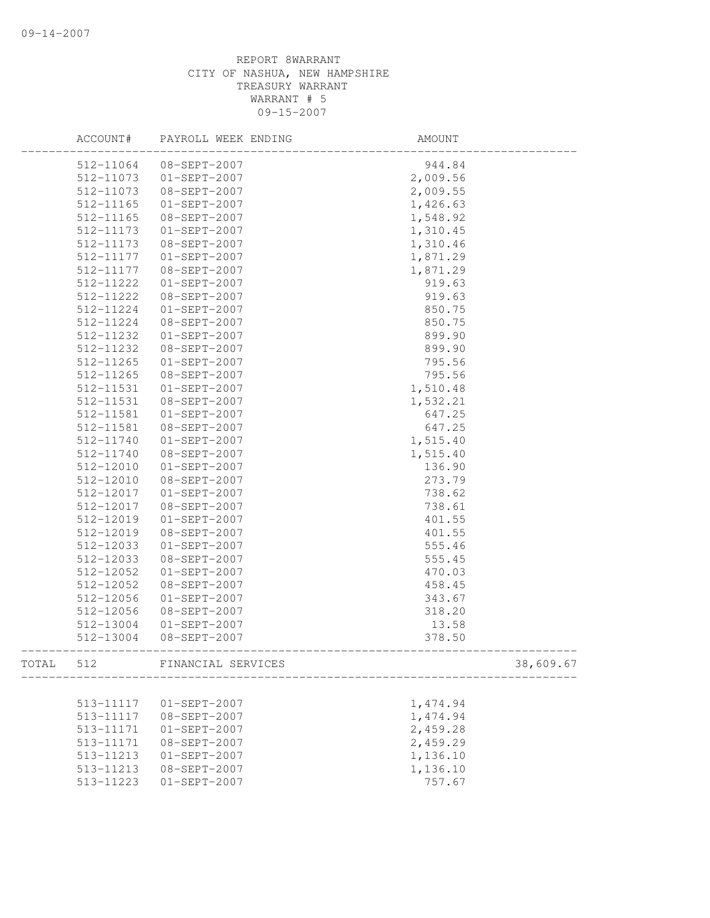|       | ACCOUNT#  | PAYROLL WEEK ENDING | AMOUNT   |           |
|-------|-----------|---------------------|----------|-----------|
|       | 512-11064 | 08-SEPT-2007        | 944.84   |           |
|       | 512-11073 | $01 - SEPT - 2007$  | 2,009.56 |           |
|       | 512-11073 | 08-SEPT-2007        | 2,009.55 |           |
|       | 512-11165 | $01 - SEPT - 2007$  | 1,426.63 |           |
|       | 512-11165 | 08-SEPT-2007        | 1,548.92 |           |
|       | 512-11173 | $01-SEPT-2007$      | 1,310.45 |           |
|       | 512-11173 | 08-SEPT-2007        | 1,310.46 |           |
|       | 512-11177 | $01 - SEPT - 2007$  | 1,871.29 |           |
|       | 512-11177 | 08-SEPT-2007        | 1,871.29 |           |
|       | 512-11222 | $01-SEPT-2007$      | 919.63   |           |
|       | 512-11222 | 08-SEPT-2007        | 919.63   |           |
|       | 512-11224 | $01 - SEPT - 2007$  | 850.75   |           |
|       | 512-11224 | 08-SEPT-2007        | 850.75   |           |
|       | 512-11232 | $01 - SEPT - 2007$  | 899.90   |           |
|       | 512-11232 | 08-SEPT-2007        | 899.90   |           |
|       | 512-11265 | $01-SEPT-2007$      | 795.56   |           |
|       | 512-11265 | 08-SEPT-2007        | 795.56   |           |
|       | 512-11531 | $01 - SEPT - 2007$  | 1,510.48 |           |
|       | 512-11531 | 08-SEPT-2007        | 1,532.21 |           |
|       | 512-11581 | $01 - SEPT - 2007$  | 647.25   |           |
|       | 512-11581 | 08-SEPT-2007        | 647.25   |           |
|       | 512-11740 | $01 - SEPT - 2007$  | 1,515.40 |           |
|       | 512-11740 | 08-SEPT-2007        | 1,515.40 |           |
|       | 512-12010 | $01-SEPT-2007$      | 136.90   |           |
|       | 512-12010 | 08-SEPT-2007        | 273.79   |           |
|       | 512-12017 | $01 - SEPT - 2007$  | 738.62   |           |
|       | 512-12017 | 08-SEPT-2007        | 738.61   |           |
|       | 512-12019 | $01-SEPT-2007$      | 401.55   |           |
|       | 512-12019 | 08-SEPT-2007        | 401.55   |           |
|       | 512-12033 | $01-SEPT-2007$      | 555.46   |           |
|       | 512-12033 | 08-SEPT-2007        | 555.45   |           |
|       | 512-12052 | $01-SEPT-2007$      | 470.03   |           |
|       | 512-12052 | 08-SEPT-2007        | 458.45   |           |
|       | 512-12056 | $01-SEPT-2007$      | 343.67   |           |
|       | 512-12056 | 08-SEPT-2007        | 318.20   |           |
|       | 512-13004 | $01-SEPT-2007$      | 13.58    |           |
|       | 512-13004 | 08-SEPT-2007        | 378.50   |           |
| TOTAL | 512       | FINANCIAL SERVICES  |          | 38,609.67 |
|       |           |                     |          |           |
|       | 513-11117 | $01-SEPT-2007$      | 1,474.94 |           |
|       | 513-11117 | 08-SEPT-2007        | 1,474.94 |           |
|       | 513-11171 | $01-SEPT-2007$      | 2,459.28 |           |
|       | 513-11171 | $08 - SEPT - 2007$  | 2,459.29 |           |
|       | 513-11213 | $01-SEPT-2007$      | 1,136.10 |           |
|       | 513-11213 | 08-SEPT-2007        | 1,136.10 |           |
|       | 513-11223 | $01-SEPT-2007$      | 757.67   |           |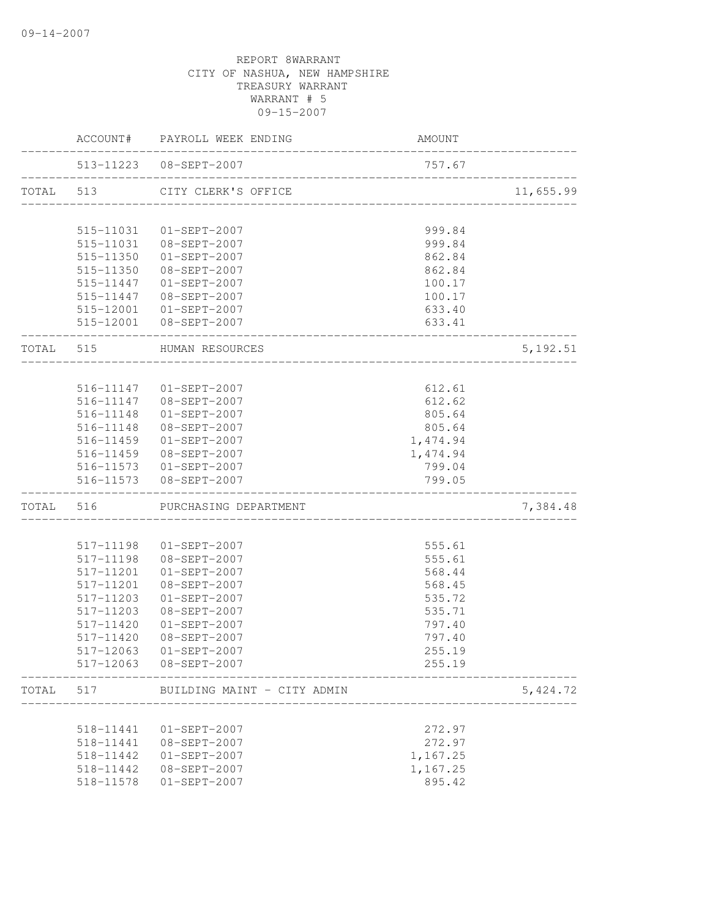|       |                        | ACCOUNT# PAYROLL WEEK ENDING       | AMOUNT                                    |           |
|-------|------------------------|------------------------------------|-------------------------------------------|-----------|
|       |                        | 513-11223 08-SEPT-2007             | 757.67                                    |           |
|       |                        | TOTAL 513 CITY CLERK'S OFFICE      |                                           | 11,655.99 |
|       |                        |                                    |                                           |           |
|       | 515-11031<br>515-11031 | $01 - SEPT - 2007$<br>08-SEPT-2007 | 999.84<br>999.84                          |           |
|       | 515-11350              | $01 - SEPT - 2007$                 | 862.84                                    |           |
|       | 515-11350              | 08-SEPT-2007                       | 862.84                                    |           |
|       |                        | 515-11447 01-SEPT-2007             | 100.17                                    |           |
|       |                        | 515-11447 08-SEPT-2007             | 100.17                                    |           |
|       |                        | 515-12001  01-SEPT-2007            | 633.40                                    |           |
|       |                        | 515-12001 08-SEPT-2007             | 633.41                                    |           |
|       |                        | TOTAL 515 HUMAN RESOURCES          |                                           | 5, 192.51 |
|       |                        | ___________________                |                                           |           |
|       |                        | 516-11147 01-SEPT-2007             | 612.61                                    |           |
|       |                        | 516-11147 08-SEPT-2007             | 612.62                                    |           |
|       | 516-11148              | $01 - SEPT - 2007$                 | 805.64                                    |           |
|       | 516-11148              | 08-SEPT-2007                       | 805.64                                    |           |
|       | 516-11459              | 01-SEPT-2007                       | 1,474.94                                  |           |
|       |                        | 516-11459 08-SEPT-2007             | 1,474.94                                  |           |
|       |                        | 516-11573 01-SEPT-2007             | 799.04                                    |           |
|       | ------------------     | 516-11573 08-SEPT-2007             | 799.05<br>_______________________________ |           |
|       |                        | TOTAL 516 PURCHASING DEPARTMENT    |                                           | 7,384.48  |
|       |                        |                                    |                                           |           |
|       | 517-11198              | $01 - SEPT - 2007$                 | 555.61                                    |           |
|       | 517-11198              | 08-SEPT-2007                       | 555.61                                    |           |
|       | 517-11201              | $01-SEPT-2007$                     | 568.44                                    |           |
|       | 517-11201              | 08-SEPT-2007                       | 568.45                                    |           |
|       | 517-11203              | $01-SEPT-2007$                     | 535.72                                    |           |
|       | 517-11203              | 08-SEPT-2007                       | 535.71                                    |           |
|       | 517-11420              | $01 - SEPT - 2007$                 | 797.40                                    |           |
|       | 517-11420              | 08-SEPT-2007                       | 797.40                                    |           |
|       | 517-12063              | $01-SEPT-2007$                     | 255.19                                    |           |
|       | 517-12063              | 08-SEPT-2007                       | 255.19                                    |           |
| TOTAL | 517                    | BUILDING MAINT - CITY ADMIN        |                                           | 5,424.72  |
|       | 518-11441              | $01-SEPT-2007$                     | 272.97                                    |           |
|       | 518-11441              | 08-SEPT-2007                       | 272.97                                    |           |
|       | 518-11442              | $01-SEPT-2007$                     | 1,167.25                                  |           |
|       | 518-11442              | 08-SEPT-2007                       | 1,167.25                                  |           |
|       | 518-11578              | 01-SEPT-2007                       | 895.42                                    |           |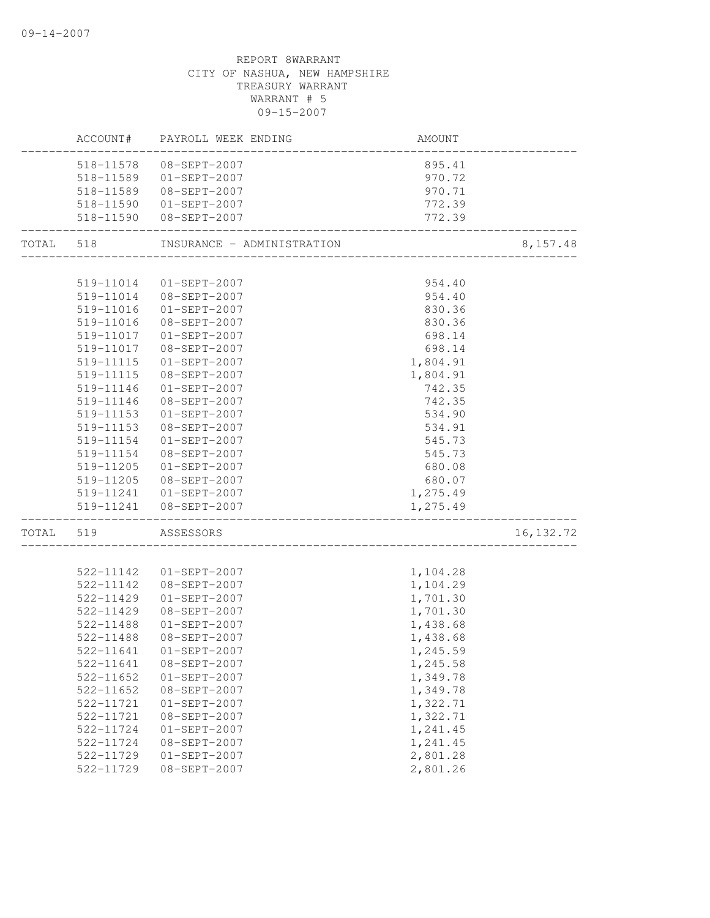|           |               | ACCOUNT# PAYROLL WEEK ENDING | AMOUNT                          |            |
|-----------|---------------|------------------------------|---------------------------------|------------|
|           | 518-11578     | 08-SEPT-2007                 | 895.41                          |            |
|           | 518-11589     | $01 - SEPT - 2007$           | 970.72                          |            |
|           | 518-11589     | 08-SEPT-2007                 | 970.71                          |            |
|           |               | 518-11590 01-SEPT-2007       | 772.39                          |            |
|           |               | 518-11590 08-SEPT-2007       | 772.39                          |            |
| TOTAL 518 |               | INSURANCE - ADMINISTRATION   | _______________________________ | 8,157.48   |
|           |               |                              |                                 |            |
|           |               | 519-11014 01-SEPT-2007       | 954.40                          |            |
|           |               | 519-11014 08-SEPT-2007       | 954.40                          |            |
|           | 519-11016     | $01 - SEPT - 2007$           | 830.36                          |            |
|           | 519-11016     | 08-SEPT-2007                 | 830.36                          |            |
|           |               | 519-11017  01-SEPT-2007      | 698.14                          |            |
|           |               | 519-11017 08-SEPT-2007       | 698.14                          |            |
|           | 519-11115     | 01-SEPT-2007                 | 1,804.91                        |            |
|           | 519-11115     | 08-SEPT-2007                 | 1,804.91                        |            |
|           | 519-11146     | $01-SEPT-2007$               | 742.35                          |            |
|           | 519-11146     | 08-SEPT-2007                 | 742.35                          |            |
|           | 519-11153     | $01 - SEPT - 2007$           | 534.90                          |            |
|           | 519-11153     | 08-SEPT-2007                 | 534.91                          |            |
|           | 519-11154     | 01-SEPT-2007                 | 545.73                          |            |
|           | 519-11154     | 08-SEPT-2007                 | 545.73                          |            |
|           | 519-11205     | $01 - SEPT - 2007$           | 680.08                          |            |
|           |               | 519-11205 08-SEPT-2007       | 680.07                          |            |
|           |               | 519-11241  01-SEPT-2007      | 1,275.49                        |            |
|           |               | 519-11241  08-SEPT-2007      | 1,275.49                        |            |
| TOTAL 519 |               | ASSESSORS                    |                                 | 16, 132.72 |
|           |               |                              |                                 |            |
|           | 522-11142     | $01 - SEPT - 2007$           | 1,104.28                        |            |
|           | 522-11142     | $08 - SEPT - 2007$           | 1,104.29                        |            |
|           | 522-11429     | $01 - SEPT - 2007$           | 1,701.30                        |            |
|           | 522-11429     | 08-SEPT-2007                 | 1,701.30                        |            |
|           | 522-11488     | 01-SEPT-2007                 | 1,438.68                        |            |
|           | 522-11488     | 08-SEPT-2007                 | 1,438.68                        |            |
|           |               | 522-11641  01-SEPT-2007      | 1,245.59                        |            |
|           | 522-11641     | $08 - SEPT - 2007$           | 1,245.58                        |            |
|           | 522-11652     | $01-SEPT-2007$               | 1,349.78                        |            |
|           | 522-11652     | 08-SEPT-2007                 | 1,349.78                        |            |
|           | 522-11721     | $01-SEPT-2007$               | 1,322.71                        |            |
|           | 522-11721     | 08-SEPT-2007                 | 1,322.71                        |            |
|           | 522-11724     | $01-SEPT-2007$               | 1,241.45                        |            |
|           | $522 - 11724$ | $08-SEPT-2007$               | 1,241.45                        |            |
|           | 522-11729     | $01-SEPT-2007$               | 2,801.28                        |            |
|           | 522-11729     | $08 - SEPT - 2007$           | 2,801.26                        |            |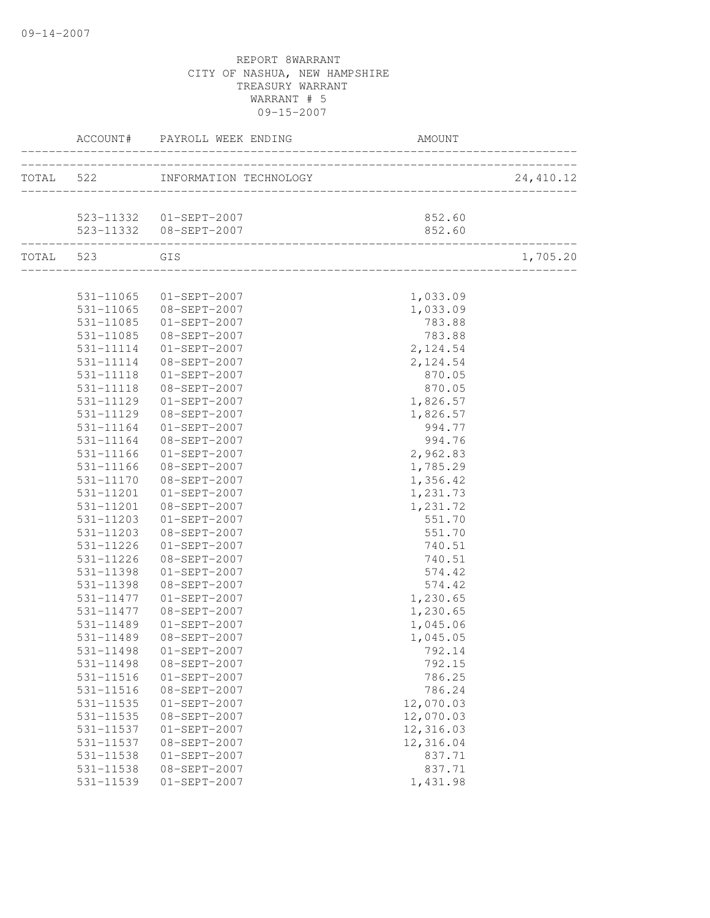|               | ACCOUNT# PAYROLL WEEK ENDING<br>____________ | AMOUNT                                                                        |            |
|---------------|----------------------------------------------|-------------------------------------------------------------------------------|------------|
|               | TOTAL 522 INFORMATION TECHNOLOGY             | _________________________________<br>OGY<br>--------------------------------- | 24, 410.12 |
|               | 523-11332  01-SEPT-2007                      | 852.60                                                                        |            |
|               | 523-11332  08-SEPT-2007                      | 852.60                                                                        |            |
| TOTAL 523 GIS |                                              |                                                                               | 1,705.20   |
|               | 531-11065 01-SEPT-2007                       | 1,033.09                                                                      |            |
|               | 531-11065 08-SEPT-2007                       | 1,033.09                                                                      |            |
| 531-11085     | $01 - SEPT - 2007$                           | 783.88                                                                        |            |
| 531-11085     | 08-SEPT-2007                                 | 783.88                                                                        |            |
| 531-11114     | $01 - SEPT - 2007$                           | 2,124.54                                                                      |            |
| 531-11114     | 08-SEPT-2007                                 | 2,124.54                                                                      |            |
| 531-11118     | $01-SEPT-2007$                               | 870.05                                                                        |            |
| 531-11118     | 08-SEPT-2007                                 | 870.05                                                                        |            |
| 531-11129     | $01-SEPT-2007$                               | 1,826.57                                                                      |            |
| 531-11129     | 08-SEPT-2007                                 | 1,826.57                                                                      |            |
| 531-11164     | $01 - SEPT - 2007$                           | 994.77                                                                        |            |
| 531-11164     | 08-SEPT-2007                                 | 994.76                                                                        |            |
| 531-11166     | $01 - SEPT - 2007$                           | 2,962.83                                                                      |            |
| 531-11166     | 08-SEPT-2007                                 | 1,785.29                                                                      |            |
| 531-11170     | 08-SEPT-2007                                 | 1,356.42                                                                      |            |
| 531-11201     | $01-SEPT-2007$                               | 1,231.73                                                                      |            |
| 531-11201     | 08-SEPT-2007                                 | 1,231.72                                                                      |            |
| 531-11203     | $01-SEPT-2007$                               | 551.70                                                                        |            |
| 531-11203     | 08-SEPT-2007                                 | 551.70                                                                        |            |
| 531-11226     | $01-SEPT-2007$                               | 740.51                                                                        |            |
| 531-11226     | 08-SEPT-2007                                 | 740.51                                                                        |            |
| 531-11398     | $01-SEPT-2007$                               | 574.42                                                                        |            |
| 531-11398     | 08-SEPT-2007                                 | 574.42                                                                        |            |
| 531-11477     | $01-SEPT-2007$                               | 1,230.65                                                                      |            |
| 531-11477     | 08-SEPT-2007                                 | 1,230.65                                                                      |            |
| 531-11489     | $01-SEPT-2007$                               | 1,045.06                                                                      |            |
| 531-11489     | 08-SEPT-2007                                 | 1,045.05                                                                      |            |
| 531-11498     | $01 - SEPT - 2007$                           | 792.14                                                                        |            |
| 531-11498     | 08-SEPT-2007                                 | 792.15                                                                        |            |
| 531-11516     | $01-SEPT-2007$                               | 786.25                                                                        |            |
| 531-11516     | 08-SEPT-2007                                 | 786.24                                                                        |            |
| 531-11535     | $01-SEPT-2007$                               | 12,070.03                                                                     |            |
| 531-11535     | $08 - SEPT - 2007$                           | 12,070.03                                                                     |            |
| 531-11537     | $01-SEPT-2007$                               | 12,316.03                                                                     |            |
| 531-11537     | 08-SEPT-2007                                 | 12,316.04                                                                     |            |
| 531-11538     | $01-SEPT-2007$                               | 837.71                                                                        |            |
| 531-11538     | 08-SEPT-2007                                 | 837.71                                                                        |            |
| 531-11539     | 01-SEPT-2007                                 | 1,431.98                                                                      |            |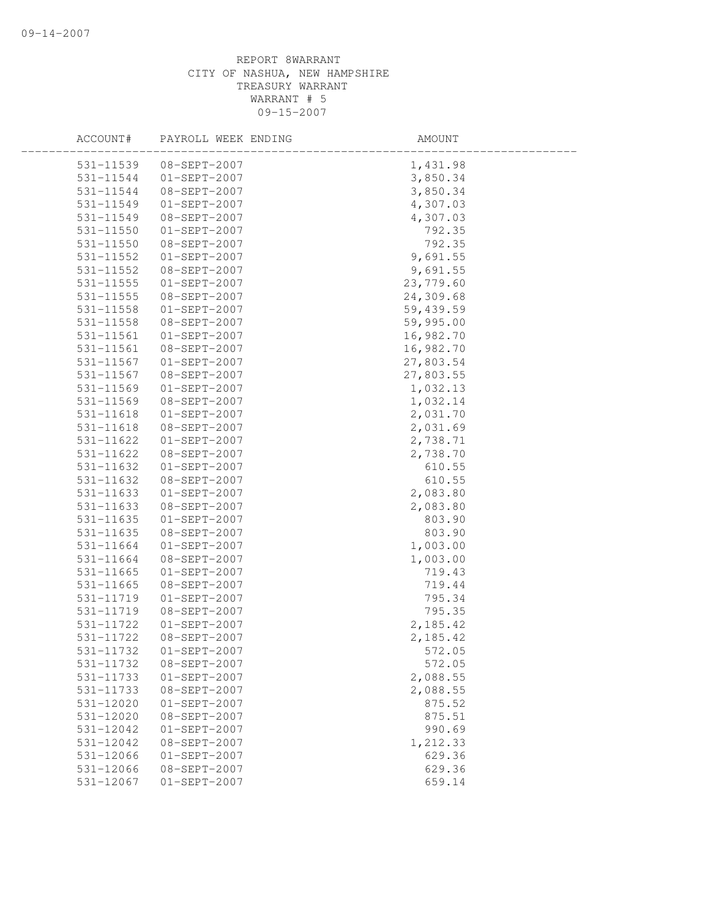| ACCOUNT#                   | PAYROLL WEEK ENDING            | AMOUNT             |  |
|----------------------------|--------------------------------|--------------------|--|
| 531-11539                  | $08 - SEPT - 2007$             | 1,431.98           |  |
| 531-11544                  | $01 - SEPT - 2007$             | 3,850.34           |  |
| 531-11544                  | 08-SEPT-2007                   | 3,850.34           |  |
| 531-11549                  | $01-SEPT-2007$                 | 4,307.03           |  |
| 531-11549                  | 08-SEPT-2007                   | 4,307.03           |  |
| 531-11550                  | $01-SEPT-2007$                 | 792.35             |  |
| 531-11550                  | 08-SEPT-2007                   | 792.35             |  |
| 531-11552                  | $01-SEPT-2007$                 | 9,691.55           |  |
| 531-11552                  | 08-SEPT-2007                   | 9,691.55           |  |
| 531-11555                  | $01 - SEPT - 2007$             | 23,779.60          |  |
| $531 - 11555$              | 08-SEPT-2007                   | 24,309.68          |  |
| 531-11558                  | $01-SEPT-2007$                 | 59,439.59          |  |
| 531-11558                  | 08-SEPT-2007                   | 59,995.00          |  |
| 531-11561                  | $01-SEPT-2007$                 | 16,982.70          |  |
| 531-11561                  | 08-SEPT-2007                   | 16,982.70          |  |
| 531-11567                  | $01-SEPT-2007$                 | 27,803.54          |  |
| 531-11567                  | 08-SEPT-2007                   | 27,803.55          |  |
| 531-11569                  | $01-SEPT-2007$                 | 1,032.13           |  |
| 531-11569                  | 08-SEPT-2007                   | 1,032.14           |  |
| 531-11618                  | $01-SEPT-2007$                 | 2,031.70           |  |
| 531-11618                  | 08-SEPT-2007                   | 2,031.69           |  |
| 531-11622                  | $01-SEPT-2007$                 | 2,738.71           |  |
| 531-11622                  | 08-SEPT-2007                   | 2,738.70           |  |
| 531-11632                  | $01-SEPT-2007$                 | 610.55             |  |
| 531-11632                  | 08-SEPT-2007                   | 610.55             |  |
| 531-11633                  | $01-SEPT-2007$                 | 2,083.80           |  |
| 531-11633                  | 08-SEPT-2007                   | 2,083.80           |  |
| 531-11635                  | $01-SEPT-2007$                 | 803.90             |  |
| 531-11635                  | 08-SEPT-2007                   | 803.90             |  |
| 531-11664                  | $01-SEPT-2007$                 | 1,003.00           |  |
| 531-11664                  | 08-SEPT-2007                   | 1,003.00           |  |
| 531-11665                  | $01-SEPT-2007$                 | 719.43             |  |
| 531-11665                  | 08-SEPT-2007                   | 719.44             |  |
| 531-11719                  | $01-SEPT-2007$                 | 795.34             |  |
| 531-11719                  | 08-SEPT-2007                   | 795.35             |  |
| 531-11722                  | $01-SEPT-2007$                 | 2,185.42           |  |
| 531-11722                  | 08-SEPT-2007                   | 2,185.42           |  |
| 531-11732                  | $01-SEPT-2007$                 | 572.05             |  |
| 531-11732                  | 08-SEPT-2007                   | 572.05             |  |
| 531-11733                  | $01-SEPT-2007$                 | 2,088.55           |  |
| 531-11733<br>$531 - 12020$ | 08-SEPT-2007<br>$01-SEPT-2007$ | 2,088.55<br>875.52 |  |
| 531-12020                  | 08-SEPT-2007                   | 875.51             |  |
| 531-12042                  | 01-SEPT-2007                   | 990.69             |  |
| 531-12042                  | $08 - SEPT - 2007$             | 1,212.33           |  |
| 531-12066                  | $01-SEPT-2007$                 | 629.36             |  |
| 531-12066                  | 08-SEPT-2007                   | 629.36             |  |
| 531-12067                  | $01-SEPT-2007$                 | 659.14             |  |
|                            |                                |                    |  |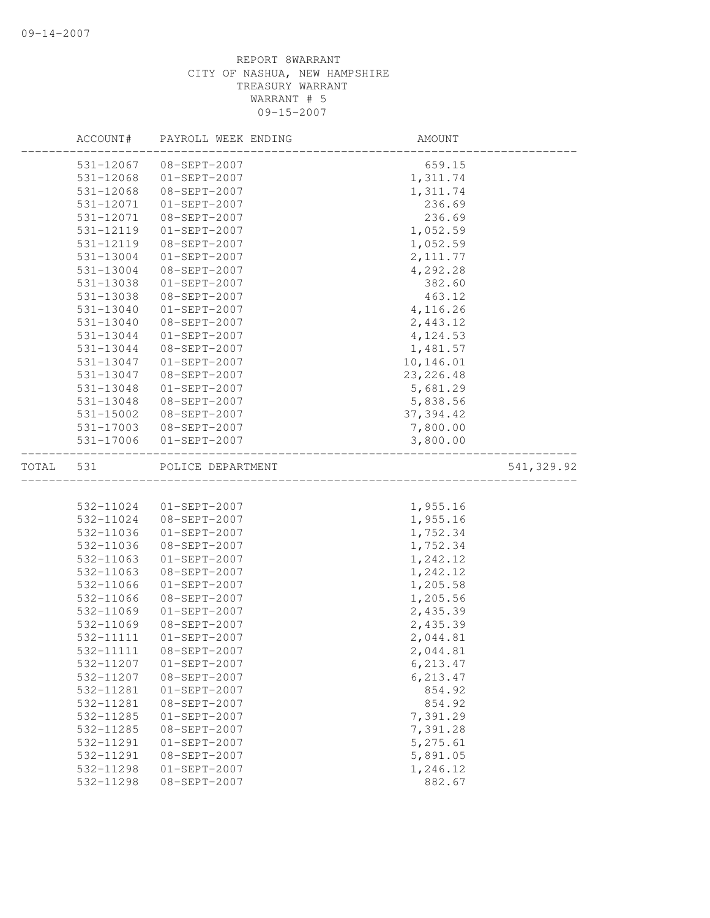|       | ACCOUNT#  | PAYROLL WEEK ENDING | AMOUNT     |            |
|-------|-----------|---------------------|------------|------------|
|       | 531-12067 | 08-SEPT-2007        | 659.15     |            |
|       | 531-12068 | $01-SEPT-2007$      | 1,311.74   |            |
|       | 531-12068 | 08-SEPT-2007        | 1,311.74   |            |
|       | 531-12071 | $01-SEPT-2007$      | 236.69     |            |
|       | 531-12071 | 08-SEPT-2007        | 236.69     |            |
|       | 531-12119 | $01-SEPT-2007$      | 1,052.59   |            |
|       | 531-12119 | 08-SEPT-2007        | 1,052.59   |            |
|       | 531-13004 | $01-SEPT-2007$      | 2, 111.77  |            |
|       | 531-13004 | 08-SEPT-2007        | 4,292.28   |            |
|       | 531-13038 | $01-SEPT-2007$      | 382.60     |            |
|       | 531-13038 | $08 - SEPT - 2007$  | 463.12     |            |
|       | 531-13040 | $01-SEPT-2007$      | 4,116.26   |            |
|       | 531-13040 | 08-SEPT-2007        | 2,443.12   |            |
|       | 531-13044 | $01-SEPT-2007$      | 4,124.53   |            |
|       | 531-13044 | 08-SEPT-2007        | 1,481.57   |            |
|       | 531-13047 | $01-SEPT-2007$      | 10,146.01  |            |
|       | 531-13047 | $08 - SEPT - 2007$  | 23, 226.48 |            |
|       | 531-13048 | $01-SEPT-2007$      | 5,681.29   |            |
|       | 531-13048 | 08-SEPT-2007        | 5,838.56   |            |
|       | 531-15002 | 08-SEPT-2007        | 37, 394.42 |            |
|       | 531-17003 | 08-SEPT-2007        | 7,800.00   |            |
|       | 531-17006 | $01-SEPT-2007$      | 3,800.00   |            |
| TOTAL | 531       | POLICE DEPARTMENT   |            | 541,329.92 |
|       |           |                     |            |            |
|       | 532-11024 | $01-SEPT-2007$      | 1,955.16   |            |
|       | 532-11024 | 08-SEPT-2007        | 1,955.16   |            |
|       | 532-11036 | $01-SEPT-2007$      | 1,752.34   |            |
|       | 532-11036 | 08-SEPT-2007        | 1,752.34   |            |
|       | 532-11063 | $01-SEPT-2007$      | 1,242.12   |            |
|       | 532-11063 | 08-SEPT-2007        | 1,242.12   |            |
|       | 532-11066 | $01-SEPT-2007$      | 1,205.58   |            |
|       | 532-11066 | $08 - SEPT - 2007$  | 1,205.56   |            |
|       | 532-11069 | $01-SEPT-2007$      | 2,435.39   |            |
|       | 532-11069 | 08-SEPT-2007        | 2,435.39   |            |
|       | 532-11111 | $01-SEPT-2007$      | 2,044.81   |            |
|       | 532-11111 | 08-SEPT-2007        | 2,044.81   |            |
|       | 532-11207 | $01 - SEPT - 2007$  | 6, 213.47  |            |
|       | 532-11207 | 08-SEPT-2007        | 6, 213.47  |            |
|       | 532-11281 | $01-SEPT-2007$      | 854.92     |            |
|       | 532-11281 | 08-SEPT-2007        | 854.92     |            |
|       | 532-11285 | 01-SEPT-2007        | 7,391.29   |            |
|       | 532-11285 | 08-SEPT-2007        | 7,391.28   |            |
|       | 532-11291 | $01-SEPT-2007$      | 5,275.61   |            |
|       | 532-11291 | 08-SEPT-2007        | 5,891.05   |            |
|       | 532-11298 | $01-SEPT-2007$      | 1,246.12   |            |
|       | 532-11298 | 08-SEPT-2007        | 882.67     |            |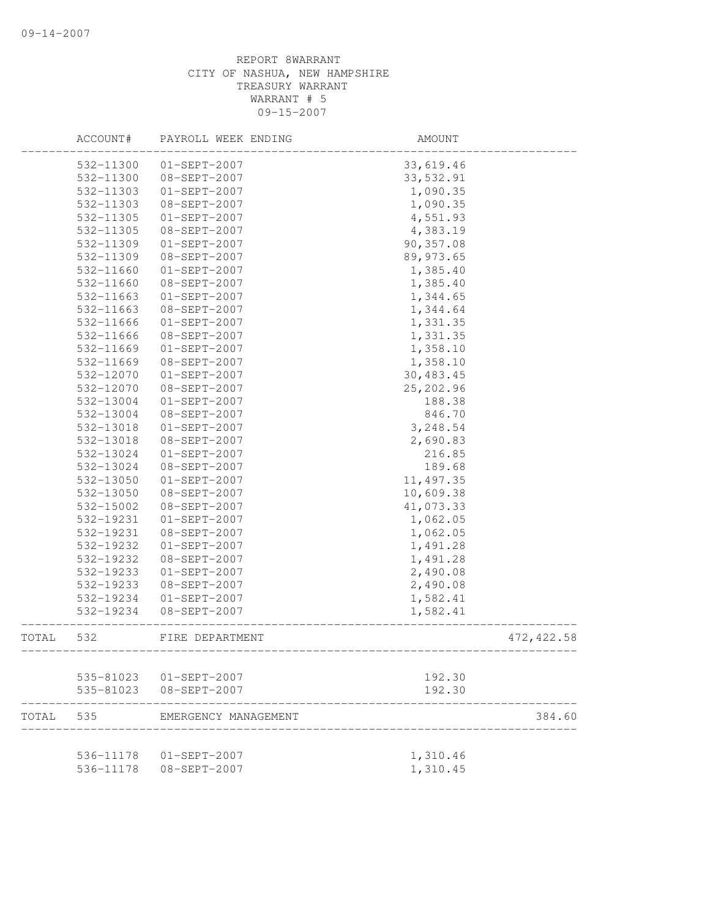|       | ACCOUNT#               | PAYROLL WEEK ENDING                | AMOUNT           |             |
|-------|------------------------|------------------------------------|------------------|-------------|
|       | 532-11300              | $01 - SEPT - 2007$                 | 33,619.46        |             |
|       | 532-11300              | 08-SEPT-2007                       | 33,532.91        |             |
|       | 532-11303              | $01 - SEPT - 2007$                 | 1,090.35         |             |
|       | 532-11303              | 08-SEPT-2007                       | 1,090.35         |             |
|       | 532-11305              | $01-SEPT-2007$                     | 4,551.93         |             |
|       | 532-11305              | 08-SEPT-2007                       | 4,383.19         |             |
|       | 532-11309              | $01-SEPT-2007$                     | 90,357.08        |             |
|       | 532-11309              | 08-SEPT-2007                       | 89, 973.65       |             |
|       | 532-11660              | $01-SEPT-2007$                     | 1,385.40         |             |
|       | 532-11660              | 08-SEPT-2007                       | 1,385.40         |             |
|       | 532-11663              | $01-SEPT-2007$                     | 1,344.65         |             |
|       | 532-11663              | 08-SEPT-2007                       | 1,344.64         |             |
|       | 532-11666              | $01-SEPT-2007$                     | 1,331.35         |             |
|       | 532-11666              | 08-SEPT-2007                       | 1,331.35         |             |
|       | 532-11669              | $01-SEPT-2007$                     | 1,358.10         |             |
|       | 532-11669              | 08-SEPT-2007                       | 1,358.10         |             |
|       | 532-12070              | $01-SEPT-2007$                     | 30,483.45        |             |
|       | 532-12070              | 08-SEPT-2007                       | 25,202.96        |             |
|       | 532-13004              | $01-SEPT-2007$                     | 188.38           |             |
|       | 532-13004              | 08-SEPT-2007                       | 846.70           |             |
|       | 532-13018              | $01-SEPT-2007$                     | 3,248.54         |             |
|       | 532-13018              | 08-SEPT-2007                       | 2,690.83         |             |
|       | 532-13024              | $01-SEPT-2007$                     | 216.85           |             |
|       | 532-13024              | 08-SEPT-2007                       | 189.68           |             |
|       | 532-13050              | $01-SEPT-2007$                     | 11, 497.35       |             |
|       | 532-13050              | 08-SEPT-2007                       | 10,609.38        |             |
|       | 532-15002              | 08-SEPT-2007                       | 41,073.33        |             |
|       | 532-19231              | $01-SEPT-2007$                     | 1,062.05         |             |
|       | 532-19231              | 08-SEPT-2007                       | 1,062.05         |             |
|       | 532-19232              | $01 - SEPT - 2007$                 | 1,491.28         |             |
|       | 532-19232              | 08-SEPT-2007                       | 1,491.28         |             |
|       | 532-19233              | $01-SEPT-2007$                     | 2,490.08         |             |
|       | 532-19233              | 08-SEPT-2007                       | 2,490.08         |             |
|       | 532-19234              | $01 - SEPT - 2007$                 | 1,582.41         |             |
|       | 532-19234              | $08 - SEPT - 2007$                 | 1,582.41         |             |
| TOTAL | 532                    | FIRE DEPARTMENT<br>-------------   |                  | 472, 422.58 |
|       |                        |                                    |                  |             |
|       | 535-81023<br>535-81023 | 01-SEPT-2007<br>$08 - SEPT - 2007$ | 192.30<br>192.30 |             |
| TOTAL | 535                    | EMERGENCY MANAGEMENT               |                  | 384.60      |
|       |                        |                                    |                  |             |
|       |                        | 536-11178  01-SEPT-2007            | 1,310.46         |             |
|       | 536-11178              | 08-SEPT-2007                       | 1,310.45         |             |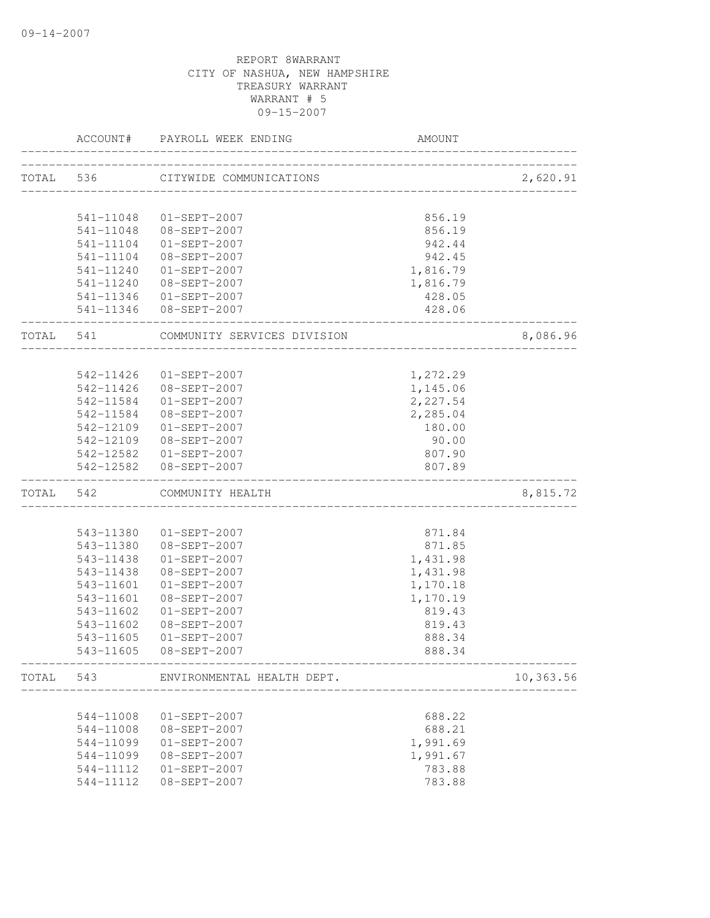|           | ACCOUNT#               | PAYROLL WEEK ENDING                      | AMOUNT           |           |
|-----------|------------------------|------------------------------------------|------------------|-----------|
|           | TOTAL 536              | CITYWIDE COMMUNICATIONS                  |                  | 2,620.91  |
|           | 541-11048              | $01 - SEPT - 2007$                       | 856.19           |           |
|           |                        | 541-11048 08-SEPT-2007                   | 856.19           |           |
|           |                        | 541-11104 01-SEPT-2007                   | 942.44           |           |
|           |                        | 541-11104 08-SEPT-2007                   | 942.45           |           |
|           |                        | 541-11240 01-SEPT-2007                   | 1,816.79         |           |
|           |                        | 541-11240 08-SEPT-2007                   | 1,816.79         |           |
|           |                        | 541-11346 01-SEPT-2007                   | 428.05           |           |
|           |                        | 541-11346 08-SEPT-2007                   | 428.06           |           |
| TOTAL 541 |                        | COMMUNITY SERVICES DIVISION              |                  | 8,086.96  |
|           |                        | 542-11426 01-SEPT-2007                   | 1,272.29         |           |
|           |                        | 542-11426 08-SEPT-2007                   | 1,145.06         |           |
|           |                        | 542-11584 01-SEPT-2007                   | 2,227.54         |           |
|           |                        | 542-11584 08-SEPT-2007                   | 2,285.04         |           |
|           |                        | 542-12109 01-SEPT-2007                   | 180.00           |           |
|           |                        | 542-12109 08-SEPT-2007                   | 90.00            |           |
|           |                        | 542-12582  01-SEPT-2007                  | 807.90           |           |
|           |                        | 542-12582 08-SEPT-2007                   | 807.89           |           |
| TOTAL 542 |                        | COMMUNITY HEALTH                         |                  | 8,815.72  |
|           |                        |                                          |                  |           |
|           |                        | 543-11380  01-SEPT-2007                  | 871.84           |           |
|           |                        | 543-11380 08-SEPT-2007                   | 871.85           |           |
|           | 543-11438              | $01 - SEPT - 2007$                       | 1,431.98         |           |
|           | 543-11438              | 08-SEPT-2007                             | 1,431.98         |           |
|           | 543-11601              | $01 - SEPT - 2007$                       | 1,170.18         |           |
|           | 543-11601              | 08-SEPT-2007                             | 1,170.19         |           |
|           | 543-11602              | $01 - SEPT - 2007$                       | 819.43           |           |
|           | 543-11602              | 08-SEPT-2007                             | 819.43           |           |
|           | 543-11605<br>543-11605 | $01 - SEPT - 2007$<br>$08 - SEPT - 2007$ | 888.34<br>888.34 |           |
| TOTAL     | 543                    | ENVIRONMENTAL HEALTH DEPT.               |                  | 10,363.56 |
|           |                        |                                          |                  |           |
|           | 544-11008              | $01-SEPT-2007$                           | 688.22           |           |
|           | 544-11008              | 08-SEPT-2007                             | 688.21           |           |
|           | 544-11099              | $01-SEPT-2007$                           | 1,991.69         |           |
|           | 544-11099              | 08-SEPT-2007                             | 1,991.67         |           |
|           | 544-11112              | $01-SEPT-2007$                           | 783.88           |           |
|           | 544-11112              | 08-SEPT-2007                             | 783.88           |           |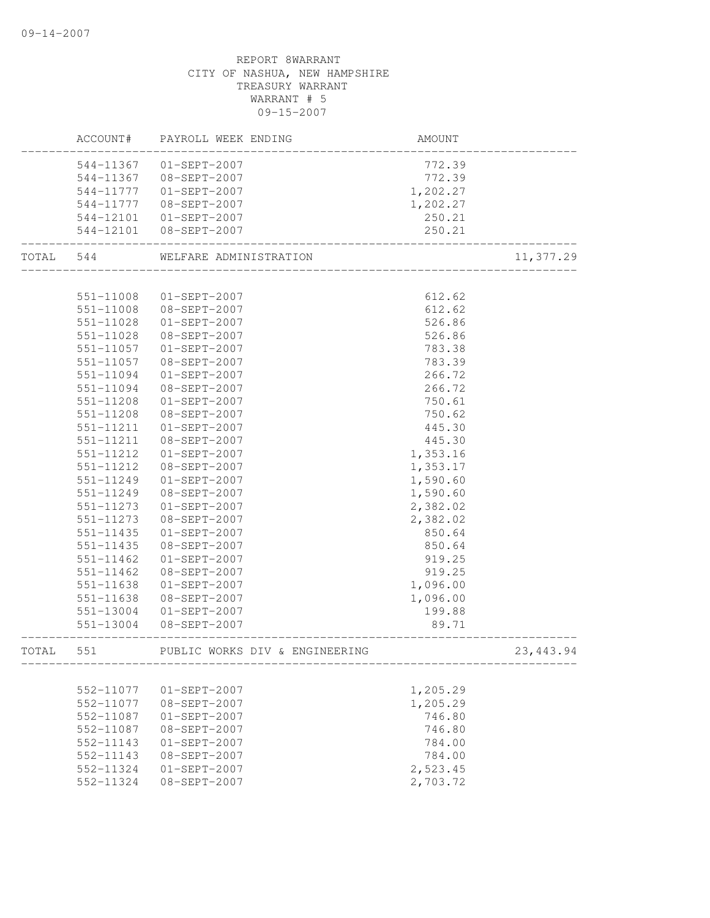|           | ACCOUNT#               | PAYROLL WEEK ENDING                               | AMOUNT               |            |
|-----------|------------------------|---------------------------------------------------|----------------------|------------|
|           |                        | 544-11367 01-SEPT-2007                            | 772.39               |            |
|           |                        | 544-11367 08-SEPT-2007                            | 772.39               |            |
|           |                        | 544-11777   01-SEPT-2007                          | 1,202.27             |            |
|           | 544-11777              | 08-SEPT-2007                                      | 1,202.27             |            |
|           |                        | 544-12101 01-SEPT-2007                            | 250.21               |            |
|           |                        | 544-12101 08-SEPT-2007                            | 250.21               |            |
| TOTAL 544 |                        | WELFARE ADMINISTRATION<br>_______________________ |                      | 11,377.29  |
|           |                        |                                                   |                      |            |
|           | 551-11008              | $01 - SEPT - 2007$                                | 612.62               |            |
|           | 551-11008              | 08-SEPT-2007                                      | 612.62               |            |
|           | 551-11028              | $01 - SEPT - 2007$                                | 526.86               |            |
|           | 551-11028              | 08-SEPT-2007                                      | 526.86               |            |
|           | 551-11057              | 01-SEPT-2007                                      | 783.38               |            |
|           | 551-11057              | 08-SEPT-2007                                      | 783.39               |            |
|           | 551-11094              | $01 - SEPT - 2007$                                | 266.72               |            |
|           | 551-11094              | 08-SEPT-2007                                      | 266.72               |            |
|           | $551 - 11208$          | $01-SEPT-2007$                                    | 750.61               |            |
|           | 551-11208              | $08 - SEPT - 2007$                                | 750.62               |            |
|           | 551-11211              | $01 - SEPT - 2007$                                | 445.30               |            |
|           | 551-11211              | 08-SEPT-2007                                      | 445.30               |            |
|           | 551-11212              | $01 - SEPT - 2007$                                | 1,353.16             |            |
|           | 551-11212              | 08-SEPT-2007                                      | 1,353.17             |            |
|           | 551-11249              | $01-SEPT-2007$                                    | 1,590.60             |            |
|           | 551-11249<br>551-11273 | 08-SEPT-2007<br>$01 - SEPT - 2007$                | 1,590.60             |            |
|           | 551-11273              | 08-SEPT-2007                                      | 2,382.02<br>2,382.02 |            |
|           | 551-11435              | $01-SEPT-2007$                                    |                      |            |
|           | 551-11435              | 08-SEPT-2007                                      | 850.64<br>850.64     |            |
|           | 551-11462              | $01-SEPT-2007$                                    | 919.25               |            |
|           | 551-11462              | 08-SEPT-2007                                      | 919.25               |            |
|           | 551-11638              | $01 - SEPT - 2007$                                | 1,096.00             |            |
|           | 551-11638              | 08-SEPT-2007                                      | 1,096.00             |            |
|           | 551-13004              | $01 - SEPT - 2007$                                | 199.88               |            |
|           | 551-13004              | 08-SEPT-2007                                      | 89.71                |            |
| TOTAL     | 551                    | PUBLIC WORKS DIV & ENGINEERING                    |                      | 23, 443.94 |
|           |                        |                                                   |                      |            |
|           | 552-11077              | $01-SEPT-2007$                                    | 1,205.29             |            |
|           | 552-11077              | $08 - SEPT - 2007$                                | 1,205.29             |            |
|           | 552-11087              | $01-SEPT-2007$                                    | 746.80               |            |
|           | 552-11087              | 08-SEPT-2007                                      | 746.80               |            |
|           | 552-11143              | $01-SEPT-2007$                                    | 784.00               |            |
|           | 552-11143              | 08-SEPT-2007                                      | 784.00               |            |
|           | 552-11324              | $01-SEPT-2007$                                    | 2,523.45             |            |
|           | 552-11324              | $08 - SEPT - 2007$                                | 2,703.72             |            |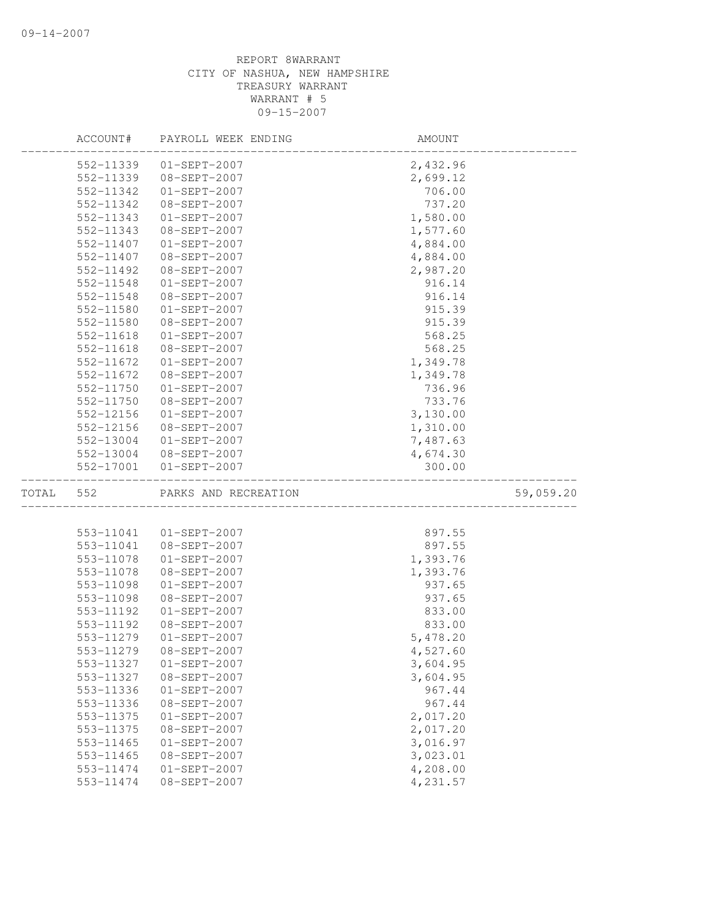|       | ACCOUNT#  | PAYROLL WEEK ENDING  | AMOUNT   |           |
|-------|-----------|----------------------|----------|-----------|
|       | 552-11339 | $01-SEPT-2007$       | 2,432.96 |           |
|       | 552-11339 | 08-SEPT-2007         | 2,699.12 |           |
|       | 552-11342 | $01-SEPT-2007$       | 706.00   |           |
|       | 552-11342 | 08-SEPT-2007         | 737.20   |           |
|       | 552-11343 | $01-SEPT-2007$       | 1,580.00 |           |
|       | 552-11343 | 08-SEPT-2007         | 1,577.60 |           |
|       | 552-11407 | $01-SEPT-2007$       | 4,884.00 |           |
|       | 552-11407 | 08-SEPT-2007         | 4,884.00 |           |
|       | 552-11492 | 08-SEPT-2007         | 2,987.20 |           |
|       | 552-11548 | $01-SEPT-2007$       | 916.14   |           |
|       | 552-11548 | 08-SEPT-2007         | 916.14   |           |
|       | 552-11580 | $01-SEPT-2007$       | 915.39   |           |
|       | 552-11580 | 08-SEPT-2007         | 915.39   |           |
|       | 552-11618 | $01-SEPT-2007$       | 568.25   |           |
|       | 552-11618 | 08-SEPT-2007         | 568.25   |           |
|       | 552-11672 | $01-SEPT-2007$       | 1,349.78 |           |
|       | 552-11672 | 08-SEPT-2007         | 1,349.78 |           |
|       | 552-11750 | $01-SEPT-2007$       | 736.96   |           |
|       | 552-11750 | 08-SEPT-2007         | 733.76   |           |
|       | 552-12156 | $01-SEPT-2007$       | 3,130.00 |           |
|       | 552-12156 | 08-SEPT-2007         | 1,310.00 |           |
|       | 552-13004 | $01 - SEPT - 2007$   | 7,487.63 |           |
|       | 552-13004 | 08-SEPT-2007         | 4,674.30 |           |
|       | 552-17001 | $01-SEPT-2007$       | 300.00   |           |
| TOTAL | 552       | PARKS AND RECREATION |          | 59,059.20 |
|       |           |                      |          |           |
|       | 553-11041 | $01 - SEPT - 2007$   | 897.55   |           |
|       | 553-11041 | 08-SEPT-2007         | 897.55   |           |
|       | 553-11078 | $01-SEPT-2007$       | 1,393.76 |           |
|       | 553-11078 | 08-SEPT-2007         | 1,393.76 |           |
|       | 553-11098 | $01-SEPT-2007$       | 937.65   |           |
|       | 553-11098 | 08-SEPT-2007         | 937.65   |           |
|       | 553-11192 | $01-SEPT-2007$       | 833.00   |           |
|       | 553-11192 | 08-SEPT-2007         | 833.00   |           |
|       | 553-11279 | $01-SEPT-2007$       | 5,478.20 |           |
|       | 553-11279 | 08-SEPT-2007         | 4,527.60 |           |
|       | 553-11327 | $01-SEPT-2007$       | 3,604.95 |           |
|       | 553-11327 | 08-SEPT-2007         | 3,604.95 |           |
|       | 553-11336 | $01-SEPT-2007$       | 967.44   |           |
|       | 553-11336 | $08-SEPT-2007$       | 967.44   |           |
|       | 553-11375 | $01-SEPT-2007$       | 2,017.20 |           |
|       | 553-11375 | 08-SEPT-2007         | 2,017.20 |           |
|       | 553-11465 | $01-SEPT-2007$       | 3,016.97 |           |
|       |           |                      |          |           |
|       | 553-11465 | 08-SEPT-2007         | 3,023.01 |           |
|       | 553-11474 | $01-SEPT-2007$       | 4,208.00 |           |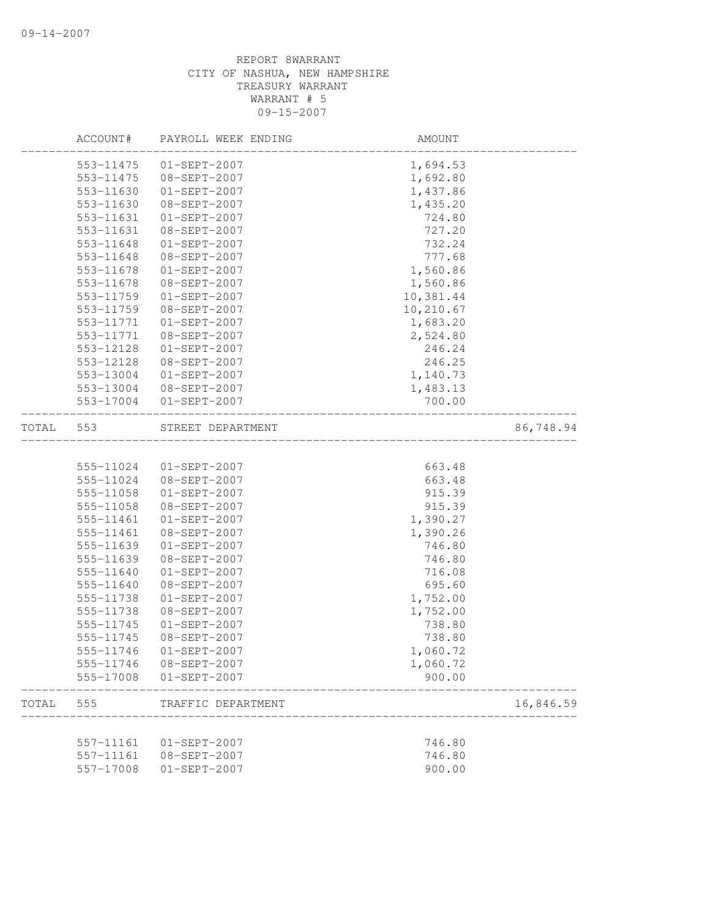|       | ACCOUNT#  | PAYROLL WEEK ENDING | AMOUNT    |           |
|-------|-----------|---------------------|-----------|-----------|
|       | 553-11475 | $01-SEPT-2007$      | 1,694.53  |           |
|       | 553-11475 | 08-SEPT-2007        | 1,692.80  |           |
|       | 553-11630 | $01-SEPT-2007$      | 1,437.86  |           |
|       | 553-11630 | 08-SEPT-2007        | 1,435.20  |           |
|       | 553-11631 | $01-SEPT-2007$      | 724.80    |           |
|       | 553-11631 | $08 - SEPT - 2007$  | 727.20    |           |
|       | 553-11648 | $01-SEPT-2007$      | 732.24    |           |
|       | 553-11648 | 08-SEPT-2007        | 777.68    |           |
|       | 553-11678 | $01-SEPT-2007$      | 1,560.86  |           |
|       | 553-11678 | 08-SEPT-2007        | 1,560.86  |           |
|       | 553-11759 | $01-SEPT-2007$      | 10,381.44 |           |
|       | 553-11759 | 08-SEPT-2007        | 10,210.67 |           |
|       | 553-11771 | $01-SEPT-2007$      | 1,683.20  |           |
|       | 553-11771 | 08-SEPT-2007        | 2,524.80  |           |
|       | 553-12128 | $01-SEPT-2007$      | 246.24    |           |
|       | 553-12128 | 08-SEPT-2007        | 246.25    |           |
|       | 553-13004 | $01-SEPT-2007$      | 1,140.73  |           |
|       | 553-13004 | 08-SEPT-2007        | 1,483.13  |           |
|       | 553-17004 | $01-SEPT-2007$      | 700.00    |           |
| TOTAL | 553       | STREET DEPARTMENT   |           | 86,748.94 |
|       |           |                     |           |           |
|       | 555-11024 | $01-SEPT-2007$      | 663.48    |           |
|       | 555-11024 | 08-SEPT-2007        | 663.48    |           |
|       | 555-11058 | $01-SEPT-2007$      | 915.39    |           |
|       | 555-11058 | 08-SEPT-2007        | 915.39    |           |
|       | 555-11461 | $01-SEPT-2007$      | 1,390.27  |           |
|       | 555-11461 | 08-SEPT-2007        | 1,390.26  |           |
|       | 555-11639 | $01-SEPT-2007$      | 746.80    |           |
|       | 555-11639 | 08-SEPT-2007        | 746.80    |           |
|       | 555-11640 | $01-SEPT-2007$      | 716.08    |           |
|       | 555-11640 | 08-SEPT-2007        | 695.60    |           |
|       | 555-11738 | $01-SEPT-2007$      | 1,752.00  |           |
|       | 555-11738 | 08-SEPT-2007        | 1,752.00  |           |
|       | 555-11745 | $01-SEPT-2007$      | 738.80    |           |
|       | 555-11745 | 08-SEPT-2007        | 738.80    |           |
|       | 555-11746 | $01-SEPT-2007$      | 1,060.72  |           |
|       | 555-11746 | 08-SEPT-2007        | 1,060.72  |           |
|       | 555-17008 | $01 - SEPT - 2007$  | 900.00    |           |
| TOTAL | 555       | TRAFFIC DEPARTMENT  |           | 16,846.59 |
|       |           |                     |           |           |
|       | 557-11161 | $01-SEPT-2007$      | 746.80    |           |
|       | 557-11161 | 08-SEPT-2007        | 746.80    |           |
|       | 557-17008 | $01-SEPT-2007$      | 900.00    |           |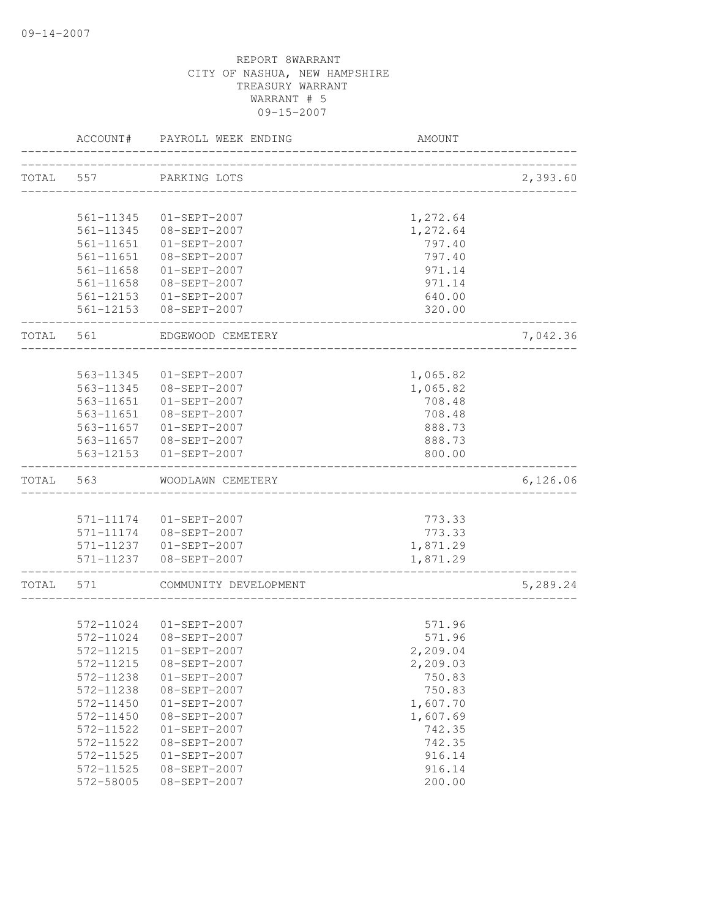|       | ACCOUNT#  | PAYROLL WEEK ENDING                    | <b>AMOUNT</b>                        |          |
|-------|-----------|----------------------------------------|--------------------------------------|----------|
|       | TOTAL 557 | PARKING LOTS                           |                                      | 2,393.60 |
|       |           |                                        | ____________________________________ |          |
|       | 561-11345 | 01-SEPT-2007                           | 1,272.64                             |          |
|       |           | 561-11345 08-SEPT-2007                 | 1,272.64                             |          |
|       |           | 561-11651  01-SEPT-2007                | 797.40                               |          |
|       | 561-11651 | 08-SEPT-2007                           | 797.40                               |          |
|       | 561-11658 | $01 - SEPT - 2007$                     | 971.14                               |          |
|       |           | 561-11658 08-SEPT-2007                 | 971.14                               |          |
|       |           | 561-12153 01-SEPT-2007                 | 640.00                               |          |
|       |           | 561-12153 08-SEPT-2007                 | 320.00                               |          |
| TOTAL | 561       | EDGEWOOD CEMETERY                      |                                      | 7,042.36 |
|       |           |                                        |                                      |          |
|       |           | 563-11345 01-SEPT-2007                 | 1,065.82                             |          |
|       | 563-11345 | 08-SEPT-2007                           | 1,065.82                             |          |
|       | 563-11651 | $01 - SEPT - 2007$                     | 708.48                               |          |
|       |           | 563-11651 08-SEPT-2007                 | 708.48                               |          |
|       |           | 563-11657 01-SEPT-2007                 | 888.73                               |          |
|       |           | 563-11657 08-SEPT-2007                 | 888.73                               |          |
|       |           | 563-12153  01-SEPT-2007                | 800.00                               |          |
| TOTAL | 563       | WOODLAWN CEMETERY                      |                                      | 6,126.06 |
|       |           |                                        |                                      |          |
|       |           | 571-11174 01-SEPT-2007                 | 773.33                               |          |
|       |           | 571-11174 08-SEPT-2007                 | 773.33                               |          |
|       |           | 571-11237 01-SEPT-2007                 | 1,871.29                             |          |
|       |           | 571-11237 08-SEPT-2007                 | 1,871.29                             |          |
| TOTAL | 571       | COMMUNITY DEVELOPMENT                  |                                      | 5,289.24 |
|       |           |                                        | 571.96                               |          |
|       | 572-11024 | 572-11024 01-SEPT-2007<br>08-SEPT-2007 | 571.96                               |          |
|       |           | 572-11215 01-SEPT-2007                 | 2,209.04                             |          |
|       | 572-11215 | 08-SEPT-2007                           | 2,209.03                             |          |
|       | 572-11238 | $01-SEPT-2007$                         | 750.83                               |          |
|       | 572-11238 | 08-SEPT-2007                           | 750.83                               |          |
|       | 572-11450 | $01-SEPT-2007$                         | 1,607.70                             |          |
|       | 572-11450 | 08-SEPT-2007                           | 1,607.69                             |          |
|       | 572-11522 | $01-SEPT-2007$                         | 742.35                               |          |
|       | 572-11522 | 08-SEPT-2007                           | 742.35                               |          |
|       | 572-11525 | $01 - SEPT - 2007$                     | 916.14                               |          |
|       | 572-11525 | 08-SEPT-2007                           | 916.14                               |          |
|       | 572-58005 | 08-SEPT-2007                           | 200.00                               |          |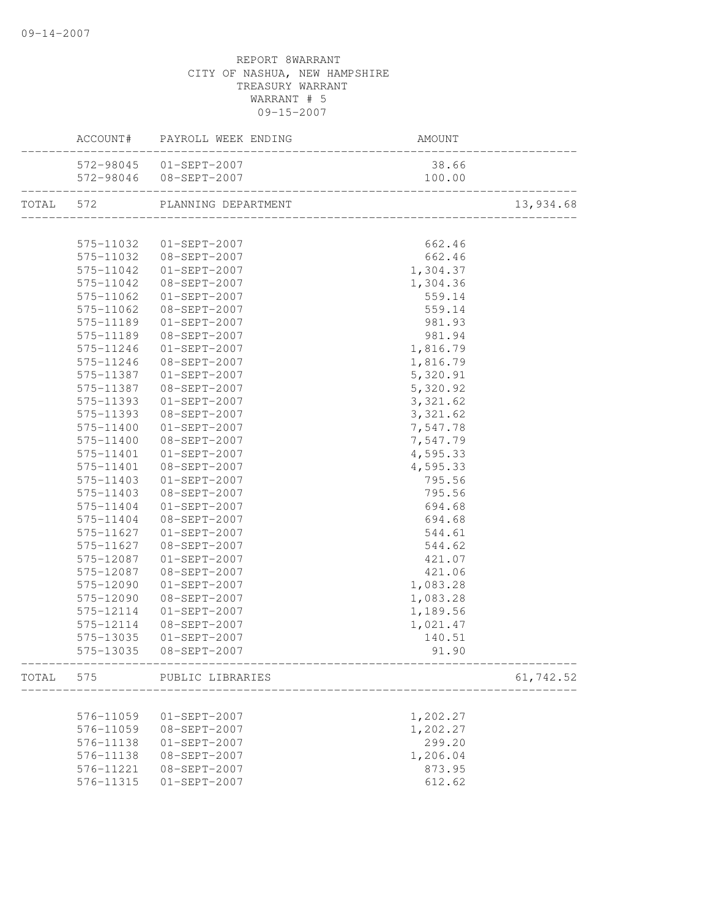|           | ACCOUNT# PAYROLL WEEK ENDING  | AM<br>----------------------<br>AMOUNT |           |
|-----------|-------------------------------|----------------------------------------|-----------|
|           | 572-98045 01-SEPT-2007        | 38.66                                  |           |
|           |                               | 100.00                                 |           |
|           | TOTAL 572 PLANNING DEPARTMENT |                                        | 13,934.68 |
|           |                               |                                        |           |
| 575-11032 | $01 - SEPT - 2007$            | 662.46                                 |           |
|           | 575-11032 08-SEPT-2007        | 662.46                                 |           |
| 575-11042 | 01-SEPT-2007                  | 1,304.37                               |           |
| 575-11042 | 08-SEPT-2007                  | 1,304.36                               |           |
| 575-11062 | $01 - SEPT - 2007$            | 559.14                                 |           |
| 575-11062 | 08-SEPT-2007                  | 559.14                                 |           |
| 575-11189 | $01 - SEPT - 2007$            | 981.93                                 |           |
| 575-11189 | 08-SEPT-2007                  | 981.94                                 |           |
| 575-11246 | 01-SEPT-2007                  | 1,816.79                               |           |
| 575-11246 | 08-SEPT-2007                  | 1,816.79                               |           |
| 575-11387 | $01 - SEPT - 2007$            | 5,320.91                               |           |
| 575-11387 | 08-SEPT-2007                  | 5,320.92                               |           |
| 575-11393 | 01-SEPT-2007                  | 3,321.62                               |           |
| 575-11393 | 08-SEPT-2007                  | 3,321.62                               |           |
| 575-11400 | $01 - SEPT - 2007$            | 7,547.78                               |           |
| 575-11400 | 08-SEPT-2007                  | 7,547.79                               |           |
| 575-11401 | 01-SEPT-2007                  | 4,595.33                               |           |
| 575-11401 | 08-SEPT-2007                  | 4,595.33                               |           |
| 575-11403 | 01-SEPT-2007                  | 795.56                                 |           |
| 575-11403 | 08-SEPT-2007                  | 795.56                                 |           |
| 575-11404 | 01-SEPT-2007                  | 694.68                                 |           |
| 575-11404 | 08-SEPT-2007                  | 694.68                                 |           |
| 575-11627 | $01 - SEPT - 2007$            | 544.61                                 |           |
| 575-11627 | 08-SEPT-2007                  | 544.62                                 |           |
| 575-12087 | $01-SEPT-2007$                | 421.07                                 |           |
| 575-12087 | 08-SEPT-2007                  | 421.06                                 |           |
| 575-12090 | 01-SEPT-2007                  | 1,083.28                               |           |
| 575-12090 | 08-SEPT-2007                  | 1,083.28                               |           |
| 575-12114 | $01 - SEPT - 2007$            | 1,189.56                               |           |
| 575-12114 | 08-SEPT-2007                  | 1,021.47                               |           |
| 575-13035 | $01 - SEPT - 2007$            | 140.51                                 |           |
|           | 575-13035 08-SEPT-2007        | 91.90                                  |           |
| TOTAL 575 | PUBLIC LIBRARIES              |                                        | 61,742.52 |
|           |                               |                                        |           |
| 576-11059 | 01-SEPT-2007                  | 1,202.27                               |           |
| 576-11059 | 08-SEPT-2007                  | 1,202.27                               |           |
| 576-11138 | $01-SEPT-2007$                | 299.20                                 |           |
| 576-11138 | $08 - SEPT - 2007$            | 1,206.04                               |           |
| 576-11221 | 08-SEPT-2007                  | 873.95                                 |           |
| 576-11315 | $01-SEPT-2007$                | 612.62                                 |           |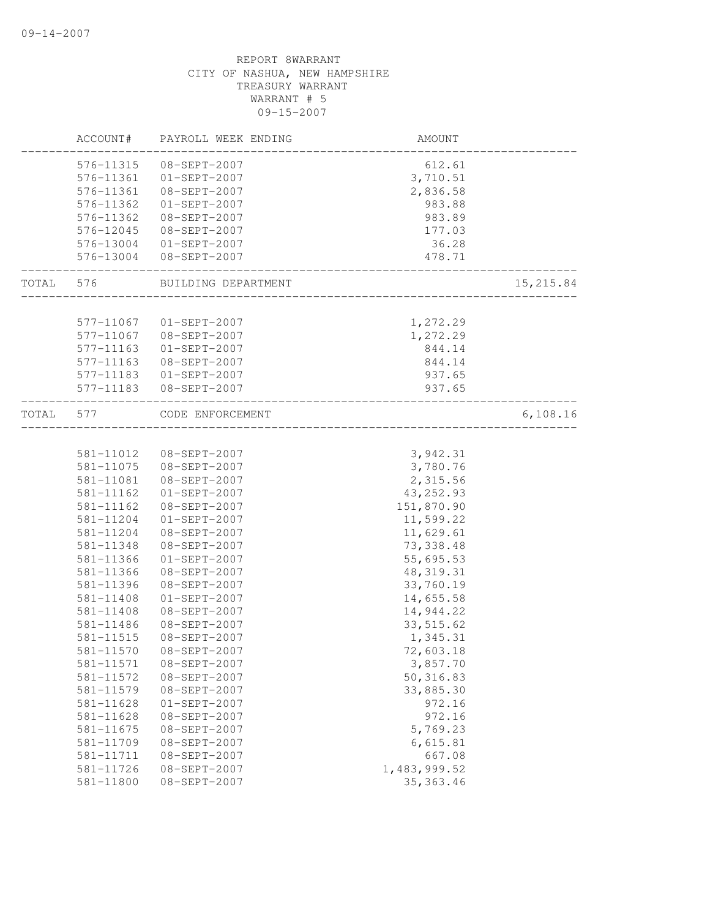|           | ACCOUNT#  | PAYROLL WEEK ENDING     | AMOUNT                             |           |
|-----------|-----------|-------------------------|------------------------------------|-----------|
|           | 576-11315 | 08-SEPT-2007            | 612.61                             |           |
|           |           | 576-11361 01-SEPT-2007  | 3,710.51                           |           |
|           | 576-11361 | 08-SEPT-2007            | 2,836.58                           |           |
|           | 576-11362 | $01-SEPT-2007$          | 983.88                             |           |
|           | 576-11362 | 08-SEPT-2007            | 983.89                             |           |
|           | 576-12045 | 08-SEPT-2007            | 177.03                             |           |
|           |           | 576-13004 01-SEPT-2007  | 36.28                              |           |
|           |           | 576-13004 08-SEPT-2007  | 478.71<br>________________________ |           |
| TOTAL 576 |           | BUILDING DEPARTMENT     | __________________                 | 15,215.84 |
|           |           |                         |                                    |           |
|           | 577-11067 | 01-SEPT-2007            | 1,272.29                           |           |
|           | 577-11067 | 08-SEPT-2007            | 1,272.29                           |           |
|           | 577-11163 | 01-SEPT-2007            | 844.14                             |           |
|           | 577-11163 | 08-SEPT-2007            | 844.14                             |           |
|           |           | 577-11183  01-SEPT-2007 | 937.65                             |           |
|           |           | 577-11183  08-SEPT-2007 | 937.65                             |           |
| TOTAL     | 577       | CODE ENFORCEMENT        |                                    | 6,108.16  |
|           |           |                         |                                    |           |
|           |           | 581-11012  08-SEPT-2007 | 3,942.31                           |           |
|           |           | 581-11075 08-SEPT-2007  | 3,780.76                           |           |
|           | 581-11081 | 08-SEPT-2007            | 2,315.56                           |           |
|           | 581-11162 | $01-SEPT-2007$          | 43, 252.93                         |           |
|           | 581-11162 | 08-SEPT-2007            | 151,870.90                         |           |
|           | 581-11204 | 01-SEPT-2007            | 11,599.22                          |           |
|           | 581-11204 | 08-SEPT-2007            | 11,629.61                          |           |
|           | 581-11348 | $08 - SEPT - 2007$      | 73, 338.48                         |           |
|           | 581-11366 | $01-SEPT-2007$          | 55,695.53                          |           |
|           | 581-11366 | 08-SEPT-2007            | 48, 319.31                         |           |
|           | 581-11396 | 08-SEPT-2007            | 33,760.19                          |           |
|           | 581-11408 | $01-SEPT-2007$          | 14,655.58                          |           |
|           | 581-11408 | 08-SEPT-2007            | 14,944.22                          |           |
|           | 581-11486 | 08-SEPT-2007            | 33, 515.62                         |           |
|           | 581-11515 | 08-SEPT-2007            | 1,345.31                           |           |
|           | 581-11570 | $08 - SEPT - 2007$      | 72,603.18                          |           |
|           | 581-11571 | 08-SEPT-2007            | 3,857.70                           |           |
|           | 581-11572 | 08-SEPT-2007            | 50, 316.83                         |           |
|           | 581-11579 | 08-SEPT-2007            | 33,885.30                          |           |
|           | 581-11628 | $01-SEPT-2007$          | 972.16                             |           |
|           | 581-11628 | 08-SEPT-2007            | 972.16                             |           |
|           | 581-11675 | $08 - SEPT - 2007$      | 5,769.23                           |           |
|           | 581-11709 | 08-SEPT-2007            | 6,615.81                           |           |
|           | 581-11711 | $08 - SEPT - 2007$      | 667.08                             |           |
|           | 581-11726 | $08-SEPT-2007$          | 1,483,999.52                       |           |
|           | 581-11800 | $08 - SEPT - 2007$      | 35, 363.46                         |           |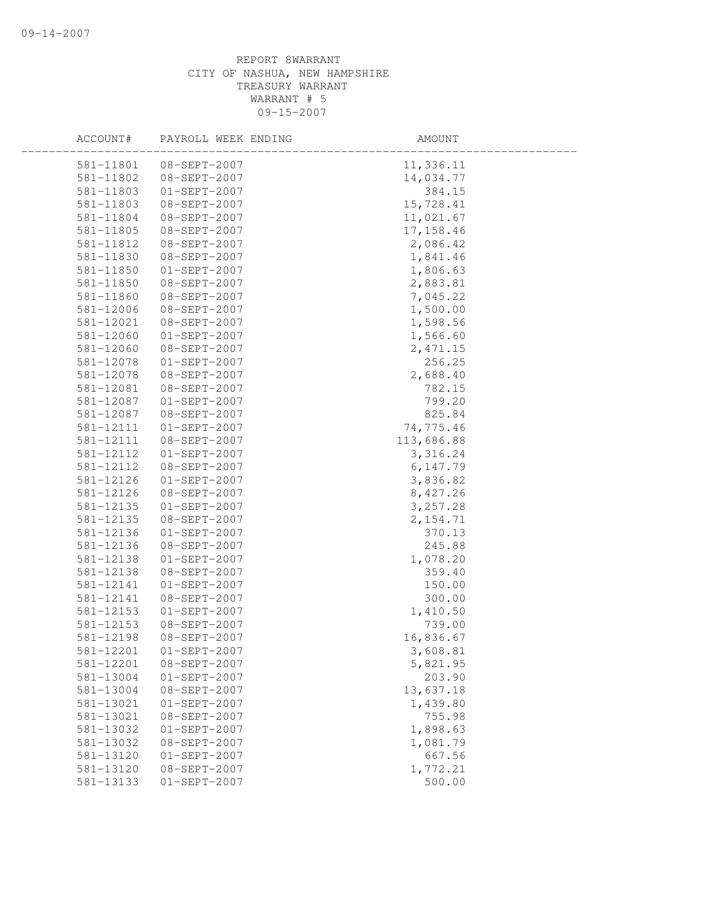| ACCOUNT#      | PAYROLL WEEK ENDING | AMOUNT     |  |
|---------------|---------------------|------------|--|
| 581-11801     | 08-SEPT-2007        | 11,336.11  |  |
| 581-11802     | 08-SEPT-2007        | 14,034.77  |  |
| 581-11803     | $01 - SEPT - 2007$  | 384.15     |  |
| 581-11803     | 08-SEPT-2007        | 15,728.41  |  |
| 581-11804     | 08-SEPT-2007        | 11,021.67  |  |
| 581-11805     | 08-SEPT-2007        | 17, 158.46 |  |
| 581-11812     | 08-SEPT-2007        | 2,086.42   |  |
| 581-11830     | 08-SEPT-2007        | 1,841.46   |  |
| 581-11850     | $01 - SEPT - 2007$  | 1,806.63   |  |
| 581-11850     | 08-SEPT-2007        | 2,883.81   |  |
| 581-11860     | 08-SEPT-2007        | 7,045.22   |  |
| 581-12006     | 08-SEPT-2007        | 1,500.00   |  |
| 581-12021     | 08-SEPT-2007        | 1,598.56   |  |
| 581-12060     | $01-SEPT-2007$      | 1,566.60   |  |
| 581-12060     | 08-SEPT-2007        | 2,471.15   |  |
| 581-12078     | $01-SEPT-2007$      | 256.25     |  |
| 581-12078     | 08-SEPT-2007        | 2,688.40   |  |
| 581-12081     | 08-SEPT-2007        | 782.15     |  |
| 581-12087     | $01 - SEPT - 2007$  | 799.20     |  |
| 581-12087     | 08-SEPT-2007        | 825.84     |  |
| 581-12111     | $01 - SEPT - 2007$  | 74,775.46  |  |
| 581-12111     | 08-SEPT-2007        | 113,686.88 |  |
| 581-12112     | $01-SEPT-2007$      | 3, 316.24  |  |
| 581-12112     | 08-SEPT-2007        | 6,147.79   |  |
| 581-12126     | $01-SEPT-2007$      | 3,836.82   |  |
| 581-12126     | 08-SEPT-2007        | 8,427.26   |  |
| 581-12135     | $01-SEPT-2007$      | 3,257.28   |  |
| 581-12135     | 08-SEPT-2007        | 2, 154.71  |  |
| 581-12136     | $01-SEPT-2007$      | 370.13     |  |
| 581-12136     | 08-SEPT-2007        | 245.88     |  |
| 581-12138     | $01-SEPT-2007$      | 1,078.20   |  |
| 581-12138     | 08-SEPT-2007        | 359.40     |  |
| 581-12141     | $01-SEPT-2007$      | 150.00     |  |
| 581-12141     | $08 - SEPT - 2007$  | 300.00     |  |
| $581 - 12153$ | $01-SEPT-2007$      | 1,410.50   |  |
| 581-12153     | 08-SEPT-2007        | 739.00     |  |
| 581-12198     | $08 - SEPT - 2007$  | 16,836.67  |  |
| 581-12201     | $01-SEPT-2007$      | 3,608.81   |  |
| 581-12201     | 08-SEPT-2007        | 5,821.95   |  |
| 581-13004     | $01-SEPT-2007$      | 203.90     |  |
| 581-13004     | 08-SEPT-2007        | 13,637.18  |  |
| 581-13021     | $01-SEPT-2007$      | 1,439.80   |  |
| 581-13021     | 08-SEPT-2007        | 755.98     |  |
| 581-13032     | $01-SEPT-2007$      | 1,898.63   |  |
| 581-13032     | 08-SEPT-2007        | 1,081.79   |  |
| 581-13120     | $01-SEPT-2007$      | 667.56     |  |
| 581-13120     | 08-SEPT-2007        | 1,772.21   |  |
| 581-13133     | $01-SEPT-2007$      | 500.00     |  |
|               |                     |            |  |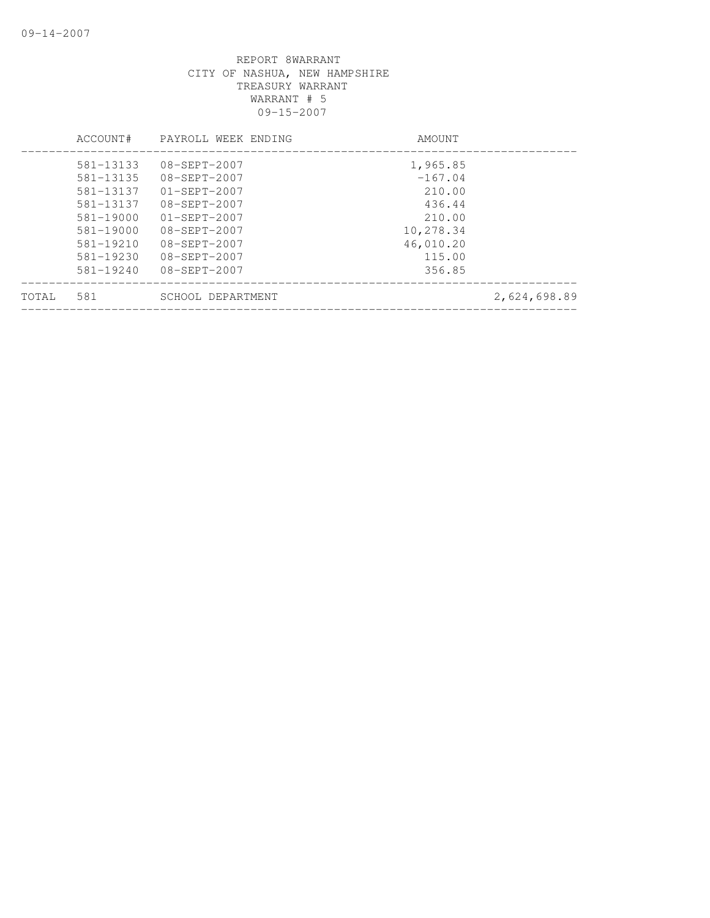|       | ACCOUNT#      | PAYROLL WEEK ENDING | AMOUNT    |              |
|-------|---------------|---------------------|-----------|--------------|
|       | 581-13133     | $08 - SEPT - 2007$  | 1,965.85  |              |
|       | 581-13135     | $08 - SEPT - 2007$  | $-167.04$ |              |
|       | 581-13137     | $01 - SEPT - 2007$  | 210.00    |              |
|       | 581-13137     | $08 - SEPT - 2007$  | 436.44    |              |
|       | 581-19000     | $01 - SEPT - 2007$  | 210.00    |              |
|       | $581 - 19000$ | $08 - SEPT - 2007$  | 10,278.34 |              |
|       | $581 - 19210$ | $08 - SEPT - 2007$  | 46,010.20 |              |
|       | 581-19230     | $08 - SEPT - 2007$  | 115.00    |              |
|       | $581 - 19240$ | $08 - SEPT - 2007$  | 356.85    |              |
| TOTAL | 581           | SCHOOL DEPARTMENT   |           | 2,624,698.89 |
|       |               |                     |           |              |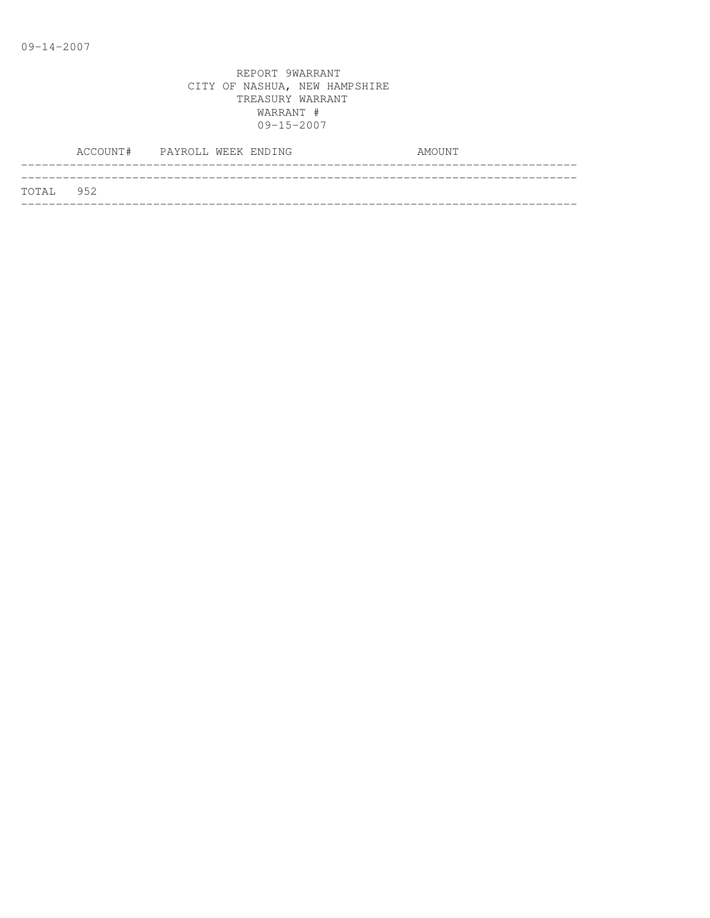|           | ACCOUNT# PAYROLL WEEK ENDING |  |  | AMOUNT |
|-----------|------------------------------|--|--|--------|
|           |                              |  |  |        |
| TOTAL 952 |                              |  |  |        |
|           |                              |  |  |        |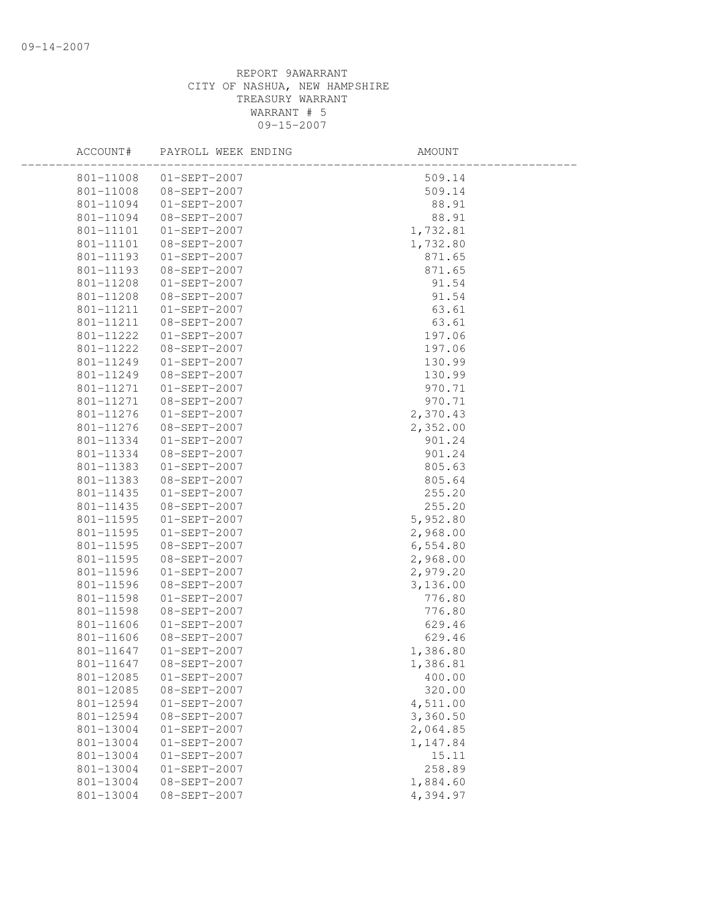| ACCOUNT#  | PAYROLL WEEK ENDING | AMOUNT   |  |
|-----------|---------------------|----------|--|
| 801-11008 | $01 - SEPT - 2007$  | 509.14   |  |
| 801-11008 | 08-SEPT-2007        | 509.14   |  |
| 801-11094 | 01-SEPT-2007        | 88.91    |  |
| 801-11094 | 08-SEPT-2007        | 88.91    |  |
| 801-11101 | $01-SEPT-2007$      | 1,732.81 |  |
| 801-11101 | 08-SEPT-2007        | 1,732.80 |  |
| 801-11193 | $01-SEPT-2007$      | 871.65   |  |
| 801-11193 | 08-SEPT-2007        | 871.65   |  |
| 801-11208 | $01 - SEPT - 2007$  | 91.54    |  |
| 801-11208 | 08-SEPT-2007        | 91.54    |  |
| 801-11211 | $01 - SEPT - 2007$  | 63.61    |  |
| 801-11211 | 08-SEPT-2007        | 63.61    |  |
| 801-11222 | $01-SEPT-2007$      | 197.06   |  |
| 801-11222 | 08-SEPT-2007        | 197.06   |  |
| 801-11249 | $01-SEPT-2007$      | 130.99   |  |
| 801-11249 | 08-SEPT-2007        | 130.99   |  |
| 801-11271 | $01-SEPT-2007$      | 970.71   |  |
| 801-11271 | 08-SEPT-2007        | 970.71   |  |
| 801-11276 | $01 - SEPT - 2007$  | 2,370.43 |  |
| 801-11276 | 08-SEPT-2007        | 2,352.00 |  |
| 801-11334 | 01-SEPT-2007        | 901.24   |  |
| 801-11334 | 08-SEPT-2007        | 901.24   |  |
| 801-11383 | $01-SEPT-2007$      | 805.63   |  |
| 801-11383 | 08-SEPT-2007        | 805.64   |  |
| 801-11435 | $01-SEPT-2007$      | 255.20   |  |
| 801-11435 | 08-SEPT-2007        | 255.20   |  |
| 801-11595 | $01 - SEPT - 2007$  | 5,952.80 |  |
| 801-11595 | $01 - SEPT - 2007$  | 2,968.00 |  |
| 801-11595 | 08-SEPT-2007        | 6,554.80 |  |
| 801-11595 | 08-SEPT-2007        | 2,968.00 |  |
| 801-11596 | $01-SEPT-2007$      | 2,979.20 |  |
| 801-11596 | 08-SEPT-2007        | 3,136.00 |  |
| 801-11598 | $01-SEPT-2007$      | 776.80   |  |
| 801-11598 | 08-SEPT-2007        | 776.80   |  |
| 801-11606 | $01 - SEPT - 2007$  | 629.46   |  |
| 801-11606 | 08-SEPT-2007        | 629.46   |  |
| 801-11647 | $01-SEPT-2007$      | 1,386.80 |  |
| 801-11647 | 08-SEPT-2007        | 1,386.81 |  |
| 801-12085 | $01-SEPT-2007$      | 400.00   |  |
| 801-12085 | 08-SEPT-2007        | 320.00   |  |
| 801-12594 | $01-SEPT-2007$      | 4,511.00 |  |
| 801-12594 | 08-SEPT-2007        | 3,360.50 |  |
| 801-13004 | $01-SEPT-2007$      | 2,064.85 |  |
| 801-13004 | $01-SEPT-2007$      | 1,147.84 |  |
| 801-13004 | $01-SEPT-2007$      | 15.11    |  |
| 801-13004 | $01-SEPT-2007$      | 258.89   |  |
| 801-13004 | 08-SEPT-2007        | 1,884.60 |  |
| 801-13004 | 08-SEPT-2007        | 4,394.97 |  |
|           |                     |          |  |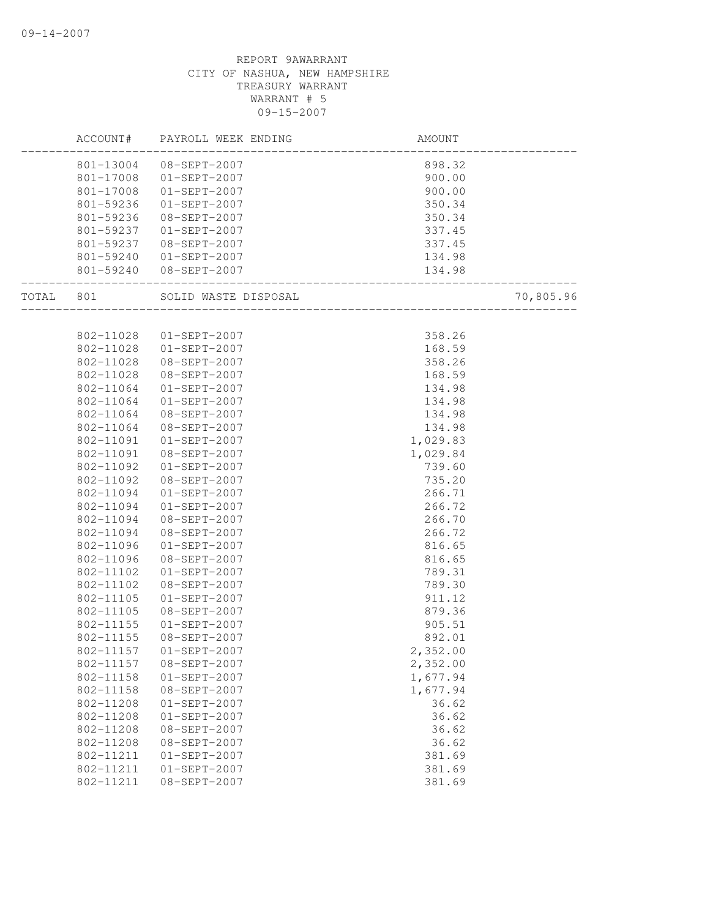|           |           | ACCOUNT# PAYROLL WEEK ENDING | AMOUNT                            |           |
|-----------|-----------|------------------------------|-----------------------------------|-----------|
|           | 801-13004 | 08-SEPT-2007                 | 898.32                            |           |
|           | 801-17008 | 01-SEPT-2007                 | 900.00                            |           |
|           | 801-17008 | $01-SEPT-2007$               | 900.00                            |           |
|           | 801-59236 | $01-SEPT-2007$               | 350.34                            |           |
|           | 801-59236 | 08-SEPT-2007                 | 350.34                            |           |
|           | 801-59237 | $01 - SEPT - 2007$           | 337.45                            |           |
|           |           | 801-59237 08-SEPT-2007       | 337.45                            |           |
|           |           | 801-59240 01-SEPT-2007       | 134.98                            |           |
|           |           | 801-59240 08-SEPT-2007       | 134.98<br>_______________________ |           |
| TOTAL 801 |           | SOLID WASTE DISPOSAL         | 」<br>---------------------------  | 70,805.96 |
|           |           |                              |                                   |           |
|           |           | 802-11028  01-SEPT-2007      | 358.26                            |           |
|           |           | 802-11028  01-SEPT-2007      | 168.59                            |           |
|           | 802-11028 | 08-SEPT-2007                 | 358.26                            |           |
|           | 802-11028 | 08-SEPT-2007                 | 168.59                            |           |
|           | 802-11064 | $01-SEPT-2007$               | 134.98                            |           |
|           | 802-11064 | $01-SEPT-2007$               | 134.98                            |           |
|           | 802-11064 | 08-SEPT-2007                 | 134.98                            |           |
|           | 802-11064 | 08-SEPT-2007                 | 134.98                            |           |
|           | 802-11091 | $01-SEPT-2007$               | 1,029.83                          |           |
|           | 802-11091 | 08-SEPT-2007                 | 1,029.84                          |           |
|           | 802-11092 | $01-SEPT-2007$               | 739.60                            |           |
|           | 802-11092 | 08-SEPT-2007                 | 735.20                            |           |
|           | 802-11094 | $01-SEPT-2007$               | 266.71                            |           |
|           | 802-11094 | $01-SEPT-2007$               | 266.72                            |           |
|           | 802-11094 | 08-SEPT-2007                 | 266.70                            |           |
|           | 802-11094 | 08-SEPT-2007                 | 266.72                            |           |
|           | 802-11096 | $01-SEPT-2007$               | 816.65                            |           |
|           | 802-11096 | 08-SEPT-2007                 | 816.65                            |           |
|           | 802-11102 | $01-SEPT-2007$               | 789.31                            |           |
|           | 802-11102 | 08-SEPT-2007                 | 789.30                            |           |
|           | 802-11105 | $01 - SEPT - 2007$           | 911.12                            |           |
|           |           | 802-11105 08-SEPT-2007       | 879.36                            |           |
|           | 802-11155 | $01 - SEPT - 2007$           | 905.51                            |           |
|           | 802-11155 | 08-SEPT-2007                 | 892.01                            |           |
|           |           | 802-11157   01-SEPT-2007     | 2,352.00                          |           |
|           | 802-11157 | 08-SEPT-2007                 | 2,352.00                          |           |
|           | 802-11158 | $01-SEPT-2007$               | 1,677.94                          |           |
|           | 802-11158 | 08-SEPT-2007                 | 1,677.94                          |           |
|           | 802-11208 | $01-SEPT-2007$               | 36.62                             |           |
|           | 802-11208 | $01-SEPT-2007$               | 36.62                             |           |
|           | 802-11208 | 08-SEPT-2007                 | 36.62                             |           |
|           | 802-11208 | 08-SEPT-2007                 | 36.62                             |           |
|           | 802-11211 | $01-SEPT-2007$               | 381.69                            |           |
|           | 802-11211 | $01-SEPT-2007$               | 381.69                            |           |
|           | 802-11211 | $08 - SEPT - 2007$           | 381.69                            |           |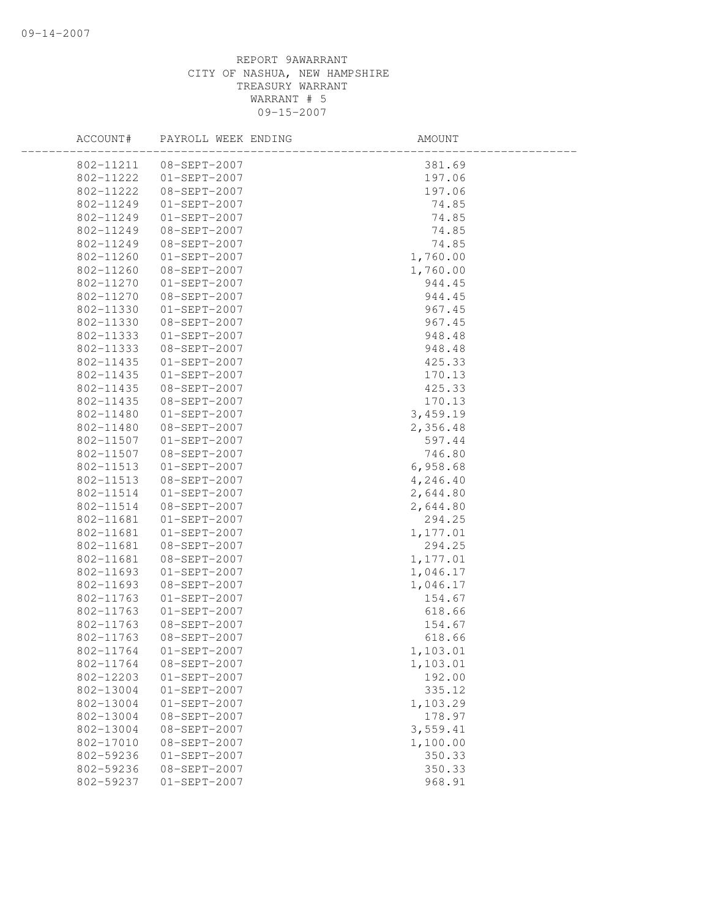| ACCOUNT#  | PAYROLL WEEK ENDING | AMOUNT   |  |
|-----------|---------------------|----------|--|
| 802-11211 | 08-SEPT-2007        | 381.69   |  |
| 802-11222 | $01 - SEPT - 2007$  | 197.06   |  |
| 802-11222 | 08-SEPT-2007        | 197.06   |  |
| 802-11249 | $01-SEPT-2007$      | 74.85    |  |
| 802-11249 | $01-SEPT-2007$      | 74.85    |  |
| 802-11249 | 08-SEPT-2007        | 74.85    |  |
| 802-11249 | 08-SEPT-2007        | 74.85    |  |
| 802-11260 | $01-SEPT-2007$      | 1,760.00 |  |
| 802-11260 | 08-SEPT-2007        | 1,760.00 |  |
| 802-11270 | $01-SEPT-2007$      | 944.45   |  |
| 802-11270 | 08-SEPT-2007        | 944.45   |  |
| 802-11330 | $01-SEPT-2007$      | 967.45   |  |
| 802-11330 | 08-SEPT-2007        | 967.45   |  |
| 802-11333 | $01-SEPT-2007$      | 948.48   |  |
| 802-11333 | 08-SEPT-2007        | 948.48   |  |
| 802-11435 | $01-SEPT-2007$      | 425.33   |  |
| 802-11435 | $01-SEPT-2007$      | 170.13   |  |
| 802-11435 | 08-SEPT-2007        | 425.33   |  |
| 802-11435 | 08-SEPT-2007        | 170.13   |  |
| 802-11480 | $01-SEPT-2007$      | 3,459.19 |  |
| 802-11480 | 08-SEPT-2007        | 2,356.48 |  |
| 802-11507 | $01-SEPT-2007$      | 597.44   |  |
| 802-11507 | 08-SEPT-2007        | 746.80   |  |
| 802-11513 | $01-SEPT-2007$      | 6,958.68 |  |
| 802-11513 | 08-SEPT-2007        | 4,246.40 |  |
| 802-11514 | $01-SEPT-2007$      | 2,644.80 |  |
| 802-11514 | 08-SEPT-2007        | 2,644.80 |  |
| 802-11681 | $01-SEPT-2007$      | 294.25   |  |
| 802-11681 | $01-SEPT-2007$      | 1,177.01 |  |
| 802-11681 | 08-SEPT-2007        | 294.25   |  |
| 802-11681 | 08-SEPT-2007        | 1,177.01 |  |
| 802-11693 | $01-SEPT-2007$      | 1,046.17 |  |
| 802-11693 | 08-SEPT-2007        | 1,046.17 |  |
| 802-11763 | $01-SEPT-2007$      | 154.67   |  |
| 802-11763 | $01-SEPT-2007$      | 618.66   |  |
| 802-11763 | 08-SEPT-2007        | 154.67   |  |
| 802-11763 | 08-SEPT-2007        | 618.66   |  |
| 802-11764 | $01-SEPT-2007$      | 1,103.01 |  |
| 802-11764 | 08-SEPT-2007        | 1,103.01 |  |
| 802-12203 | $01-SEPT-2007$      | 192.00   |  |
| 802-13004 | $01-SEPT-2007$      | 335.12   |  |
| 802-13004 | $01-SEPT-2007$      | 1,103.29 |  |
| 802-13004 | 08-SEPT-2007        | 178.97   |  |
| 802-13004 | 08-SEPT-2007        | 3,559.41 |  |
| 802-17010 | 08-SEPT-2007        | 1,100.00 |  |
| 802-59236 | $01-SEPT-2007$      | 350.33   |  |
| 802-59236 | 08-SEPT-2007        | 350.33   |  |
| 802-59237 | $01-SEPT-2007$      | 968.91   |  |
|           |                     |          |  |